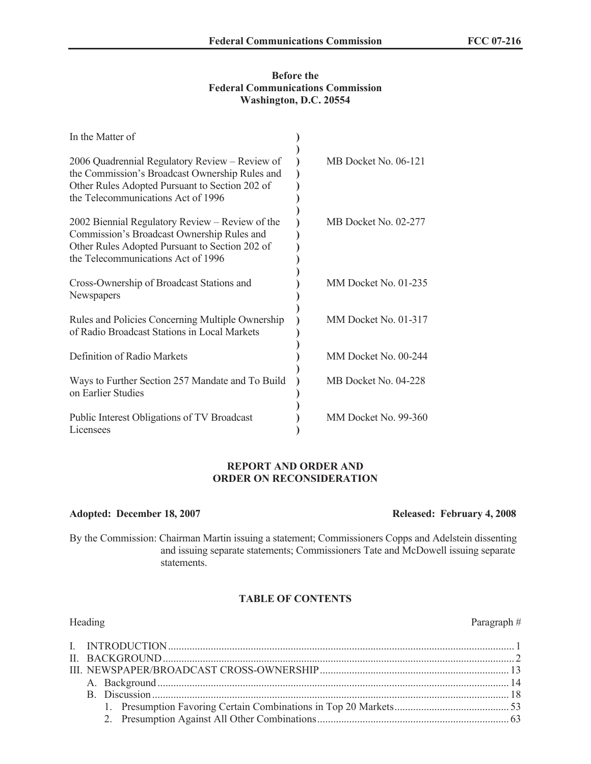#### **Before the Federal Communications Commission Washington, D.C. 20554**

| In the Matter of                                                                                                                                                                         |                      |
|------------------------------------------------------------------------------------------------------------------------------------------------------------------------------------------|----------------------|
| 2006 Quadrennial Regulatory Review - Review of<br>the Commission's Broadcast Ownership Rules and<br>Other Rules Adopted Pursuant to Section 202 of<br>the Telecommunications Act of 1996 | MB Docket No. 06-121 |
| 2002 Biennial Regulatory Review - Review of the<br>Commission's Broadcast Ownership Rules and<br>Other Rules Adopted Pursuant to Section 202 of<br>the Telecommunications Act of 1996    | MB Docket No. 02-277 |
| Cross-Ownership of Broadcast Stations and<br>Newspapers                                                                                                                                  | MM Docket No. 01-235 |
| Rules and Policies Concerning Multiple Ownership<br>of Radio Broadcast Stations in Local Markets                                                                                         | MM Docket No. 01-317 |
| Definition of Radio Markets                                                                                                                                                              | MM Docket No. 00-244 |
| Ways to Further Section 257 Mandate and To Build<br>on Earlier Studies                                                                                                                   | MB Docket No. 04-228 |
| Public Interest Obligations of TV Broadcast<br>Licensees                                                                                                                                 | MM Docket No. 99-360 |

#### **REPORT AND ORDER AND ORDER ON RECONSIDERATION**

#### **Adopted: December 18, 2007 Released: February 4, 2008**

# By the Commission: Chairman Martin issuing a statement; Commissioners Copps and Adelstein dissenting

and issuing separate statements; Commissioners Tate and McDowell issuing separate statements.

## **TABLE OF CONTENTS**

| Heading | Paragraph# |
|---------|------------|
|         |            |
|         |            |
|         |            |
|         |            |
|         |            |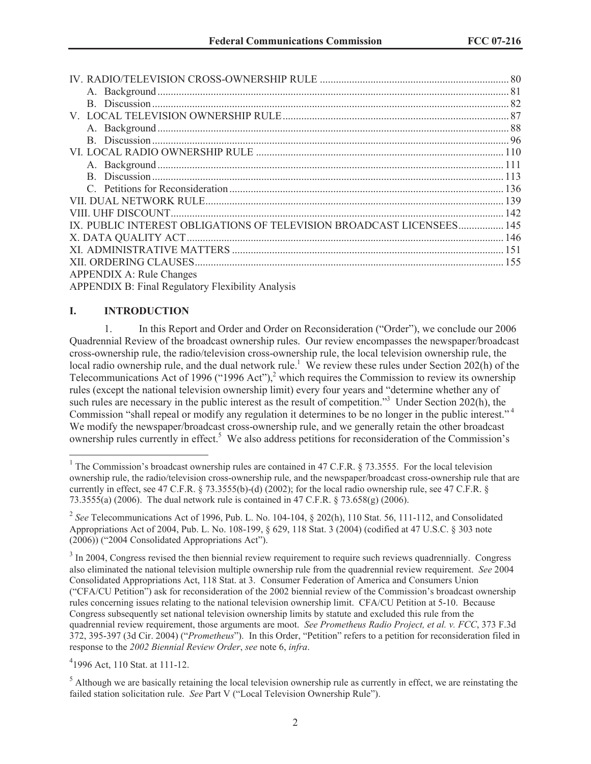| IX. PUBLIC INTEREST OBLIGATIONS OF TELEVISION BROADCAST LICENSEES 145 |  |
|-----------------------------------------------------------------------|--|
|                                                                       |  |
|                                                                       |  |
|                                                                       |  |
| <b>APPENDIX A: Rule Changes</b>                                       |  |

APPENDIX B: Final Regulatory Flexibility Analysis

#### **I. INTRODUCTION**

1. In this Report and Order and Order on Reconsideration ("Order"), we conclude our 2006 Quadrennial Review of the broadcast ownership rules. Our review encompasses the newspaper/broadcast cross-ownership rule, the radio/television cross-ownership rule, the local television ownership rule, the local radio ownership rule, and the dual network rule.<sup>1</sup> We review these rules under Section 202(h) of the Telecommunications Act of 1996 ("1996 Act"),<sup>2</sup> which requires the Commission to review its ownership rules (except the national television ownership limit) every four years and "determine whether any of such rules are necessary in the public interest as the result of competition.<sup>33</sup> Under Section 202(h), the Commission "shall repeal or modify any regulation it determines to be no longer in the public interest." <sup>4</sup> We modify the newspaper/broadcast cross-ownership rule, and we generally retain the other broadcast ownership rules currently in effect.<sup>5</sup> We also address petitions for reconsideration of the Commission's

4 1996 Act, 110 Stat. at 111-12.

 $<sup>5</sup>$  Although we are basically retaining the local television ownership rule as currently in effect, we are reinstating the</sup> failed station solicitation rule. *See* Part V ("Local Television Ownership Rule").

<sup>&</sup>lt;sup>1</sup> The Commission's broadcast ownership rules are contained in 47 C.F.R. § 73.3555. For the local television ownership rule, the radio/television cross-ownership rule, and the newspaper/broadcast cross-ownership rule that are currently in effect, see 47 C.F.R. § 73.3555(b)-(d) (2002); for the local radio ownership rule, see 47 C.F.R. § 73.3555(a) (2006). The dual network rule is contained in 47 C.F.R. § 73.658(g) (2006).

<sup>&</sup>lt;sup>2</sup> See Telecommunications Act of 1996, Pub. L. No. 104-104, § 202(h), 110 Stat. 56, 111-112, and Consolidated Appropriations Act of 2004, Pub. L. No. 108-199, § 629, 118 Stat. 3 (2004) (codified at 47 U.S.C. § 303 note (2006)) ("2004 Consolidated Appropriations Act").

 $3 \text{ In } 2004$ , Congress revised the then biennial review requirement to require such reviews quadrennially. Congress also eliminated the national television multiple ownership rule from the quadrennial review requirement. *See* 2004 Consolidated Appropriations Act, 118 Stat. at 3. Consumer Federation of America and Consumers Union ("CFA/CU Petition") ask for reconsideration of the 2002 biennial review of the Commission's broadcast ownership rules concerning issues relating to the national television ownership limit. CFA/CU Petition at 5-10. Because Congress subsequently set national television ownership limits by statute and excluded this rule from the quadrennial review requirement, those arguments are moot. *See Prometheus Radio Project, et al. v. FCC*, 373 F.3d 372, 395-397 (3d Cir. 2004) ("*Prometheus*"). In this Order, "Petition" refers to a petition for reconsideration filed in response to the *2002 Biennial Review Order*, *see* note 6, *infra*.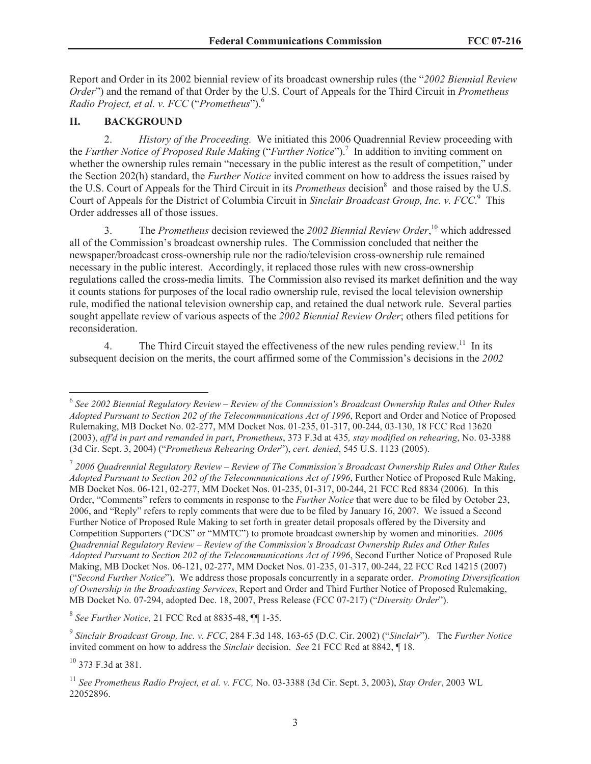Report and Order in its 2002 biennial review of its broadcast ownership rules (the "*2002 Biennial Review Order*") and the remand of that Order by the U.S. Court of Appeals for the Third Circuit in *Prometheus Radio Project, et al. v. FCC* ("*Prometheus*"). 6

### **II. BACKGROUND**

2. *History of the Proceeding.* We initiated this 2006 Quadrennial Review proceeding with the *Further Notice of Proposed Rule Making* ("*Further Notice*").<sup>7</sup> In addition to inviting comment on whether the ownership rules remain "necessary in the public interest as the result of competition," under the Section 202(h) standard, the *Further Notice* invited comment on how to address the issues raised by the U.S. Court of Appeals for the Third Circuit in its *Prometheus* decision<sup>8</sup> and those raised by the U.S. Court of Appeals for the District of Columbia Circuit in *Sinclair Broadcast Group, Inc. v. FCC*. <sup>9</sup> This Order addresses all of those issues.

3. The *Prometheus* decision reviewed the *2002 Biennial Review Order*, <sup>10</sup> which addressed all of the Commission's broadcast ownership rules. The Commission concluded that neither the newspaper/broadcast cross-ownership rule nor the radio/television cross-ownership rule remained necessary in the public interest. Accordingly, it replaced those rules with new cross-ownership regulations called the cross-media limits. The Commission also revised its market definition and the way it counts stations for purposes of the local radio ownership rule, revised the local television ownership rule, modified the national television ownership cap, and retained the dual network rule. Several parties sought appellate review of various aspects of the *2002 Biennial Review Order*; others filed petitions for reconsideration.

4. The Third Circuit stayed the effectiveness of the new rules pending review.<sup>11</sup> In its subsequent decision on the merits, the court affirmed some of the Commission's decisions in the *2002* 

8 *See Further Notice,* 21 FCC Rcd at 8835-48, ¶¶ 1-35.

9 *Sinclair Broadcast Group, Inc. v. FCC*, 284 F.3d 148, 163-65 (D.C. Cir. 2002) ("*Sinclair*"). The *Further Notice* invited comment on how to address the *Sinclair* decision. *See* 21 FCC Rcd at 8842, ¶ 18.

<sup>10</sup> 373 F.3d at 381.

<sup>6</sup> *See 2002 Biennial Regulatory Review – Review of the Commission's Broadcast Ownership Rules and Other Rules Adopted Pursuant to Section 202 of the Telecommunications Act of 1996*, Report and Order and Notice of Proposed Rulemaking, MB Docket No. 02-277, MM Docket Nos. 01-235, 01-317, 00-244, 03-130, 18 FCC Rcd 13620 (2003), *aff'd in part and remanded in part*, *Prometheus*, 373 F.3d at 435*, stay modified on rehearing*, No. 03-3388 (3d Cir. Sept. 3, 2004) ("*Prometheus Rehearing Order*"), *cert. denied*, 545 U.S. 1123 (2005).

<sup>7</sup> *2006 Quadrennial Regulatory Review – Review of The Commission's Broadcast Ownership Rules and Other Rules Adopted Pursuant to Section 202 of the Telecommunications Act of 1996*, Further Notice of Proposed Rule Making, MB Docket Nos. 06-121, 02-277, MM Docket Nos. 01-235, 01-317, 00-244, 21 FCC Rcd 8834 (2006). In this Order, "Comments" refers to comments in response to the *Further Notice* that were due to be filed by October 23, 2006, and "Reply" refers to reply comments that were due to be filed by January 16, 2007. We issued a Second Further Notice of Proposed Rule Making to set forth in greater detail proposals offered by the Diversity and Competition Supporters ("DCS" or "MMTC") to promote broadcast ownership by women and minorities. *2006 Quadrennial Regulatory Review – Review of the Commission's Broadcast Ownership Rules and Other Rules Adopted Pursuant to Section 202 of the Telecommunications Act of 1996*, Second Further Notice of Proposed Rule Making, MB Docket Nos. 06-121, 02-277, MM Docket Nos. 01-235, 01-317, 00-244, 22 FCC Rcd 14215 (2007) ("*Second Further Notice*"). We address those proposals concurrently in a separate order. *Promoting Diversification of Ownership in the Broadcasting Services*, Report and Order and Third Further Notice of Proposed Rulemaking, MB Docket No. 07-294, adopted Dec. 18, 2007, Press Release (FCC 07-217) ("*Diversity Order*").

<sup>11</sup> *See Prometheus Radio Project, et al. v. FCC,* No. 03-3388 (3d Cir. Sept. 3, 2003), *Stay Order*, 2003 WL 22052896.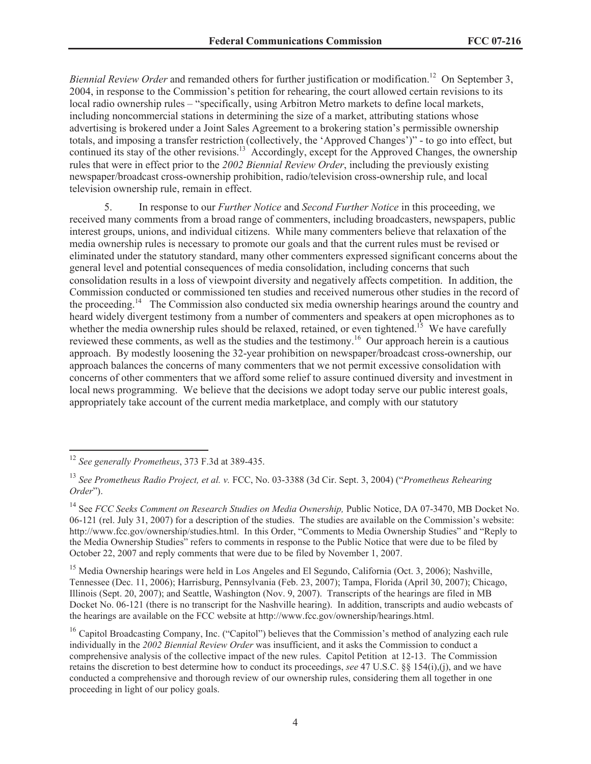*Biennial Review Order* and remanded others for further justification or modification.<sup>12</sup> On September 3, 2004, in response to the Commission's petition for rehearing, the court allowed certain revisions to its local radio ownership rules – "specifically, using Arbitron Metro markets to define local markets, including noncommercial stations in determining the size of a market, attributing stations whose advertising is brokered under a Joint Sales Agreement to a brokering station's permissible ownership totals, and imposing a transfer restriction (collectively, the 'Approved Changes')" - to go into effect, but continued its stay of the other revisions.<sup>13</sup> Accordingly, except for the Approved Changes, the ownership rules that were in effect prior to the *2002 Biennial Review Order*, including the previously existing newspaper/broadcast cross-ownership prohibition, radio/television cross-ownership rule, and local television ownership rule, remain in effect.

5. In response to our *Further Notice* and *Second Further Notice* in this proceeding, we received many comments from a broad range of commenters, including broadcasters, newspapers, public interest groups, unions, and individual citizens. While many commenters believe that relaxation of the media ownership rules is necessary to promote our goals and that the current rules must be revised or eliminated under the statutory standard, many other commenters expressed significant concerns about the general level and potential consequences of media consolidation, including concerns that such consolidation results in a loss of viewpoint diversity and negatively affects competition. In addition, the Commission conducted or commissioned ten studies and received numerous other studies in the record of the proceeding.<sup>14</sup> The Commission also conducted six media ownership hearings around the country and heard widely divergent testimony from a number of commenters and speakers at open microphones as to whether the media ownership rules should be relaxed, retained, or even tightened.<sup>15</sup> We have carefully reviewed these comments, as well as the studies and the testimony.<sup>16</sup> Our approach herein is a cautious approach. By modestly loosening the 32-year prohibition on newspaper/broadcast cross-ownership, our approach balances the concerns of many commenters that we not permit excessive consolidation with concerns of other commenters that we afford some relief to assure continued diversity and investment in local news programming. We believe that the decisions we adopt today serve our public interest goals, appropriately take account of the current media marketplace, and comply with our statutory

<sup>15</sup> Media Ownership hearings were held in Los Angeles and El Segundo, California (Oct. 3, 2006); Nashville, Tennessee (Dec. 11, 2006); Harrisburg, Pennsylvania (Feb. 23, 2007); Tampa, Florida (April 30, 2007); Chicago, Illinois (Sept. 20, 2007); and Seattle, Washington (Nov. 9, 2007). Transcripts of the hearings are filed in MB Docket No. 06-121 (there is no transcript for the Nashville hearing). In addition, transcripts and audio webcasts of the hearings are available on the FCC website at http://www.fcc.gov/ownership/hearings.html.

<sup>12</sup> *See generally Prometheus*, 373 F.3d at 389-435.

<sup>13</sup> *See Prometheus Radio Project, et al. v.* FCC, No. 03-3388 (3d Cir. Sept. 3, 2004) ("*Prometheus Rehearing Order*").

<sup>&</sup>lt;sup>14</sup> See *FCC Seeks Comment on Research Studies on Media Ownership*, Public Notice, DA 07-3470, MB Docket No. 06-121 (rel. July 31, 2007) for a description of the studies. The studies are available on the Commission's website: http://www.fcc.gov/ownership/studies.html. In this Order, "Comments to Media Ownership Studies" and "Reply to the Media Ownership Studies" refers to comments in response to the Public Notice that were due to be filed by October 22, 2007 and reply comments that were due to be filed by November 1, 2007.

<sup>&</sup>lt;sup>16</sup> Capitol Broadcasting Company, Inc. ("Capitol") believes that the Commission's method of analyzing each rule individually in the *2002 Biennial Review Order* was insufficient, and it asks the Commission to conduct a comprehensive analysis of the collective impact of the new rules. Capitol Petition at 12-13. The Commission retains the discretion to best determine how to conduct its proceedings, *see* 47 U.S.C. §§ 154(i),(j), and we have conducted a comprehensive and thorough review of our ownership rules, considering them all together in one proceeding in light of our policy goals.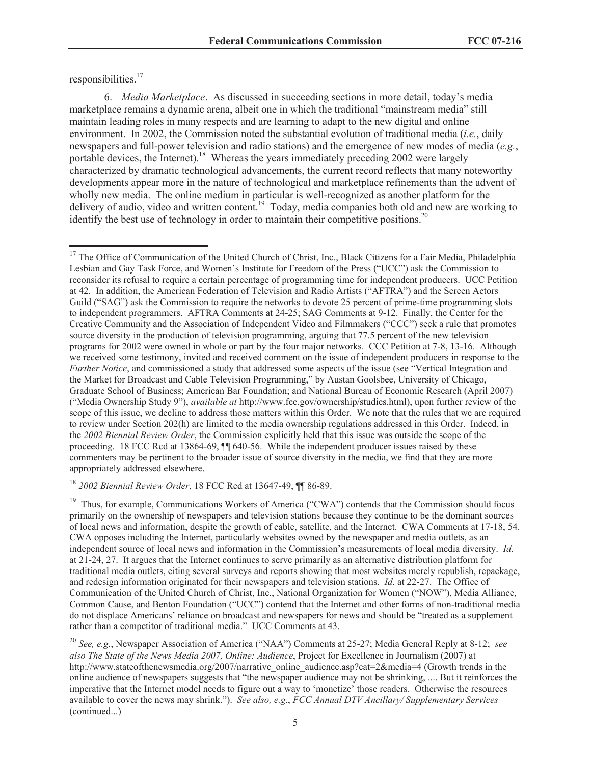responsibilities.<sup>17</sup>

6. *Media Marketplace*. As discussed in succeeding sections in more detail, today's media marketplace remains a dynamic arena, albeit one in which the traditional "mainstream media" still maintain leading roles in many respects and are learning to adapt to the new digital and online environment. In 2002, the Commission noted the substantial evolution of traditional media (*i.e.*, daily newspapers and full-power television and radio stations) and the emergence of new modes of media (*e.g.*, portable devices, the Internet).<sup>18</sup> Whereas the years immediately preceding 2002 were largely characterized by dramatic technological advancements, the current record reflects that many noteworthy developments appear more in the nature of technological and marketplace refinements than the advent of wholly new media. The online medium in particular is well-recognized as another platform for the delivery of audio, video and written content.<sup>19</sup> Today, media companies both old and new are working to identify the best use of technology in order to maintain their competitive positions.<sup>20</sup>

<sup>18</sup> *2002 Biennial Review Order*, 18 FCC Rcd at 13647-49, ¶¶ 86-89.

<sup>&</sup>lt;sup>17</sup> The Office of Communication of the United Church of Christ, Inc., Black Citizens for a Fair Media, Philadelphia Lesbian and Gay Task Force, and Women's Institute for Freedom of the Press ("UCC") ask the Commission to reconsider its refusal to require a certain percentage of programming time for independent producers. UCC Petition at 42. In addition, the American Federation of Television and Radio Artists ("AFTRA") and the Screen Actors Guild ("SAG") ask the Commission to require the networks to devote 25 percent of prime-time programming slots to independent programmers. AFTRA Comments at 24-25; SAG Comments at 9-12. Finally, the Center for the Creative Community and the Association of Independent Video and Filmmakers ("CCC") seek a rule that promotes source diversity in the production of television programming, arguing that 77.5 percent of the new television programs for 2002 were owned in whole or part by the four major networks. CCC Petition at 7-8, 13-16. Although we received some testimony, invited and received comment on the issue of independent producers in response to the *Further Notice*, and commissioned a study that addressed some aspects of the issue (see "Vertical Integration and the Market for Broadcast and Cable Television Programming," by Austan Goolsbee, University of Chicago, Graduate School of Business; American Bar Foundation; and National Bureau of Economic Research (April 2007) ("Media Ownership Study 9"), *available at* http://www.fcc.gov/ownership/studies.html), upon further review of the scope of this issue, we decline to address those matters within this Order. We note that the rules that we are required to review under Section 202(h) are limited to the media ownership regulations addressed in this Order. Indeed, in the *2002 Biennial Review Order*, the Commission explicitly held that this issue was outside the scope of the proceeding. 18 FCC Rcd at 13864-69,  $\frac{1}{10}$  640-56. While the independent producer issues raised by these commenters may be pertinent to the broader issue of source diversity in the media, we find that they are more appropriately addressed elsewhere.

<sup>&</sup>lt;sup>19</sup> Thus, for example, Communications Workers of America ("CWA") contends that the Commission should focus primarily on the ownership of newspapers and television stations because they continue to be the dominant sources of local news and information, despite the growth of cable, satellite, and the Internet. CWA Comments at 17-18, 54. CWA opposes including the Internet, particularly websites owned by the newspaper and media outlets, as an independent source of local news and information in the Commission's measurements of local media diversity. *Id*. at 21-24, 27. It argues that the Internet continues to serve primarily as an alternative distribution platform for traditional media outlets, citing several surveys and reports showing that most websites merely republish, repackage, and redesign information originated for their newspapers and television stations. *Id*. at 22-27. The Office of Communication of the United Church of Christ, Inc., National Organization for Women ("NOW"), Media Alliance, Common Cause, and Benton Foundation ("UCC") contend that the Internet and other forms of non-traditional media do not displace Americans' reliance on broadcast and newspapers for news and should be "treated as a supplement rather than a competitor of traditional media." UCC Comments at 43.

<sup>20</sup> *See, e.g*., Newspaper Association of America ("NAA") Comments at 25-27; Media General Reply at 8-12; *see also The State of the News Media 2007, Online: Audience*, Project for Excellence in Journalism (2007) at http://www.stateofthenewsmedia.org/2007/narrative\_online\_audience.asp?cat=2&media=4 (Growth trends in the online audience of newspapers suggests that "the newspaper audience may not be shrinking, .... But it reinforces the imperative that the Internet model needs to figure out a way to 'monetize' those readers. Otherwise the resources available to cover the news may shrink."). *See also, e.g*., *FCC Annual DTV Ancillary/ Supplementary Services*  (continued...)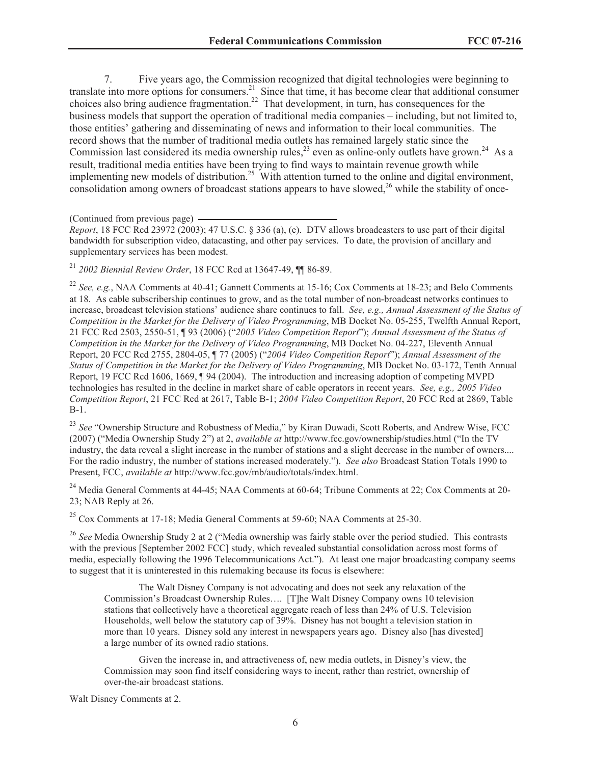7. Five years ago, the Commission recognized that digital technologies were beginning to translate into more options for consumers.<sup>21</sup> Since that time, it has become clear that additional consumer choices also bring audience fragmentation.<sup>22</sup> That development, in turn, has consequences for the business models that support the operation of traditional media companies – including, but not limited to, those entities' gathering and disseminating of news and information to their local communities. The record shows that the number of traditional media outlets has remained largely static since the Commission last considered its media ownership rules,  $^{23}$  even as online-only outlets have grown.<sup>24</sup> As a result, traditional media entities have been trying to find ways to maintain revenue growth while implementing new models of distribution.<sup>25</sup> With attention turned to the online and digital environment, consolidation among owners of broadcast stations appears to have slowed,<sup>26</sup> while the stability of once-

(Continued from previous page)

*Report*, 18 FCC Rcd 23972 (2003); 47 U.S.C. § 336 (a), (e). DTV allows broadcasters to use part of their digital bandwidth for subscription video, datacasting, and other pay services. To date, the provision of ancillary and supplementary services has been modest.

<sup>21</sup> *2002 Biennial Review Order*, 18 FCC Rcd at 13647-49, ¶¶ 86-89.

<sup>22</sup> *See, e.g.*, NAA Comments at 40-41; Gannett Comments at 15-16; Cox Comments at 18-23; and Belo Comments at 18. As cable subscribership continues to grow, and as the total number of non-broadcast networks continues to increase, broadcast television stations' audience share continues to fall. *See, e.g., Annual Assessment of the Status of Competition in the Market for the Delivery of Video Programming*, MB Docket No. 05-255, Twelfth Annual Report, 21 FCC Rcd 2503, 2550-51, ¶ 93 (2006) ("*2005 Video Competition Report*"); *Annual Assessment of the Status of Competition in the Market for the Delivery of Video Programming*, MB Docket No. 04-227, Eleventh Annual Report, 20 FCC Rcd 2755, 2804-05, ¶ 77 (2005) ("*2004 Video Competition Report*"); *Annual Assessment of the Status of Competition in the Market for the Delivery of Video Programming*, MB Docket No. 03-172, Tenth Annual Report, 19 FCC Rcd 1606, 1669, ¶ 94 (2004). The introduction and increasing adoption of competing MVPD technologies has resulted in the decline in market share of cable operators in recent years. *See, e.g., 2005 Video Competition Report*, 21 FCC Rcd at 2617, Table B-1; *2004 Video Competition Report*, 20 FCC Rcd at 2869, Table B-1.

<sup>23</sup> See "Ownership Structure and Robustness of Media," by Kiran Duwadi, Scott Roberts, and Andrew Wise, FCC (2007) ("Media Ownership Study 2") at 2, *available at* http://www.fcc.gov/ownership/studies.html ("In the TV industry, the data reveal a slight increase in the number of stations and a slight decrease in the number of owners.... For the radio industry, the number of stations increased moderately."). *See also* Broadcast Station Totals 1990 to Present, FCC, *available at* http://www.fcc.gov/mb/audio/totals/index.html.

<sup>24</sup> Media General Comments at 44-45; NAA Comments at 60-64; Tribune Comments at 22; Cox Comments at 20-23; NAB Reply at 26.

<sup>25</sup> Cox Comments at 17-18; Media General Comments at 59-60; NAA Comments at 25-30.

<sup>26</sup> See Media Ownership Study 2 at 2 ("Media ownership was fairly stable over the period studied. This contrasts with the previous [September 2002 FCC] study, which revealed substantial consolidation across most forms of media, especially following the 1996 Telecommunications Act."). At least one major broadcasting company seems to suggest that it is uninterested in this rulemaking because its focus is elsewhere:

The Walt Disney Company is not advocating and does not seek any relaxation of the Commission's Broadcast Ownership Rules…. [T]he Walt Disney Company owns 10 television stations that collectively have a theoretical aggregate reach of less than 24% of U.S. Television Households, well below the statutory cap of 39%. Disney has not bought a television station in more than 10 years. Disney sold any interest in newspapers years ago. Disney also [has divested] a large number of its owned radio stations.

Given the increase in, and attractiveness of, new media outlets, in Disney's view, the Commission may soon find itself considering ways to incent, rather than restrict, ownership of over-the-air broadcast stations.

Walt Disney Comments at 2.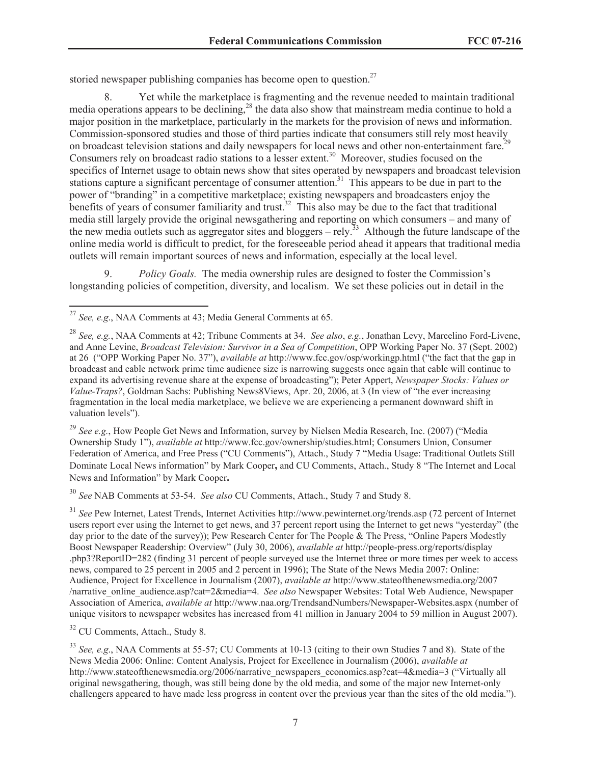storied newspaper publishing companies has become open to question. $27$ 

8. Yet while the marketplace is fragmenting and the revenue needed to maintain traditional media operations appears to be declining,<sup>28</sup> the data also show that mainstream media continue to hold a major position in the marketplace, particularly in the markets for the provision of news and information. Commission-sponsored studies and those of third parties indicate that consumers still rely most heavily on broadcast television stations and daily newspapers for local news and other non-entertainment fare.<sup>29</sup> Consumers rely on broadcast radio stations to a lesser extent.<sup>30</sup> Moreover, studies focused on the specifics of Internet usage to obtain news show that sites operated by newspapers and broadcast television stations capture a significant percentage of consumer attention.<sup>31</sup> This appears to be due in part to the power of "branding" in a competitive marketplace; existing newspapers and broadcasters enjoy the benefits of years of consumer familiarity and trust.<sup>32</sup> This also may be due to the fact that traditional media still largely provide the original newsgathering and reporting on which consumers – and many of the new media outlets such as aggregator sites and bloggers – rely.<sup>33</sup> Although the future landscape of the online media world is difficult to predict, for the foreseeable period ahead it appears that traditional media outlets will remain important sources of news and information, especially at the local level.

9. *Policy Goals.* The media ownership rules are designed to foster the Commission's longstanding policies of competition, diversity, and localism. We set these policies out in detail in the

<sup>29</sup> *See e.g.*, How People Get News and Information, survey by Nielsen Media Research, Inc. (2007) ("Media Ownership Study 1"), *available at* http://www.fcc.gov/ownership/studies.html; Consumers Union, Consumer Federation of America, and Free Press ("CU Comments"), Attach., Study 7 "Media Usage: Traditional Outlets Still Dominate Local News information" by Mark Cooper**,** and CU Comments, Attach., Study 8 "The Internet and Local News and Information" by Mark Cooper**.**

<sup>30</sup> *See* NAB Comments at 53-54. *See also* CU Comments, Attach., Study 7 and Study 8.

<sup>31</sup> *See* Pew Internet, Latest Trends, Internet Activities http://www.pewinternet.org/trends.asp (72 percent of Internet users report ever using the Internet to get news, and 37 percent report using the Internet to get news "yesterday" (the day prior to the date of the survey)); Pew Research Center for The People & The Press, "Online Papers Modestly Boost Newspaper Readership: Overview" (July 30, 2006), *available at* http://people-press.org/reports/display .php3?ReportID=282 (finding 31 percent of people surveyed use the Internet three or more times per week to access news, compared to 25 percent in 2005 and 2 percent in 1996); The State of the News Media 2007: Online: Audience, Project for Excellence in Journalism (2007), *available at* http://www.stateofthenewsmedia.org/2007 /narrative\_online\_audience.asp?cat=2&media=4. *See also* Newspaper Websites: Total Web Audience, Newspaper Association of America, *available at* http://www.naa.org/TrendsandNumbers/Newspaper-Websites.aspx (number of unique visitors to newspaper websites has increased from 41 million in January 2004 to 59 million in August 2007).

<sup>32</sup> CU Comments, Attach., Study 8.

<sup>27</sup> *See, e.g*., NAA Comments at 43; Media General Comments at 65.

<sup>28</sup> *See, e.g.*, NAA Comments at 42; Tribune Comments at 34. *See also*, *e.g.*, Jonathan Levy, Marcelino Ford-Livene, and Anne Levine, *Broadcast Television: Survivor in a Sea of Competition*, OPP Working Paper No. 37 (Sept. 2002) at 26 ("OPP Working Paper No. 37"), *available at* http://www.fcc.gov/osp/workingp.html ("the fact that the gap in broadcast and cable network prime time audience size is narrowing suggests once again that cable will continue to expand its advertising revenue share at the expense of broadcasting"); Peter Appert, *Newspaper Stocks: Values or Value-Traps?*, Goldman Sachs: Publishing News8Views, Apr. 20, 2006, at 3 (In view of "the ever increasing fragmentation in the local media marketplace, we believe we are experiencing a permanent downward shift in valuation levels").

<sup>33</sup> *See, e.g*., NAA Comments at 55-57; CU Comments at 10-13 (citing to their own Studies 7 and 8). State of the News Media 2006: Online: Content Analysis, Project for Excellence in Journalism (2006), *available at* http://www.stateofthenewsmedia.org/2006/narrative\_newspapers\_economics.asp?cat=4&media=3 ("Virtually all original newsgathering, though, was still being done by the old media, and some of the major new Internet-only challengers appeared to have made less progress in content over the previous year than the sites of the old media.").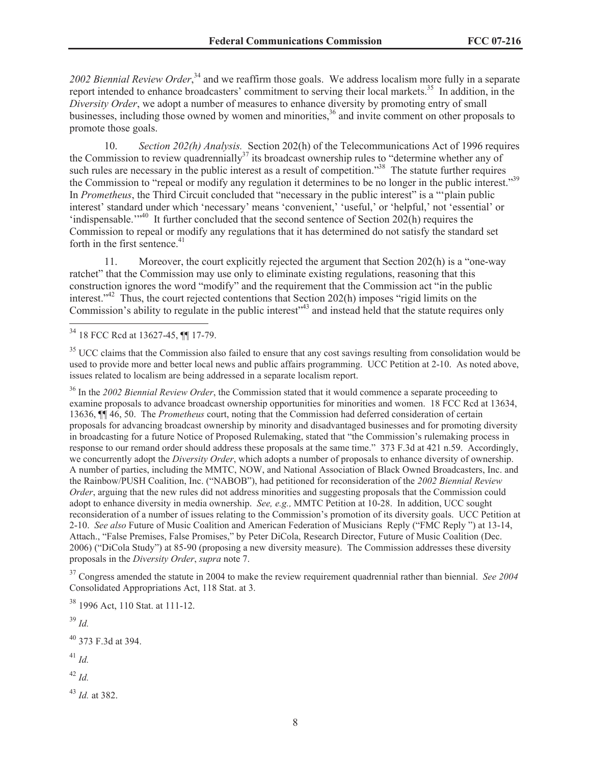*2002 Biennial Review Order*, <sup>34</sup> and we reaffirm those goals. We address localism more fully in a separate report intended to enhance broadcasters' commitment to serving their local markets.<sup>35</sup> In addition, in the *Diversity Order*, we adopt a number of measures to enhance diversity by promoting entry of small businesses, including those owned by women and minorities,<sup>36</sup> and invite comment on other proposals to promote those goals.

10. *Section 202(h) Analysis.* Section 202(h) of the Telecommunications Act of 1996 requires the Commission to review quadrennially<sup>37</sup> its broadcast ownership rules to "determine whether any of such rules are necessary in the public interest as a result of competition."<sup>38</sup> The statute further requires the Commission to "repeal or modify any regulation it determines to be no longer in the public interest."<sup>39</sup> In *Prometheus*, the Third Circuit concluded that "necessary in the public interest" is a "'plain public interest' standard under which 'necessary' means 'convenient,' 'useful,' or 'helpful,' not 'essential' or 'indispensable.'"<sup>40</sup> It further concluded that the second sentence of Section 202(h) requires the Commission to repeal or modify any regulations that it has determined do not satisfy the standard set forth in the first sentence. $41$ 

11. Moreover, the court explicitly rejected the argument that Section 202(h) is a "one-way ratchet" that the Commission may use only to eliminate existing regulations, reasoning that this construction ignores the word "modify" and the requirement that the Commission act "in the public interest."<sup>42</sup> Thus, the court rejected contentions that Section 202(h) imposes "rigid limits on the Commission's ability to regulate in the public interest<sup>343</sup> and instead held that the statute requires only

<sup>36</sup> In the *2002 Biennial Review Order*, the Commission stated that it would commence a separate proceeding to examine proposals to advance broadcast ownership opportunities for minorities and women. 18 FCC Rcd at 13634, 13636, ¶¶ 46, 50. The *Prometheus* court, noting that the Commission had deferred consideration of certain proposals for advancing broadcast ownership by minority and disadvantaged businesses and for promoting diversity in broadcasting for a future Notice of Proposed Rulemaking, stated that "the Commission's rulemaking process in response to our remand order should address these proposals at the same time." 373 F.3d at 421 n.59. Accordingly, we concurrently adopt the *Diversity Order*, which adopts a number of proposals to enhance diversity of ownership. A number of parties, including the MMTC, NOW, and National Association of Black Owned Broadcasters, Inc. and the Rainbow/PUSH Coalition, Inc. ("NABOB"), had petitioned for reconsideration of the *2002 Biennial Review Order*, arguing that the new rules did not address minorities and suggesting proposals that the Commission could adopt to enhance diversity in media ownership. *See, e.g.,* MMTC Petition at 10-28. In addition, UCC sought reconsideration of a number of issues relating to the Commission's promotion of its diversity goals. UCC Petition at 2-10. *See also* Future of Music Coalition and American Federation of Musicians Reply ("FMC Reply ") at 13-14, Attach., "False Premises, False Promises," by Peter DiCola, Research Director, Future of Music Coalition (Dec. 2006) ("DiCola Study") at 85-90 (proposing a new diversity measure). The Commission addresses these diversity proposals in the *Diversity Order*, *supra* note 7.

<sup>37</sup> Congress amended the statute in 2004 to make the review requirement quadrennial rather than biennial. *See 2004*  Consolidated Appropriations Act, 118 Stat. at 3.

<sup>38</sup> 1996 Act, 110 Stat. at 111-12.

<sup>39</sup> *Id.*  $40$  373 F.3d at 394. <sup>41</sup> *Id.*

<sup>42</sup> *Id.*

<sup>43</sup> *Id.* at 382.

<sup>34</sup> 18 FCC Rcd at 13627-45, ¶¶ 17-79.

 $35$  UCC claims that the Commission also failed to ensure that any cost savings resulting from consolidation would be used to provide more and better local news and public affairs programming. UCC Petition at 2-10. As noted above, issues related to localism are being addressed in a separate localism report.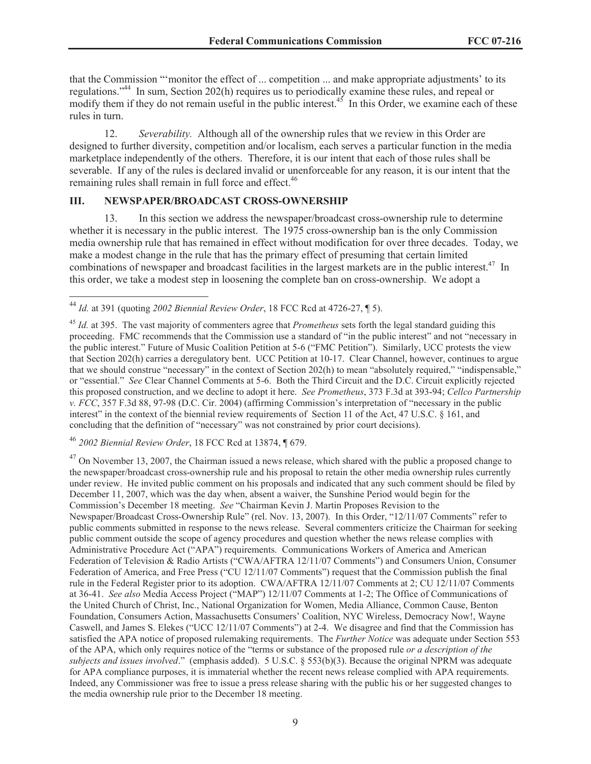that the Commission "'monitor the effect of ... competition ... and make appropriate adjustments' to its regulations."<sup>44</sup> In sum, Section 202(h) requires us to periodically examine these rules, and repeal or modify them if they do not remain useful in the public interest. $45$  In this Order, we examine each of these rules in turn.

12. *Severability.* Although all of the ownership rules that we review in this Order are designed to further diversity, competition and/or localism, each serves a particular function in the media marketplace independently of the others. Therefore, it is our intent that each of those rules shall be severable. If any of the rules is declared invalid or unenforceable for any reason, it is our intent that the remaining rules shall remain in full force and effect.<sup>46</sup>

#### **III. NEWSPAPER/BROADCAST CROSS-OWNERSHIP**

13. In this section we address the newspaper/broadcast cross-ownership rule to determine whether it is necessary in the public interest. The 1975 cross-ownership ban is the only Commission media ownership rule that has remained in effect without modification for over three decades. Today, we make a modest change in the rule that has the primary effect of presuming that certain limited combinations of newspaper and broadcast facilities in the largest markets are in the public interest.<sup>47</sup> In this order, we take a modest step in loosening the complete ban on cross-ownership. We adopt a

<sup>46</sup> *2002 Biennial Review Order*, 18 FCC Rcd at 13874, ¶ 679.

 $^{47}$  On November 13, 2007, the Chairman issued a news release, which shared with the public a proposed change to the newspaper/broadcast cross-ownership rule and his proposal to retain the other media ownership rules currently under review. He invited public comment on his proposals and indicated that any such comment should be filed by December 11, 2007, which was the day when, absent a waiver, the Sunshine Period would begin for the Commission's December 18 meeting. *See* "Chairman Kevin J. Martin Proposes Revision to the Newspaper/Broadcast Cross-Ownership Rule" (rel. Nov. 13, 2007). In this Order, "12/11/07 Comments" refer to public comments submitted in response to the news release. Several commenters criticize the Chairman for seeking public comment outside the scope of agency procedures and question whether the news release complies with Administrative Procedure Act ("APA") requirements. Communications Workers of America and American Federation of Television & Radio Artists ("CWA/AFTRA 12/11/07 Comments") and Consumers Union, Consumer Federation of America, and Free Press ("CU 12/11/07 Comments") request that the Commission publish the final rule in the Federal Register prior to its adoption. CWA/AFTRA 12/11/07 Comments at 2; CU 12/11/07 Comments at 36-41. *See also* Media Access Project ("MAP") 12/11/07 Comments at 1-2; The Office of Communications of the United Church of Christ, Inc., National Organization for Women, Media Alliance, Common Cause, Benton Foundation, Consumers Action, Massachusetts Consumers' Coalition, NYC Wireless, Democracy Now!, Wayne Caswell, and James S. Elekes ("UCC 12/11/07 Comments") at 2-4. We disagree and find that the Commission has satisfied the APA notice of proposed rulemaking requirements. The *Further Notice* was adequate under Section 553 of the APA, which only requires notice of the "terms or substance of the proposed rule *or a description of the subjects and issues involved*." (emphasis added). 5 U.S.C. § 553(b)(3). Because the original NPRM was adequate for APA compliance purposes, it is immaterial whether the recent news release complied with APA requirements. Indeed, any Commissioner was free to issue a press release sharing with the public his or her suggested changes to the media ownership rule prior to the December 18 meeting.

<sup>44</sup> *Id.* at 391 (quoting *2002 Biennial Review Order*, 18 FCC Rcd at 4726-27, ¶ 5).

<sup>45</sup> *Id.* at 395. The vast majority of commenters agree that *Prometheus* sets forth the legal standard guiding this proceeding. FMC recommends that the Commission use a standard of "in the public interest" and not "necessary in the public interest." Future of Music Coalition Petition at 5-6 ("FMC Petition"). Similarly, UCC protests the view that Section 202(h) carries a deregulatory bent. UCC Petition at 10-17. Clear Channel, however, continues to argue that we should construe "necessary" in the context of Section 202(h) to mean "absolutely required," "indispensable," or "essential." *See* Clear Channel Comments at 5-6. Both the Third Circuit and the D.C. Circuit explicitly rejected this proposed construction, and we decline to adopt it here. *See Prometheus*, 373 F.3d at 393-94; *Cellco Partnership v. FCC*, 357 F.3d 88, 97-98 (D.C. Cir. 2004) (affirming Commission's interpretation of "necessary in the public interest" in the context of the biennial review requirements of Section 11 of the Act, 47 U.S.C. § 161, and concluding that the definition of "necessary" was not constrained by prior court decisions).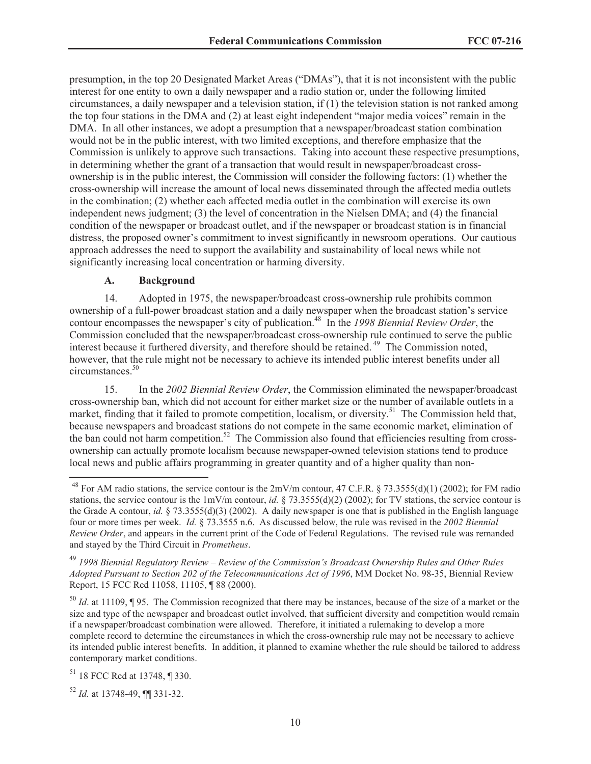presumption, in the top 20 Designated Market Areas ("DMAs"), that it is not inconsistent with the public interest for one entity to own a daily newspaper and a radio station or, under the following limited circumstances, a daily newspaper and a television station, if (1) the television station is not ranked among the top four stations in the DMA and (2) at least eight independent "major media voices" remain in the DMA. In all other instances, we adopt a presumption that a newspaper/broadcast station combination would not be in the public interest, with two limited exceptions, and therefore emphasize that the Commission is unlikely to approve such transactions. Taking into account these respective presumptions, in determining whether the grant of a transaction that would result in newspaper/broadcast crossownership is in the public interest, the Commission will consider the following factors: (1) whether the cross-ownership will increase the amount of local news disseminated through the affected media outlets in the combination; (2) whether each affected media outlet in the combination will exercise its own independent news judgment; (3) the level of concentration in the Nielsen DMA; and (4) the financial condition of the newspaper or broadcast outlet, and if the newspaper or broadcast station is in financial distress, the proposed owner's commitment to invest significantly in newsroom operations. Our cautious approach addresses the need to support the availability and sustainability of local news while not significantly increasing local concentration or harming diversity.

#### **A. Background**

14. Adopted in 1975, the newspaper/broadcast cross-ownership rule prohibits common ownership of a full-power broadcast station and a daily newspaper when the broadcast station's service contour encompasses the newspaper's city of publication.<sup>48</sup> In the *1998 Biennial Review Order*, the Commission concluded that the newspaper/broadcast cross-ownership rule continued to serve the public interest because it furthered diversity, and therefore should be retained.<sup>49</sup> The Commission noted, however, that the rule might not be necessary to achieve its intended public interest benefits under all circumstances.<sup>50</sup>

15. In the *2002 Biennial Review Order*, the Commission eliminated the newspaper/broadcast cross-ownership ban, which did not account for either market size or the number of available outlets in a market, finding that it failed to promote competition, localism, or diversity.<sup>51</sup> The Commission held that, because newspapers and broadcast stations do not compete in the same economic market, elimination of the ban could not harm competition.<sup>52</sup> The Commission also found that efficiencies resulting from crossownership can actually promote localism because newspaper-owned television stations tend to produce local news and public affairs programming in greater quantity and of a higher quality than non-

<sup>50</sup> *Id*. at 11109, ¶ 95. The Commission recognized that there may be instances, because of the size of a market or the size and type of the newspaper and broadcast outlet involved, that sufficient diversity and competition would remain if a newspaper/broadcast combination were allowed. Therefore, it initiated a rulemaking to develop a more complete record to determine the circumstances in which the cross-ownership rule may not be necessary to achieve its intended public interest benefits. In addition, it planned to examine whether the rule should be tailored to address contemporary market conditions.

<sup>51</sup> 18 FCC Rcd at 13748, ¶ 330.

<sup>52</sup> *Id.* at 13748-49, ¶¶ 331-32.

<sup>&</sup>lt;sup>48</sup> For AM radio stations, the service contour is the  $2mV/m$  contour, 47 C.F.R. § 73.3555(d)(1) (2002); for FM radio stations, the service contour is the  $1mV/m$  contour, *id.* § 73.3555(d)(2) (2002); for TV stations, the service contour is the Grade A contour, *id.* § 73.3555(d)(3) (2002). A daily newspaper is one that is published in the English language four or more times per week. *Id.* § 73.3555 n.6. As discussed below, the rule was revised in the *2002 Biennial Review Order*, and appears in the current print of the Code of Federal Regulations. The revised rule was remanded and stayed by the Third Circuit in *Prometheus*.

<sup>49</sup> *1998 Biennial Regulatory Review – Review of the Commission's Broadcast Ownership Rules and Other Rules Adopted Pursuant to Section 202 of the Telecommunications Act of 1996*, MM Docket No. 98-35, Biennial Review Report, 15 FCC Rcd 11058, 11105, ¶ 88 (2000).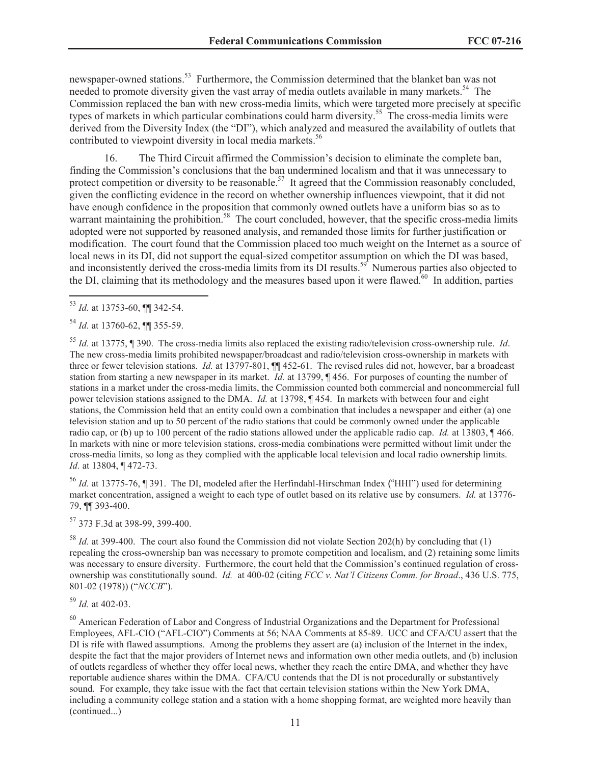newspaper-owned stations.<sup>53</sup> Furthermore, the Commission determined that the blanket ban was not needed to promote diversity given the vast array of media outlets available in many markets.<sup>54</sup> The Commission replaced the ban with new cross-media limits, which were targeted more precisely at specific types of markets in which particular combinations could harm diversity.<sup>55</sup> The cross-media limits were derived from the Diversity Index (the "DI"), which analyzed and measured the availability of outlets that contributed to viewpoint diversity in local media markets.<sup>56</sup>

16. The Third Circuit affirmed the Commission's decision to eliminate the complete ban, finding the Commission's conclusions that the ban undermined localism and that it was unnecessary to protect competition or diversity to be reasonable.<sup>57</sup> It agreed that the Commission reasonably concluded, given the conflicting evidence in the record on whether ownership influences viewpoint, that it did not have enough confidence in the proposition that commonly owned outlets have a uniform bias so as to warrant maintaining the prohibition.<sup>58</sup> The court concluded, however, that the specific cross-media limits adopted were not supported by reasoned analysis, and remanded those limits for further justification or modification. The court found that the Commission placed too much weight on the Internet as a source of local news in its DI, did not support the equal-sized competitor assumption on which the DI was based, and inconsistently derived the cross-media limits from its DI results.<sup>59</sup> Numerous parties also objected to the DI, claiming that its methodology and the measures based upon it were flawed.<sup> $60$ </sup> In addition, parties

<sup>55</sup> *Id.* at 13775, ¶ 390. The cross-media limits also replaced the existing radio/television cross-ownership rule. *Id*. The new cross-media limits prohibited newspaper/broadcast and radio/television cross-ownership in markets with three or fewer television stations. *Id.* at 13797-801,  $\P\P$  452-61. The revised rules did not, however, bar a broadcast station from starting a new newspaper in its market. *Id.* at 13799, ¶ 456. For purposes of counting the number of stations in a market under the cross-media limits, the Commission counted both commercial and noncommercial full power television stations assigned to the DMA. *Id.* at 13798, ¶ 454. In markets with between four and eight stations, the Commission held that an entity could own a combination that includes a newspaper and either (a) one television station and up to 50 percent of the radio stations that could be commonly owned under the applicable radio cap, or (b) up to 100 percent of the radio stations allowed under the applicable radio cap. *Id.* at 13803, ¶ 466. In markets with nine or more television stations, cross-media combinations were permitted without limit under the cross-media limits, so long as they complied with the applicable local television and local radio ownership limits. *Id.* at 13804, ¶ 472-73.

<sup>56</sup> *Id.* at 13775-76, ¶ 391. The DI, modeled after the Herfindahl-Hirschman Index ("HHI") used for determining market concentration, assigned a weight to each type of outlet based on its relative use by consumers. *Id.* at 13776- 79, ¶¶ 393-400.

<sup>57</sup> 373 F.3d at 398-99, 399-400.

<sup>58</sup> *Id.* at 399-400. The court also found the Commission did not violate Section 202(h) by concluding that (1) repealing the cross-ownership ban was necessary to promote competition and localism, and (2) retaining some limits was necessary to ensure diversity. Furthermore, the court held that the Commission's continued regulation of crossownership was constitutionally sound. *Id.* at 400-02 (citing *FCC v. Nat'l Citizens Comm. for Broad*., 436 U.S. 775, 801-02 (1978)) ("*NCCB*").

<sup>59</sup> *Id.* at 402-03.

<sup>60</sup> American Federation of Labor and Congress of Industrial Organizations and the Department for Professional Employees, AFL-CIO ("AFL-CIO") Comments at 56; NAA Comments at 85-89. UCC and CFA/CU assert that the DI is rife with flawed assumptions. Among the problems they assert are (a) inclusion of the Internet in the index, despite the fact that the major providers of Internet news and information own other media outlets, and (b) inclusion of outlets regardless of whether they offer local news, whether they reach the entire DMA, and whether they have reportable audience shares within the DMA. CFA/CU contends that the DI is not procedurally or substantively sound. For example, they take issue with the fact that certain television stations within the New York DMA, including a community college station and a station with a home shopping format, are weighted more heavily than (continued...)

<sup>53</sup> *Id.* at 13753-60, ¶¶ 342-54.

<sup>54</sup> *Id.* at 13760-62, ¶¶ 355-59.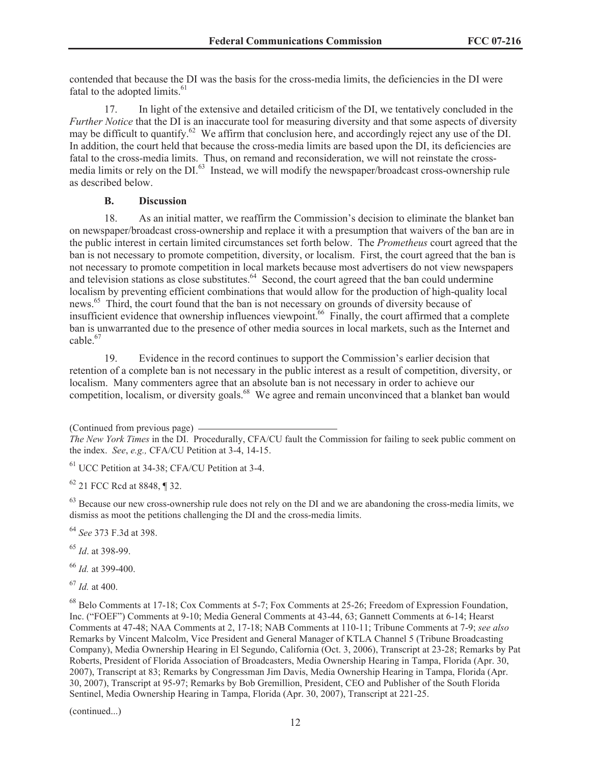contended that because the DI was the basis for the cross-media limits, the deficiencies in the DI were fatal to the adopted limits.<sup>61</sup>

17. In light of the extensive and detailed criticism of the DI, we tentatively concluded in the *Further Notice* that the DI is an inaccurate tool for measuring diversity and that some aspects of diversity may be difficult to quantify.<sup>62</sup> We affirm that conclusion here, and accordingly reject any use of the DI. In addition, the court held that because the cross-media limits are based upon the DI, its deficiencies are fatal to the cross-media limits. Thus, on remand and reconsideration, we will not reinstate the crossmedia limits or rely on the DI.<sup>63</sup> Instead, we will modify the newspaper/broadcast cross-ownership rule as described below.

#### **B. Discussion**

18. As an initial matter, we reaffirm the Commission's decision to eliminate the blanket ban on newspaper/broadcast cross-ownership and replace it with a presumption that waivers of the ban are in the public interest in certain limited circumstances set forth below. The *Prometheus* court agreed that the ban is not necessary to promote competition, diversity, or localism. First, the court agreed that the ban is not necessary to promote competition in local markets because most advertisers do not view newspapers and television stations as close substitutes.<sup>64</sup> Second, the court agreed that the ban could undermine localism by preventing efficient combinations that would allow for the production of high-quality local news.<sup>65</sup> Third, the court found that the ban is not necessary on grounds of diversity because of insufficient evidence that ownership influences viewpoint.<sup>66</sup> Finally, the court affirmed that a complete ban is unwarranted due to the presence of other media sources in local markets, such as the Internet and cable.<sup>67</sup>

19. Evidence in the record continues to support the Commission's earlier decision that retention of a complete ban is not necessary in the public interest as a result of competition, diversity, or localism. Many commenters agree that an absolute ban is not necessary in order to achieve our competition, localism, or diversity goals.<sup>68</sup> We agree and remain unconvinced that a blanket ban would

(Continued from previous page)

<sup>61</sup> UCC Petition at 34-38; CFA/CU Petition at 3-4.

<sup>62</sup> 21 FCC Rcd at 8848, ¶ 32.

 $^{63}$  Because our new cross-ownership rule does not rely on the DI and we are abandoning the cross-media limits, we dismiss as moot the petitions challenging the DI and the cross-media limits.

<sup>64</sup> *See* 373 F.3d at 398.

<sup>65</sup> *Id*. at 398-99.

<sup>66</sup> *Id.* at 399-400.

<sup>67</sup> *Id.* at 400.

<sup>68</sup> Belo Comments at 17-18; Cox Comments at 5-7; Fox Comments at 25-26; Freedom of Expression Foundation, Inc. ("FOEF") Comments at 9-10; Media General Comments at 43-44, 63; Gannett Comments at 6-14; Hearst Comments at 47-48; NAA Comments at 2, 17-18; NAB Comments at 110-11; Tribune Comments at 7-9; *see also* Remarks by Vincent Malcolm, Vice President and General Manager of KTLA Channel 5 (Tribune Broadcasting Company), Media Ownership Hearing in El Segundo, California (Oct. 3, 2006), Transcript at 23-28; Remarks by Pat Roberts, President of Florida Association of Broadcasters, Media Ownership Hearing in Tampa, Florida (Apr. 30, 2007), Transcript at 83; Remarks by Congressman Jim Davis, Media Ownership Hearing in Tampa, Florida (Apr. 30, 2007), Transcript at 95-97; Remarks by Bob Gremillion, President, CEO and Publisher of the South Florida Sentinel, Media Ownership Hearing in Tampa, Florida (Apr. 30, 2007), Transcript at 221-25.

(continued...)

*The New York Times* in the DI. Procedurally, CFA/CU fault the Commission for failing to seek public comment on the index. *See*, *e.g.,* CFA/CU Petition at 3-4, 14-15.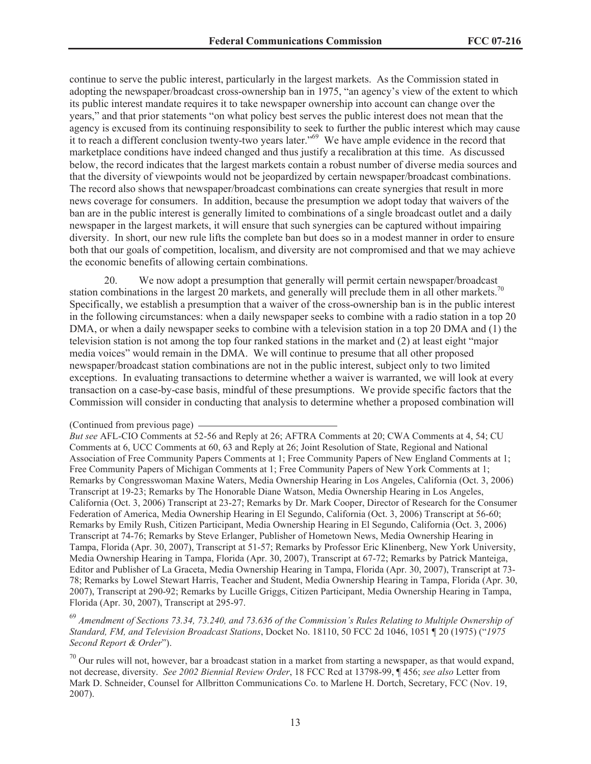continue to serve the public interest, particularly in the largest markets. As the Commission stated in adopting the newspaper/broadcast cross-ownership ban in 1975, "an agency's view of the extent to which its public interest mandate requires it to take newspaper ownership into account can change over the years," and that prior statements "on what policy best serves the public interest does not mean that the agency is excused from its continuing responsibility to seek to further the public interest which may cause it to reach a different conclusion twenty-two years later."<sup>69</sup> We have ample evidence in the record that marketplace conditions have indeed changed and thus justify a recalibration at this time. As discussed below, the record indicates that the largest markets contain a robust number of diverse media sources and that the diversity of viewpoints would not be jeopardized by certain newspaper/broadcast combinations. The record also shows that newspaper/broadcast combinations can create synergies that result in more news coverage for consumers. In addition, because the presumption we adopt today that waivers of the ban are in the public interest is generally limited to combinations of a single broadcast outlet and a daily newspaper in the largest markets, it will ensure that such synergies can be captured without impairing diversity. In short, our new rule lifts the complete ban but does so in a modest manner in order to ensure both that our goals of competition, localism, and diversity are not compromised and that we may achieve the economic benefits of allowing certain combinations.

20. We now adopt a presumption that generally will permit certain newspaper/broadcast station combinations in the largest 20 markets, and generally will preclude them in all other markets.<sup>70</sup> Specifically, we establish a presumption that a waiver of the cross-ownership ban is in the public interest in the following circumstances: when a daily newspaper seeks to combine with a radio station in a top 20 DMA, or when a daily newspaper seeks to combine with a television station in a top 20 DMA and (1) the television station is not among the top four ranked stations in the market and (2) at least eight "major media voices" would remain in the DMA. We will continue to presume that all other proposed newspaper/broadcast station combinations are not in the public interest, subject only to two limited exceptions. In evaluating transactions to determine whether a waiver is warranted, we will look at every transaction on a case-by-case basis, mindful of these presumptions. We provide specific factors that the Commission will consider in conducting that analysis to determine whether a proposed combination will

<sup>69</sup> *Amendment of Sections 73.34, 73.240, and 73.636 of the Commission's Rules Relating to Multiple Ownership of Standard, FM, and Television Broadcast Stations*, Docket No. 18110, 50 FCC 2d 1046, 1051 ¶ 20 (1975) ("*1975 Second Report & Order*").

 $70$  Our rules will not, however, bar a broadcast station in a market from starting a newspaper, as that would expand, not decrease, diversity. *See 2002 Biennial Review Order*, 18 FCC Rcd at 13798-99, ¶ 456; *see also* Letter from Mark D. Schneider, Counsel for Allbritton Communications Co. to Marlene H. Dortch, Secretary, FCC (Nov. 19, 2007).

<sup>(</sup>Continued from previous page)

*But see* AFL-CIO Comments at 52-56 and Reply at 26; AFTRA Comments at 20; CWA Comments at 4, 54; CU Comments at 6, UCC Comments at 60, 63 and Reply at 26; Joint Resolution of State, Regional and National Association of Free Community Papers Comments at 1; Free Community Papers of New England Comments at 1; Free Community Papers of Michigan Comments at 1; Free Community Papers of New York Comments at 1; Remarks by Congresswoman Maxine Waters, Media Ownership Hearing in Los Angeles, California (Oct. 3, 2006) Transcript at 19-23; Remarks by The Honorable Diane Watson, Media Ownership Hearing in Los Angeles, California (Oct. 3, 2006) Transcript at 23-27; Remarks by Dr. Mark Cooper, Director of Research for the Consumer Federation of America, Media Ownership Hearing in El Segundo, California (Oct. 3, 2006) Transcript at 56-60; Remarks by Emily Rush, Citizen Participant, Media Ownership Hearing in El Segundo, California (Oct. 3, 2006) Transcript at 74-76; Remarks by Steve Erlanger, Publisher of Hometown News, Media Ownership Hearing in Tampa, Florida (Apr. 30, 2007), Transcript at 51-57; Remarks by Professor Eric Klinenberg, New York University, Media Ownership Hearing in Tampa, Florida (Apr. 30, 2007), Transcript at 67-72; Remarks by Patrick Manteiga, Editor and Publisher of La Graceta, Media Ownership Hearing in Tampa, Florida (Apr. 30, 2007), Transcript at 73- 78; Remarks by Lowel Stewart Harris, Teacher and Student, Media Ownership Hearing in Tampa, Florida (Apr. 30, 2007), Transcript at 290-92; Remarks by Lucille Griggs, Citizen Participant, Media Ownership Hearing in Tampa, Florida (Apr. 30, 2007), Transcript at 295-97.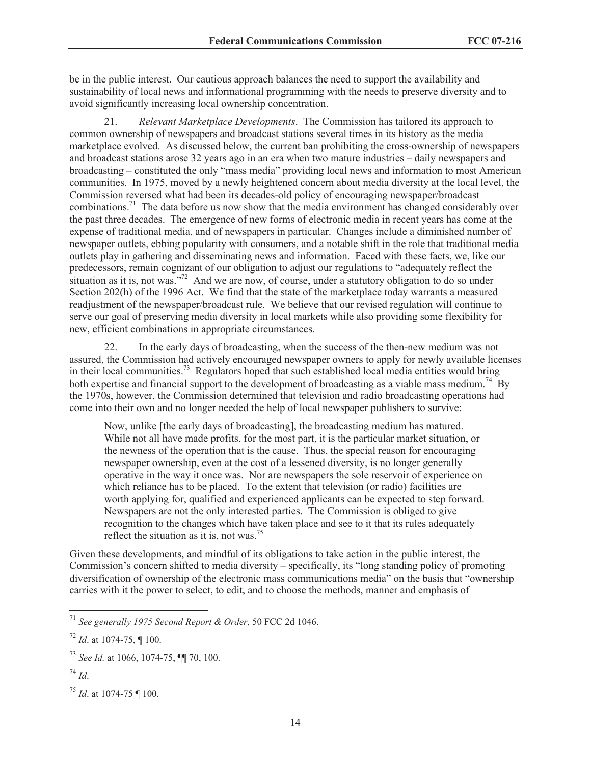be in the public interest. Our cautious approach balances the need to support the availability and sustainability of local news and informational programming with the needs to preserve diversity and to avoid significantly increasing local ownership concentration.

21. *Relevant Marketplace Developments*. The Commission has tailored its approach to common ownership of newspapers and broadcast stations several times in its history as the media marketplace evolved. As discussed below, the current ban prohibiting the cross-ownership of newspapers and broadcast stations arose 32 years ago in an era when two mature industries – daily newspapers and broadcasting – constituted the only "mass media" providing local news and information to most American communities. In 1975, moved by a newly heightened concern about media diversity at the local level, the Commission reversed what had been its decades-old policy of encouraging newspaper/broadcast combinations.<sup>71</sup> The data before us now show that the media environment has changed considerably over the past three decades. The emergence of new forms of electronic media in recent years has come at the expense of traditional media, and of newspapers in particular. Changes include a diminished number of newspaper outlets, ebbing popularity with consumers, and a notable shift in the role that traditional media outlets play in gathering and disseminating news and information. Faced with these facts, we, like our predecessors, remain cognizant of our obligation to adjust our regulations to "adequately reflect the situation as it is, not was."<sup>72</sup> And we are now, of course, under a statutory obligation to do so under Section 202(h) of the 1996 Act. We find that the state of the marketplace today warrants a measured readjustment of the newspaper/broadcast rule. We believe that our revised regulation will continue to serve our goal of preserving media diversity in local markets while also providing some flexibility for new, efficient combinations in appropriate circumstances.

22. In the early days of broadcasting, when the success of the then-new medium was not assured, the Commission had actively encouraged newspaper owners to apply for newly available licenses in their local communities.<sup>73</sup> Regulators hoped that such established local media entities would bring both expertise and financial support to the development of broadcasting as a viable mass medium.<sup>74</sup> By the 1970s, however, the Commission determined that television and radio broadcasting operations had come into their own and no longer needed the help of local newspaper publishers to survive:

Now, unlike [the early days of broadcasting], the broadcasting medium has matured. While not all have made profits, for the most part, it is the particular market situation, or the newness of the operation that is the cause. Thus, the special reason for encouraging newspaper ownership, even at the cost of a lessened diversity, is no longer generally operative in the way it once was. Nor are newspapers the sole reservoir of experience on which reliance has to be placed. To the extent that television (or radio) facilities are worth applying for, qualified and experienced applicants can be expected to step forward. Newspapers are not the only interested parties. The Commission is obliged to give recognition to the changes which have taken place and see to it that its rules adequately reflect the situation as it is, not was.<sup>75</sup>

Given these developments, and mindful of its obligations to take action in the public interest, the Commission's concern shifted to media diversity – specifically, its "long standing policy of promoting diversification of ownership of the electronic mass communications media" on the basis that "ownership carries with it the power to select, to edit, and to choose the methods, manner and emphasis of

<sup>71</sup> *See generally 1975 Second Report & Order*, 50 FCC 2d 1046.

 $^{72}$  *Id.* at 1074-75, ¶ 100.

<sup>73</sup> *See Id.* at 1066, 1074-75, ¶¶ 70, 100.

<sup>74</sup> *Id*.

<sup>75</sup> *Id*. at 1074-75 ¶ 100.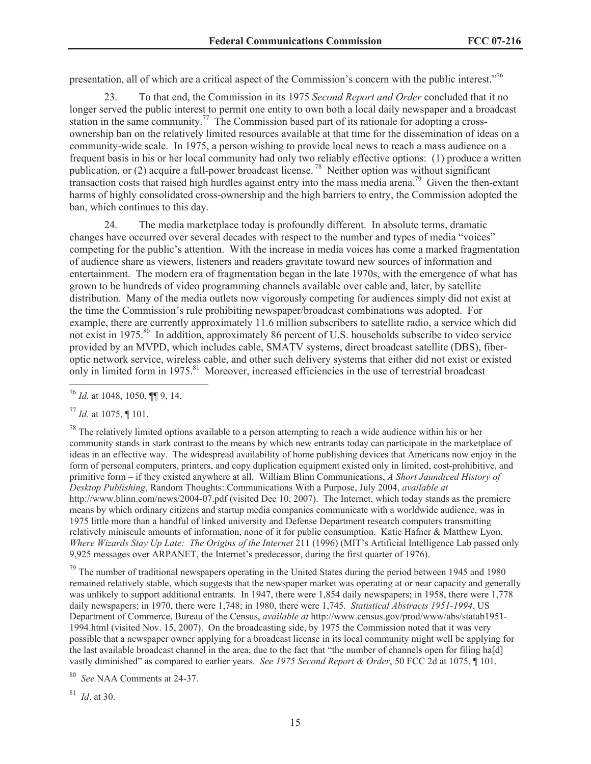presentation, all of which are a critical aspect of the Commission's concern with the public interest."<sup>76</sup>

23. To that end, the Commission in its 1975 *Second Report and Order* concluded that it no longer served the public interest to permit one entity to own both a local daily newspaper and a broadcast station in the same community.<sup>77</sup> The Commission based part of its rationale for adopting a crossownership ban on the relatively limited resources available at that time for the dissemination of ideas on a community-wide scale. In 1975, a person wishing to provide local news to reach a mass audience on a frequent basis in his or her local community had only two reliably effective options: (1) produce a written publication, or (2) acquire a full-power broadcast license. <sup>78</sup> Neither option was without significant transaction costs that raised high hurdles against entry into the mass media arena.<sup>79</sup> Given the then-extant harms of highly consolidated cross-ownership and the high barriers to entry, the Commission adopted the ban, which continues to this day.

24. The media marketplace today is profoundly different. In absolute terms, dramatic changes have occurred over several decades with respect to the number and types of media "voices" competing for the public's attention. With the increase in media voices has come a marked fragmentation of audience share as viewers, listeners and readers gravitate toward new sources of information and entertainment. The modern era of fragmentation began in the late 1970s, with the emergence of what has grown to be hundreds of video programming channels available over cable and, later, by satellite distribution. Many of the media outlets now vigorously competing for audiences simply did not exist at the time the Commission's rule prohibiting newspaper/broadcast combinations was adopted. For example, there are currently approximately 11.6 million subscribers to satellite radio, a service which did not exist in 1975.<sup>80</sup> In addition, approximately 86 percent of U.S. households subscribe to video service provided by an MVPD, which includes cable, SMATV systems, direct broadcast satellite (DBS), fiberoptic network service, wireless cable, and other such delivery systems that either did not exist or existed only in limited form in 1975.<sup>81</sup> Moreover, increased efficiencies in the use of terrestrial broadcast

<sup>79</sup> The number of traditional newspapers operating in the United States during the period between 1945 and 1980 remained relatively stable, which suggests that the newspaper market was operating at or near capacity and generally was unlikely to support additional entrants. In 1947, there were 1,854 daily newspapers; in 1958, there were 1,778 daily newspapers; in 1970, there were 1,748; in 1980, there were 1,745. *Statistical Abstracts 1951-1994*, US Department of Commerce, Bureau of the Census, *available at* http://www.census.gov/prod/www/abs/statab1951- 1994.html (visited Nov. 15, 2007). On the broadcasting side, by 1975 the Commission noted that it was very possible that a newspaper owner applying for a broadcast license in its local community might well be applying for the last available broadcast channel in the area, due to the fact that "the number of channels open for filing ha[d] vastly diminished" as compared to earlier years. *See 1975 Second Report & Order*, 50 FCC 2d at 1075, ¶ 101.

See NAA Comments at 24-37.

<sup>81</sup> *Id*. at 30.

<sup>76</sup> *Id.* at 1048, 1050, ¶¶ 9, 14.

<sup>77</sup> *Id.* at 1075, ¶ 101.

 $^{78}$  The relatively limited options available to a person attempting to reach a wide audience within his or her community stands in stark contrast to the means by which new entrants today can participate in the marketplace of ideas in an effective way. The widespread availability of home publishing devices that Americans now enjoy in the form of personal computers, printers, and copy duplication equipment existed only in limited, cost-prohibitive, and primitive form – if they existed anywhere at all. William Blinn Communications, *A Short Jaundiced History of Desktop Publishing*, Random Thoughts: Communications With a Purpose, July 2004, *available at* http://www.blinn.com/news/2004-07.pdf (visited Dec 10, 2007). The Internet, which today stands as the premiere means by which ordinary citizens and startup media companies communicate with a worldwide audience, was in 1975 little more than a handful of linked university and Defense Department research computers transmitting relatively miniscule amounts of information, none of it for public consumption. Katie Hafner & Matthew Lyon, *Where Wizards Stay Up Late: The Origins of the Internet* 211 (1996) (MIT's Artificial Intelligence Lab passed only 9,925 messages over ARPANET, the Internet's predecessor, during the first quarter of 1976).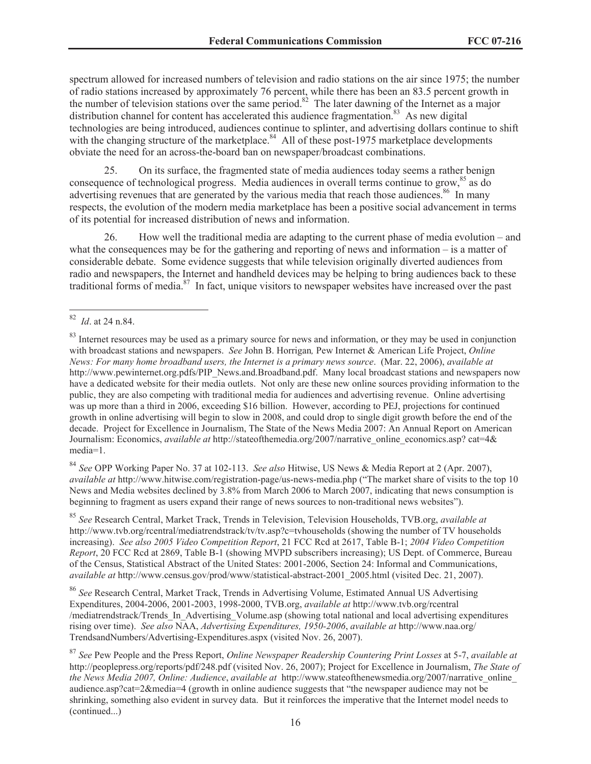spectrum allowed for increased numbers of television and radio stations on the air since 1975; the number of radio stations increased by approximately 76 percent, while there has been an 83.5 percent growth in the number of television stations over the same period.<sup>82</sup> The later dawning of the Internet as a major distribution channel for content has accelerated this audience fragmentation.<sup>83</sup> As new digital technologies are being introduced, audiences continue to splinter, and advertising dollars continue to shift with the changing structure of the marketplace.<sup>84</sup> All of these post-1975 marketplace developments obviate the need for an across-the-board ban on newspaper/broadcast combinations.

25. On its surface, the fragmented state of media audiences today seems a rather benign consequence of technological progress. Media audiences in overall terms continue to grow,<sup>85</sup> as do advertising revenues that are generated by the various media that reach those audiences.<sup>86</sup> In many respects, the evolution of the modern media marketplace has been a positive social advancement in terms of its potential for increased distribution of news and information.

26. How well the traditional media are adapting to the current phase of media evolution – and what the consequences may be for the gathering and reporting of news and information – is a matter of considerable debate. Some evidence suggests that while television originally diverted audiences from radio and newspapers, the Internet and handheld devices may be helping to bring audiences back to these traditional forms of media.<sup>87</sup> In fact, unique visitors to newspaper websites have increased over the past

<sup>84</sup> *See* OPP Working Paper No. 37 at 102-113. *See also* Hitwise, US News & Media Report at 2 (Apr. 2007), *available at* http://www.hitwise.com/registration-page/us-news-media.php ("The market share of visits to the top 10 News and Media websites declined by 3.8% from March 2006 to March 2007, indicating that news consumption is beginning to fragment as users expand their range of news sources to non-traditional news websites").

<sup>85</sup> *See* Research Central, Market Track, Trends in Television, Television Households, TVB.org, *available at* http://www.tvb.org/rcentral/mediatrendstrack/tv/tv.asp?c=tvhouseholds (showing the number of TV households increasing). *See also 2005 Video Competition Report*, 21 FCC Rcd at 2617, Table B-1; *2004 Video Competition Report*, 20 FCC Rcd at 2869, Table B-1 (showing MVPD subscribers increasing); US Dept. of Commerce, Bureau of the Census, Statistical Abstract of the United States: 2001-2006, Section 24: Informal and Communications, *available at* http://www.census.gov/prod/www/statistical-abstract-2001\_2005.html (visited Dec. 21, 2007).

<sup>86</sup> *See* Research Central, Market Track, Trends in Advertising Volume, Estimated Annual US Advertising Expenditures, 2004-2006, 2001-2003, 1998-2000, TVB.org, *available at* http://www.tvb.org/rcentral /mediatrendstrack/Trends\_In\_Advertising\_Volume.asp (showing total national and local advertising expenditures rising over time). *See also* NAA, *Advertising Expenditures, 1950-2006*, *available at* http://www.naa.org/ TrendsandNumbers/Advertising-Expenditures.aspx (visited Nov. 26, 2007).

<sup>87</sup> *See* Pew People and the Press Report, *Online Newspaper Readership Countering Print Losses* at 5-7, *available at*  http://peoplepress.org/reports/pdf/248.pdf (visited Nov. 26, 2007); Project for Excellence in Journalism, *The State of the News Media 2007, Online: Audience*, *available at* http://www.stateofthenewsmedia.org/2007/narrative\_online\_ audience.asp?cat=2&media=4 (growth in online audience suggests that "the newspaper audience may not be shrinking, something also evident in survey data. But it reinforces the imperative that the Internet model needs to (continued...)

<sup>82</sup> *Id*. at 24 n.84.

<sup>&</sup>lt;sup>83</sup> Internet resources may be used as a primary source for news and information, or they may be used in conjunction with broadcast stations and newspapers. *See* John B. Horrigan*,* Pew Internet & American Life Project, *Online News: For many home broadband users, the Internet is a primary news source*. (Mar. 22, 2006), *available at* http://www.pewinternet.org.pdfs/PIP\_News.and.Broadband.pdf. Many local broadcast stations and newspapers now have a dedicated website for their media outlets. Not only are these new online sources providing information to the public, they are also competing with traditional media for audiences and advertising revenue. Online advertising was up more than a third in 2006, exceeding \$16 billion. However, according to PEJ, projections for continued growth in online advertising will begin to slow in 2008, and could drop to single digit growth before the end of the decade. Project for Excellence in Journalism, The State of the News Media 2007: An Annual Report on American Journalism: Economics, *available at* http://stateofthemedia.org/2007/narrative\_online\_economics.asp? cat=4& media=1.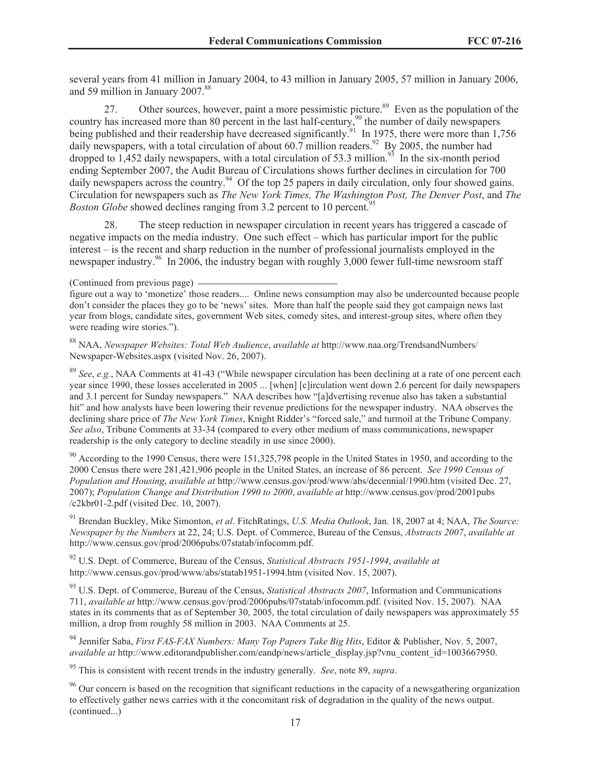several years from 41 million in January 2004, to 43 million in January 2005, 57 million in January 2006, and 59 million in January 2007.<sup>88</sup>

27. Other sources, however, paint a more pessimistic picture.<sup>89</sup> Even as the population of the country has increased more than 80 percent in the last half-century,<sup>90</sup> the number of daily newspapers being published and their readership have decreased significantly.<sup>91</sup> In 1975, there were more than 1,756 daily newspapers, with a total circulation of about 60.7 million readers.<sup>92</sup> By 2005, the number had dropped to 1,452 daily newspapers, with a total circulation of 53.3 million.<sup>93</sup> In the six-month period ending September 2007, the Audit Bureau of Circulations shows further declines in circulation for 700 daily newspapers across the country.<sup>94</sup> Of the top 25 papers in daily circulation, only four showed gains. Circulation for newspapers such as *The New York Times, The Washington Post, The Denver Post*, and *The Boston Globe* showed declines ranging from 3.2 percent to 10 percent.<sup>9</sup>

28. The steep reduction in newspaper circulation in recent years has triggered a cascade of negative impacts on the media industry. One such effect – which has particular import for the public interest – is the recent and sharp reduction in the number of professional journalists employed in the newspaper industry.<sup>96</sup> In 2006, the industry began with roughly 3,000 fewer full-time newsroom staff

<sup>89</sup> *See*, *e.g.*, NAA Comments at 41-43 ("While newspaper circulation has been declining at a rate of one percent each year since 1990, these losses accelerated in 2005 ... [when] [c]irculation went down 2.6 percent for daily newspapers and 3.1 percent for Sunday newspapers." NAA describes how "[a]dvertising revenue also has taken a substantial hit" and how analysts have been lowering their revenue predictions for the newspaper industry. NAA observes the declining share price of *The New York Times*, Knight Ridder's "forced sale," and turmoil at the Tribune Company. *See also*, Tribune Comments at 33-34 (compared to every other medium of mass communications, newspaper readership is the only category to decline steadily in use since 2000).

 $90$  According to the 1990 Census, there were 151,325,798 people in the United States in 1950, and according to the 2000 Census there were 281,421,906 people in the United States, an increase of 86 percent. *See 1990 Census of Population and Housing*, *available at* http://www.census.gov/prod/www/abs/decennial/1990.htm (visited Dec. 27, 2007); *Population Change and Distribution 1990 to 2000*, *available at* http://www.census.gov/prod/2001pubs /c2kbr01-2.pdf (visited Dec. 10, 2007).

<sup>91</sup> Brendan Buckley, Mike Simonton, *et al*. FitchRatings, *U.S. Media Outlook*, Jan. 18, 2007 at 4; NAA, *The Source: Newspaper by the Numbers* at 22, 24; U.S. Dept. of Commerce, Bureau of the Census, *Abstracts 2007*, *available at* http://www.census.gov/prod/2006pubs/07statab/infocomm.pdf.

<sup>92</sup> U.S. Dept. of Commerce, Bureau of the Census, *Statistical Abstracts 1951-1994*, *available at* http://www.census.gov/prod/www/abs/statab1951-1994.htm (visited Nov. 15, 2007).

<sup>93</sup> U.S. Dept. of Commerce, Bureau of the Census, *Statistical Abstracts 2007*, Information and Communications 711, *available at* http://www.census.gov/prod/2006pubs/07statab/infocomm.pdf. (visited Nov. 15, 2007). NAA states in its comments that as of September 30, 2005, the total circulation of daily newspapers was approximately 55 million, a drop from roughly 58 million in 2003. NAA Comments at 25.

<sup>94</sup> Jennifer Saba, *First FAS-FAX Numbers: Many Top Papers Take Big Hits*, Editor & Publisher, Nov. 5, 2007, *available at* http://www.editorandpublisher.com/eandp/news/article\_display.jsp?vnu\_content\_id=1003667950.

<sup>95</sup> This is consistent with recent trends in the industry generally. *See*, note 89, *supra*.

<sup>96</sup> Our concern is based on the recognition that significant reductions in the capacity of a newsgathering organization to effectively gather news carries with it the concomitant risk of degradation in the quality of the news output. (continued...)

<sup>(</sup>Continued from previous page)

figure out a way to 'monetize' those readers.... Online news consumption may also be undercounted because people don't consider the places they go to be 'news' sites. More than half the people said they got campaign news last year from blogs, candidate sites, government Web sites, comedy sites, and interest-group sites, where often they were reading wire stories.").

<sup>88</sup> NAA, *Newspaper Websites: Total Web Audience*, *available at* http://www.naa.org/TrendsandNumbers/ Newspaper-Websites.aspx (visited Nov. 26, 2007).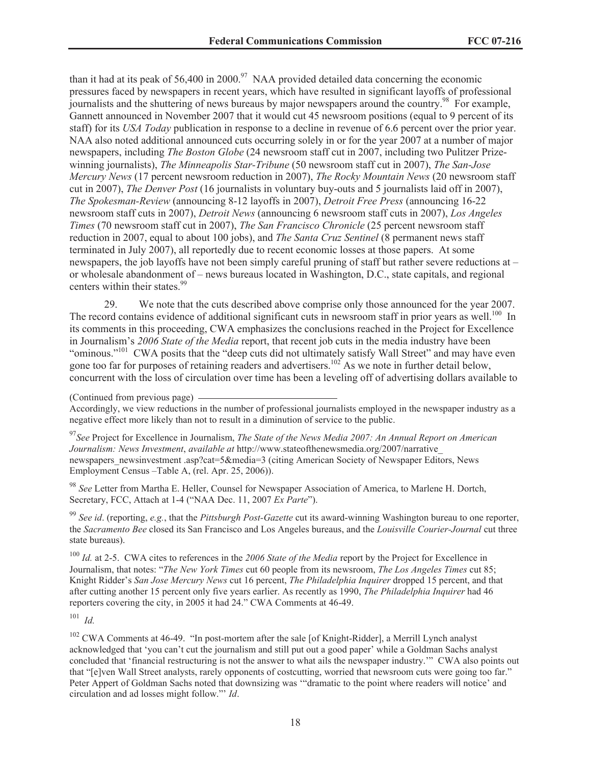than it had at its peak of 56,400 in 2000.<sup>97</sup> NAA provided detailed data concerning the economic pressures faced by newspapers in recent years, which have resulted in significant layoffs of professional journalists and the shuttering of news bureaus by major newspapers around the country.<sup>98</sup> For example, Gannett announced in November 2007 that it would cut 45 newsroom positions (equal to 9 percent of its staff) for its *USA Today* publication in response to a decline in revenue of 6.6 percent over the prior year. NAA also noted additional announced cuts occurring solely in or for the year 2007 at a number of major newspapers, including *The Boston Globe* (24 newsroom staff cut in 2007, including two Pulitzer Prizewinning journalists), *The Minneapolis Star-Tribune* (50 newsroom staff cut in 2007), *The San-Jose Mercury News* (17 percent newsroom reduction in 2007), *The Rocky Mountain News* (20 newsroom staff cut in 2007), *The Denver Post* (16 journalists in voluntary buy-outs and 5 journalists laid off in 2007), *The Spokesman-Review* (announcing 8-12 layoffs in 2007), *Detroit Free Press* (announcing 16-22 newsroom staff cuts in 2007), *Detroit News* (announcing 6 newsroom staff cuts in 2007), *Los Angeles Times* (70 newsroom staff cut in 2007), *The San Francisco Chronicle* (25 percent newsroom staff reduction in 2007, equal to about 100 jobs), and *The Santa Cruz Sentinel* (8 permanent news staff terminated in July 2007), all reportedly due to recent economic losses at those papers. At some newspapers, the job layoffs have not been simply careful pruning of staff but rather severe reductions at – or wholesale abandonment of – news bureaus located in Washington, D.C., state capitals, and regional centers within their states.<sup>99</sup>

29. We note that the cuts described above comprise only those announced for the year 2007. The record contains evidence of additional significant cuts in newsroom staff in prior years as well.<sup>100</sup> In its comments in this proceeding, CWA emphasizes the conclusions reached in the Project for Excellence in Journalism's *2006 State of the Media* report, that recent job cuts in the media industry have been "ominous."<sup>101</sup> CWA posits that the "deep cuts did not ultimately satisfy Wall Street" and may have even gone too far for purposes of retaining readers and advertisers.<sup>102</sup> As we note in further detail below, concurrent with the loss of circulation over time has been a leveling off of advertising dollars available to

(Continued from previous page)

Accordingly, we view reductions in the number of professional journalists employed in the newspaper industry as a negative effect more likely than not to result in a diminution of service to the public.

<sup>97</sup>*See* Project for Excellence in Journalism, *The State of the News Media 2007: An Annual Report on American Journalism: News Investment*, *available at* http://www.stateofthenewsmedia.org/2007/narrative\_ newspapers\_newsinvestment .asp?cat=5&media=3 (citing American Society of Newspaper Editors, News Employment Census –Table A, (rel. Apr. 25, 2006)).

<sup>98</sup> *See* Letter from Martha E. Heller, Counsel for Newspaper Association of America, to Marlene H. Dortch, Secretary, FCC, Attach at 1-4 ("NAA Dec. 11, 2007 *Ex Parte*").

<sup>99</sup> *See id*. (reporting, *e.g.*, that the *Pittsburgh Post-Gazette* cut its award-winning Washington bureau to one reporter, the *Sacramento Bee* closed its San Francisco and Los Angeles bureaus, and the *Louisville Courier-Journal* cut three state bureaus).

<sup>100</sup> *Id.* at 2-5. CWA cites to references in the 2006 State of the Media report by the Project for Excellence in Journalism, that notes: "*The New York Times* cut 60 people from its newsroom, *The Los Angeles Times* cut 85; Knight Ridder's *San Jose Mercury News* cut 16 percent, *The Philadelphia Inquirer* dropped 15 percent, and that after cutting another 15 percent only five years earlier. As recently as 1990, *The Philadelphia Inquirer* had 46 reporters covering the city, in 2005 it had 24." CWA Comments at 46-49.

<sup>101</sup> *Id.*

<sup>102</sup> CWA Comments at 46-49. "In post-mortem after the sale [of Knight-Ridder], a Merrill Lynch analyst acknowledged that 'you can't cut the journalism and still put out a good paper' while a Goldman Sachs analyst concluded that 'financial restructuring is not the answer to what ails the newspaper industry.'" CWA also points out that "[e]ven Wall Street analysts, rarely opponents of costcutting, worried that newsroom cuts were going too far." Peter Appert of Goldman Sachs noted that downsizing was '"dramatic to the point where readers will notice' and circulation and ad losses might follow."' *Id*.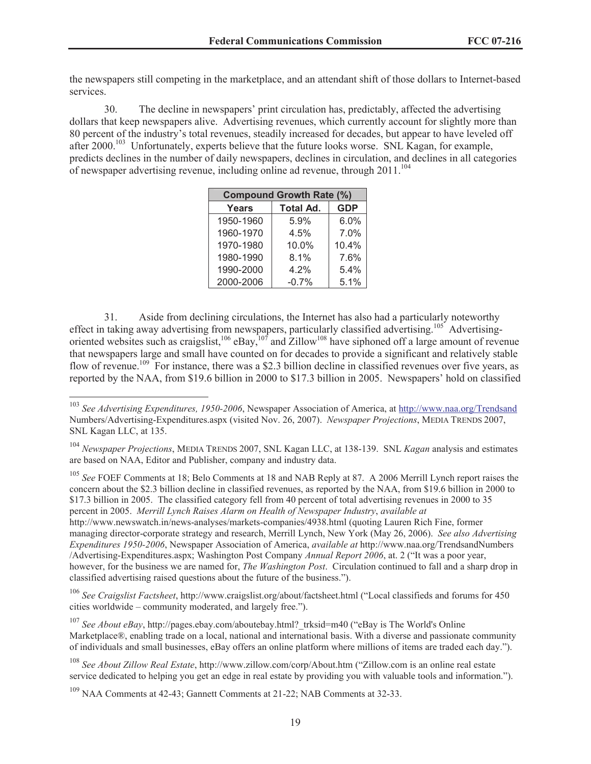the newspapers still competing in the marketplace, and an attendant shift of those dollars to Internet-based services.

30. The decline in newspapers' print circulation has, predictably, affected the advertising dollars that keep newspapers alive. Advertising revenues, which currently account for slightly more than 80 percent of the industry's total revenues, steadily increased for decades, but appear to have leveled off after 2000.<sup>103</sup> Unfortunately, experts believe that the future looks worse. SNL Kagan, for example, predicts declines in the number of daily newspapers, declines in circulation, and declines in all categories of newspaper advertising revenue, including online ad revenue, through  $2011$ <sup> $104$ </sup>

| <b>Compound Growth Rate (%)</b> |                  |            |  |
|---------------------------------|------------------|------------|--|
| <b>Years</b>                    | <b>Total Ad.</b> | <b>GDP</b> |  |
| 1950-1960                       | 5.9%             | 6.0%       |  |
| 1960-1970                       | 4.5%             | 7.0%       |  |
| 1970-1980                       | 10.0%            | 10.4%      |  |
| 1980-1990                       | 8.1%             | 7.6%       |  |
| 1990-2000                       | 4.2%             | 5.4%       |  |
| 2000-2006                       | $-0.7%$          | 5.1%       |  |

31. Aside from declining circulations, the Internet has also had a particularly noteworthy effect in taking away advertising from newspapers, particularly classified advertising.<sup>105</sup> Advertisingoriented websites such as craigslist,<sup>106</sup> eBay,<sup>107</sup> and Zillow<sup>108</sup> have siphoned off a large amount of revenue that newspapers large and small have counted on for decades to provide a significant and relatively stable flow of revenue.<sup>109</sup> For instance, there was a \$2.3 billion decline in classified revenues over five years, as reported by the NAA, from \$19.6 billion in 2000 to \$17.3 billion in 2005. Newspapers' hold on classified

<sup>105</sup> See FOEF Comments at 18; Belo Comments at 18 and NAB Reply at 87. A 2006 Merrill Lynch report raises the concern about the \$2.3 billion decline in classified revenues, as reported by the NAA, from \$19.6 billion in 2000 to \$17.3 billion in 2005. The classified category fell from 40 percent of total advertising revenues in 2000 to 35 percent in 2005. *Merrill Lynch Raises Alarm on Health of Newspaper Industry*, *available at* http://www.newswatch.in/news-analyses/markets-companies/4938.html (quoting Lauren Rich Fine, former managing director-corporate strategy and research, Merrill Lynch, New York (May 26, 2006). *See also Advertising* 

*Expenditures 1950-2006*, Newspaper Association of America, *available at* http://www.naa.org/TrendsandNumbers /Advertising-Expenditures.aspx; Washington Post Company *Annual Report 2006*, at. 2 ("It was a poor year, however, for the business we are named for, *The Washington Post*. Circulation continued to fall and a sharp drop in classified advertising raised questions about the future of the business.").

<sup>106</sup> *See Craigslist Factsheet*, http://www.craigslist.org/about/factsheet.html ("Local classifieds and forums for 450 cities worldwide – community moderated, and largely free.").

<sup>107</sup> See *About eBay*, http://pages.ebay.com/aboutebay.html? trksid=m40 ("eBay is The World's Online Marketplace®, enabling trade on a local, national and international basis. With a diverse and passionate community of individuals and small businesses, eBay offers an online platform where millions of items are traded each day.").

<sup>108</sup> *See About Zillow Real Estate*, http://www.zillow.com/corp/About.htm ("Zillow.com is an online real estate service dedicated to helping you get an edge in real estate by providing you with valuable tools and information.").

<sup>109</sup> NAA Comments at 42-43; Gannett Comments at 21-22; NAB Comments at 32-33.

<sup>103</sup> *See Advertising Expenditures, 1950-2006*, Newspaper Association of America, at http://www.naa.org/Trendsand Numbers/Advertising-Expenditures.aspx (visited Nov. 26, 2007). *Newspaper Projections*, MEDIA TRENDS 2007, SNL Kagan LLC, at 135.

<sup>104</sup> *Newspaper Projections*, MEDIA TRENDS 2007, SNL Kagan LLC, at 138-139. SNL *Kagan* analysis and estimates are based on NAA, Editor and Publisher, company and industry data.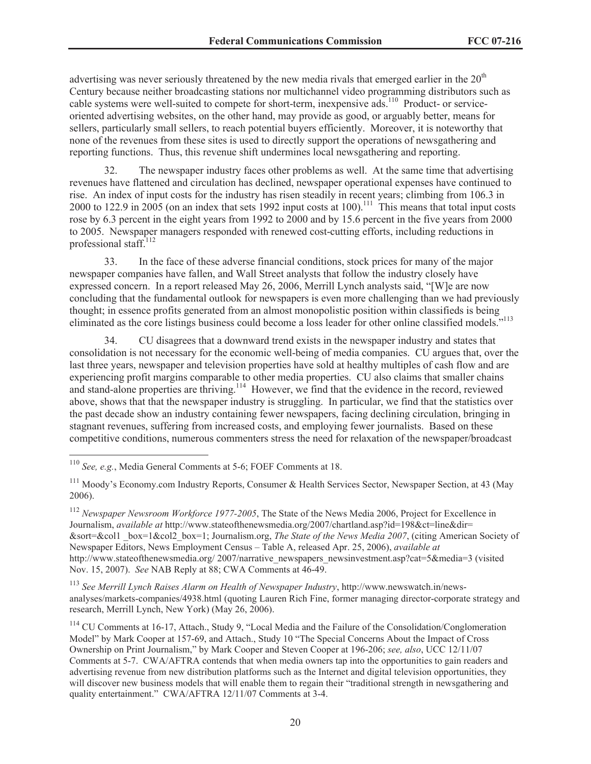advertising was never seriously threatened by the new media rivals that emerged earlier in the  $20<sup>th</sup>$ Century because neither broadcasting stations nor multichannel video programming distributors such as cable systems were well-suited to compete for short-term, inexpensive ads.<sup>110</sup> Product- or serviceoriented advertising websites, on the other hand, may provide as good, or arguably better, means for sellers, particularly small sellers, to reach potential buyers efficiently. Moreover, it is noteworthy that none of the revenues from these sites is used to directly support the operations of newsgathering and reporting functions. Thus, this revenue shift undermines local newsgathering and reporting.

32. The newspaper industry faces other problems as well. At the same time that advertising revenues have flattened and circulation has declined, newspaper operational expenses have continued to rise. An index of input costs for the industry has risen steadily in recent years; climbing from 106.3 in 2000 to 122.9 in 2005 (on an index that sets 1992 input costs at 100).<sup>111</sup> This means that total input costs rose by 6.3 percent in the eight years from 1992 to 2000 and by 15.6 percent in the five years from 2000 to 2005. Newspaper managers responded with renewed cost-cutting efforts, including reductions in professional staff.<sup>112</sup>

33. In the face of these adverse financial conditions, stock prices for many of the major newspaper companies have fallen, and Wall Street analysts that follow the industry closely have expressed concern. In a report released May 26, 2006, Merrill Lynch analysts said, "[W]e are now concluding that the fundamental outlook for newspapers is even more challenging than we had previously thought; in essence profits generated from an almost monopolistic position within classifieds is being eliminated as the core listings business could become a loss leader for other online classified models."<sup>113</sup>

34. CU disagrees that a downward trend exists in the newspaper industry and states that consolidation is not necessary for the economic well-being of media companies. CU argues that, over the last three years, newspaper and television properties have sold at healthy multiples of cash flow and are experiencing profit margins comparable to other media properties. CU also claims that smaller chains and stand-alone properties are thriving.<sup>114</sup> However, we find that the evidence in the record, reviewed above, shows that that the newspaper industry is struggling. In particular, we find that the statistics over the past decade show an industry containing fewer newspapers, facing declining circulation, bringing in stagnant revenues, suffering from increased costs, and employing fewer journalists. Based on these competitive conditions, numerous commenters stress the need for relaxation of the newspaper/broadcast

<sup>113</sup> *See Merrill Lynch Raises Alarm on Health of Newspaper Industry*, http://www.newswatch.in/newsanalyses/markets-companies/4938.html (quoting Lauren Rich Fine, former managing director-corporate strategy and research, Merrill Lynch, New York) (May 26, 2006).

<sup>110</sup> *See, e.g.*, Media General Comments at 5-6; FOEF Comments at 18.

<sup>&</sup>lt;sup>111</sup> Moody's Economy.com Industry Reports, Consumer & Health Services Sector, Newspaper Section, at 43 (May 2006).

<sup>112</sup> *Newspaper Newsroom Workforce 1977-2005*, The State of the News Media 2006, Project for Excellence in Journalism, *available at* http://www.stateofthenewsmedia.org/2007/chartland.asp?id=198&ct=line&dir= &sort=&col1 \_box=1&col2\_box=1; Journalism.org, *The State of the News Media 2007*, (citing American Society of Newspaper Editors, News Employment Census – Table A, released Apr. 25, 2006), *available at* http://www.stateofthenewsmedia.org/ 2007/narrative\_newspapers\_newsinvestment.asp?cat=5&media=3 (visited Nov. 15, 2007). *See* NAB Reply at 88; CWA Comments at 46-49.

<sup>&</sup>lt;sup>114</sup> CU Comments at 16-17, Attach., Study 9, "Local Media and the Failure of the Consolidation/Conglomeration Model" by Mark Cooper at 157-69, and Attach., Study 10 "The Special Concerns About the Impact of Cross Ownership on Print Journalism," by Mark Cooper and Steven Cooper at 196-206; *see, also*, UCC 12/11/07 Comments at 5-7. CWA/AFTRA contends that when media owners tap into the opportunities to gain readers and advertising revenue from new distribution platforms such as the Internet and digital television opportunities, they will discover new business models that will enable them to regain their "traditional strength in newsgathering and quality entertainment." CWA/AFTRA 12/11/07 Comments at 3-4.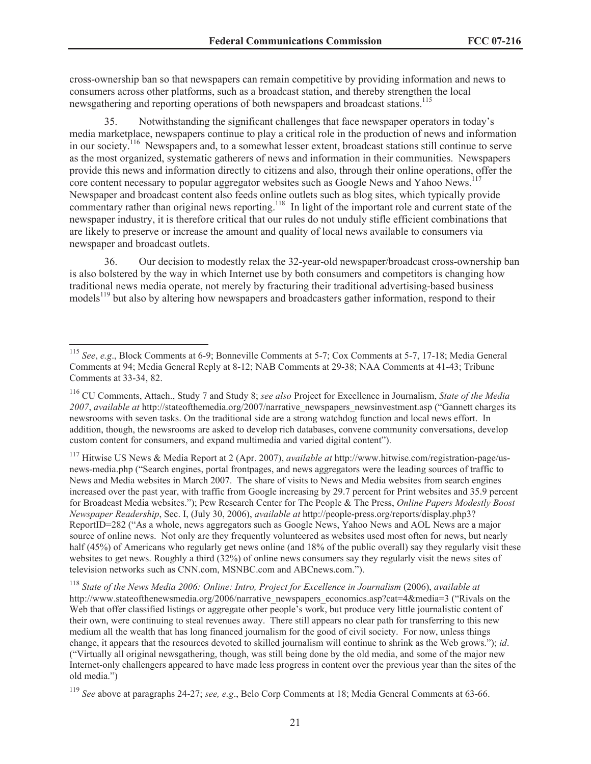cross-ownership ban so that newspapers can remain competitive by providing information and news to consumers across other platforms, such as a broadcast station, and thereby strengthen the local newsgathering and reporting operations of both newspapers and broadcast stations.<sup>115</sup>

35. Notwithstanding the significant challenges that face newspaper operators in today's media marketplace, newspapers continue to play a critical role in the production of news and information in our society.<sup>116</sup> Newspapers and, to a somewhat lesser extent, broadcast stations still continue to serve as the most organized, systematic gatherers of news and information in their communities. Newspapers provide this news and information directly to citizens and also, through their online operations, offer the core content necessary to popular aggregator websites such as Google News and Yahoo News.<sup>117</sup> Newspaper and broadcast content also feeds online outlets such as blog sites, which typically provide commentary rather than original news reporting.<sup>118</sup> In light of the important role and current state of the newspaper industry, it is therefore critical that our rules do not unduly stifle efficient combinations that are likely to preserve or increase the amount and quality of local news available to consumers via newspaper and broadcast outlets.

36. Our decision to modestly relax the 32-year-old newspaper/broadcast cross-ownership ban is also bolstered by the way in which Internet use by both consumers and competitors is changing how traditional news media operate, not merely by fracturing their traditional advertising-based business models<sup>119</sup> but also by altering how newspapers and broadcasters gather information, respond to their

<sup>115</sup> *See*, *e.g*., Block Comments at 6-9; Bonneville Comments at 5-7; Cox Comments at 5-7, 17-18; Media General Comments at 94; Media General Reply at 8-12; NAB Comments at 29-38; NAA Comments at 41-43; Tribune Comments at 33-34, 82.

<sup>116</sup> CU Comments, Attach., Study 7 and Study 8; *see also* Project for Excellence in Journalism, *State of the Media 2007*, *available at* http://stateofthemedia.org/2007/narrative\_newspapers\_newsinvestment.asp ("Gannett charges its newsrooms with seven tasks. On the traditional side are a strong watchdog function and local news effort. In addition, though, the newsrooms are asked to develop rich databases, convene community conversations, develop custom content for consumers, and expand multimedia and varied digital content").

<sup>117</sup> Hitwise US News & Media Report at 2 (Apr. 2007), *available at* http://www.hitwise.com/registration-page/usnews-media.php ("Search engines, portal frontpages, and news aggregators were the leading sources of traffic to News and Media websites in March 2007. The share of visits to News and Media websites from search engines increased over the past year, with traffic from Google increasing by 29.7 percent for Print websites and 35.9 percent for Broadcast Media websites."); Pew Research Center for The People & The Press, *Online Papers Modestly Boost Newspaper Readership*, Sec. I, (July 30, 2006), *available at* http://people-press.org/reports/display.php3? ReportID=282 ("As a whole, news aggregators such as Google News, Yahoo News and AOL News are a major source of online news. Not only are they frequently volunteered as websites used most often for news, but nearly half (45%) of Americans who regularly get news online (and 18% of the public overall) say they regularly visit these websites to get news. Roughly a third (32%) of online news consumers say they regularly visit the news sites of television networks such as CNN.com, MSNBC.com and ABCnews.com.").

<sup>118</sup> *State of the News Media 2006: Online: Intro, Project for Excellence in Journalism* (2006), *available at* http://www.stateofthenewsmedia.org/2006/narrative\_newspapers\_economics.asp?cat=4&media=3 ("Rivals on the Web that offer classified listings or aggregate other people's work, but produce very little journalistic content of their own, were continuing to steal revenues away. There still appears no clear path for transferring to this new medium all the wealth that has long financed journalism for the good of civil society. For now, unless things change, it appears that the resources devoted to skilled journalism will continue to shrink as the Web grows."); *id*. ("Virtually all original newsgathering, though, was still being done by the old media, and some of the major new Internet-only challengers appeared to have made less progress in content over the previous year than the sites of the old media.")

<sup>119</sup> *See* above at paragraphs 24-27; *see, e.g*., Belo Corp Comments at 18; Media General Comments at 63-66.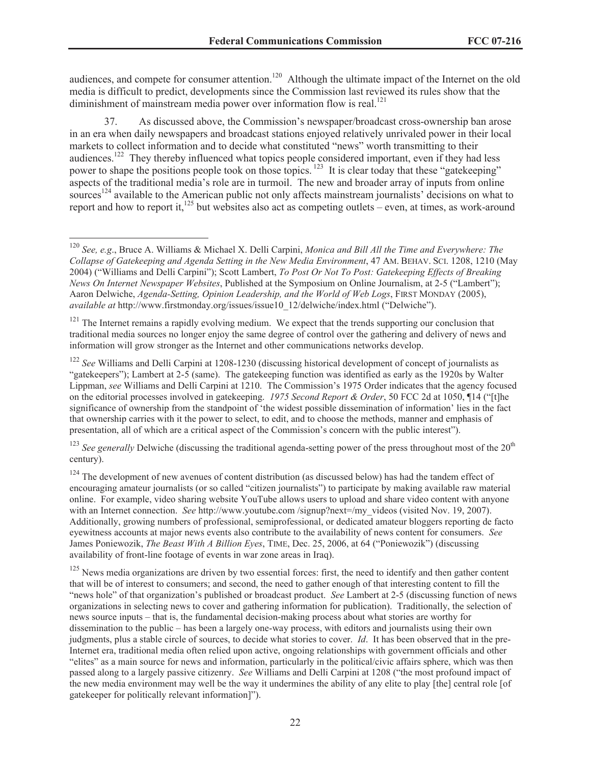audiences, and compete for consumer attention.<sup>120</sup> Although the ultimate impact of the Internet on the old media is difficult to predict, developments since the Commission last reviewed its rules show that the diminishment of mainstream media power over information flow is real.<sup>121</sup>

37. As discussed above, the Commission's newspaper/broadcast cross-ownership ban arose in an era when daily newspapers and broadcast stations enjoyed relatively unrivaled power in their local markets to collect information and to decide what constituted "news" worth transmitting to their audiences.<sup>122</sup> They thereby influenced what topics people considered important, even if they had less power to shape the positions people took on those topics.<sup>123</sup> It is clear today that these "gatekeeping" aspects of the traditional media's role are in turmoil. The new and broader array of inputs from online sources<sup>124</sup> available to the American public not only affects mainstream journalists' decisions on what to report and how to report it,<sup>125</sup> but websites also act as competing outlets – even, at times, as work-around

<sup>121</sup> The Internet remains a rapidly evolving medium. We expect that the trends supporting our conclusion that traditional media sources no longer enjoy the same degree of control over the gathering and delivery of news and information will grow stronger as the Internet and other communications networks develop.

<sup>122</sup> *See* Williams and Delli Carpini at 1208-1230 (discussing historical development of concept of journalists as "gatekeepers"); Lambert at 2-5 (same). The gatekeeping function was identified as early as the 1920s by Walter Lippman, *see* Williams and Delli Carpini at 1210. The Commission's 1975 Order indicates that the agency focused on the editorial processes involved in gatekeeping. *1975 Second Report & Order*, 50 FCC 2d at 1050, ¶14 ("[t]he significance of ownership from the standpoint of 'the widest possible dissemination of information' lies in the fact that ownership carries with it the power to select, to edit, and to choose the methods, manner and emphasis of presentation, all of which are a critical aspect of the Commission's concern with the public interest").

<sup>123</sup> See generally Delwiche (discussing the traditional agenda-setting power of the press throughout most of the 20<sup>th</sup> century).

<sup>124</sup> The development of new avenues of content distribution (as discussed below) has had the tandem effect of encouraging amateur journalists (or so called "citizen journalists") to participate by making available raw material online. For example, video sharing website YouTube allows users to upload and share video content with anyone with an Internet connection. *See* http://www.youtube.com/signup?next=/my\_videos (visited Nov. 19, 2007). Additionally, growing numbers of professional, semiprofessional, or dedicated amateur bloggers reporting de facto eyewitness accounts at major news events also contribute to the availability of news content for consumers. *See* James Poniewozik, *The Beast With A Billion Eyes*, TIME, Dec. 25, 2006, at 64 ("Poniewozik") (discussing availability of front-line footage of events in war zone areas in Iraq).

 $125$  News media organizations are driven by two essential forces: first, the need to identify and then gather content that will be of interest to consumers; and second, the need to gather enough of that interesting content to fill the "news hole" of that organization's published or broadcast product. *See* Lambert at 2-5 (discussing function of news organizations in selecting news to cover and gathering information for publication). Traditionally, the selection of news source inputs – that is, the fundamental decision-making process about what stories are worthy for dissemination to the public – has been a largely one-way process, with editors and journalists using their own judgments, plus a stable circle of sources, to decide what stories to cover. *Id*. It has been observed that in the pre-Internet era, traditional media often relied upon active, ongoing relationships with government officials and other "elites" as a main source for news and information, particularly in the political/civic affairs sphere, which was then passed along to a largely passive citizenry. *See* Williams and Delli Carpini at 1208 ("the most profound impact of the new media environment may well be the way it undermines the ability of any elite to play [the] central role [of gatekeeper for politically relevant information]").

<sup>120</sup> *See, e.g*., Bruce A. Williams & Michael X. Delli Carpini, *Monica and Bill All the Time and Everywhere: The Collapse of Gatekeeping and Agenda Setting in the New Media Environment*, 47 AM. BEHAV. SCI. 1208, 1210 (May 2004) ("Williams and Delli Carpini"); Scott Lambert, *To Post Or Not To Post: Gatekeeping Effects of Breaking News On Internet Newspaper Websites*, Published at the Symposium on Online Journalism, at 2-5 ("Lambert"); Aaron Delwiche, *Agenda-Setting, Opinion Leadership, and the World of Web Logs*, FIRST MONDAY (2005), *available at* http://www.firstmonday.org/issues/issue10\_12/delwiche/index.html ("Delwiche").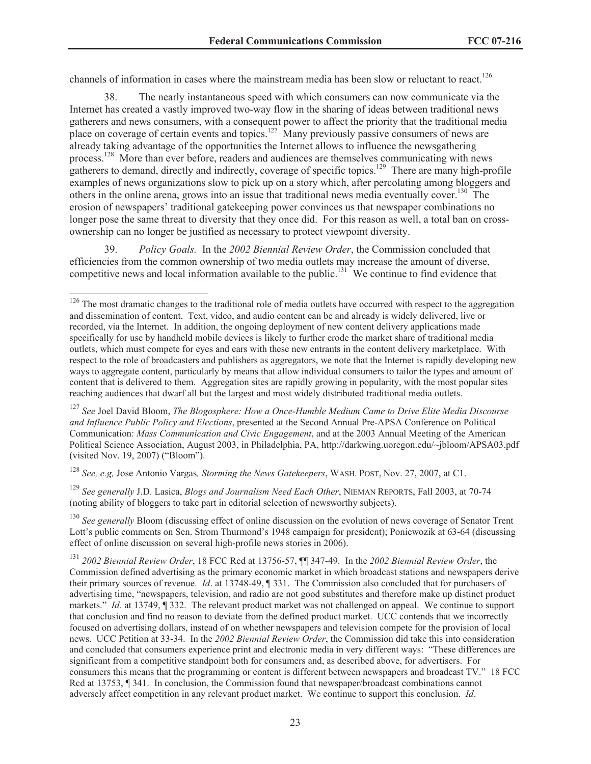channels of information in cases where the mainstream media has been slow or reluctant to react.<sup>126</sup>

38. The nearly instantaneous speed with which consumers can now communicate via the Internet has created a vastly improved two-way flow in the sharing of ideas between traditional news gatherers and news consumers, with a consequent power to affect the priority that the traditional media place on coverage of certain events and topics.<sup>127</sup> Many previously passive consumers of news are already taking advantage of the opportunities the Internet allows to influence the newsgathering process.<sup>128</sup> More than ever before, readers and audiences are themselves communicating with news gatherers to demand, directly and indirectly, coverage of specific topics.<sup>129</sup> There are many high-profile examples of news organizations slow to pick up on a story which, after percolating among bloggers and others in the online arena, grows into an issue that traditional news media eventually cover.<sup>130</sup> The erosion of newspapers' traditional gatekeeping power convinces us that newspaper combinations no longer pose the same threat to diversity that they once did. For this reason as well, a total ban on crossownership can no longer be justified as necessary to protect viewpoint diversity.

39. *Policy Goals.* In the *2002 Biennial Review Order*, the Commission concluded that efficiencies from the common ownership of two media outlets may increase the amount of diverse, competitive news and local information available to the public.<sup>131</sup> We continue to find evidence that

<sup>127</sup> *See* Joel David Bloom, *The Blogosphere: How a Once-Humble Medium Came to Drive Elite Media Discourse and Influence Public Policy and Elections*, presented at the Second Annual Pre-APSA Conference on Political Communication: *Mass Communication and Civic Engagement*, and at the 2003 Annual Meeting of the American Political Science Association, August 2003, in Philadelphia, PA, http://darkwing.uoregon.edu/~jbloom/APSA03.pdf (visited Nov. 19, 2007) ("Bloom").

<sup>128</sup> *See, e.g,* Jose Antonio Vargas*, Storming the News Gatekeepers*, WASH. POST, Nov. 27, 2007, at C1.

<sup>129</sup> *See generally* J.D. Lasica, *Blogs and Journalism Need Each Other*, NIEMAN REPORTS, Fall 2003, at 70-74 (noting ability of bloggers to take part in editorial selection of newsworthy subjects).

<sup>130</sup> See generally Bloom (discussing effect of online discussion on the evolution of news coverage of Senator Trent Lott's public comments on Sen. Strom Thurmond's 1948 campaign for president); Poniewozik at 63-64 (discussing effect of online discussion on several high-profile news stories in 2006).

<sup>&</sup>lt;sup>126</sup> The most dramatic changes to the traditional role of media outlets have occurred with respect to the aggregation and dissemination of content. Text, video, and audio content can be and already is widely delivered, live or recorded, via the Internet. In addition, the ongoing deployment of new content delivery applications made specifically for use by handheld mobile devices is likely to further erode the market share of traditional media outlets, which must compete for eyes and ears with these new entrants in the content delivery marketplace. With respect to the role of broadcasters and publishers as aggregators, we note that the Internet is rapidly developing new ways to aggregate content, particularly by means that allow individual consumers to tailor the types and amount of content that is delivered to them. Aggregation sites are rapidly growing in popularity, with the most popular sites reaching audiences that dwarf all but the largest and most widely distributed traditional media outlets.

<sup>131</sup> *2002 Biennial Review Order*, 18 FCC Rcd at 13756-57, ¶¶ 347-49. In the *2002 Biennial Review Order*, the Commission defined advertising as the primary economic market in which broadcast stations and newspapers derive their primary sources of revenue. *Id*. at 13748-49, ¶ 331. The Commission also concluded that for purchasers of advertising time, "newspapers, television, and radio are not good substitutes and therefore make up distinct product markets." *Id*. at 13749, ¶ 332. The relevant product market was not challenged on appeal. We continue to support that conclusion and find no reason to deviate from the defined product market. UCC contends that we incorrectly focused on advertising dollars, instead of on whether newspapers and television compete for the provision of local news. UCC Petition at 33-34. In the *2002 Biennial Review Order*, the Commission did take this into consideration and concluded that consumers experience print and electronic media in very different ways: "These differences are significant from a competitive standpoint both for consumers and, as described above, for advertisers. For consumers this means that the programming or content is different between newspapers and broadcast TV." 18 FCC Rcd at 13753, ¶ 341. In conclusion, the Commission found that newspaper/broadcast combinations cannot adversely affect competition in any relevant product market. We continue to support this conclusion. *Id*.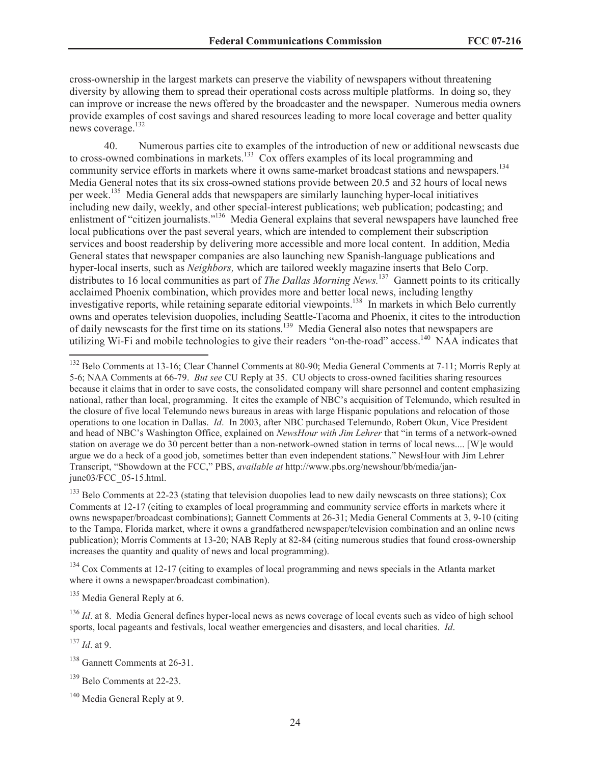cross-ownership in the largest markets can preserve the viability of newspapers without threatening diversity by allowing them to spread their operational costs across multiple platforms. In doing so, they can improve or increase the news offered by the broadcaster and the newspaper. Numerous media owners provide examples of cost savings and shared resources leading to more local coverage and better quality news coverage.<sup>132</sup>

40. Numerous parties cite to examples of the introduction of new or additional newscasts due to cross-owned combinations in markets.<sup>133</sup> Cox offers examples of its local programming and community service efforts in markets where it owns same-market broadcast stations and newspapers.<sup>134</sup> Media General notes that its six cross-owned stations provide between 20.5 and 32 hours of local news per week.<sup>135</sup> Media General adds that newspapers are similarly launching hyper-local initiatives including new daily, weekly, and other special-interest publications; web publication; podcasting; and enlistment of "citizen journalists."<sup>136</sup> Media General explains that several newspapers have launched free local publications over the past several years, which are intended to complement their subscription services and boost readership by delivering more accessible and more local content. In addition, Media General states that newspaper companies are also launching new Spanish-language publications and hyper-local inserts, such as *Neighbors,* which are tailored weekly magazine inserts that Belo Corp. distributes to 16 local communities as part of *The Dallas Morning News.*<sup>137</sup> Gannett points to its critically acclaimed Phoenix combination, which provides more and better local news, including lengthy investigative reports, while retaining separate editorial viewpoints.<sup>138</sup> In markets in which Belo currently owns and operates television duopolies, including Seattle-Tacoma and Phoenix, it cites to the introduction of daily newscasts for the first time on its stations.<sup>139</sup> Media General also notes that newspapers are utilizing Wi-Fi and mobile technologies to give their readers "on-the-road" access.<sup>140</sup> NAA indicates that

<sup>133</sup> Belo Comments at 22-23 (stating that television duopolies lead to new daily newscasts on three stations); Cox Comments at 12-17 (citing to examples of local programming and community service efforts in markets where it owns newspaper/broadcast combinations); Gannett Comments at 26-31; Media General Comments at 3, 9-10 (citing to the Tampa, Florida market, where it owns a grandfathered newspaper/television combination and an online news publication); Morris Comments at 13-20; NAB Reply at 82-84 (citing numerous studies that found cross-ownership increases the quantity and quality of news and local programming).

<sup>134</sup> Cox Comments at 12-17 (citing to examples of local programming and news specials in the Atlanta market where it owns a newspaper/broadcast combination).

<sup>135</sup> Media General Reply at 6.

<sup>136</sup> *Id.* at 8. Media General defines hyper-local news as news coverage of local events such as video of high school sports, local pageants and festivals, local weather emergencies and disasters, and local charities. *Id*.

<sup>137</sup> *Id*. at 9.

<sup>139</sup> Belo Comments at 22-23.

<sup>&</sup>lt;sup>132</sup> Belo Comments at 13-16; Clear Channel Comments at 80-90; Media General Comments at 7-11; Morris Reply at 5-6; NAA Comments at 66-79. *But see* CU Reply at 35. CU objects to cross-owned facilities sharing resources because it claims that in order to save costs, the consolidated company will share personnel and content emphasizing national, rather than local, programming. It cites the example of NBC's acquisition of Telemundo, which resulted in the closure of five local Telemundo news bureaus in areas with large Hispanic populations and relocation of those operations to one location in Dallas. *Id*. In 2003, after NBC purchased Telemundo, Robert Okun, Vice President and head of NBC's Washington Office, explained on *NewsHour with Jim Lehrer* that "in terms of a network-owned station on average we do 30 percent better than a non-network-owned station in terms of local news.... [W]e would argue we do a heck of a good job, sometimes better than even independent stations." NewsHour with Jim Lehrer Transcript, "Showdown at the FCC," PBS, *available at* http://www.pbs.org/newshour/bb/media/janjune03/FCC\_05-15.html.

<sup>138</sup> Gannett Comments at 26-31.

<sup>&</sup>lt;sup>140</sup> Media General Reply at 9.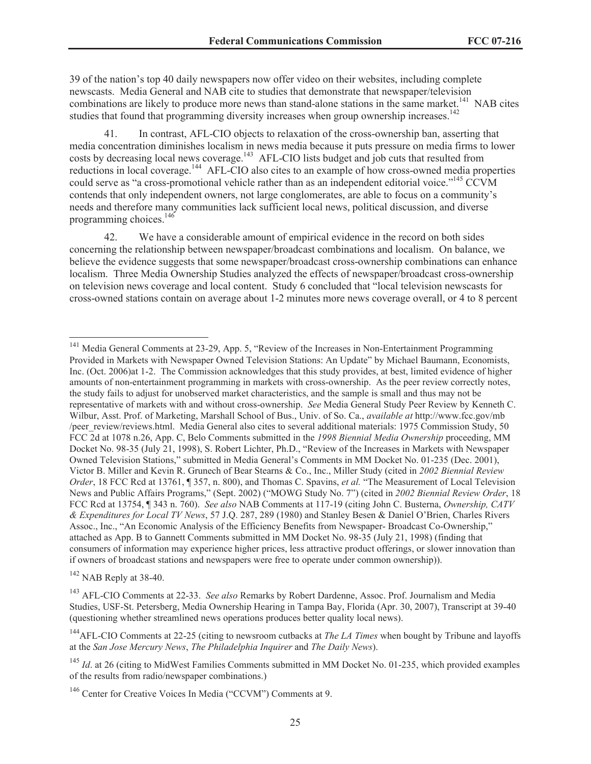39 of the nation's top 40 daily newspapers now offer video on their websites, including complete newscasts. Media General and NAB cite to studies that demonstrate that newspaper/television combinations are likely to produce more news than stand-alone stations in the same market.<sup>141</sup> NAB cites studies that found that programming diversity increases when group ownership increases.<sup>142</sup>

41. In contrast, AFL-CIO objects to relaxation of the cross-ownership ban, asserting that media concentration diminishes localism in news media because it puts pressure on media firms to lower costs by decreasing local news coverage.<sup>143</sup> AFL-CIO lists budget and job cuts that resulted from reductions in local coverage.<sup>144</sup> AFL-CIO also cites to an example of how cross-owned media properties could serve as "a cross-promotional vehicle rather than as an independent editorial voice."<sup>145</sup> CCVM contends that only independent owners, not large conglomerates, are able to focus on a community's needs and therefore many communities lack sufficient local news, political discussion, and diverse programming choices.<sup>146</sup>

42. We have a considerable amount of empirical evidence in the record on both sides concerning the relationship between newspaper/broadcast combinations and localism. On balance, we believe the evidence suggests that some newspaper/broadcast cross-ownership combinations can enhance localism. Three Media Ownership Studies analyzed the effects of newspaper/broadcast cross-ownership on television news coverage and local content. Study 6 concluded that "local television newscasts for cross-owned stations contain on average about 1-2 minutes more news coverage overall, or 4 to 8 percent

<sup>142</sup> NAB Reply at 38-40.

<sup>&</sup>lt;sup>141</sup> Media General Comments at 23-29, App. 5, "Review of the Increases in Non-Entertainment Programming Provided in Markets with Newspaper Owned Television Stations: An Update" by Michael Baumann, Economists, Inc. (Oct. 2006)at 1-2. The Commission acknowledges that this study provides, at best, limited evidence of higher amounts of non-entertainment programming in markets with cross-ownership. As the peer review correctly notes, the study fails to adjust for unobserved market characteristics, and the sample is small and thus may not be representative of markets with and without cross-ownership. *See* Media General Study Peer Review by Kenneth C. Wilbur, Asst. Prof. of Marketing, Marshall School of Bus., Univ. of So. Ca., *available at* http://www.fcc.gov/mb /peer\_review/reviews.html. Media General also cites to several additional materials: 1975 Commission Study, 50 FCC 2d at 1078 n.26, App. C, Belo Comments submitted in the *1998 Biennial Media Ownership* proceeding, MM Docket No. 98-35 (July 21, 1998), S. Robert Lichter, Ph.D., "Review of the Increases in Markets with Newspaper Owned Television Stations," submitted in Media General's Comments in MM Docket No. 01-235 (Dec. 2001), Victor B. Miller and Kevin R. Grunech of Bear Stearns & Co., Inc., Miller Study (cited in *2002 Biennial Review Order*, 18 FCC Rcd at 13761, ¶ 357, n. 800), and Thomas C. Spavins, *et al.* "The Measurement of Local Television News and Public Affairs Programs," (Sept. 2002) ("MOWG Study No. 7") (cited in *2002 Biennial Review Order*, 18 FCC Rcd at 13754, ¶ 343 n. 760). *See also* NAB Comments at 117-19 (citing John C. Busterna, *Ownership, CATV & Expenditures for Local TV News*, 57 J.Q. 287, 289 (1980) and Stanley Besen & Daniel O'Brien, Charles Rivers Assoc., Inc., "An Economic Analysis of the Efficiency Benefits from Newspaper- Broadcast Co-Ownership," attached as App. B to Gannett Comments submitted in MM Docket No. 98-35 (July 21, 1998) (finding that consumers of information may experience higher prices, less attractive product offerings, or slower innovation than if owners of broadcast stations and newspapers were free to operate under common ownership)).

<sup>143</sup> AFL-CIO Comments at 22-33. *See also* Remarks by Robert Dardenne, Assoc. Prof. Journalism and Media Studies, USF-St. Petersberg, Media Ownership Hearing in Tampa Bay, Florida (Apr. 30, 2007), Transcript at 39-40 (questioning whether streamlined news operations produces better quality local news).

<sup>144</sup>AFL-CIO Comments at 22-25 (citing to newsroom cutbacks at *The LA Times* when bought by Tribune and layoffs at the *San Jose Mercury News*, *The Philadelphia Inquirer* and *The Daily News*).

<sup>&</sup>lt;sup>145</sup> *Id.* at 26 (citing to MidWest Families Comments submitted in MM Docket No. 01-235, which provided examples of the results from radio/newspaper combinations.)

<sup>146</sup> Center for Creative Voices In Media ("CCVM") Comments at 9.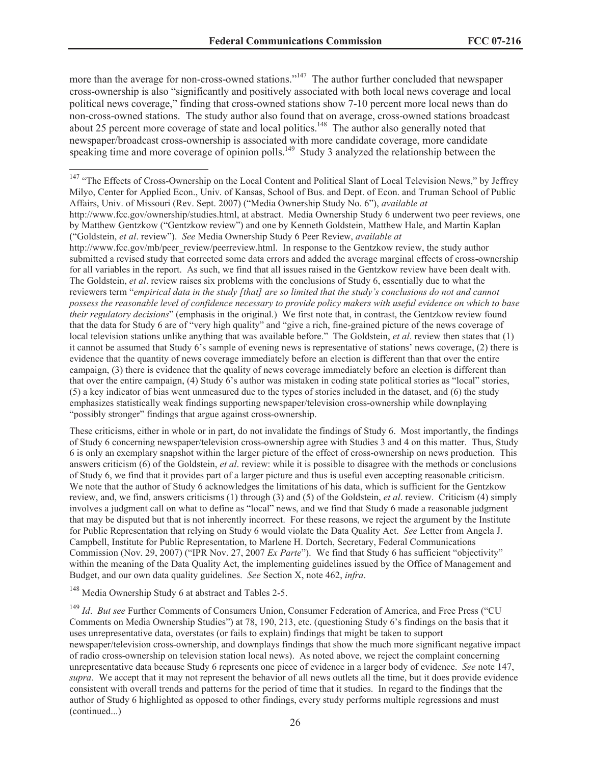more than the average for non-cross-owned stations."<sup>147</sup> The author further concluded that newspaper cross-ownership is also "significantly and positively associated with both local news coverage and local political news coverage," finding that cross-owned stations show 7-10 percent more local news than do non-cross-owned stations. The study author also found that on average, cross-owned stations broadcast about 25 percent more coverage of state and local politics.<sup>148</sup> The author also generally noted that newspaper/broadcast cross-ownership is associated with more candidate coverage, more candidate speaking time and more coverage of opinion polls.<sup>149</sup> Study 3 analyzed the relationship between the

http://www.fcc.gov/mb/peer\_review/peerreview.html. In response to the Gentzkow review, the study author submitted a revised study that corrected some data errors and added the average marginal effects of cross-ownership for all variables in the report. As such, we find that all issues raised in the Gentzkow review have been dealt with. The Goldstein, *et al*. review raises six problems with the conclusions of Study 6, essentially due to what the reviewers term "*empirical data in the study [that] are so limited that the study's conclusions do not and cannot possess the reasonable level of confidence necessary to provide policy makers with useful evidence on which to base their regulatory decisions*" (emphasis in the original.) We first note that, in contrast, the Gentzkow review found that the data for Study 6 are of "very high quality" and "give a rich, fine-grained picture of the news coverage of local television stations unlike anything that was available before." The Goldstein, *et al*. review then states that (1) it cannot be assumed that Study 6's sample of evening news is representative of stations' news coverage, (2) there is evidence that the quantity of news coverage immediately before an election is different than that over the entire campaign, (3) there is evidence that the quality of news coverage immediately before an election is different than that over the entire campaign, (4) Study 6's author was mistaken in coding state political stories as "local" stories, (5) a key indicator of bias went unmeasured due to the types of stories included in the dataset, and (6) the study emphasizes statistically weak findings supporting newspaper/television cross-ownership while downplaying "possibly stronger" findings that argue against cross-ownership.

These criticisms, either in whole or in part, do not invalidate the findings of Study 6. Most importantly, the findings of Study 6 concerning newspaper/television cross-ownership agree with Studies 3 and 4 on this matter. Thus, Study 6 is only an exemplary snapshot within the larger picture of the effect of cross-ownership on news production. This answers criticism (6) of the Goldstein, *et al*. review: while it is possible to disagree with the methods or conclusions of Study 6, we find that it provides part of a larger picture and thus is useful even accepting reasonable criticism. We note that the author of Study 6 acknowledges the limitations of his data, which is sufficient for the Gentzkow review, and, we find, answers criticisms (1) through (3) and (5) of the Goldstein, *et al*. review. Criticism (4) simply involves a judgment call on what to define as "local" news, and we find that Study 6 made a reasonable judgment that may be disputed but that is not inherently incorrect. For these reasons, we reject the argument by the Institute for Public Representation that relying on Study 6 would violate the Data Quality Act. *See* Letter from Angela J. Campbell, Institute for Public Representation, to Marlene H. Dortch, Secretary, Federal Communications Commission (Nov. 29, 2007) ("IPR Nov. 27, 2007 *Ex Parte*"). We find that Study 6 has sufficient "objectivity" within the meaning of the Data Quality Act, the implementing guidelines issued by the Office of Management and Budget, and our own data quality guidelines. *See* Section X, note 462, *infra*.

<sup>148</sup> Media Ownership Study 6 at abstract and Tables 2-5.

<sup>149</sup> *Id. But see* Further Comments of Consumers Union, Consumer Federation of America, and Free Press ("CU Comments on Media Ownership Studies") at 78, 190, 213, etc. (questioning Study 6's findings on the basis that it uses unrepresentative data, overstates (or fails to explain) findings that might be taken to support newspaper/television cross-ownership, and downplays findings that show the much more significant negative impact of radio cross-ownership on television station local news). As noted above, we reject the complaint concerning unrepresentative data because Study 6 represents one piece of evidence in a larger body of evidence. *See* note 147, *supra*. We accept that it may not represent the behavior of all news outlets all the time, but it does provide evidence consistent with overall trends and patterns for the period of time that it studies. In regard to the findings that the author of Study 6 highlighted as opposed to other findings, every study performs multiple regressions and must (continued...)

<sup>&</sup>lt;sup>147</sup> "The Effects of Cross-Ownership on the Local Content and Political Slant of Local Television News," by Jeffrey Milyo, Center for Applied Econ., Univ. of Kansas, School of Bus. and Dept. of Econ. and Truman School of Public Affairs, Univ. of Missouri (Rev. Sept. 2007) ("Media Ownership Study No. 6"), *available at*

http://www.fcc.gov/ownership/studies.html, at abstract. Media Ownership Study 6 underwent two peer reviews, one by Matthew Gentzkow ("Gentzkow review") and one by Kenneth Goldstein, Matthew Hale, and Martin Kaplan ("Goldstein, *et al*. review"). *See* Media Ownership Study 6 Peer Review, *available at*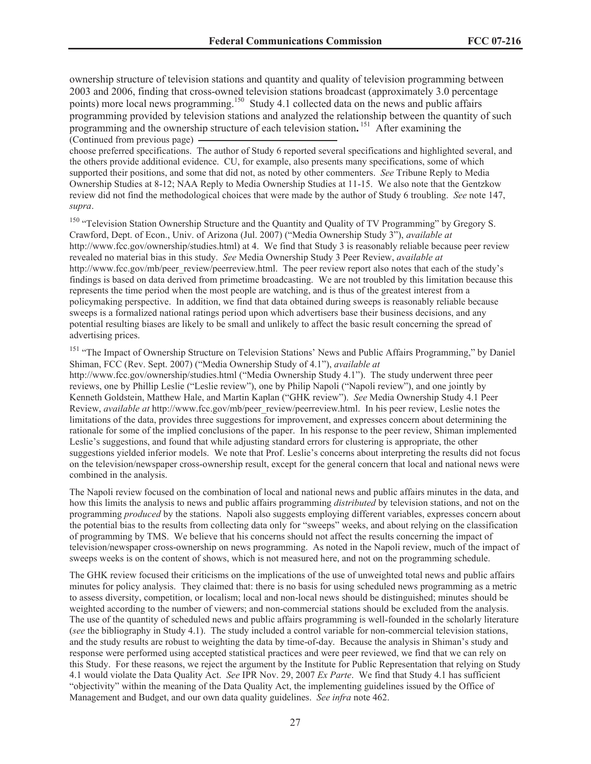ownership structure of television stations and quantity and quality of television programming between 2003 and 2006, finding that cross-owned television stations broadcast (approximately 3.0 percentage points) more local news programming.<sup>150</sup> Study 4.1 collected data on the news and public affairs programming provided by television stations and analyzed the relationship between the quantity of such programming and the ownership structure of each television station**.** <sup>151</sup> After examining the (Continued from previous page)

choose preferred specifications. The author of Study 6 reported several specifications and highlighted several, and the others provide additional evidence. CU, for example, also presents many specifications, some of which supported their positions, and some that did not, as noted by other commenters. *See* Tribune Reply to Media Ownership Studies at 8-12; NAA Reply to Media Ownership Studies at 11-15. We also note that the Gentzkow review did not find the methodological choices that were made by the author of Study 6 troubling. *See* note 147, *supra*.

<sup>150</sup> "Television Station Ownership Structure and the Quantity and Quality of TV Programming" by Gregory S. Crawford, Dept. of Econ., Univ. of Arizona (Jul. 2007) ("Media Ownership Study 3"), *available at* http://www.fcc.gov/ownership/studies.html) at 4. We find that Study 3 is reasonably reliable because peer review revealed no material bias in this study. *See* Media Ownership Study 3 Peer Review, *available at* http://www.fcc.gov/mb/peer\_review/peerreview.html. The peer review report also notes that each of the study's findings is based on data derived from primetime broadcasting. We are not troubled by this limitation because this represents the time period when the most people are watching, and is thus of the greatest interest from a policymaking perspective. In addition, we find that data obtained during sweeps is reasonably reliable because sweeps is a formalized national ratings period upon which advertisers base their business decisions, and any potential resulting biases are likely to be small and unlikely to affect the basic result concerning the spread of advertising prices.

<sup>151</sup> "The Impact of Ownership Structure on Television Stations' News and Public Affairs Programming," by Daniel Shiman, FCC (Rev. Sept. 2007) ("Media Ownership Study of 4.1"), *available at*

http://www.fcc.gov/ownership/studies.html ("Media Ownership Study 4.1"). The study underwent three peer reviews, one by Phillip Leslie ("Leslie review"), one by Philip Napoli ("Napoli review"), and one jointly by Kenneth Goldstein, Matthew Hale, and Martin Kaplan ("GHK review"). *See* Media Ownership Study 4.1 Peer Review, *available at* http://www.fcc.gov/mb/peer\_review/peerreview.html. In his peer review, Leslie notes the limitations of the data, provides three suggestions for improvement, and expresses concern about determining the rationale for some of the implied conclusions of the paper. In his response to the peer review, Shiman implemented Leslie's suggestions, and found that while adjusting standard errors for clustering is appropriate, the other suggestions yielded inferior models. We note that Prof. Leslie's concerns about interpreting the results did not focus on the television/newspaper cross-ownership result, except for the general concern that local and national news were combined in the analysis.

The Napoli review focused on the combination of local and national news and public affairs minutes in the data, and how this limits the analysis to news and public affairs programming *distributed* by television stations, and not on the programming *produced* by the stations. Napoli also suggests employing different variables, expresses concern about the potential bias to the results from collecting data only for "sweeps" weeks, and about relying on the classification of programming by TMS. We believe that his concerns should not affect the results concerning the impact of television/newspaper cross-ownership on news programming. As noted in the Napoli review, much of the impact of sweeps weeks is on the content of shows, which is not measured here, and not on the programming schedule.

The GHK review focused their criticisms on the implications of the use of unweighted total news and public affairs minutes for policy analysis. They claimed that: there is no basis for using scheduled news programming as a metric to assess diversity, competition, or localism; local and non-local news should be distinguished; minutes should be weighted according to the number of viewers; and non-commercial stations should be excluded from the analysis. The use of the quantity of scheduled news and public affairs programming is well-founded in the scholarly literature (*see* the bibliography in Study 4.1). The study included a control variable for non-commercial television stations, and the study results are robust to weighting the data by time-of-day. Because the analysis in Shiman's study and response were performed using accepted statistical practices and were peer reviewed, we find that we can rely on this Study. For these reasons, we reject the argument by the Institute for Public Representation that relying on Study 4.1 would violate the Data Quality Act. *See* IPR Nov. 29, 2007 *Ex Parte*. We find that Study 4.1 has sufficient "objectivity" within the meaning of the Data Quality Act, the implementing guidelines issued by the Office of Management and Budget, and our own data quality guidelines. *See infra* note 462.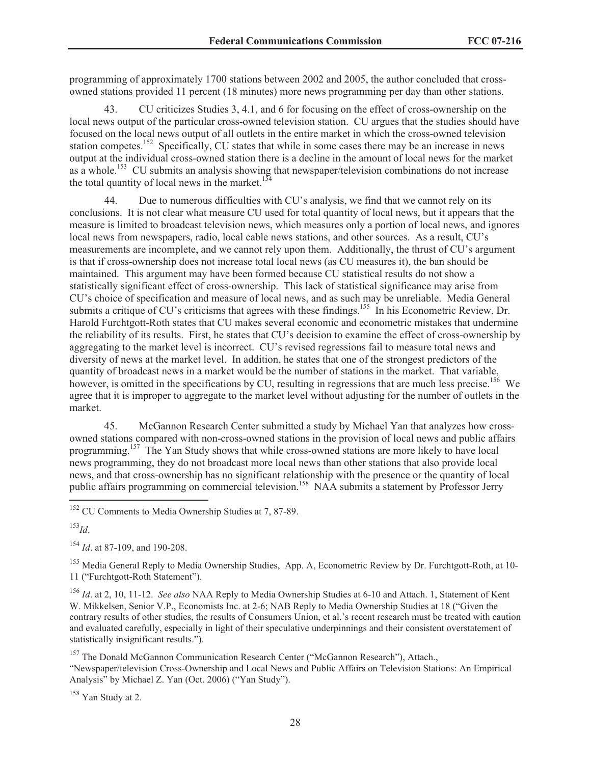programming of approximately 1700 stations between 2002 and 2005, the author concluded that crossowned stations provided 11 percent (18 minutes) more news programming per day than other stations.

43. CU criticizes Studies 3, 4.1, and 6 for focusing on the effect of cross-ownership on the local news output of the particular cross-owned television station. CU argues that the studies should have focused on the local news output of all outlets in the entire market in which the cross-owned television station competes.<sup>152</sup> Specifically, CU states that while in some cases there may be an increase in news output at the individual cross-owned station there is a decline in the amount of local news for the market as a whole.<sup>153</sup> CU submits an analysis showing that newspaper/television combinations do not increase the total quantity of local news in the market.<sup>154</sup>

44. Due to numerous difficulties with CU's analysis, we find that we cannot rely on its conclusions. It is not clear what measure CU used for total quantity of local news, but it appears that the measure is limited to broadcast television news, which measures only a portion of local news, and ignores local news from newspapers, radio, local cable news stations, and other sources. As a result, CU's measurements are incomplete, and we cannot rely upon them. Additionally, the thrust of CU's argument is that if cross-ownership does not increase total local news (as CU measures it), the ban should be maintained. This argument may have been formed because CU statistical results do not show a statistically significant effect of cross-ownership. This lack of statistical significance may arise from CU's choice of specification and measure of local news, and as such may be unreliable. Media General submits a critique of CU's criticisms that agrees with these findings.<sup>155</sup> In his Econometric Review, Dr. Harold Furchtgott-Roth states that CU makes several economic and econometric mistakes that undermine the reliability of its results. First, he states that CU's decision to examine the effect of cross-ownership by aggregating to the market level is incorrect. CU's revised regressions fail to measure total news and diversity of news at the market level. In addition, he states that one of the strongest predictors of the quantity of broadcast news in a market would be the number of stations in the market. That variable, however, is omitted in the specifications by CU, resulting in regressions that are much less precise.<sup>156</sup> We agree that it is improper to aggregate to the market level without adjusting for the number of outlets in the market.

45. McGannon Research Center submitted a study by Michael Yan that analyzes how crossowned stations compared with non-cross-owned stations in the provision of local news and public affairs programming.<sup>157</sup> The Yan Study shows that while cross-owned stations are more likely to have local news programming, they do not broadcast more local news than other stations that also provide local news, and that cross-ownership has no significant relationship with the presence or the quantity of local public affairs programming on commercial television.<sup>158</sup> NAA submits a statement by Professor Jerry

<sup>152</sup> CU Comments to Media Ownership Studies at 7, 87-89.

<sup>153</sup>*Id*.

<sup>154</sup> *Id*. at 87-109, and 190-208.

<sup>155</sup> Media General Reply to Media Ownership Studies, App. A, Econometric Review by Dr. Furchtgott-Roth, at 10-11 ("Furchtgott-Roth Statement").

<sup>156</sup> *Id*. at 2, 10, 11-12. *See also* NAA Reply to Media Ownership Studies at 6-10 and Attach. 1, Statement of Kent W. Mikkelsen, Senior V.P., Economists Inc. at 2-6; NAB Reply to Media Ownership Studies at 18 ("Given the contrary results of other studies, the results of Consumers Union, et al.'s recent research must be treated with caution and evaluated carefully, especially in light of their speculative underpinnings and their consistent overstatement of statistically insignificant results.").

<sup>157</sup> The Donald McGannon Communication Research Center ("McGannon Research"), Attach., "Newspaper/television Cross-Ownership and Local News and Public Affairs on Television Stations: An Empirical Analysis" by Michael Z. Yan (Oct. 2006) ("Yan Study").

<sup>158</sup> Yan Study at 2.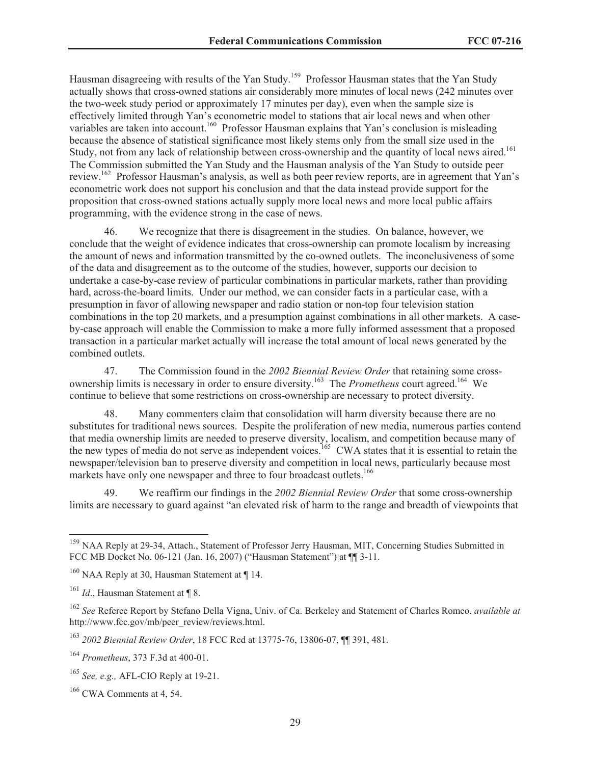Hausman disagreeing with results of the Yan Study.<sup>159</sup> Professor Hausman states that the Yan Study actually shows that cross-owned stations air considerably more minutes of local news (242 minutes over the two-week study period or approximately 17 minutes per day), even when the sample size is effectively limited through Yan's econometric model to stations that air local news and when other variables are taken into account.<sup>160</sup> Professor Hausman explains that Yan's conclusion is misleading because the absence of statistical significance most likely stems only from the small size used in the Study, not from any lack of relationship between cross-ownership and the quantity of local news aired.<sup>161</sup> The Commission submitted the Yan Study and the Hausman analysis of the Yan Study to outside peer review.<sup>162</sup> Professor Hausman's analysis, as well as both peer review reports, are in agreement that Yan's econometric work does not support his conclusion and that the data instead provide support for the proposition that cross-owned stations actually supply more local news and more local public affairs programming, with the evidence strong in the case of news.

46. We recognize that there is disagreement in the studies. On balance, however, we conclude that the weight of evidence indicates that cross-ownership can promote localism by increasing the amount of news and information transmitted by the co-owned outlets. The inconclusiveness of some of the data and disagreement as to the outcome of the studies, however, supports our decision to undertake a case-by-case review of particular combinations in particular markets, rather than providing hard, across-the-board limits. Under our method, we can consider facts in a particular case, with a presumption in favor of allowing newspaper and radio station or non-top four television station combinations in the top 20 markets, and a presumption against combinations in all other markets. A caseby-case approach will enable the Commission to make a more fully informed assessment that a proposed transaction in a particular market actually will increase the total amount of local news generated by the combined outlets.

47. The Commission found in the *2002 Biennial Review Order* that retaining some crossownership limits is necessary in order to ensure diversity.<sup>163</sup> The *Prometheus* court agreed.<sup>164</sup> We continue to believe that some restrictions on cross-ownership are necessary to protect diversity.

48. Many commenters claim that consolidation will harm diversity because there are no substitutes for traditional news sources. Despite the proliferation of new media, numerous parties contend that media ownership limits are needed to preserve diversity, localism, and competition because many of the new types of media do not serve as independent voices.<sup>165</sup> CWA states that it is essential to retain the newspaper/television ban to preserve diversity and competition in local news, particularly because most markets have only one newspaper and three to four broadcast outlets.<sup>166</sup>

49. We reaffirm our findings in the *2002 Biennial Review Order* that some cross-ownership limits are necessary to guard against "an elevated risk of harm to the range and breadth of viewpoints that

<sup>&</sup>lt;sup>159</sup> NAA Reply at 29-34, Attach., Statement of Professor Jerry Hausman, MIT, Concerning Studies Submitted in FCC MB Docket No. 06-121 (Jan. 16, 2007) ("Hausman Statement") at ¶¶ 3-11.

<sup>&</sup>lt;sup>160</sup> NAA Reply at 30, Hausman Statement at ¶ 14.

<sup>&</sup>lt;sup>161</sup> *Id.*, Hausman Statement at ¶ 8.

<sup>162</sup> *See* Referee Report by Stefano Della Vigna, Univ. of Ca. Berkeley and Statement of Charles Romeo, *available at* http://www.fcc.gov/mb/peer\_review/reviews.html.

<sup>163</sup> *2002 Biennial Review Order*, 18 FCC Rcd at 13775-76, 13806-07, ¶¶ 391, 481.

<sup>164</sup> *Prometheus*, 373 F.3d at 400-01.

<sup>165</sup> *See, e.g.,* AFL-CIO Reply at 19-21.

 $166$  CWA Comments at 4, 54.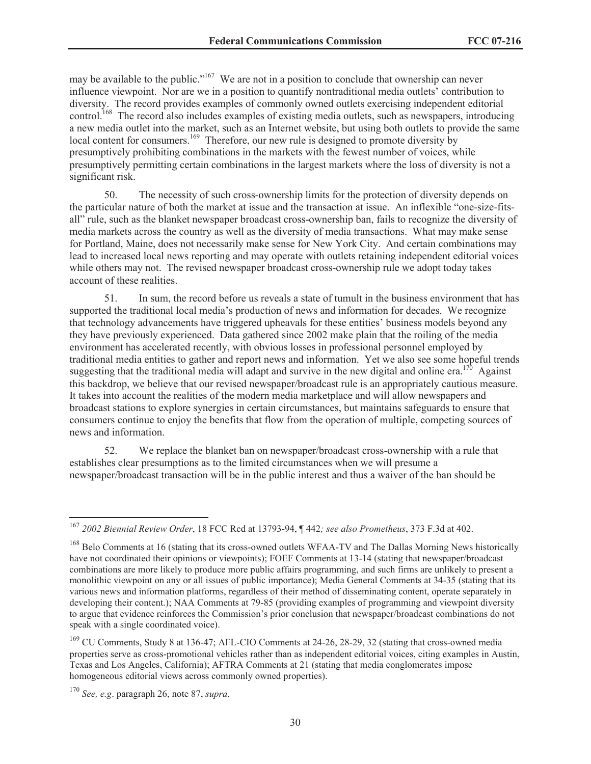may be available to the public."<sup>167</sup> We are not in a position to conclude that ownership can never influence viewpoint. Nor are we in a position to quantify nontraditional media outlets' contribution to diversity. The record provides examples of commonly owned outlets exercising independent editorial control.<sup>168</sup> The record also includes examples of existing media outlets, such as newspapers, introducing a new media outlet into the market, such as an Internet website, but using both outlets to provide the same local content for consumers.<sup>169</sup> Therefore, our new rule is designed to promote diversity by presumptively prohibiting combinations in the markets with the fewest number of voices, while presumptively permitting certain combinations in the largest markets where the loss of diversity is not a significant risk.

50. The necessity of such cross-ownership limits for the protection of diversity depends on the particular nature of both the market at issue and the transaction at issue. An inflexible "one-size-fitsall" rule, such as the blanket newspaper broadcast cross-ownership ban, fails to recognize the diversity of media markets across the country as well as the diversity of media transactions. What may make sense for Portland, Maine, does not necessarily make sense for New York City. And certain combinations may lead to increased local news reporting and may operate with outlets retaining independent editorial voices while others may not. The revised newspaper broadcast cross-ownership rule we adopt today takes account of these realities.

51. In sum, the record before us reveals a state of tumult in the business environment that has supported the traditional local media's production of news and information for decades. We recognize that technology advancements have triggered upheavals for these entities' business models beyond any they have previously experienced. Data gathered since 2002 make plain that the roiling of the media environment has accelerated recently, with obvious losses in professional personnel employed by traditional media entities to gather and report news and information. Yet we also see some hopeful trends suggesting that the traditional media will adapt and survive in the new digital and online era.<sup>170</sup> Against this backdrop, we believe that our revised newspaper/broadcast rule is an appropriately cautious measure. It takes into account the realities of the modern media marketplace and will allow newspapers and broadcast stations to explore synergies in certain circumstances, but maintains safeguards to ensure that consumers continue to enjoy the benefits that flow from the operation of multiple, competing sources of news and information.

52. We replace the blanket ban on newspaper/broadcast cross-ownership with a rule that establishes clear presumptions as to the limited circumstances when we will presume a newspaper/broadcast transaction will be in the public interest and thus a waiver of the ban should be

<sup>167</sup> *2002 Biennial Review Order*, 18 FCC Rcd at 13793-94, ¶ 442*; see also Prometheus*, 373 F.3d at 402.

<sup>&</sup>lt;sup>168</sup> Belo Comments at 16 (stating that its cross-owned outlets WFAA-TV and The Dallas Morning News historically have not coordinated their opinions or viewpoints); FOEF Comments at 13-14 (stating that newspaper/broadcast combinations are more likely to produce more public affairs programming, and such firms are unlikely to present a monolithic viewpoint on any or all issues of public importance); Media General Comments at 34-35 (stating that its various news and information platforms, regardless of their method of disseminating content, operate separately in developing their content.); NAA Comments at 79-85 (providing examples of programming and viewpoint diversity to argue that evidence reinforces the Commission's prior conclusion that newspaper/broadcast combinations do not speak with a single coordinated voice).

<sup>&</sup>lt;sup>169</sup> CU Comments, Study 8 at 136-47; AFL-CIO Comments at 24-26, 28-29, 32 (stating that cross-owned media properties serve as cross-promotional vehicles rather than as independent editorial voices, citing examples in Austin, Texas and Los Angeles, California); AFTRA Comments at 21 (stating that media conglomerates impose homogeneous editorial views across commonly owned properties).

<sup>170</sup> *See, e.g*. paragraph 26, note 87, *supra*.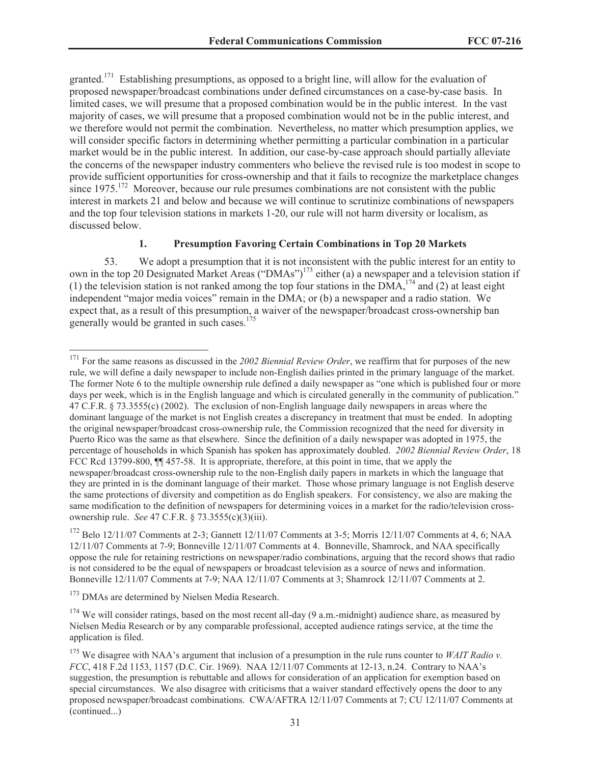granted.<sup>171</sup> Establishing presumptions, as opposed to a bright line, will allow for the evaluation of proposed newspaper/broadcast combinations under defined circumstances on a case-by-case basis. In limited cases, we will presume that a proposed combination would be in the public interest. In the vast majority of cases, we will presume that a proposed combination would not be in the public interest, and we therefore would not permit the combination. Nevertheless, no matter which presumption applies, we will consider specific factors in determining whether permitting a particular combination in a particular market would be in the public interest. In addition, our case-by-case approach should partially alleviate the concerns of the newspaper industry commenters who believe the revised rule is too modest in scope to provide sufficient opportunities for cross-ownership and that it fails to recognize the marketplace changes since  $1975$ <sup>172</sup> Moreover, because our rule presumes combinations are not consistent with the public interest in markets 21 and below and because we will continue to scrutinize combinations of newspapers and the top four television stations in markets 1-20, our rule will not harm diversity or localism, as discussed below.

#### **1. Presumption Favoring Certain Combinations in Top 20 Markets**

53. We adopt a presumption that it is not inconsistent with the public interest for an entity to own in the top 20 Designated Market Areas ("DMAs")<sup>173</sup> either (a) a newspaper and a television station if (1) the television station is not ranked among the top four stations in the DMA,<sup>174</sup> and (2) at least eight independent "major media voices" remain in the DMA; or (b) a newspaper and a radio station. We expect that, as a result of this presumption, a waiver of the newspaper/broadcast cross-ownership ban generally would be granted in such cases.<sup>175</sup>

<sup>&</sup>lt;sup>171</sup> For the same reasons as discussed in the *2002 Biennial Review Order*, we reaffirm that for purposes of the new rule, we will define a daily newspaper to include non-English dailies printed in the primary language of the market. The former Note 6 to the multiple ownership rule defined a daily newspaper as "one which is published four or more days per week, which is in the English language and which is circulated generally in the community of publication." 47 C.F.R. § 73.3555(c) (2002). The exclusion of non-English language daily newspapers in areas where the dominant language of the market is not English creates a discrepancy in treatment that must be ended. In adopting the original newspaper/broadcast cross-ownership rule, the Commission recognized that the need for diversity in Puerto Rico was the same as that elsewhere. Since the definition of a daily newspaper was adopted in 1975, the percentage of households in which Spanish has spoken has approximately doubled. *2002 Biennial Review Order*, 18 FCC Rcd 13799-800,  $\P$  457-58. It is appropriate, therefore, at this point in time, that we apply the newspaper/broadcast cross-ownership rule to the non-English daily papers in markets in which the language that they are printed in is the dominant language of their market. Those whose primary language is not English deserve the same protections of diversity and competition as do English speakers. For consistency, we also are making the same modification to the definition of newspapers for determining voices in a market for the radio/television crossownership rule. *See* 47 C.F.R. § 73.3555(c)(3)(iii).

 $172$  Belo 12/11/07 Comments at 2-3; Gannett 12/11/07 Comments at 3-5; Morris 12/11/07 Comments at 4, 6; NAA 12/11/07 Comments at 7-9; Bonneville 12/11/07 Comments at 4. Bonneville, Shamrock, and NAA specifically oppose the rule for retaining restrictions on newspaper/radio combinations, arguing that the record shows that radio is not considered to be the equal of newspapers or broadcast television as a source of news and information. Bonneville 12/11/07 Comments at 7-9; NAA 12/11/07 Comments at 3; Shamrock 12/11/07 Comments at 2.

<sup>&</sup>lt;sup>173</sup> DMAs are determined by Nielsen Media Research.

 $174$  We will consider ratings, based on the most recent all-day (9 a.m.-midnight) audience share, as measured by Nielsen Media Research or by any comparable professional, accepted audience ratings service, at the time the application is filed.

<sup>&</sup>lt;sup>175</sup> We disagree with NAA's argument that inclusion of a presumption in the rule runs counter to *WAIT Radio v*. *FCC*, 418 F.2d 1153, 1157 (D.C. Cir. 1969). NAA 12/11/07 Comments at 12-13, n.24. Contrary to NAA's suggestion, the presumption is rebuttable and allows for consideration of an application for exemption based on special circumstances. We also disagree with criticisms that a waiver standard effectively opens the door to any proposed newspaper/broadcast combinations. CWA/AFTRA 12/11/07 Comments at 7; CU 12/11/07 Comments at (continued...)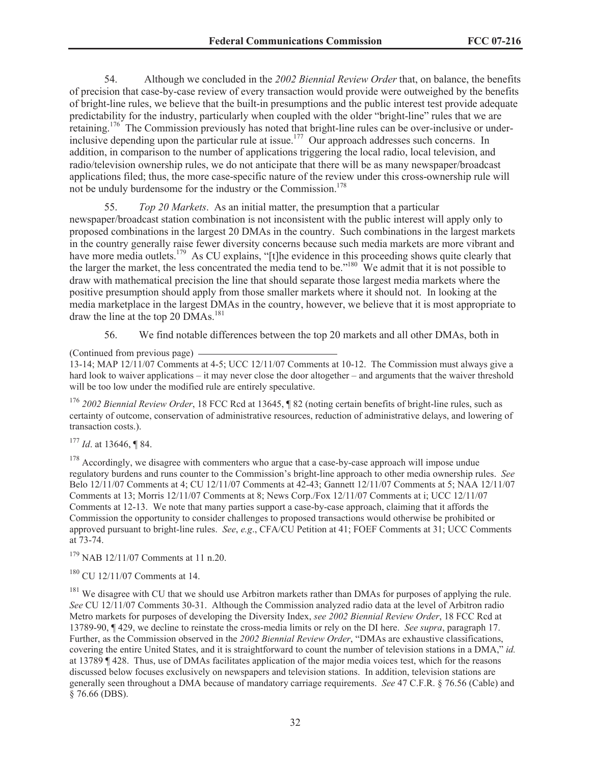54. Although we concluded in the *2002 Biennial Review Order* that, on balance, the benefits of precision that case-by-case review of every transaction would provide were outweighed by the benefits of bright-line rules, we believe that the built-in presumptions and the public interest test provide adequate predictability for the industry, particularly when coupled with the older "bright-line" rules that we are retaining.<sup>176</sup> The Commission previously has noted that bright-line rules can be over-inclusive or underinclusive depending upon the particular rule at issue.<sup>177</sup> Our approach addresses such concerns. In addition, in comparison to the number of applications triggering the local radio, local television, and radio/television ownership rules, we do not anticipate that there will be as many newspaper/broadcast applications filed; thus, the more case-specific nature of the review under this cross-ownership rule will not be unduly burdensome for the industry or the Commission.<sup>178</sup>

55. *Top 20 Markets*. As an initial matter, the presumption that a particular newspaper/broadcast station combination is not inconsistent with the public interest will apply only to proposed combinations in the largest 20 DMAs in the country. Such combinations in the largest markets in the country generally raise fewer diversity concerns because such media markets are more vibrant and have more media outlets.<sup>179</sup> As CU explains, "[t]he evidence in this proceeding shows quite clearly that the larger the market, the less concentrated the media tend to be."<sup>180</sup> We admit that it is not possible to draw with mathematical precision the line that should separate those largest media markets where the positive presumption should apply from those smaller markets where it should not. In looking at the media marketplace in the largest DMAs in the country, however, we believe that it is most appropriate to draw the line at the top 20 DMAs.<sup>181</sup>

56. We find notable differences between the top 20 markets and all other DMAs, both in

(Continued from previous page)

13-14; MAP 12/11/07 Comments at 4-5; UCC 12/11/07 Comments at 10-12. The Commission must always give a hard look to waiver applications – it may never close the door altogether – and arguments that the waiver threshold will be too low under the modified rule are entirely speculative.

<sup>176</sup> *2002 Biennial Review Order*, 18 FCC Rcd at 13645, ¶ 82 (noting certain benefits of bright-line rules, such as certainty of outcome, conservation of administrative resources, reduction of administrative delays, and lowering of transaction costs.).

<sup>177</sup> *Id*. at 13646, ¶ 84.

 $178$  Accordingly, we disagree with commenters who argue that a case-by-case approach will impose undue regulatory burdens and runs counter to the Commission's bright-line approach to other media ownership rules. *See* Belo 12/11/07 Comments at 4; CU 12/11/07 Comments at 42-43; Gannett 12/11/07 Comments at 5; NAA 12/11/07 Comments at 13; Morris 12/11/07 Comments at 8; News Corp./Fox 12/11/07 Comments at i; UCC 12/11/07 Comments at 12-13. We note that many parties support a case-by-case approach, claiming that it affords the Commission the opportunity to consider challenges to proposed transactions would otherwise be prohibited or approved pursuant to bright-line rules. *See*, *e.g*., CFA/CU Petition at 41; FOEF Comments at 31; UCC Comments at 73-74.

<sup>179</sup> NAB 12/11/07 Comments at 11 n.20.

<sup>180</sup> CU 12/11/07 Comments at 14.

 $181$  We disagree with CU that we should use Arbitron markets rather than DMAs for purposes of applying the rule. *See* CU 12/11/07 Comments 30-31. Although the Commission analyzed radio data at the level of Arbitron radio Metro markets for purposes of developing the Diversity Index, *see 2002 Biennial Review Order*, 18 FCC Rcd at 13789-90, ¶ 429, we decline to reinstate the cross-media limits or rely on the DI here. *See supra*, paragraph 17. Further, as the Commission observed in the *2002 Biennial Review Order*, "DMAs are exhaustive classifications, covering the entire United States, and it is straightforward to count the number of television stations in a DMA," *id.*  at 13789 ¶ 428. Thus, use of DMAs facilitates application of the major media voices test, which for the reasons discussed below focuses exclusively on newspapers and television stations. In addition, television stations are generally seen throughout a DMA because of mandatory carriage requirements. *See* 47 C.F.R. § 76.56 (Cable) and § 76.66 (DBS).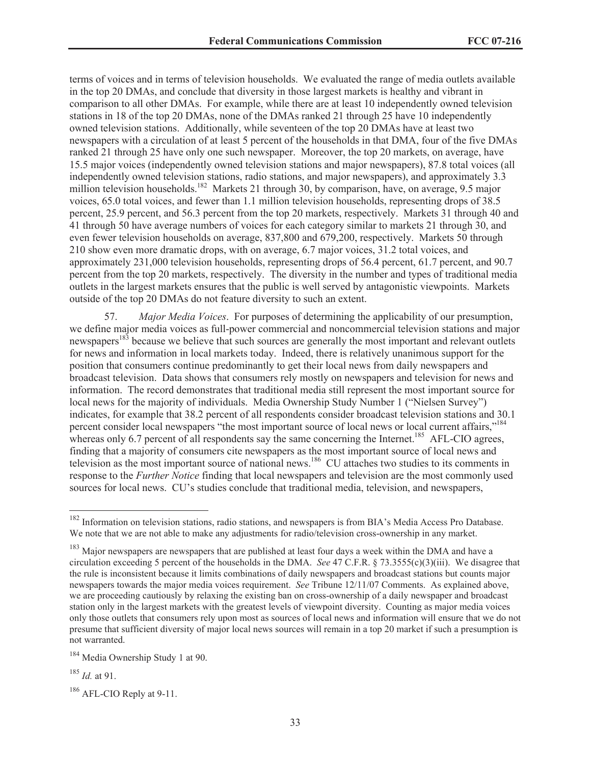terms of voices and in terms of television households. We evaluated the range of media outlets available in the top 20 DMAs, and conclude that diversity in those largest markets is healthy and vibrant in comparison to all other DMAs. For example, while there are at least 10 independently owned television stations in 18 of the top 20 DMAs, none of the DMAs ranked 21 through 25 have 10 independently owned television stations. Additionally, while seventeen of the top 20 DMAs have at least two newspapers with a circulation of at least 5 percent of the households in that DMA, four of the five DMAs ranked 21 through 25 have only one such newspaper. Moreover, the top 20 markets, on average, have 15.5 major voices (independently owned television stations and major newspapers), 87.8 total voices (all independently owned television stations, radio stations, and major newspapers), and approximately 3.3 million television households.<sup>182</sup> Markets 21 through 30, by comparison, have, on average, 9.5 major voices, 65.0 total voices, and fewer than 1.1 million television households, representing drops of 38.5 percent, 25.9 percent, and 56.3 percent from the top 20 markets, respectively. Markets 31 through 40 and 41 through 50 have average numbers of voices for each category similar to markets 21 through 30, and even fewer television households on average, 837,800 and 679,200, respectively. Markets 50 through 210 show even more dramatic drops, with on average, 6.7 major voices, 31.2 total voices, and approximately 231,000 television households, representing drops of 56.4 percent, 61.7 percent, and 90.7 percent from the top 20 markets, respectively. The diversity in the number and types of traditional media outlets in the largest markets ensures that the public is well served by antagonistic viewpoints. Markets outside of the top 20 DMAs do not feature diversity to such an extent.

57. *Major Media Voices*. For purposes of determining the applicability of our presumption, we define major media voices as full-power commercial and noncommercial television stations and major newspapers<sup>183</sup> because we believe that such sources are generally the most important and relevant outlets for news and information in local markets today. Indeed, there is relatively unanimous support for the position that consumers continue predominantly to get their local news from daily newspapers and broadcast television. Data shows that consumers rely mostly on newspapers and television for news and information. The record demonstrates that traditional media still represent the most important source for local news for the majority of individuals. Media Ownership Study Number 1 ("Nielsen Survey") indicates, for example that 38.2 percent of all respondents consider broadcast television stations and 30.1 percent consider local newspapers "the most important source of local news or local current affairs,"<sup>184</sup> whereas only 6.7 percent of all respondents say the same concerning the Internet.<sup>185</sup> AFL-CIO agrees, finding that a majority of consumers cite newspapers as the most important source of local news and television as the most important source of national news.<sup>186</sup> CU attaches two studies to its comments in response to the *Further Notice* finding that local newspapers and television are the most commonly used sources for local news. CU's studies conclude that traditional media, television, and newspapers,

<sup>&</sup>lt;sup>182</sup> Information on television stations, radio stations, and newspapers is from BIA's Media Access Pro Database. We note that we are not able to make any adjustments for radio/television cross-ownership in any market.

<sup>&</sup>lt;sup>183</sup> Major newspapers are newspapers that are published at least four days a week within the DMA and have a circulation exceeding 5 percent of the households in the DMA. *See* 47 C.F.R. § 73.3555(c)(3)(iii). We disagree that the rule is inconsistent because it limits combinations of daily newspapers and broadcast stations but counts major newspapers towards the major media voices requirement. *See* Tribune 12/11/07 Comments. As explained above, we are proceeding cautiously by relaxing the existing ban on cross-ownership of a daily newspaper and broadcast station only in the largest markets with the greatest levels of viewpoint diversity. Counting as major media voices only those outlets that consumers rely upon most as sources of local news and information will ensure that we do not presume that sufficient diversity of major local news sources will remain in a top 20 market if such a presumption is not warranted.

<sup>&</sup>lt;sup>184</sup> Media Ownership Study 1 at 90.

<sup>185</sup> *Id.* at 91.

 $186$  AFL-CIO Reply at 9-11.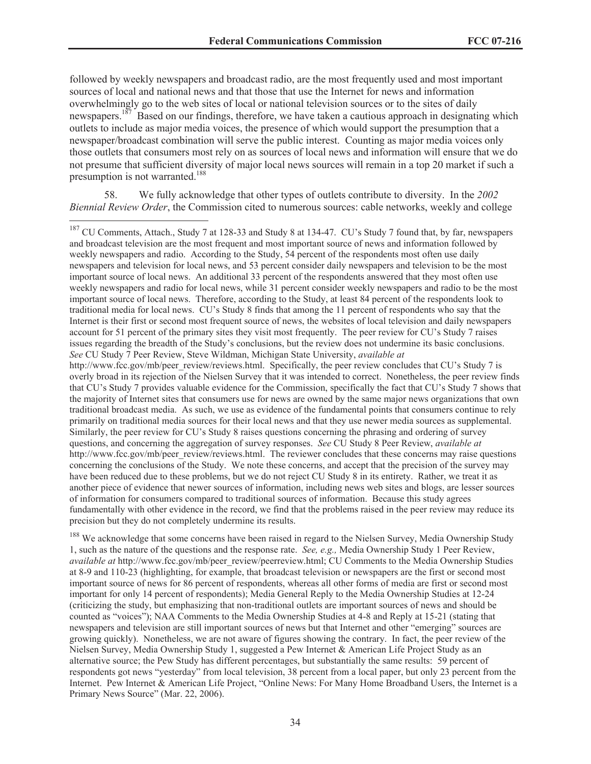followed by weekly newspapers and broadcast radio, are the most frequently used and most important sources of local and national news and that those that use the Internet for news and information overwhelmingly go to the web sites of local or national television sources or to the sites of daily newspapers.<sup>187</sup> Based on our findings, therefore, we have taken a cautious approach in designating which outlets to include as major media voices, the presence of which would support the presumption that a newspaper/broadcast combination will serve the public interest. Counting as major media voices only those outlets that consumers most rely on as sources of local news and information will ensure that we do not presume that sufficient diversity of major local news sources will remain in a top 20 market if such a presumption is not warranted.<sup>188</sup>

58. We fully acknowledge that other types of outlets contribute to diversity. In the *2002 Biennial Review Order*, the Commission cited to numerous sources: cable networks, weekly and college

<sup>188</sup> We acknowledge that some concerns have been raised in regard to the Nielsen Survey, Media Ownership Study 1, such as the nature of the questions and the response rate. *See, e.g.,* Media Ownership Study 1 Peer Review, *available at* http://www.fcc.gov/mb/peer\_review/peerreview.html; CU Comments to the Media Ownership Studies at 8-9 and 110-23 (highlighting, for example, that broadcast television or newspapers are the first or second most important source of news for 86 percent of respondents, whereas all other forms of media are first or second most important for only 14 percent of respondents); Media General Reply to the Media Ownership Studies at 12-24 (criticizing the study, but emphasizing that non-traditional outlets are important sources of news and should be counted as "voices"); NAA Comments to the Media Ownership Studies at 4-8 and Reply at 15-21 (stating that newspapers and television are still important sources of news but that Internet and other "emerging" sources are growing quickly). Nonetheless, we are not aware of figures showing the contrary. In fact, the peer review of the Nielsen Survey, Media Ownership Study 1, suggested a Pew Internet & American Life Project Study as an alternative source; the Pew Study has different percentages, but substantially the same results: 59 percent of respondents got news "yesterday" from local television, 38 percent from a local paper, but only 23 percent from the Internet. Pew Internet & American Life Project, "Online News: For Many Home Broadband Users, the Internet is a Primary News Source" (Mar. 22, 2006).

<sup>&</sup>lt;sup>187</sup> CU Comments, Attach., Study 7 at 128-33 and Study 8 at 134-47. CU's Study 7 found that, by far, newspapers and broadcast television are the most frequent and most important source of news and information followed by weekly newspapers and radio. According to the Study, 54 percent of the respondents most often use daily newspapers and television for local news, and 53 percent consider daily newspapers and television to be the most important source of local news. An additional 33 percent of the respondents answered that they most often use weekly newspapers and radio for local news, while 31 percent consider weekly newspapers and radio to be the most important source of local news. Therefore, according to the Study, at least 84 percent of the respondents look to traditional media for local news. CU's Study 8 finds that among the 11 percent of respondents who say that the Internet is their first or second most frequent source of news, the websites of local television and daily newspapers account for 51 percent of the primary sites they visit most frequently. The peer review for CU's Study 7 raises issues regarding the breadth of the Study's conclusions, but the review does not undermine its basic conclusions. *See* CU Study 7 Peer Review, Steve Wildman, Michigan State University, *available at* http://www.fcc.gov/mb/peer\_review/reviews.html. Specifically, the peer review concludes that CU's Study 7 is overly broad in its rejection of the Nielsen Survey that it was intended to correct. Nonetheless, the peer review finds that CU's Study 7 provides valuable evidence for the Commission, specifically the fact that CU's Study 7 shows that the majority of Internet sites that consumers use for news are owned by the same major news organizations that own traditional broadcast media. As such, we use as evidence of the fundamental points that consumers continue to rely primarily on traditional media sources for their local news and that they use newer media sources as supplemental. Similarly, the peer review for CU's Study 8 raises questions concerning the phrasing and ordering of survey questions, and concerning the aggregation of survey responses. *See* CU Study 8 Peer Review, *available at* http://www.fcc.gov/mb/peer\_review/reviews.html. The reviewer concludes that these concerns may raise questions concerning the conclusions of the Study. We note these concerns, and accept that the precision of the survey may have been reduced due to these problems, but we do not reject CU Study 8 in its entirety. Rather, we treat it as another piece of evidence that newer sources of information, including news web sites and blogs, are lesser sources of information for consumers compared to traditional sources of information. Because this study agrees fundamentally with other evidence in the record, we find that the problems raised in the peer review may reduce its precision but they do not completely undermine its results.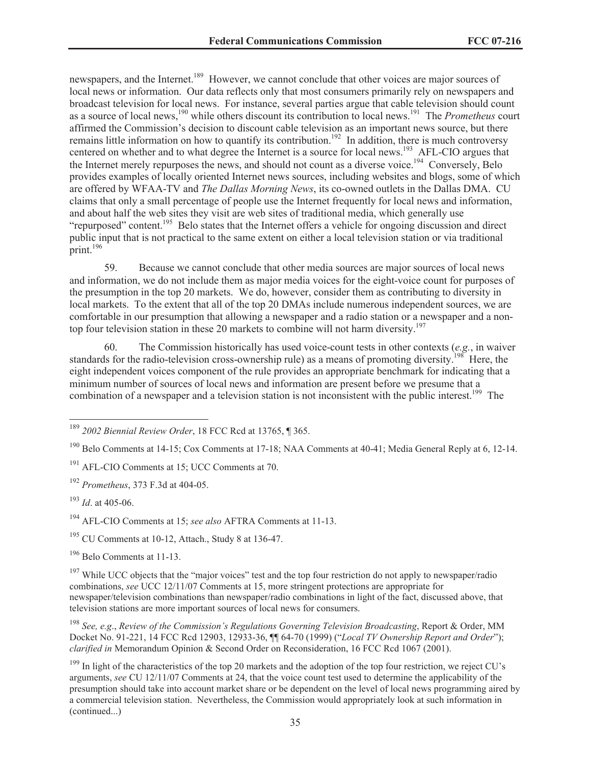newspapers, and the Internet.<sup>189</sup> However, we cannot conclude that other voices are major sources of local news or information. Our data reflects only that most consumers primarily rely on newspapers and broadcast television for local news. For instance, several parties argue that cable television should count as a source of local news,<sup>190</sup> while others discount its contribution to local news.<sup>191</sup> The *Prometheus* court affirmed the Commission's decision to discount cable television as an important news source, but there remains little information on how to quantify its contribution.<sup>192</sup> In addition, there is much controversy centered on whether and to what degree the Internet is a source for local news.<sup>193</sup> AFL-CIO argues that the Internet merely repurposes the news, and should not count as a diverse voice.<sup>194</sup> Conversely, Belo provides examples of locally oriented Internet news sources, including websites and blogs, some of which are offered by WFAA-TV and *The Dallas Morning News*, its co-owned outlets in the Dallas DMA. CU claims that only a small percentage of people use the Internet frequently for local news and information, and about half the web sites they visit are web sites of traditional media, which generally use "repurposed" content.<sup>195</sup> Belo states that the Internet offers a vehicle for ongoing discussion and direct public input that is not practical to the same extent on either a local television station or via traditional  $\arcsin 196$ 

59. Because we cannot conclude that other media sources are major sources of local news and information, we do not include them as major media voices for the eight-voice count for purposes of the presumption in the top 20 markets. We do, however, consider them as contributing to diversity in local markets. To the extent that all of the top 20 DMAs include numerous independent sources, we are comfortable in our presumption that allowing a newspaper and a radio station or a newspaper and a nontop four television station in these 20 markets to combine will not harm diversity.<sup>197</sup>

60. The Commission historically has used voice-count tests in other contexts (*e.g.*, in waiver standards for the radio-television cross-ownership rule) as a means of promoting diversity.<sup>198</sup> Here, the eight independent voices component of the rule provides an appropriate benchmark for indicating that a minimum number of sources of local news and information are present before we presume that a combination of a newspaper and a television station is not inconsistent with the public interest.<sup>199</sup> The

<sup>194</sup> AFL-CIO Comments at 15; *see also* AFTRA Comments at 11-13.

 $195$  CU Comments at 10-12, Attach., Study 8 at 136-47.

<sup>196</sup> Belo Comments at 11-13.

<sup>197</sup> While UCC objects that the "major voices" test and the top four restriction do not apply to newspaper/radio combinations, *see* UCC 12/11/07 Comments at 15, more stringent protections are appropriate for newspaper/television combinations than newspaper/radio combinations in light of the fact, discussed above, that television stations are more important sources of local news for consumers.

<sup>198</sup> *See, e.g*., *Review of the Commission's Regulations Governing Television Broadcasting*, Report & Order, MM Docket No. 91-221, 14 FCC Rcd 12903, 12933-36, ¶¶ 64-70 (1999) ("*Local TV Ownership Report and Order*"); *clarified in* Memorandum Opinion & Second Order on Reconsideration, 16 FCC Rcd 1067 (2001).

 $199$  In light of the characteristics of the top 20 markets and the adoption of the top four restriction, we reject CU's arguments, *see* CU 12/11/07 Comments at 24, that the voice count test used to determine the applicability of the presumption should take into account market share or be dependent on the level of local news programming aired by a commercial television station. Nevertheless, the Commission would appropriately look at such information in (continued...)

<sup>189</sup> *2002 Biennial Review Order*, 18 FCC Rcd at 13765, ¶ 365.

<sup>190</sup> Belo Comments at 14-15; Cox Comments at 17-18; NAA Comments at 40-41; Media General Reply at 6, 12-14.

<sup>191</sup> AFL-CIO Comments at 15; UCC Comments at 70.

<sup>192</sup> *Prometheus*, 373 F.3d at 404-05.

<sup>193</sup> *Id*. at 405-06.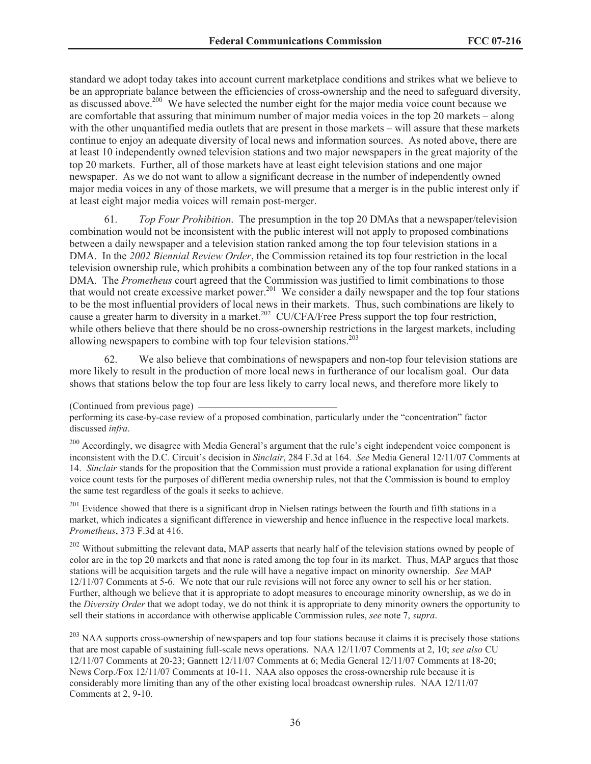standard we adopt today takes into account current marketplace conditions and strikes what we believe to be an appropriate balance between the efficiencies of cross-ownership and the need to safeguard diversity, as discussed above.<sup>200</sup> We have selected the number eight for the major media voice count because we are comfortable that assuring that minimum number of major media voices in the top 20 markets – along with the other unquantified media outlets that are present in those markets – will assure that these markets continue to enjoy an adequate diversity of local news and information sources. As noted above, there are at least 10 independently owned television stations and two major newspapers in the great majority of the top 20 markets. Further, all of those markets have at least eight television stations and one major newspaper. As we do not want to allow a significant decrease in the number of independently owned major media voices in any of those markets, we will presume that a merger is in the public interest only if at least eight major media voices will remain post-merger.

61. *Top Four Prohibition*. The presumption in the top 20 DMAs that a newspaper/television combination would not be inconsistent with the public interest will not apply to proposed combinations between a daily newspaper and a television station ranked among the top four television stations in a DMA. In the *2002 Biennial Review Order*, the Commission retained its top four restriction in the local television ownership rule, which prohibits a combination between any of the top four ranked stations in a DMA. The *Prometheus* court agreed that the Commission was justified to limit combinations to those that would not create excessive market power.<sup>201</sup> We consider a daily newspaper and the top four stations to be the most influential providers of local news in their markets. Thus, such combinations are likely to cause a greater harm to diversity in a market.<sup>202</sup> CU/CFA/Free Press support the top four restriction, while others believe that there should be no cross-ownership restrictions in the largest markets, including allowing newspapers to combine with top four television stations.<sup>203</sup>

62. We also believe that combinations of newspapers and non-top four television stations are more likely to result in the production of more local news in furtherance of our localism goal. Our data shows that stations below the top four are less likely to carry local news, and therefore more likely to

<sup>200</sup> Accordingly, we disagree with Media General's argument that the rule's eight independent voice component is inconsistent with the D.C. Circuit's decision in *Sinclair*, 284 F.3d at 164. *See* Media General 12/11/07 Comments at 14. *Sinclair* stands for the proposition that the Commission must provide a rational explanation for using different voice count tests for the purposes of different media ownership rules, not that the Commission is bound to employ the same test regardless of the goals it seeks to achieve.

<sup>201</sup> Evidence showed that there is a significant drop in Nielsen ratings between the fourth and fifth stations in a market, which indicates a significant difference in viewership and hence influence in the respective local markets. *Prometheus*, 373 F.3d at 416.

<sup>202</sup> Without submitting the relevant data, MAP asserts that nearly half of the television stations owned by people of color are in the top 20 markets and that none is rated among the top four in its market. Thus, MAP argues that those stations will be acquisition targets and the rule will have a negative impact on minority ownership. *See* MAP 12/11/07 Comments at 5-6. We note that our rule revisions will not force any owner to sell his or her station. Further, although we believe that it is appropriate to adopt measures to encourage minority ownership, as we do in the *Diversity Order* that we adopt today, we do not think it is appropriate to deny minority owners the opportunity to sell their stations in accordance with otherwise applicable Commission rules, *see* note 7, *supra*.

<sup>203</sup> NAA supports cross-ownership of newspapers and top four stations because it claims it is precisely those stations that are most capable of sustaining full-scale news operations. NAA 12/11/07 Comments at 2, 10; *see also* CU 12/11/07 Comments at 20-23; Gannett 12/11/07 Comments at 6; Media General 12/11/07 Comments at 18-20; News Corp./Fox 12/11/07 Comments at 10-11. NAA also opposes the cross-ownership rule because it is considerably more limiting than any of the other existing local broadcast ownership rules. NAA 12/11/07 Comments at 2, 9-10.

<sup>(</sup>Continued from previous page)

performing its case-by-case review of a proposed combination, particularly under the "concentration" factor discussed *infra*.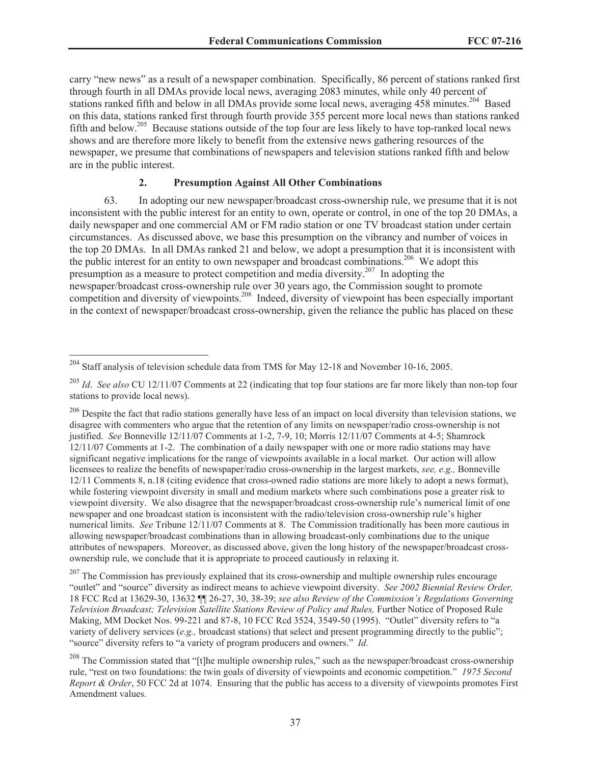carry "new news" as a result of a newspaper combination. Specifically, 86 percent of stations ranked first through fourth in all DMAs provide local news, averaging 2083 minutes, while only 40 percent of stations ranked fifth and below in all DMAs provide some local news, averaging 458 minutes.<sup>204</sup> Based on this data, stations ranked first through fourth provide 355 percent more local news than stations ranked fifth and below.<sup>205</sup> Because stations outside of the top four are less likely to have top-ranked local news shows and are therefore more likely to benefit from the extensive news gathering resources of the newspaper, we presume that combinations of newspapers and television stations ranked fifth and below are in the public interest.

## **2. Presumption Against All Other Combinations**

63. In adopting our new newspaper/broadcast cross-ownership rule, we presume that it is not inconsistent with the public interest for an entity to own, operate or control, in one of the top 20 DMAs, a daily newspaper and one commercial AM or FM radio station or one TV broadcast station under certain circumstances. As discussed above, we base this presumption on the vibrancy and number of voices in the top 20 DMAs. In all DMAs ranked 21 and below, we adopt a presumption that it is inconsistent with the public interest for an entity to own newspaper and broadcast combinations.<sup>206</sup> We adopt this presumption as a measure to protect competition and media diversity.<sup>207</sup> In adopting the newspaper/broadcast cross-ownership rule over 30 years ago, the Commission sought to promote competition and diversity of viewpoints.<sup>208</sup> Indeed, diversity of viewpoint has been especially important in the context of newspaper/broadcast cross-ownership, given the reliance the public has placed on these

 $204$  Staff analysis of television schedule data from TMS for May 12-18 and November 10-16, 2005.

<sup>205</sup> *Id*. *See also* CU 12/11/07 Comments at 22 (indicating that top four stations are far more likely than non-top four stations to provide local news).

 $206$  Despite the fact that radio stations generally have less of an impact on local diversity than television stations, we disagree with commenters who argue that the retention of any limits on newspaper/radio cross-ownership is not justified. *See* Bonneville 12/11/07 Comments at 1-2, 7-9, 10; Morris 12/11/07 Comments at 4-5; Shamrock 12/11/07 Comments at 1-2. The combination of a daily newspaper with one or more radio stations may have significant negative implications for the range of viewpoints available in a local market. Our action will allow licensees to realize the benefits of newspaper/radio cross-ownership in the largest markets, *see, e.g.,* Bonneville 12/11 Comments 8, n.18 (citing evidence that cross-owned radio stations are more likely to adopt a news format), while fostering viewpoint diversity in small and medium markets where such combinations pose a greater risk to viewpoint diversity. We also disagree that the newspaper/broadcast cross-ownership rule's numerical limit of one newspaper and one broadcast station is inconsistent with the radio/television cross-ownership rule's higher numerical limits. *See* Tribune 12/11/07 Comments at 8. The Commission traditionally has been more cautious in allowing newspaper/broadcast combinations than in allowing broadcast-only combinations due to the unique attributes of newspapers. Moreover, as discussed above, given the long history of the newspaper/broadcast crossownership rule, we conclude that it is appropriate to proceed cautiously in relaxing it.

<sup>&</sup>lt;sup>207</sup> The Commission has previously explained that its cross-ownership and multiple ownership rules encourage "outlet" and "source" diversity as indirect means to achieve viewpoint diversity. *See 2002 Biennial Review Order,*  18 FCC Rcd at 13629-30, 13632 ¶¶ 26-27, 30, 38-39; *see also Review of the Commission's Regulations Governing Television Broadcast; Television Satellite Stations Review of Policy and Rules,* Further Notice of Proposed Rule Making, MM Docket Nos. 99-221 and 87-8, 10 FCC Rcd 3524, 3549-50 (1995). "Outlet" diversity refers to "a variety of delivery services (*e.g.,* broadcast stations) that select and present programming directly to the public"; "source" diversity refers to "a variety of program producers and owners." *Id.*

 $^{208}$  The Commission stated that "[t]he multiple ownership rules," such as the newspaper/broadcast cross-ownership rule, "rest on two foundations: the twin goals of diversity of viewpoints and economic competition." *1975 Second Report & Order*, 50 FCC 2d at 1074. Ensuring that the public has access to a diversity of viewpoints promotes First Amendment values.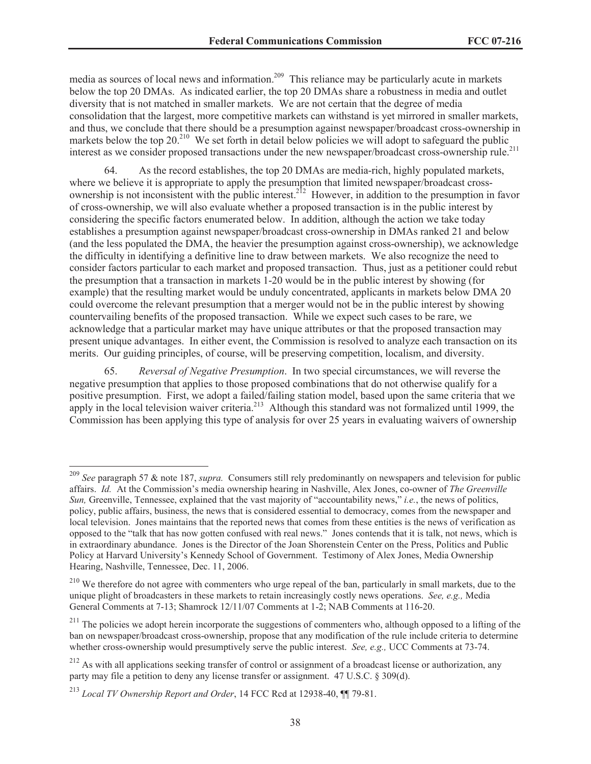media as sources of local news and information.<sup>209</sup> This reliance may be particularly acute in markets below the top 20 DMAs. As indicated earlier, the top 20 DMAs share a robustness in media and outlet diversity that is not matched in smaller markets. We are not certain that the degree of media consolidation that the largest, more competitive markets can withstand is yet mirrored in smaller markets, and thus, we conclude that there should be a presumption against newspaper/broadcast cross-ownership in markets below the top  $20^{210}$  We set forth in detail below policies we will adopt to safeguard the public interest as we consider proposed transactions under the new newspaper/broadcast cross-ownership rule.<sup>211</sup>

64. As the record establishes, the top 20 DMAs are media-rich, highly populated markets, where we believe it is appropriate to apply the presumption that limited newspaper/broadcast crossownership is not inconsistent with the public interest.<sup>212</sup> However, in addition to the presumption in favor of cross-ownership, we will also evaluate whether a proposed transaction is in the public interest by considering the specific factors enumerated below. In addition, although the action we take today establishes a presumption against newspaper/broadcast cross-ownership in DMAs ranked 21 and below (and the less populated the DMA, the heavier the presumption against cross-ownership), we acknowledge the difficulty in identifying a definitive line to draw between markets. We also recognize the need to consider factors particular to each market and proposed transaction. Thus, just as a petitioner could rebut the presumption that a transaction in markets 1-20 would be in the public interest by showing (for example) that the resulting market would be unduly concentrated, applicants in markets below DMA 20 could overcome the relevant presumption that a merger would not be in the public interest by showing countervailing benefits of the proposed transaction. While we expect such cases to be rare, we acknowledge that a particular market may have unique attributes or that the proposed transaction may present unique advantages. In either event, the Commission is resolved to analyze each transaction on its merits. Our guiding principles, of course, will be preserving competition, localism, and diversity.

65. *Reversal of Negative Presumption*. In two special circumstances, we will reverse the negative presumption that applies to those proposed combinations that do not otherwise qualify for a positive presumption. First, we adopt a failed/failing station model, based upon the same criteria that we positive presumption. This, we use the time summer criteria.<sup>213</sup> Although this standard was not formalized until 1999, the Commission has been applying this type of analysis for over 25 years in evaluating waivers of ownership

<sup>209</sup> *See* paragraph 57 & note 187, *supra.* Consumers still rely predominantly on newspapers and television for public affairs. *Id.* At the Commission's media ownership hearing in Nashville, Alex Jones, co-owner of *The Greenville Sun,* Greenville, Tennessee, explained that the vast majority of "accountability news," *i.e.*, the news of politics, policy, public affairs, business, the news that is considered essential to democracy, comes from the newspaper and local television. Jones maintains that the reported news that comes from these entities is the news of verification as opposed to the "talk that has now gotten confused with real news." Jones contends that it is talk, not news, which is in extraordinary abundance. Jones is the Director of the Joan Shorenstein Center on the Press, Politics and Public Policy at Harvard University's Kennedy School of Government. Testimony of Alex Jones, Media Ownership Hearing, Nashville, Tennessee, Dec. 11, 2006.

<sup>&</sup>lt;sup>210</sup> We therefore do not agree with commenters who urge repeal of the ban, particularly in small markets, due to the unique plight of broadcasters in these markets to retain increasingly costly news operations. *See, e.g.,* Media General Comments at 7-13; Shamrock 12/11/07 Comments at 1-2; NAB Comments at 116-20.

<sup>&</sup>lt;sup>211</sup> The policies we adopt herein incorporate the suggestions of commenters who, although opposed to a lifting of the ban on newspaper/broadcast cross-ownership, propose that any modification of the rule include criteria to determine whether cross-ownership would presumptively serve the public interest. *See, e.g.,* UCC Comments at 73-74.

 $212$  As with all applications seeking transfer of control or assignment of a broadcast license or authorization, any party may file a petition to deny any license transfer or assignment. 47 U.S.C. § 309(d).

<sup>213</sup> *Local TV Ownership Report and Order*, 14 FCC Rcd at 12938-40, ¶¶ 79-81.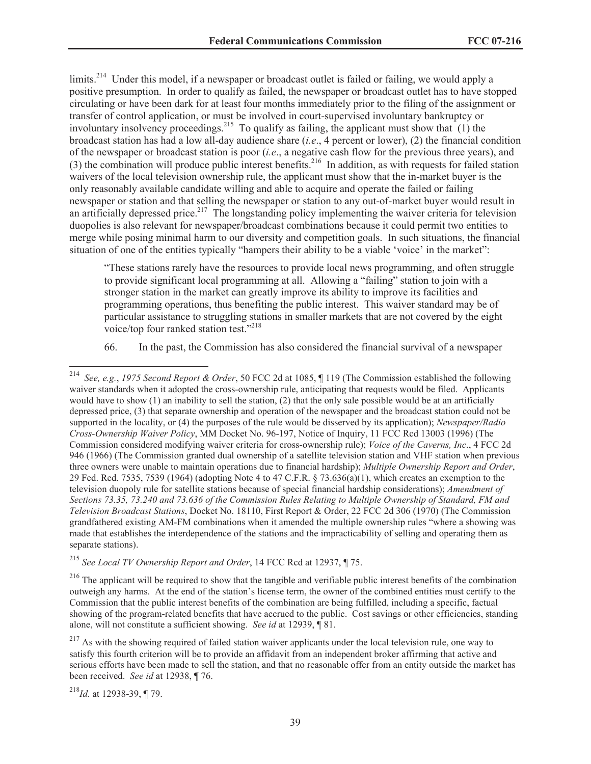limits.<sup>214</sup> Under this model, if a newspaper or broadcast outlet is failed or failing, we would apply a positive presumption. In order to qualify as failed, the newspaper or broadcast outlet has to have stopped circulating or have been dark for at least four months immediately prior to the filing of the assignment or transfer of control application, or must be involved in court-supervised involuntary bankruptcy or involuntary insolvency proceedings.<sup>215</sup> To qualify as failing, the applicant must show that (1) the broadcast station has had a low all-day audience share (*i.e*., 4 percent or lower), (2) the financial condition of the newspaper or broadcast station is poor (*i.e*., a negative cash flow for the previous three years), and (3) the combination will produce public interest benefits.<sup>216</sup> In addition, as with requests for failed station waivers of the local television ownership rule, the applicant must show that the in-market buyer is the only reasonably available candidate willing and able to acquire and operate the failed or failing newspaper or station and that selling the newspaper or station to any out-of-market buyer would result in an artificially depressed price.<sup>217</sup> The longstanding policy implementing the waiver criteria for television duopolies is also relevant for newspaper/broadcast combinations because it could permit two entities to merge while posing minimal harm to our diversity and competition goals. In such situations, the financial situation of one of the entities typically "hampers their ability to be a viable 'voice' in the market":

"These stations rarely have the resources to provide local news programming, and often struggle to provide significant local programming at all. Allowing a "failing" station to join with a stronger station in the market can greatly improve its ability to improve its facilities and programming operations, thus benefiting the public interest. This waiver standard may be of particular assistance to struggling stations in smaller markets that are not covered by the eight voice/top four ranked station test."<sup>218</sup>

66. In the past, the Commission has also considered the financial survival of a newspaper

<sup>214</sup> *See, e.g.*, *1975 Second Report & Order*, 50 FCC 2d at 1085, ¶ 119 (The Commission established the following waiver standards when it adopted the cross-ownership rule, anticipating that requests would be filed. Applicants would have to show (1) an inability to sell the station, (2) that the only sale possible would be at an artificially depressed price, (3) that separate ownership and operation of the newspaper and the broadcast station could not be supported in the locality, or (4) the purposes of the rule would be disserved by its application); *Newspaper/Radio Cross-Ownership Waiver Policy*, MM Docket No. 96-197, Notice of Inquiry, 11 FCC Rcd 13003 (1996) (The Commission considered modifying waiver criteria for cross-ownership rule); *Voice of the Caverns, Inc*., 4 FCC 2d 946 (1966) (The Commission granted dual ownership of a satellite television station and VHF station when previous three owners were unable to maintain operations due to financial hardship); *Multiple Ownership Report and Order*, 29 Fed. Red. 7535, 7539 (1964) (adopting Note 4 to 47 C.F.R. § 73.636(a)(1), which creates an exemption to the television duopoly rule for satellite stations because of special financial hardship considerations); *Amendment of Sections 73.35, 73.240 and 73.636 of the Commission Rules Relating to Multiple Ownership of Standard, FM and Television Broadcast Stations*, Docket No. 18110, First Report & Order, 22 FCC 2d 306 (1970) (The Commission grandfathered existing AM-FM combinations when it amended the multiple ownership rules "where a showing was made that establishes the interdependence of the stations and the impracticability of selling and operating them as separate stations).

<sup>215</sup> *See Local TV Ownership Report and Order*, 14 FCC Rcd at 12937, ¶ 75.

 $^{216}$  The applicant will be required to show that the tangible and verifiable public interest benefits of the combination outweigh any harms. At the end of the station's license term, the owner of the combined entities must certify to the Commission that the public interest benefits of the combination are being fulfilled, including a specific, factual showing of the program-related benefits that have accrued to the public. Cost savings or other efficiencies, standing alone, will not constitute a sufficient showing. *See id* at 12939, ¶ 81.

<sup>&</sup>lt;sup>217</sup> As with the showing required of failed station waiver applicants under the local television rule, one way to satisfy this fourth criterion will be to provide an affidavit from an independent broker affirming that active and serious efforts have been made to sell the station, and that no reasonable offer from an entity outside the market has been received. *See id* at 12938, ¶ 76.

<sup>218</sup>*Id.* at 12938-39, ¶ 79.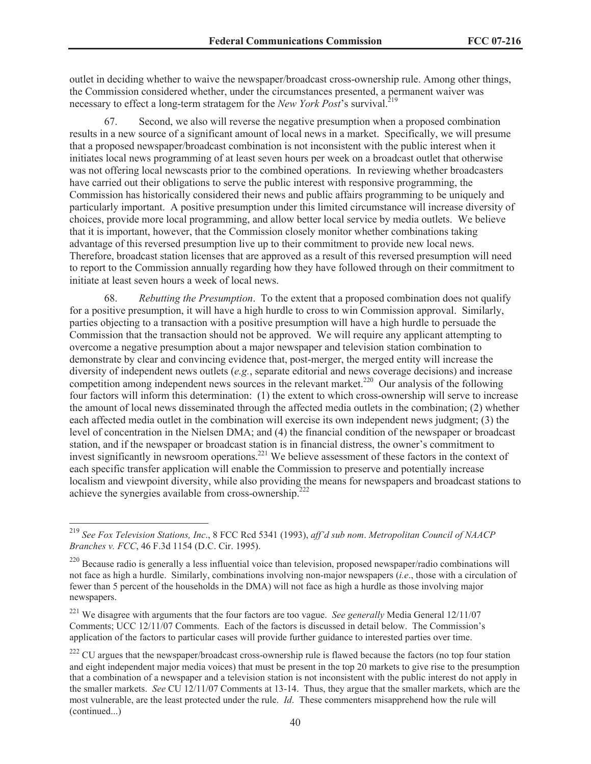outlet in deciding whether to waive the newspaper/broadcast cross-ownership rule. Among other things, the Commission considered whether, under the circumstances presented, a permanent waiver was necessary to effect a long-term stratagem for the *New York Post*'s survival.<sup>219</sup>

67. Second, we also will reverse the negative presumption when a proposed combination results in a new source of a significant amount of local news in a market. Specifically, we will presume that a proposed newspaper/broadcast combination is not inconsistent with the public interest when it initiates local news programming of at least seven hours per week on a broadcast outlet that otherwise was not offering local newscasts prior to the combined operations. In reviewing whether broadcasters have carried out their obligations to serve the public interest with responsive programming, the Commission has historically considered their news and public affairs programming to be uniquely and particularly important. A positive presumption under this limited circumstance will increase diversity of choices, provide more local programming, and allow better local service by media outlets. We believe that it is important, however, that the Commission closely monitor whether combinations taking advantage of this reversed presumption live up to their commitment to provide new local news. Therefore, broadcast station licenses that are approved as a result of this reversed presumption will need to report to the Commission annually regarding how they have followed through on their commitment to initiate at least seven hours a week of local news.

68. *Rebutting the Presumption*. To the extent that a proposed combination does not qualify for a positive presumption, it will have a high hurdle to cross to win Commission approval. Similarly, parties objecting to a transaction with a positive presumption will have a high hurdle to persuade the Commission that the transaction should not be approved. We will require any applicant attempting to overcome a negative presumption about a major newspaper and television station combination to demonstrate by clear and convincing evidence that, post-merger, the merged entity will increase the diversity of independent news outlets (*e.g.*, separate editorial and news coverage decisions) and increase competition among independent news sources in the relevant market.<sup>220</sup> Our analysis of the following four factors will inform this determination: (1) the extent to which cross-ownership will serve to increase the amount of local news disseminated through the affected media outlets in the combination; (2) whether each affected media outlet in the combination will exercise its own independent news judgment; (3) the level of concentration in the Nielsen DMA; and (4) the financial condition of the newspaper or broadcast station, and if the newspaper or broadcast station is in financial distress, the owner's commitment to invest significantly in newsroom operations.<sup>221</sup> We believe assessment of these factors in the context of each specific transfer application will enable the Commission to preserve and potentially increase localism and viewpoint diversity, while also providing the means for newspapers and broadcast stations to achieve the synergies available from cross-ownership.<sup>222</sup>

<sup>219</sup> *See Fox Television Stations, Inc*., 8 FCC Rcd 5341 (1993), *aff'd sub nom*. *Metropolitan Council of NAACP Branches v. FCC*, 46 F.3d 1154 (D.C. Cir. 1995).

 $220$  Because radio is generally a less influential voice than television, proposed newspaper/radio combinations will not face as high a hurdle. Similarly, combinations involving non-major newspapers (*i.e*., those with a circulation of fewer than 5 percent of the households in the DMA) will not face as high a hurdle as those involving major newspapers.

<sup>221</sup> We disagree with arguments that the four factors are too vague. *See generally* Media General 12/11/07 Comments; UCC 12/11/07 Comments. Each of the factors is discussed in detail below. The Commission's application of the factors to particular cases will provide further guidance to interested parties over time.

 $222$  CU argues that the newspaper/broadcast cross-ownership rule is flawed because the factors (no top four station and eight independent major media voices) that must be present in the top 20 markets to give rise to the presumption that a combination of a newspaper and a television station is not inconsistent with the public interest do not apply in the smaller markets. *See* CU 12/11/07 Comments at 13-14. Thus, they argue that the smaller markets, which are the most vulnerable, are the least protected under the rule. *Id*. These commenters misapprehend how the rule will (continued...)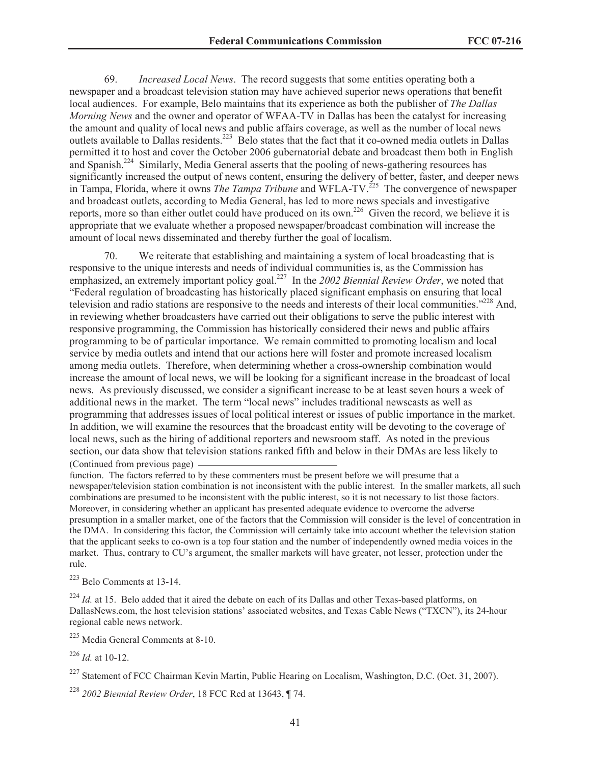69. *Increased Local News*. The record suggests that some entities operating both a newspaper and a broadcast television station may have achieved superior news operations that benefit local audiences. For example, Belo maintains that its experience as both the publisher of *The Dallas Morning News* and the owner and operator of WFAA-TV in Dallas has been the catalyst for increasing the amount and quality of local news and public affairs coverage, as well as the number of local news outlets available to Dallas residents.<sup>223</sup> Belo states that the fact that it co-owned media outlets in Dallas permitted it to host and cover the October 2006 gubernatorial debate and broadcast them both in English and Spanish.<sup>224</sup> Similarly, Media General asserts that the pooling of news-gathering resources has significantly increased the output of news content, ensuring the delivery of better, faster, and deeper news in Tampa, Florida, where it owns *The Tampa Tribune* and WFLA-TV.<sup>225</sup> The convergence of newspaper and broadcast outlets, according to Media General, has led to more news specials and investigative reports, more so than either outlet could have produced on its own.<sup>226</sup> Given the record, we believe it is appropriate that we evaluate whether a proposed newspaper/broadcast combination will increase the amount of local news disseminated and thereby further the goal of localism.

70. We reiterate that establishing and maintaining a system of local broadcasting that is responsive to the unique interests and needs of individual communities is, as the Commission has emphasized, an extremely important policy goal.<sup>227</sup> In the *2002 Biennial Review Order*, we noted that "Federal regulation of broadcasting has historically placed significant emphasis on ensuring that local television and radio stations are responsive to the needs and interests of their local communities."<sup>228</sup> And, in reviewing whether broadcasters have carried out their obligations to serve the public interest with responsive programming, the Commission has historically considered their news and public affairs programming to be of particular importance. We remain committed to promoting localism and local service by media outlets and intend that our actions here will foster and promote increased localism among media outlets. Therefore, when determining whether a cross-ownership combination would increase the amount of local news, we will be looking for a significant increase in the broadcast of local news. As previously discussed, we consider a significant increase to be at least seven hours a week of additional news in the market. The term "local news" includes traditional newscasts as well as programming that addresses issues of local political interest or issues of public importance in the market. In addition, we will examine the resources that the broadcast entity will be devoting to the coverage of local news, such as the hiring of additional reporters and newsroom staff. As noted in the previous section, our data show that television stations ranked fifth and below in their DMAs are less likely to (Continued from previous page)

function. The factors referred to by these commenters must be present before we will presume that a newspaper/television station combination is not inconsistent with the public interest. In the smaller markets, all such combinations are presumed to be inconsistent with the public interest, so it is not necessary to list those factors. Moreover, in considering whether an applicant has presented adequate evidence to overcome the adverse presumption in a smaller market, one of the factors that the Commission will consider is the level of concentration in the DMA. In considering this factor, the Commission will certainly take into account whether the television station that the applicant seeks to co-own is a top four station and the number of independently owned media voices in the market. Thus, contrary to CU's argument, the smaller markets will have greater, not lesser, protection under the rule.

<sup>223</sup> Belo Comments at 13-14.

<sup>224</sup> *Id.* at 15. Belo added that it aired the debate on each of its Dallas and other Texas-based platforms, on DallasNews.com, the host television stations' associated websites, and Texas Cable News ("TXCN"), its 24-hour regional cable news network.

<sup>225</sup> Media General Comments at 8-10.

<sup>226</sup> *Id.* at 10-12.

<sup>227</sup> Statement of FCC Chairman Kevin Martin, Public Hearing on Localism, Washington, D.C. (Oct. 31, 2007).

<sup>228</sup> *2002 Biennial Review Order*, 18 FCC Rcd at 13643, ¶ 74.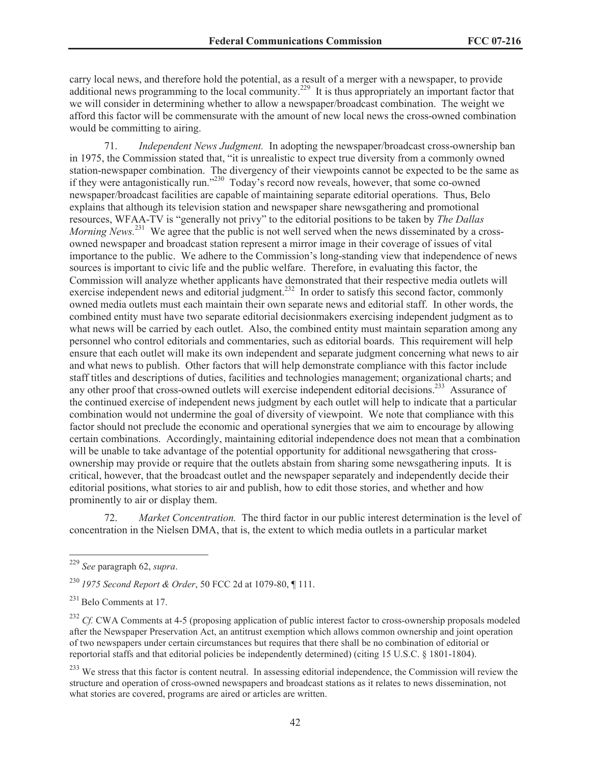carry local news, and therefore hold the potential, as a result of a merger with a newspaper, to provide additional news programming to the local community.<sup>229</sup> It is thus appropriately an important factor that we will consider in determining whether to allow a newspaper/broadcast combination. The weight we afford this factor will be commensurate with the amount of new local news the cross-owned combination would be committing to airing.

71. *Independent News Judgment.* In adopting the newspaper/broadcast cross-ownership ban in 1975, the Commission stated that, "it is unrealistic to expect true diversity from a commonly owned station-newspaper combination. The divergency of their viewpoints cannot be expected to be the same as if they were antagonistically run."<sup>230</sup> Today's record now reveals, however, that some co-owned newspaper/broadcast facilities are capable of maintaining separate editorial operations. Thus, Belo explains that although its television station and newspaper share newsgathering and promotional resources, WFAA-TV is "generally not privy" to the editorial positions to be taken by *The Dallas Morning News.*<sup>231</sup> We agree that the public is not well served when the news disseminated by a crossowned newspaper and broadcast station represent a mirror image in their coverage of issues of vital importance to the public. We adhere to the Commission's long-standing view that independence of news sources is important to civic life and the public welfare. Therefore, in evaluating this factor, the Commission will analyze whether applicants have demonstrated that their respective media outlets will exercise independent news and editorial judgment.<sup>232</sup> In order to satisfy this second factor, commonly owned media outlets must each maintain their own separate news and editorial staff. In other words, the combined entity must have two separate editorial decisionmakers exercising independent judgment as to what news will be carried by each outlet. Also, the combined entity must maintain separation among any personnel who control editorials and commentaries, such as editorial boards. This requirement will help ensure that each outlet will make its own independent and separate judgment concerning what news to air and what news to publish. Other factors that will help demonstrate compliance with this factor include staff titles and descriptions of duties, facilities and technologies management; organizational charts; and any other proof that cross-owned outlets will exercise independent editorial decisions.<sup>233</sup> Assurance of the continued exercise of independent news judgment by each outlet will help to indicate that a particular combination would not undermine the goal of diversity of viewpoint. We note that compliance with this factor should not preclude the economic and operational synergies that we aim to encourage by allowing certain combinations. Accordingly, maintaining editorial independence does not mean that a combination will be unable to take advantage of the potential opportunity for additional newsgathering that crossownership may provide or require that the outlets abstain from sharing some newsgathering inputs. It is critical, however, that the broadcast outlet and the newspaper separately and independently decide their editorial positions, what stories to air and publish, how to edit those stories, and whether and how prominently to air or display them.

72. *Market Concentration.* The third factor in our public interest determination is the level of concentration in the Nielsen DMA, that is, the extent to which media outlets in a particular market

<sup>229</sup> *See* paragraph 62, *supra*.

<sup>230</sup> *1975 Second Report & Order*, 50 FCC 2d at 1079-80, ¶ 111.

<sup>231</sup> Belo Comments at 17.

<sup>&</sup>lt;sup>232</sup> *Cf.* CWA Comments at 4-5 (proposing application of public interest factor to cross-ownership proposals modeled after the Newspaper Preservation Act, an antitrust exemption which allows common ownership and joint operation of two newspapers under certain circumstances but requires that there shall be no combination of editorial or reportorial staffs and that editorial policies be independently determined) (citing 15 U.S.C. § 1801-1804).

<sup>&</sup>lt;sup>233</sup> We stress that this factor is content neutral. In assessing editorial independence, the Commission will review the structure and operation of cross-owned newspapers and broadcast stations as it relates to news dissemination, not what stories are covered, programs are aired or articles are written.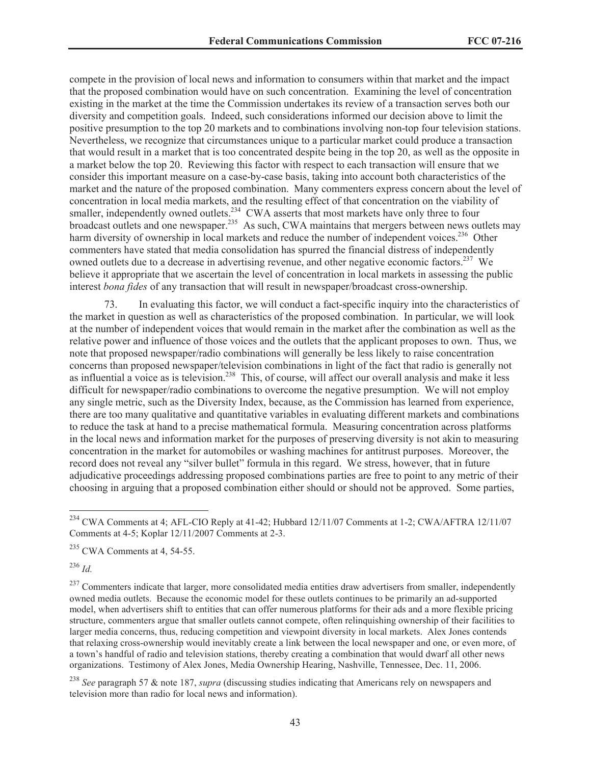compete in the provision of local news and information to consumers within that market and the impact that the proposed combination would have on such concentration. Examining the level of concentration existing in the market at the time the Commission undertakes its review of a transaction serves both our diversity and competition goals. Indeed, such considerations informed our decision above to limit the positive presumption to the top 20 markets and to combinations involving non-top four television stations. Nevertheless, we recognize that circumstances unique to a particular market could produce a transaction that would result in a market that is too concentrated despite being in the top 20, as well as the opposite in a market below the top 20. Reviewing this factor with respect to each transaction will ensure that we consider this important measure on a case-by-case basis, taking into account both characteristics of the market and the nature of the proposed combination. Many commenters express concern about the level of concentration in local media markets, and the resulting effect of that concentration on the viability of smaller, independently owned outlets.<sup>234</sup> CWA asserts that most markets have only three to four broadcast outlets and one newspaper.<sup>235</sup> As such, CWA maintains that mergers between news outlets may harm diversity of ownership in local markets and reduce the number of independent voices.<sup>236</sup> Other commenters have stated that media consolidation has spurred the financial distress of independently owned outlets due to a decrease in advertising revenue, and other negative economic factors.<sup>237</sup> We believe it appropriate that we ascertain the level of concentration in local markets in assessing the public interest *bona fides* of any transaction that will result in newspaper/broadcast cross-ownership.

73. In evaluating this factor, we will conduct a fact-specific inquiry into the characteristics of the market in question as well as characteristics of the proposed combination. In particular, we will look at the number of independent voices that would remain in the market after the combination as well as the relative power and influence of those voices and the outlets that the applicant proposes to own. Thus, we note that proposed newspaper/radio combinations will generally be less likely to raise concentration concerns than proposed newspaper/television combinations in light of the fact that radio is generally not as influential a voice as is television.<sup>238</sup> This, of course, will affect our overall analysis and make it less difficult for newspaper/radio combinations to overcome the negative presumption. We will not employ any single metric, such as the Diversity Index, because, as the Commission has learned from experience, there are too many qualitative and quantitative variables in evaluating different markets and combinations to reduce the task at hand to a precise mathematical formula. Measuring concentration across platforms in the local news and information market for the purposes of preserving diversity is not akin to measuring concentration in the market for automobiles or washing machines for antitrust purposes. Moreover, the record does not reveal any "silver bullet" formula in this regard. We stress, however, that in future adjudicative proceedings addressing proposed combinations parties are free to point to any metric of their choosing in arguing that a proposed combination either should or should not be approved. Some parties,

<sup>236</sup> *Id.* 

<sup>237</sup> Commenters indicate that larger, more consolidated media entities draw advertisers from smaller, independently owned media outlets. Because the economic model for these outlets continues to be primarily an ad-supported model, when advertisers shift to entities that can offer numerous platforms for their ads and a more flexible pricing structure, commenters argue that smaller outlets cannot compete, often relinquishing ownership of their facilities to larger media concerns, thus, reducing competition and viewpoint diversity in local markets. Alex Jones contends that relaxing cross-ownership would inevitably create a link between the local newspaper and one, or even more, of a town's handful of radio and television stations, thereby creating a combination that would dwarf all other news organizations. Testimony of Alex Jones, Media Ownership Hearing, Nashville, Tennessee, Dec. 11, 2006.

<sup>238</sup> *See* paragraph 57 & note 187, *supra* (discussing studies indicating that Americans rely on newspapers and television more than radio for local news and information).

<sup>&</sup>lt;sup>234</sup> CWA Comments at 4; AFL-CIO Reply at 41-42; Hubbard 12/11/07 Comments at 1-2; CWA/AFTRA 12/11/07 Comments at 4-5; Koplar 12/11/2007 Comments at 2-3.

 $235$  CWA Comments at 4, 54-55.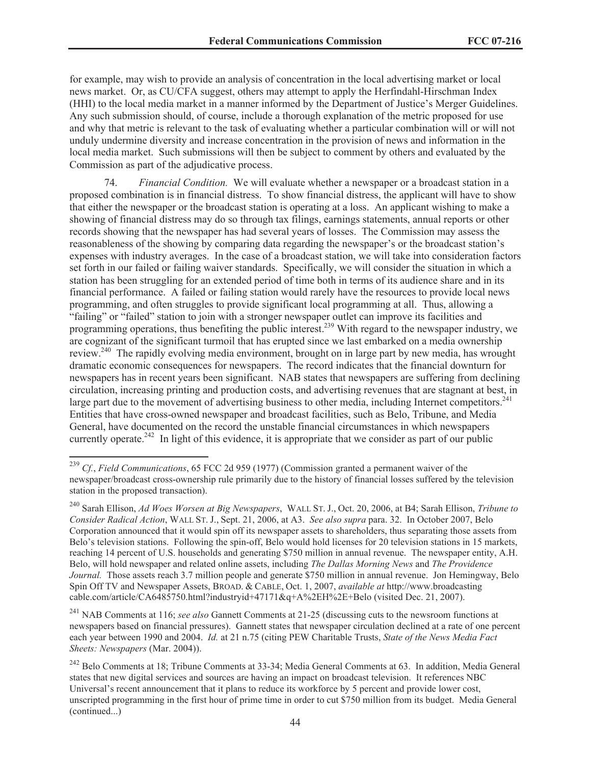for example, may wish to provide an analysis of concentration in the local advertising market or local news market. Or, as CU/CFA suggest, others may attempt to apply the Herfindahl-Hirschman Index (HHI) to the local media market in a manner informed by the Department of Justice's Merger Guidelines. Any such submission should, of course, include a thorough explanation of the metric proposed for use and why that metric is relevant to the task of evaluating whether a particular combination will or will not unduly undermine diversity and increase concentration in the provision of news and information in the local media market. Such submissions will then be subject to comment by others and evaluated by the Commission as part of the adjudicative process.

74. *Financial Condition.* We will evaluate whether a newspaper or a broadcast station in a proposed combination is in financial distress. To show financial distress, the applicant will have to show that either the newspaper or the broadcast station is operating at a loss. An applicant wishing to make a showing of financial distress may do so through tax filings, earnings statements, annual reports or other records showing that the newspaper has had several years of losses. The Commission may assess the reasonableness of the showing by comparing data regarding the newspaper's or the broadcast station's expenses with industry averages. In the case of a broadcast station, we will take into consideration factors set forth in our failed or failing waiver standards. Specifically, we will consider the situation in which a station has been struggling for an extended period of time both in terms of its audience share and in its financial performance. A failed or failing station would rarely have the resources to provide local news programming, and often struggles to provide significant local programming at all. Thus, allowing a "failing" or "failed" station to join with a stronger newspaper outlet can improve its facilities and programming operations, thus benefiting the public interest.<sup>239</sup> With regard to the newspaper industry, we are cognizant of the significant turmoil that has erupted since we last embarked on a media ownership review.<sup>240</sup> The rapidly evolving media environment, brought on in large part by new media, has wrought dramatic economic consequences for newspapers. The record indicates that the financial downturn for newspapers has in recent years been significant. NAB states that newspapers are suffering from declining circulation, increasing printing and production costs, and advertising revenues that are stagnant at best, in large part due to the movement of advertising business to other media, including Internet competitors.<sup>241</sup> Entities that have cross-owned newspaper and broadcast facilities, such as Belo, Tribune, and Media General, have documented on the record the unstable financial circumstances in which newspapers currently operate.<sup>242</sup> In light of this evidence, it is appropriate that we consider as part of our public

<sup>239</sup> *Cf.*, *Field Communications*, 65 FCC 2d 959 (1977) (Commission granted a permanent waiver of the newspaper/broadcast cross-ownership rule primarily due to the history of financial losses suffered by the television station in the proposed transaction).

<sup>240</sup> Sarah Ellison, *Ad Woes Worsen at Big Newspapers*, WALL ST. J., Oct. 20, 2006, at B4; Sarah Ellison, *Tribune to Consider Radical Action*, WALL ST. J., Sept. 21, 2006, at A3. *See also supra* para. 32. In October 2007, Belo Corporation announced that it would spin off its newspaper assets to shareholders, thus separating those assets from Belo's television stations. Following the spin-off, Belo would hold licenses for 20 television stations in 15 markets, reaching 14 percent of U.S. households and generating \$750 million in annual revenue. The newspaper entity, A.H. Belo, will hold newspaper and related online assets, including *The Dallas Morning News* and *The Providence Journal.* Those assets reach 3.7 million people and generate \$750 million in annual revenue. Jon Hemingway, Belo Spin Off TV and Newspaper Assets, BROAD. & CABLE, Oct. 1, 2007, *available at* http://www.broadcasting cable.com/article/CA6485750.html?industryid+47171&q+A%2EH%2E+Belo (visited Dec. 21, 2007).

<sup>241</sup> NAB Comments at 116; *see also* Gannett Comments at 21-25 (discussing cuts to the newsroom functions at newspapers based on financial pressures). Gannett states that newspaper circulation declined at a rate of one percent each year between 1990 and 2004. *Id.* at 21 n.75 (citing PEW Charitable Trusts, *State of the News Media Fact Sheets: Newspapers* (Mar. 2004)).

<sup>&</sup>lt;sup>242</sup> Belo Comments at 18; Tribune Comments at 33-34; Media General Comments at 63. In addition, Media General states that new digital services and sources are having an impact on broadcast television. It references NBC Universal's recent announcement that it plans to reduce its workforce by 5 percent and provide lower cost, unscripted programming in the first hour of prime time in order to cut \$750 million from its budget. Media General (continued...)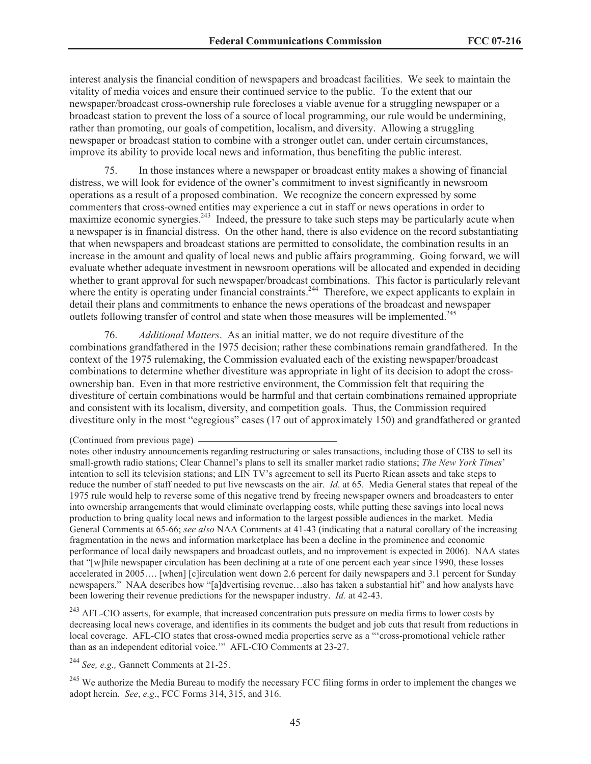interest analysis the financial condition of newspapers and broadcast facilities. We seek to maintain the vitality of media voices and ensure their continued service to the public. To the extent that our newspaper/broadcast cross-ownership rule forecloses a viable avenue for a struggling newspaper or a broadcast station to prevent the loss of a source of local programming, our rule would be undermining, rather than promoting, our goals of competition, localism, and diversity. Allowing a struggling newspaper or broadcast station to combine with a stronger outlet can, under certain circumstances, improve its ability to provide local news and information, thus benefiting the public interest.

75. In those instances where a newspaper or broadcast entity makes a showing of financial distress, we will look for evidence of the owner's commitment to invest significantly in newsroom operations as a result of a proposed combination. We recognize the concern expressed by some commenters that cross-owned entities may experience a cut in staff or news operations in order to maximize economic synergies.<sup>243</sup> Indeed, the pressure to take such steps may be particularly acute when a newspaper is in financial distress. On the other hand, there is also evidence on the record substantiating that when newspapers and broadcast stations are permitted to consolidate, the combination results in an increase in the amount and quality of local news and public affairs programming. Going forward, we will evaluate whether adequate investment in newsroom operations will be allocated and expended in deciding whether to grant approval for such newspaper/broadcast combinations. This factor is particularly relevant where the entity is operating under financial constraints.<sup>244</sup> Therefore, we expect applicants to explain in detail their plans and commitments to enhance the news operations of the broadcast and newspaper outlets following transfer of control and state when those measures will be implemented.<sup>245</sup>

76. *Additional Matters*. As an initial matter, we do not require divestiture of the combinations grandfathered in the 1975 decision; rather these combinations remain grandfathered. In the context of the 1975 rulemaking, the Commission evaluated each of the existing newspaper/broadcast combinations to determine whether divestiture was appropriate in light of its decision to adopt the crossownership ban. Even in that more restrictive environment, the Commission felt that requiring the divestiture of certain combinations would be harmful and that certain combinations remained appropriate and consistent with its localism, diversity, and competition goals. Thus, the Commission required divestiture only in the most "egregious" cases (17 out of approximately 150) and grandfathered or granted

<sup>243</sup> AFL-CIO asserts, for example, that increased concentration puts pressure on media firms to lower costs by decreasing local news coverage, and identifies in its comments the budget and job cuts that result from reductions in local coverage. AFL-CIO states that cross-owned media properties serve as a "'cross-promotional vehicle rather than as an independent editorial voice.'" AFL-CIO Comments at 23-27.

<sup>244</sup> *See, e.g.,* Gannett Comments at 21-25.

<sup>245</sup> We authorize the Media Bureau to modify the necessary FCC filing forms in order to implement the changes we adopt herein. *See*, *e.g*., FCC Forms 314, 315, and 316.

<sup>(</sup>Continued from previous page)

notes other industry announcements regarding restructuring or sales transactions, including those of CBS to sell its small-growth radio stations; Clear Channel's plans to sell its smaller market radio stations; *The New York Times*' intention to sell its television stations; and LIN TV's agreement to sell its Puerto Rican assets and take steps to reduce the number of staff needed to put live newscasts on the air. *Id*. at 65. Media General states that repeal of the 1975 rule would help to reverse some of this negative trend by freeing newspaper owners and broadcasters to enter into ownership arrangements that would eliminate overlapping costs, while putting these savings into local news production to bring quality local news and information to the largest possible audiences in the market. Media General Comments at 65-66; *see also* NAA Comments at 41-43 (indicating that a natural corollary of the increasing fragmentation in the news and information marketplace has been a decline in the prominence and economic performance of local daily newspapers and broadcast outlets, and no improvement is expected in 2006). NAA states that "[w]hile newspaper circulation has been declining at a rate of one percent each year since 1990, these losses accelerated in 2005…. [when] [c]irculation went down 2.6 percent for daily newspapers and 3.1 percent for Sunday newspapers." NAA describes how "[a]dvertising revenue…also has taken a substantial hit" and how analysts have been lowering their revenue predictions for the newspaper industry. *Id.* at 42-43.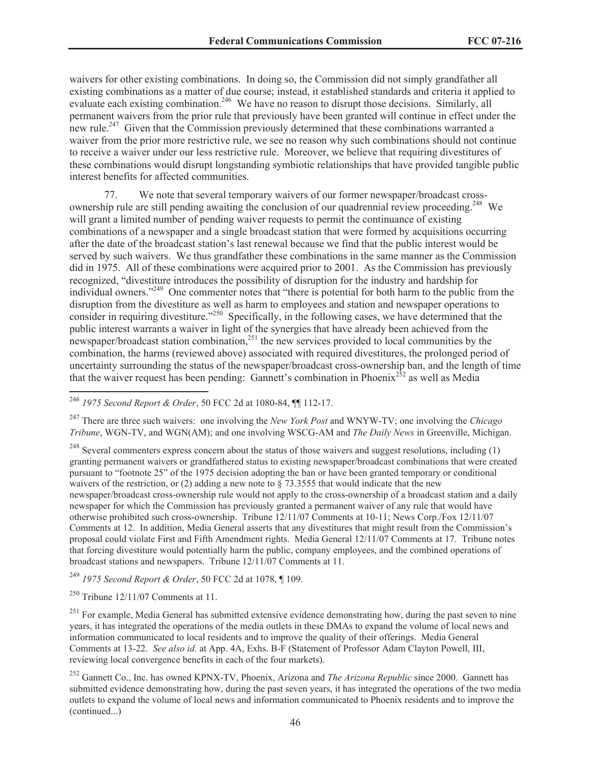waivers for other existing combinations. In doing so, the Commission did not simply grandfather all existing combinations as a matter of due course; instead, it established standards and criteria it applied to evaluate each existing combination.<sup>246</sup> We have no reason to disrupt those decisions. Similarly, all permanent waivers from the prior rule that previously have been granted will continue in effect under the new rule.<sup>247</sup> Given that the Commission previously determined that these combinations warranted a waiver from the prior more restrictive rule, we see no reason why such combinations should not continue to receive a waiver under our less restrictive rule. Moreover, we believe that requiring divestitures of these combinations would disrupt longstanding symbiotic relationships that have provided tangible public interest benefits for affected communities.

77. We note that several temporary waivers of our former newspaper/broadcast crossownership rule are still pending awaiting the conclusion of our quadrennial review proceeding.<sup>248</sup> We will grant a limited number of pending waiver requests to permit the continuance of existing combinations of a newspaper and a single broadcast station that were formed by acquisitions occurring after the date of the broadcast station's last renewal because we find that the public interest would be served by such waivers. We thus grandfather these combinations in the same manner as the Commission did in 1975. All of these combinations were acquired prior to 2001. As the Commission has previously recognized, "divestiture introduces the possibility of disruption for the industry and hardship for individual owners."<sup>249</sup> One commenter notes that "there is potential for both harm to the public from the disruption from the divestiture as well as harm to employees and station and newspaper operations to consider in requiring divestiture."<sup>250</sup> Specifically, in the following cases, we have determined that the public interest warrants a waiver in light of the synergies that have already been achieved from the newspaper/broadcast station combination, $251$  the new services provided to local communities by the combination, the harms (reviewed above) associated with required divestitures, the prolonged period of uncertainty surrounding the status of the newspaper/broadcast cross-ownership ban, and the length of time that the waiver request has been pending: Gannett's combination in Phoenix<sup>252</sup> as well as Media

<sup>247</sup> There are three such waivers: one involving the *New York Post* and WNYW-TV; one involving the *Chicago Tribune*, WGN-TV, and WGN(AM); and one involving WSCG-AM and *The Daily News* in Greenville, Michigan.

 $248$  Several commenters express concern about the status of those waivers and suggest resolutions, including (1) granting permanent waivers or grandfathered status to existing newspaper/broadcast combinations that were created pursuant to "footnote 25" of the 1975 decision adopting the ban or have been granted temporary or conditional waivers of the restriction, or (2) adding a new note to  $\S$  73.3555 that would indicate that the new newspaper/broadcast cross-ownership rule would not apply to the cross-ownership of a broadcast station and a daily newspaper for which the Commission has previously granted a permanent waiver of any rule that would have otherwise prohibited such cross-ownership. Tribune 12/11/07 Comments at 10-11; News Corp./Fox 12/11/07 Comments at 12. In addition, Media General asserts that any divestitures that might result from the Commission's proposal could violate First and Fifth Amendment rights. Media General 12/11/07 Comments at 17. Tribune notes that forcing divestiture would potentially harm the public, company employees, and the combined operations of broadcast stations and newspapers. Tribune 12/11/07 Comments at 11.

<sup>249</sup> *1975 Second Report & Order*, 50 FCC 2d at 1078, ¶ 109.

 $250$  Tribune 12/11/07 Comments at 11.

<sup>251</sup> For example, Media General has submitted extensive evidence demonstrating how, during the past seven to nine years, it has integrated the operations of the media outlets in these DMAs to expand the volume of local news and information communicated to local residents and to improve the quality of their offerings. Media General Comments at 13-22. *See also id.* at App. 4A, Exhs. B-F (Statement of Professor Adam Clayton Powell, III, reviewing local convergence benefits in each of the four markets).

<sup>252</sup> Gannett Co., Inc. has owned KPNX-TV, Phoenix, Arizona and *The Arizona Republic* since 2000. Gannett has submitted evidence demonstrating how, during the past seven years, it has integrated the operations of the two media outlets to expand the volume of local news and information communicated to Phoenix residents and to improve the (continued...)

<sup>246</sup> *1975 Second Report & Order*, 50 FCC 2d at 1080-84, ¶¶ 112-17.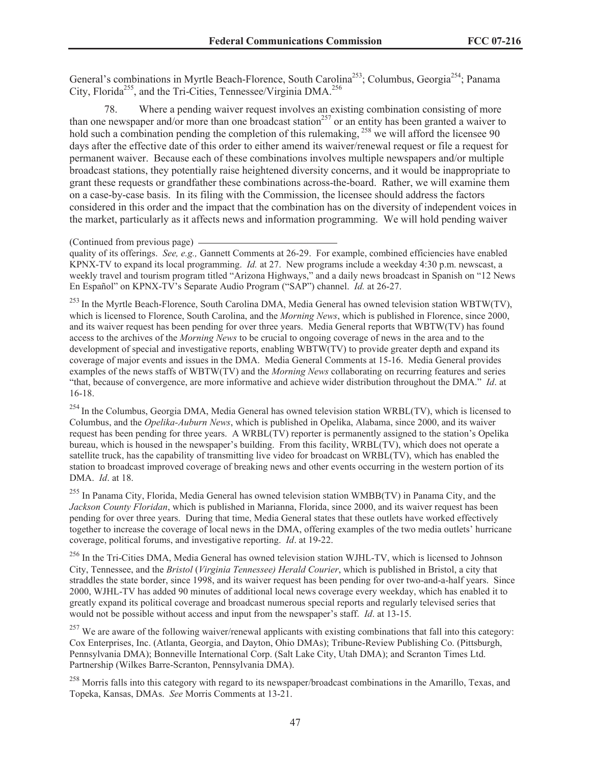General's combinations in Myrtle Beach-Florence, South Carolina<sup>253</sup>; Columbus, Georgia<sup>254</sup>; Panama City, Florida<sup>255</sup>, and the Tri-Cities, Tennessee/Virginia DMA.<sup>256</sup>

78. Where a pending waiver request involves an existing combination consisting of more than one newspaper and/or more than one broadcast station<sup>257</sup> or an entity has been granted a waiver to hold such a combination pending the completion of this rulemaking, <sup>258</sup> we will afford the licensee 90 days after the effective date of this order to either amend its waiver/renewal request or file a request for permanent waiver. Because each of these combinations involves multiple newspapers and/or multiple broadcast stations, they potentially raise heightened diversity concerns, and it would be inappropriate to grant these requests or grandfather these combinations across-the-board. Rather, we will examine them on a case-by-case basis. In its filing with the Commission, the licensee should address the factors considered in this order and the impact that the combination has on the diversity of independent voices in the market, particularly as it affects news and information programming. We will hold pending waiver

quality of its offerings. *See, e.g.,* Gannett Comments at 26-29. For example, combined efficiencies have enabled KPNX-TV to expand its local programming. *Id.* at 27. New programs include a weekday 4:30 p.m. newscast, a weekly travel and tourism program titled "Arizona Highways," and a daily news broadcast in Spanish on "12 News En Español" on KPNX-TV's Separate Audio Program ("SAP") channel. *Id.* at 26-27.

<sup>253</sup> In the Myrtle Beach-Florence, South Carolina DMA, Media General has owned television station WBTW(TV), which is licensed to Florence, South Carolina, and the *Morning News*, which is published in Florence, since 2000, and its waiver request has been pending for over three years. Media General reports that WBTW(TV) has found access to the archives of the *Morning News* to be crucial to ongoing coverage of news in the area and to the development of special and investigative reports, enabling WBTW(TV) to provide greater depth and expand its coverage of major events and issues in the DMA. Media General Comments at 15-16. Media General provides examples of the news staffs of WBTW(TV) and the *Morning News* collaborating on recurring features and series "that, because of convergence, are more informative and achieve wider distribution throughout the DMA." *Id*. at 16-18.

<sup>254</sup> In the Columbus, Georgia DMA, Media General has owned television station WRBL(TV), which is licensed to Columbus, and the *Opelika-Auburn News*, which is published in Opelika, Alabama, since 2000, and its waiver request has been pending for three years. A WRBL(TV) reporter is permanently assigned to the station's Opelika bureau, which is housed in the newspaper's building. From this facility, WRBL(TV), which does not operate a satellite truck, has the capability of transmitting live video for broadcast on WRBL(TV), which has enabled the station to broadcast improved coverage of breaking news and other events occurring in the western portion of its DMA. *Id*. at 18.

<sup>255</sup> In Panama City, Florida, Media General has owned television station WMBB(TV) in Panama City, and the *Jackson County Floridan*, which is published in Marianna, Florida, since 2000, and its waiver request has been pending for over three years. During that time, Media General states that these outlets have worked effectively together to increase the coverage of local news in the DMA, offering examples of the two media outlets' hurricane coverage, political forums, and investigative reporting. *Id*. at 19-22.

<sup>256</sup> In the Tri-Cities DMA, Media General has owned television station WJHL-TV, which is licensed to Johnson City, Tennessee, and the *Bristol* (*Virginia Tennessee) Herald Courier*, which is published in Bristol, a city that straddles the state border, since 1998, and its waiver request has been pending for over two-and-a-half years. Since 2000, WJHL-TV has added 90 minutes of additional local news coverage every weekday, which has enabled it to greatly expand its political coverage and broadcast numerous special reports and regularly televised series that would not be possible without access and input from the newspaper's staff. *Id*. at 13-15.

 $^{257}$  We are aware of the following waiver/renewal applicants with existing combinations that fall into this category: Cox Enterprises, Inc. (Atlanta, Georgia, and Dayton, Ohio DMAs); Tribune-Review Publishing Co. (Pittsburgh, Pennsylvania DMA); Bonneville International Corp. (Salt Lake City, Utah DMA); and Scranton Times Ltd. Partnership (Wilkes Barre-Scranton, Pennsylvania DMA).

<sup>258</sup> Morris falls into this category with regard to its newspaper/broadcast combinations in the Amarillo, Texas, and Topeka, Kansas, DMAs. *See* Morris Comments at 13-21.

<sup>(</sup>Continued from previous page)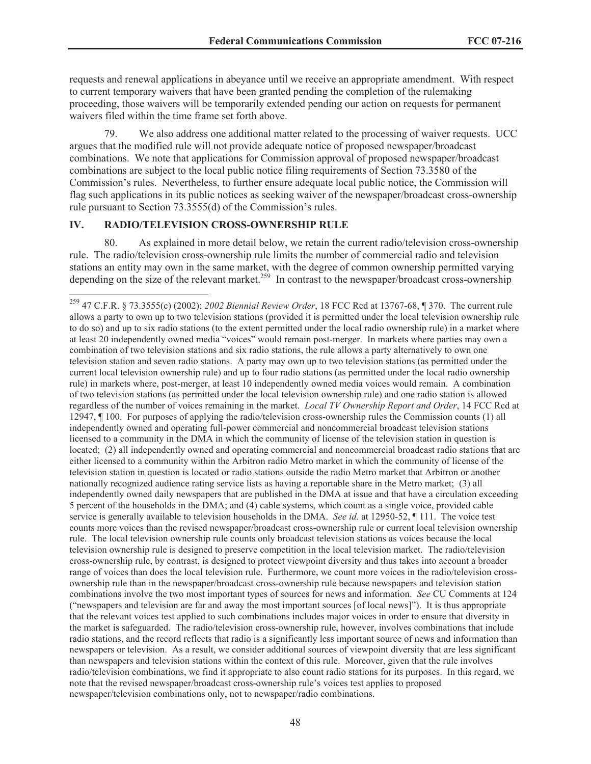requests and renewal applications in abeyance until we receive an appropriate amendment. With respect to current temporary waivers that have been granted pending the completion of the rulemaking proceeding, those waivers will be temporarily extended pending our action on requests for permanent waivers filed within the time frame set forth above.

79. We also address one additional matter related to the processing of waiver requests. UCC argues that the modified rule will not provide adequate notice of proposed newspaper/broadcast combinations. We note that applications for Commission approval of proposed newspaper/broadcast combinations are subject to the local public notice filing requirements of Section 73.3580 of the Commission's rules. Nevertheless, to further ensure adequate local public notice, the Commission will flag such applications in its public notices as seeking waiver of the newspaper/broadcast cross-ownership rule pursuant to Section 73.3555(d) of the Commission's rules.

### **IV. RADIO/TELEVISION CROSS-OWNERSHIP RULE**

80. As explained in more detail below, we retain the current radio/television cross-ownership rule. The radio/television cross-ownership rule limits the number of commercial radio and television stations an entity may own in the same market, with the degree of common ownership permitted varying depending on the size of the relevant market.<sup>259</sup> In contrast to the newspaper/broadcast cross-ownership

<sup>259</sup> 47 C.F.R. § 73.3555(c) (2002); *2002 Biennial Review Order*, 18 FCC Rcd at 13767-68, ¶ 370. The current rule allows a party to own up to two television stations (provided it is permitted under the local television ownership rule to do so) and up to six radio stations (to the extent permitted under the local radio ownership rule) in a market where at least 20 independently owned media "voices" would remain post-merger. In markets where parties may own a combination of two television stations and six radio stations, the rule allows a party alternatively to own one television station and seven radio stations. A party may own up to two television stations (as permitted under the current local television ownership rule) and up to four radio stations (as permitted under the local radio ownership rule) in markets where, post-merger, at least 10 independently owned media voices would remain. A combination of two television stations (as permitted under the local television ownership rule) and one radio station is allowed regardless of the number of voices remaining in the market. *Local TV Ownership Report and Order*, 14 FCC Rcd at 12947, ¶ 100. For purposes of applying the radio/television cross-ownership rules the Commission counts (1) all independently owned and operating full-power commercial and noncommercial broadcast television stations licensed to a community in the DMA in which the community of license of the television station in question is located; (2) all independently owned and operating commercial and noncommercial broadcast radio stations that are either licensed to a community within the Arbitron radio Metro market in which the community of license of the television station in question is located or radio stations outside the radio Metro market that Arbitron or another nationally recognized audience rating service lists as having a reportable share in the Metro market; (3) all independently owned daily newspapers that are published in the DMA at issue and that have a circulation exceeding 5 percent of the households in the DMA; and (4) cable systems, which count as a single voice, provided cable service is generally available to television households in the DMA. *See id.* at 12950-52, ¶ 111. The voice test counts more voices than the revised newspaper/broadcast cross-ownership rule or current local television ownership rule. The local television ownership rule counts only broadcast television stations as voices because the local television ownership rule is designed to preserve competition in the local television market. The radio/television cross-ownership rule, by contrast, is designed to protect viewpoint diversity and thus takes into account a broader range of voices than does the local television rule. Furthermore, we count more voices in the radio/television crossownership rule than in the newspaper/broadcast cross-ownership rule because newspapers and television station combinations involve the two most important types of sources for news and information. *See* CU Comments at 124 ("newspapers and television are far and away the most important sources [of local news]"). It is thus appropriate that the relevant voices test applied to such combinations includes major voices in order to ensure that diversity in the market is safeguarded. The radio/television cross-ownership rule, however, involves combinations that include radio stations, and the record reflects that radio is a significantly less important source of news and information than newspapers or television. As a result, we consider additional sources of viewpoint diversity that are less significant than newspapers and television stations within the context of this rule. Moreover, given that the rule involves radio/television combinations, we find it appropriate to also count radio stations for its purposes. In this regard, we note that the revised newspaper/broadcast cross-ownership rule's voices test applies to proposed newspaper/television combinations only, not to newspaper/radio combinations.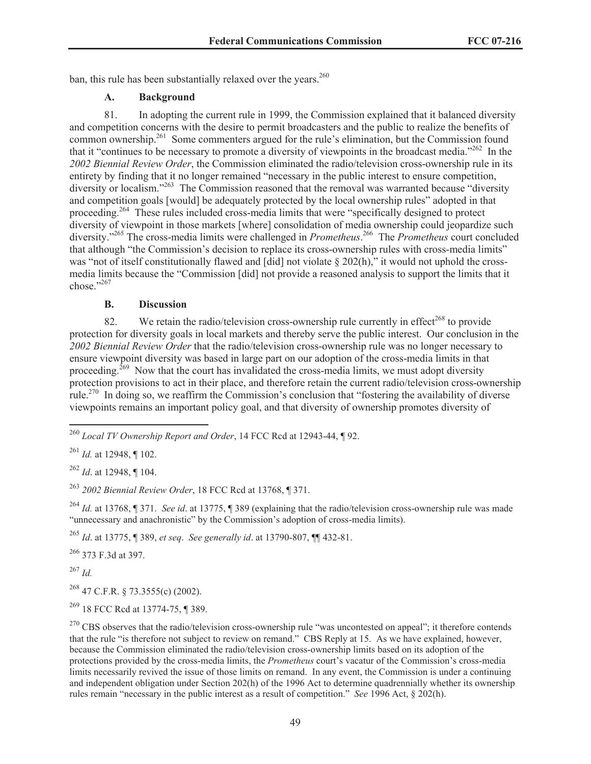ban, this rule has been substantially relaxed over the years.<sup>260</sup>

# **A. Background**

81. In adopting the current rule in 1999, the Commission explained that it balanced diversity and competition concerns with the desire to permit broadcasters and the public to realize the benefits of common ownership.<sup>261</sup> Some commenters argued for the rule's elimination, but the Commission found that it "continues to be necessary to promote a diversity of viewpoints in the broadcast media."<sup>262</sup> In the *2002 Biennial Review Order*, the Commission eliminated the radio/television cross-ownership rule in its entirety by finding that it no longer remained "necessary in the public interest to ensure competition, diversity or localism."<sup>263</sup> The Commission reasoned that the removal was warranted because "diversity" and competition goals [would] be adequately protected by the local ownership rules" adopted in that proceeding.<sup>264</sup> These rules included cross-media limits that were "specifically designed to protect diversity of viewpoint in those markets [where] consolidation of media ownership could jeopardize such diversity."<sup>265</sup> The cross-media limits were challenged in *Prometheus*. <sup>266</sup> The *Prometheus* court concluded that although "the Commission's decision to replace its cross-ownership rules with cross-media limits" was "not of itself constitutionally flawed and [did] not violate § 202(h)," it would not uphold the crossmedia limits because the "Commission [did] not provide a reasoned analysis to support the limits that it chose."267

# **B. Discussion**

82. We retain the radio/television cross-ownership rule currently in effect<sup>268</sup> to provide protection for diversity goals in local markets and thereby serve the public interest. Our conclusion in the *2002 Biennial Review Order* that the radio/television cross-ownership rule was no longer necessary to ensure viewpoint diversity was based in large part on our adoption of the cross-media limits in that proceeding.<sup>269</sup> Now that the court has invalidated the cross-media limits, we must adopt diversity protection provisions to act in their place, and therefore retain the current radio/television cross-ownership rule.<sup>270</sup> In doing so, we reaffirm the Commission's conclusion that "fostering the availability of diverse viewpoints remains an important policy goal, and that diversity of ownership promotes diversity of

<sup>262</sup> *Id*. at 12948, ¶ 104.

<sup>263</sup> *2002 Biennial Review Order*, 18 FCC Rcd at 13768, ¶ 371.

<sup>264</sup> *Id.* at 13768, ¶ 371. *See id*. at 13775, ¶ 389 (explaining that the radio/television cross-ownership rule was made "unnecessary and anachronistic" by the Commission's adoption of cross-media limits).

<sup>265</sup> *Id*. at 13775, ¶ 389, *et seq*. *See generally id*. at 13790-807, ¶¶ 432-81.

<sup>266</sup> 373 F.3d at 397.

<sup>267</sup> *Id.*

 $^{268}$  47 C.F.R. § 73.3555(c) (2002).

<sup>269</sup> 18 FCC Rcd at 13774-75, ¶ 389.

<sup>260</sup> *Local TV Ownership Report and Order*, 14 FCC Rcd at 12943-44, ¶ 92.

<sup>261</sup> *Id.* at 12948, ¶ 102.

<sup>&</sup>lt;sup>270</sup> CBS observes that the radio/television cross-ownership rule "was uncontested on appeal"; it therefore contends that the rule "is therefore not subject to review on remand." CBS Reply at 15. As we have explained, however, because the Commission eliminated the radio/television cross-ownership limits based on its adoption of the protections provided by the cross-media limits, the *Prometheus* court's vacatur of the Commission's cross-media limits necessarily revived the issue of those limits on remand. In any event, the Commission is under a continuing and independent obligation under Section 202(h) of the 1996 Act to determine quadrennially whether its ownership rules remain "necessary in the public interest as a result of competition." *See* 1996 Act, § 202(h).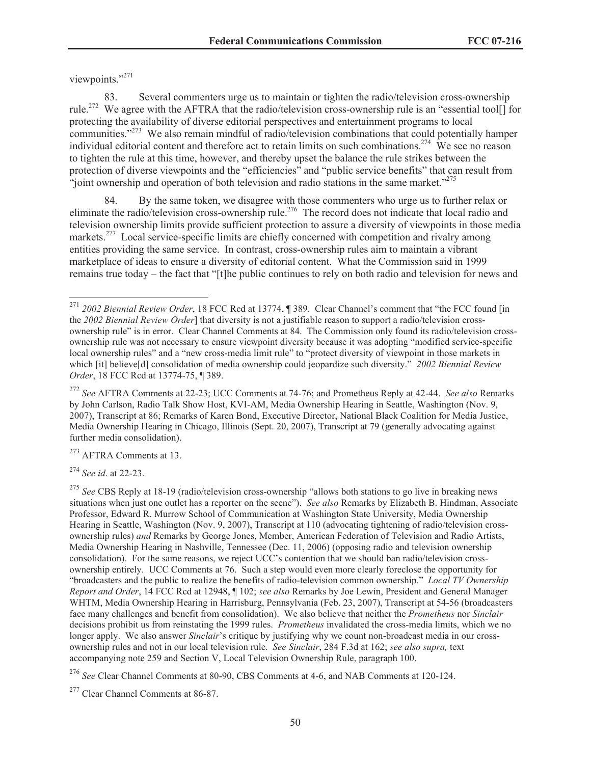viewpoints."<sup>271</sup>

83. Several commenters urge us to maintain or tighten the radio/television cross-ownership rule.<sup>272</sup> We agree with the AFTRA that the radio/television cross-ownership rule is an "essential tool[] for protecting the availability of diverse editorial perspectives and entertainment programs to local communities."<sup>273</sup> We also remain mindful of radio/television combinations that could potentially hamper individual editorial content and therefore act to retain limits on such combinations.<sup>274</sup> We see no reason to tighten the rule at this time, however, and thereby upset the balance the rule strikes between the protection of diverse viewpoints and the "efficiencies" and "public service benefits" that can result from "joint ownership and operation of both television and radio stations in the same market." $275$ 

84. By the same token, we disagree with those commenters who urge us to further relax or eliminate the radio/television cross-ownership rule.<sup>276</sup> The record does not indicate that local radio and television ownership limits provide sufficient protection to assure a diversity of viewpoints in those media markets.<sup>277</sup> Local service-specific limits are chiefly concerned with competition and rivalry among entities providing the same service. In contrast, cross-ownership rules aim to maintain a vibrant marketplace of ideas to ensure a diversity of editorial content. What the Commission said in 1999 remains true today – the fact that "[t]he public continues to rely on both radio and television for news and

<sup>273</sup> AFTRA Comments at 13.

<sup>274</sup> *See id*. at 22-23.

<sup>271</sup> *2002 Biennial Review Order*, 18 FCC Rcd at 13774, ¶ 389. Clear Channel's comment that "the FCC found [in the *2002 Biennial Review Order*] that diversity is not a justifiable reason to support a radio/television crossownership rule" is in error. Clear Channel Comments at 84. The Commission only found its radio/television crossownership rule was not necessary to ensure viewpoint diversity because it was adopting "modified service-specific local ownership rules" and a "new cross-media limit rule" to "protect diversity of viewpoint in those markets in which [it] believe[d] consolidation of media ownership could jeopardize such diversity." *2002 Biennial Review Order*, 18 FCC Rcd at 13774-75, ¶ 389.

<sup>272</sup> *See* AFTRA Comments at 22-23; UCC Comments at 74-76; and Prometheus Reply at 42-44. *See also* Remarks by John Carlson, Radio Talk Show Host, KVI-AM, Media Ownership Hearing in Seattle, Washington (Nov. 9, 2007), Transcript at 86; Remarks of Karen Bond, Executive Director, National Black Coalition for Media Justice, Media Ownership Hearing in Chicago, Illinois (Sept. 20, 2007), Transcript at 79 (generally advocating against further media consolidation).

<sup>&</sup>lt;sup>275</sup> See CBS Reply at 18-19 (radio/television cross-ownership "allows both stations to go live in breaking news situations when just one outlet has a reporter on the scene"). *See also* Remarks by Elizabeth B. Hindman, Associate Professor, Edward R. Murrow School of Communication at Washington State University, Media Ownership Hearing in Seattle, Washington (Nov. 9, 2007), Transcript at 110 (advocating tightening of radio/television crossownership rules) *and* Remarks by George Jones, Member, American Federation of Television and Radio Artists, Media Ownership Hearing in Nashville, Tennessee (Dec. 11, 2006) (opposing radio and television ownership consolidation). For the same reasons, we reject UCC's contention that we should ban radio/television crossownership entirely. UCC Comments at 76. Such a step would even more clearly foreclose the opportunity for "broadcasters and the public to realize the benefits of radio-television common ownership." *Local TV Ownership Report and Order*, 14 FCC Rcd at 12948, ¶ 102; *see also* Remarks by Joe Lewin, President and General Manager WHTM, Media Ownership Hearing in Harrisburg, Pennsylvania (Feb. 23, 2007), Transcript at 54-56 (broadcasters face many challenges and benefit from consolidation). We also believe that neither the *Prometheus* nor *Sinclair* decisions prohibit us from reinstating the 1999 rules. *Prometheus* invalidated the cross-media limits, which we no longer apply. We also answer *Sinclair*'s critique by justifying why we count non-broadcast media in our crossownership rules and not in our local television rule. *See Sinclair*, 284 F.3d at 162; *see also supra,* text accompanying note 259 and Section V, Local Television Ownership Rule, paragraph 100.

<sup>276</sup> *See* Clear Channel Comments at 80-90, CBS Comments at 4-6, and NAB Comments at 120-124.

<sup>&</sup>lt;sup>277</sup> Clear Channel Comments at 86-87.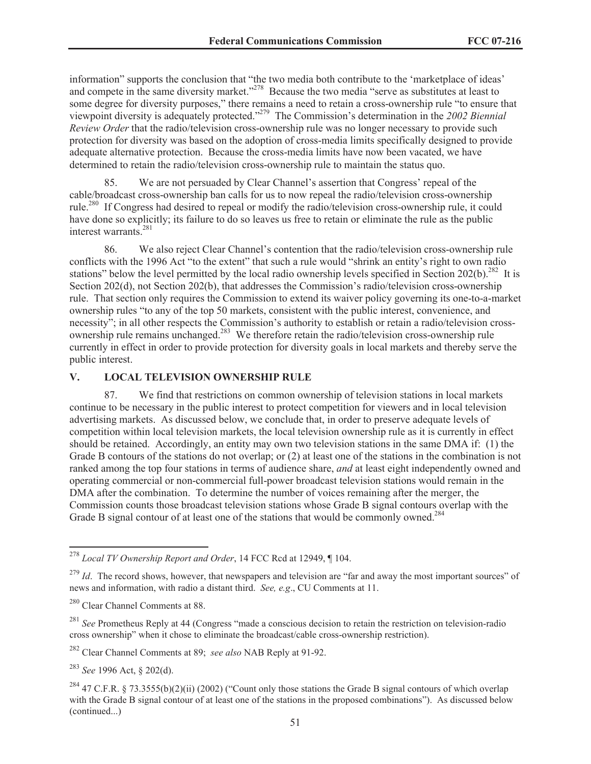information" supports the conclusion that "the two media both contribute to the 'marketplace of ideas' and compete in the same diversity market."<sup>278</sup> Because the two media "serve as substitutes at least to some degree for diversity purposes," there remains a need to retain a cross-ownership rule "to ensure that viewpoint diversity is adequately protected."<sup>279</sup> The Commission's determination in the *2002 Biennial Review Order* that the radio/television cross-ownership rule was no longer necessary to provide such protection for diversity was based on the adoption of cross-media limits specifically designed to provide adequate alternative protection. Because the cross-media limits have now been vacated, we have determined to retain the radio/television cross-ownership rule to maintain the status quo.

85. We are not persuaded by Clear Channel's assertion that Congress' repeal of the cable/broadcast cross-ownership ban calls for us to now repeal the radio/television cross-ownership rule.<sup>280</sup> If Congress had desired to repeal or modify the radio/television cross-ownership rule, it could have done so explicitly; its failure to do so leaves us free to retain or eliminate the rule as the public interest warrants.<sup>281</sup>

86. We also reject Clear Channel's contention that the radio/television cross-ownership rule conflicts with the 1996 Act "to the extent" that such a rule would "shrink an entity's right to own radio stations" below the level permitted by the local radio ownership levels specified in Section 202(b).<sup>282</sup> It is Section 202(d), not Section 202(b), that addresses the Commission's radio/television cross-ownership rule. That section only requires the Commission to extend its waiver policy governing its one-to-a-market ownership rules "to any of the top 50 markets, consistent with the public interest, convenience, and necessity"; in all other respects the Commission's authority to establish or retain a radio/television crossownership rule remains unchanged.<sup>283</sup> We therefore retain the radio/television cross-ownership rule currently in effect in order to provide protection for diversity goals in local markets and thereby serve the public interest.

### **V. LOCAL TELEVISION OWNERSHIP RULE**

87. We find that restrictions on common ownership of television stations in local markets continue to be necessary in the public interest to protect competition for viewers and in local television advertising markets. As discussed below, we conclude that, in order to preserve adequate levels of competition within local television markets, the local television ownership rule as it is currently in effect should be retained. Accordingly, an entity may own two television stations in the same DMA if: (1) the Grade B contours of the stations do not overlap; or (2) at least one of the stations in the combination is not ranked among the top four stations in terms of audience share, *and* at least eight independently owned and operating commercial or non-commercial full-power broadcast television stations would remain in the DMA after the combination. To determine the number of voices remaining after the merger, the Commission counts those broadcast television stations whose Grade B signal contours overlap with the Grade B signal contour of at least one of the stations that would be commonly owned.<sup>284</sup>

<sup>283</sup> *See* 1996 Act, § 202(d).

<sup>278</sup> *Local TV Ownership Report and Order*, 14 FCC Rcd at 12949, ¶ 104.

<sup>&</sup>lt;sup>279</sup> *Id*. The record shows, however, that newspapers and television are "far and away the most important sources" of news and information, with radio a distant third. *See, e.g*., CU Comments at 11.

<sup>280</sup> Clear Channel Comments at 88.

<sup>&</sup>lt;sup>281</sup> *See* Prometheus Reply at 44 (Congress "made a conscious decision to retain the restriction on television-radio cross ownership" when it chose to eliminate the broadcast/cable cross-ownership restriction).

<sup>282</sup> Clear Channel Comments at 89; *see also* NAB Reply at 91-92.

<sup>&</sup>lt;sup>284</sup> 47 C.F.R. § 73.3555(b)(2)(ii) (2002) ("Count only those stations the Grade B signal contours of which overlap with the Grade B signal contour of at least one of the stations in the proposed combinations"). As discussed below (continued...)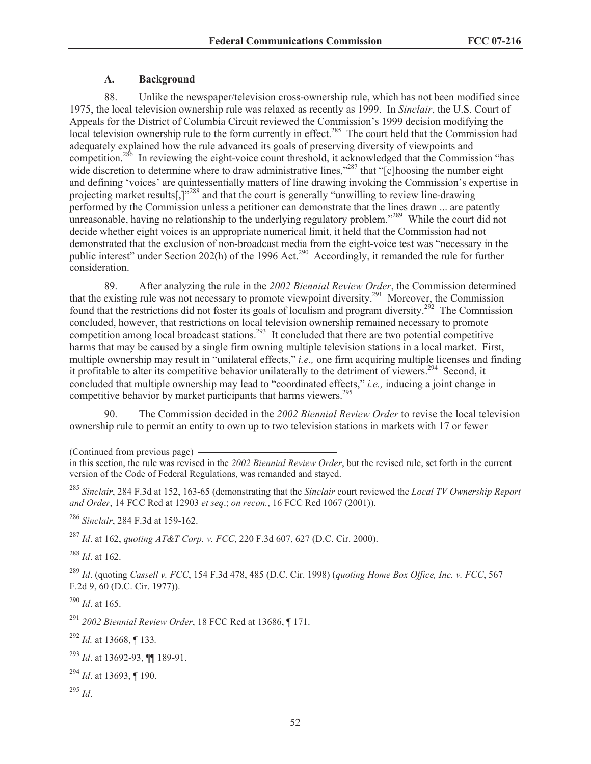# **A. Background**

88. Unlike the newspaper/television cross-ownership rule, which has not been modified since 1975, the local television ownership rule was relaxed as recently as 1999. In *Sinclair*, the U.S. Court of Appeals for the District of Columbia Circuit reviewed the Commission's 1999 decision modifying the local television ownership rule to the form currently in effect.<sup>285</sup> The court held that the Commission had adequately explained how the rule advanced its goals of preserving diversity of viewpoints and competition.<sup>286</sup> In reviewing the eight-voice count threshold, it acknowledged that the Commission "has wide discretion to determine where to draw administrative lines,"<sup>287</sup> that "[c]hoosing the number eight and defining 'voices' are quintessentially matters of line drawing invoking the Commission's expertise in projecting market results[,]"<sup>288</sup> and that the court is generally "unwilling to review line-drawing performed by the Commission unless a petitioner can demonstrate that the lines drawn ... are patently unreasonable, having no relationship to the underlying regulatory problem."<sup>289</sup> While the court did not decide whether eight voices is an appropriate numerical limit, it held that the Commission had not demonstrated that the exclusion of non-broadcast media from the eight-voice test was "necessary in the public interest" under Section 202(h) of the 1996 Act.<sup>290</sup> Accordingly, it remanded the rule for further consideration.

89. After analyzing the rule in the *2002 Biennial Review Order*, the Commission determined that the existing rule was not necessary to promote viewpoint diversity.<sup>291</sup> Moreover, the Commission found that the restrictions did not foster its goals of localism and program diversity.<sup>292</sup> The Commission concluded, however, that restrictions on local television ownership remained necessary to promote competition among local broadcast stations.<sup>293</sup> It concluded that there are two potential competitive harms that may be caused by a single firm owning multiple television stations in a local market. First, multiple ownership may result in "unilateral effects," *i.e.,* one firm acquiring multiple licenses and finding it profitable to alter its competitive behavior unilaterally to the detriment of viewers.<sup>294</sup> Second, it concluded that multiple ownership may lead to "coordinated effects," *i.e.,* inducing a joint change in competitive behavior by market participants that harms viewers.<sup>295</sup>

90. The Commission decided in the *2002 Biennial Review Order* to revise the local television ownership rule to permit an entity to own up to two television stations in markets with 17 or fewer

(Continued from previous page)

<sup>286</sup> *Sinclair*, 284 F.3d at 159-162.

<sup>287</sup> *Id*. at 162, *quoting AT&T Corp. v. FCC*, 220 F.3d 607, 627 (D.C. Cir. 2000).

<sup>288</sup> *Id*. at 162.

<sup>289</sup> *Id*. (quoting *Cassell v. FCC*, 154 F.3d 478, 485 (D.C. Cir. 1998) (*quoting Home Box Office, Inc. v. FCC*, 567 F.2d 9, 60 (D.C. Cir. 1977)).

<sup>290</sup> *Id*. at 165.

<sup>291</sup> *2002 Biennial Review Order*, 18 FCC Rcd at 13686, ¶ 171.

<sup>292</sup> *Id.* at 13668, ¶ 133*.*

<sup>293</sup> *Id*. at 13692-93, ¶¶ 189-91.

<sup>294</sup> *Id*. at 13693, ¶ 190.

<sup>295</sup> *Id*.

in this section, the rule was revised in the *2002 Biennial Review Order*, but the revised rule, set forth in the current version of the Code of Federal Regulations, was remanded and stayed.

<sup>285</sup> *Sinclair*, 284 F.3d at 152, 163-65 (demonstrating that the *Sinclair* court reviewed the *Local TV Ownership Report and Order*, 14 FCC Rcd at 12903 *et seq*.; *on recon.*, 16 FCC Rcd 1067 (2001)).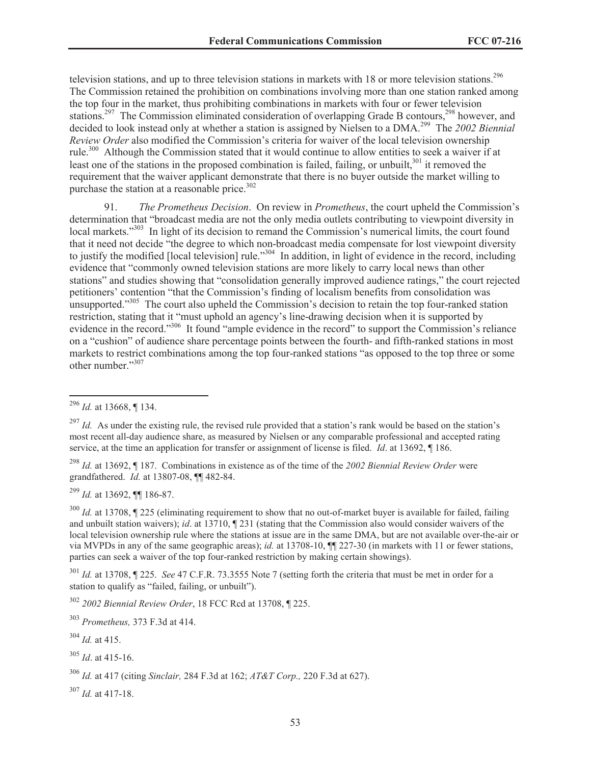television stations, and up to three television stations in markets with 18 or more television stations.<sup>296</sup> The Commission retained the prohibition on combinations involving more than one station ranked among the top four in the market, thus prohibiting combinations in markets with four or fewer television stations.<sup>297</sup> The Commission eliminated consideration of overlapping Grade B contours,<sup>298</sup> however, and decided to look instead only at whether a station is assigned by Nielsen to a DMA.<sup>299</sup> The *2002 Biennial Review Order* also modified the Commission's criteria for waiver of the local television ownership rule.<sup>300</sup> Although the Commission stated that it would continue to allow entities to seek a waiver if at least one of the stations in the proposed combination is failed, failing, or unbuilt, $301$  it removed the requirement that the waiver applicant demonstrate that there is no buyer outside the market willing to purchase the station at a reasonable price. $302$ 

91. *The Prometheus Decision*. On review in *Prometheus*, the court upheld the Commission's determination that "broadcast media are not the only media outlets contributing to viewpoint diversity in local markets."<sup>303</sup> In light of its decision to remand the Commission's numerical limits, the court found that it need not decide "the degree to which non-broadcast media compensate for lost viewpoint diversity to justify the modified [local television] rule.<sup>304</sup> In addition, in light of evidence in the record, including evidence that "commonly owned television stations are more likely to carry local news than other stations" and studies showing that "consolidation generally improved audience ratings," the court rejected petitioners' contention "that the Commission's finding of localism benefits from consolidation was unsupported."<sup>305</sup> The court also upheld the Commission's decision to retain the top four-ranked station restriction, stating that it "must uphold an agency's line-drawing decision when it is supported by evidence in the record."<sup>306</sup> It found "ample evidence in the record" to support the Commission's reliance on a "cushion" of audience share percentage points between the fourth- and fifth-ranked stations in most markets to restrict combinations among the top four-ranked stations "as opposed to the top three or some other number."<sup>307</sup>

<sup>299</sup> *Id.* at 13692, ¶¶ 186-87.

<sup>300</sup> *Id.* at 13708, 1225 (eliminating requirement to show that no out-of-market buyer is available for failed, failing and unbuilt station waivers); *id*. at 13710, ¶ 231 (stating that the Commission also would consider waivers of the local television ownership rule where the stations at issue are in the same DMA, but are not available over-the-air or via MVPDs in any of the same geographic areas); *id.* at 13708-10, ¶¶ 227-30 (in markets with 11 or fewer stations, parties can seek a waiver of the top four-ranked restriction by making certain showings).

<sup>301</sup> *Id.* at 13708, ¶ 225. *See* 47 C.F.R. 73.3555 Note 7 (setting forth the criteria that must be met in order for a station to qualify as "failed, failing, or unbuilt").

<sup>302</sup> *2002 Biennial Review Order*, 18 FCC Rcd at 13708, ¶ 225.

<sup>303</sup> *Prometheus,* 373 F.3d at 414.

<sup>304</sup> *Id.* at 415.

<sup>305</sup> *Id*. at 415-16.

<sup>307</sup> *Id.* at 417-18.

<sup>296</sup> *Id.* at 13668, ¶ 134.

 $^{297}$  *Id.* As under the existing rule, the revised rule provided that a station's rank would be based on the station's most recent all-day audience share, as measured by Nielsen or any comparable professional and accepted rating service, at the time an application for transfer or assignment of license is filed. *Id*. at 13692, ¶ 186.

<sup>298</sup> *Id.* at 13692, ¶ 187. Combinations in existence as of the time of the *2002 Biennial Review Order* were grandfathered. *Id.* at 13807-08, ¶¶ 482-84.

<sup>306</sup> *Id.* at 417 (citing *Sinclair,* 284 F.3d at 162; *AT&T Corp.,* 220 F.3d at 627).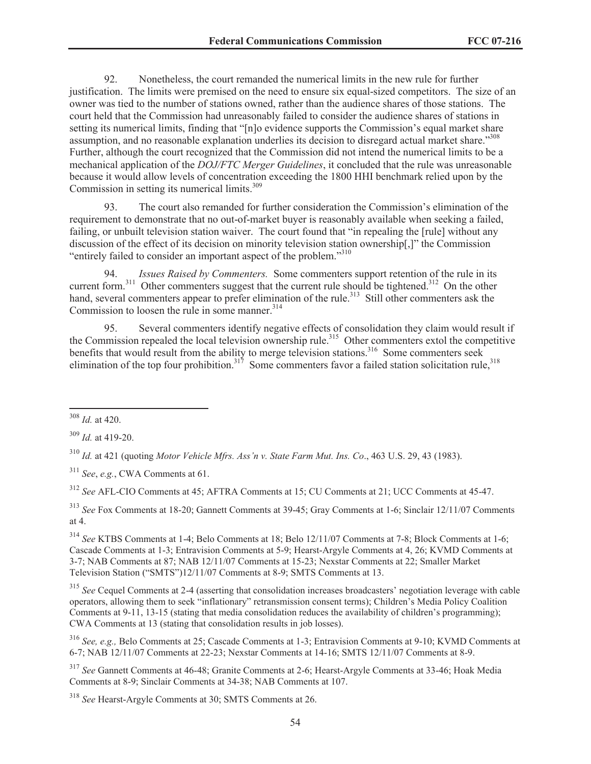92. Nonetheless, the court remanded the numerical limits in the new rule for further justification. The limits were premised on the need to ensure six equal-sized competitors. The size of an owner was tied to the number of stations owned, rather than the audience shares of those stations. The court held that the Commission had unreasonably failed to consider the audience shares of stations in setting its numerical limits, finding that "[n]o evidence supports the Commission's equal market share assumption, and no reasonable explanation underlies its decision to disregard actual market share."<sup>308</sup> Further, although the court recognized that the Commission did not intend the numerical limits to be a mechanical application of the *DOJ/FTC Merger Guidelines*, it concluded that the rule was unreasonable because it would allow levels of concentration exceeding the 1800 HHI benchmark relied upon by the Commission in setting its numerical limits.<sup>309</sup>

93. The court also remanded for further consideration the Commission's elimination of the requirement to demonstrate that no out-of-market buyer is reasonably available when seeking a failed, failing, or unbuilt television station waiver. The court found that "in repealing the [rule] without any discussion of the effect of its decision on minority television station ownership[,]" the Commission "entirely failed to consider an important aspect of the problem."<sup>310</sup>

94. *Issues Raised by Commenters.* Some commenters support retention of the rule in its current form.<sup>311</sup> Other commenters suggest that the current rule should be tightened.<sup>312</sup> On the other hand, several commenters appear to prefer elimination of the rule.<sup>313</sup> Still other commenters ask the Commission to loosen the rule in some manner. $314$ 

95. Several commenters identify negative effects of consolidation they claim would result if the Commission repealed the local television ownership rule.<sup>315</sup> Other commenters extol the competitive benefits that would result from the ability to merge television stations.<sup>316</sup> Some commenters seek elimination of the top four prohibition.<sup>317</sup> Some commenters favor a failed station solicitation rule,<sup>318</sup>

<sup>310</sup> *Id.* at 421 (quoting *Motor Vehicle Mfrs. Ass'n v. State Farm Mut. Ins. Co*., 463 U.S. 29, 43 (1983).

<sup>311</sup> *See*, *e.g.*, CWA Comments at 61.

<sup>312</sup> *See* AFL-CIO Comments at 45; AFTRA Comments at 15; CU Comments at 21; UCC Comments at 45-47.

<sup>313</sup> *See* Fox Comments at 18-20; Gannett Comments at 39-45; Gray Comments at 1-6; Sinclair 12/11/07 Comments at 4.

<sup>314</sup> *See* KTBS Comments at 1-4; Belo Comments at 18; Belo 12/11/07 Comments at 7-8; Block Comments at 1-6; Cascade Comments at 1-3; Entravision Comments at 5-9; Hearst-Argyle Comments at 4, 26; KVMD Comments at 3-7; NAB Comments at 87; NAB 12/11/07 Comments at 15-23; Nexstar Comments at 22; Smaller Market Television Station ("SMTS")12/11/07 Comments at 8-9; SMTS Comments at 13.

<sup>315</sup> See Cequel Comments at 2-4 (asserting that consolidation increases broadcasters' negotiation leverage with cable operators, allowing them to seek "inflationary" retransmission consent terms); Children's Media Policy Coalition Comments at 9-11, 13-15 (stating that media consolidation reduces the availability of children's programming); CWA Comments at 13 (stating that consolidation results in job losses).

<sup>316</sup> *See, e.g.,* Belo Comments at 25; Cascade Comments at 1-3; Entravision Comments at 9-10; KVMD Comments at 6-7; NAB 12/11/07 Comments at 22-23; Nexstar Comments at 14-16; SMTS 12/11/07 Comments at 8-9.

<sup>317</sup> *See* Gannett Comments at 46-48; Granite Comments at 2-6; Hearst-Argyle Comments at 33-46; Hoak Media Comments at 8-9; Sinclair Comments at 34-38; NAB Comments at 107.

<sup>318</sup> *See* Hearst-Argyle Comments at 30; SMTS Comments at 26.

<sup>308</sup> *Id.* at 420.

<sup>309</sup> *Id.* at 419-20.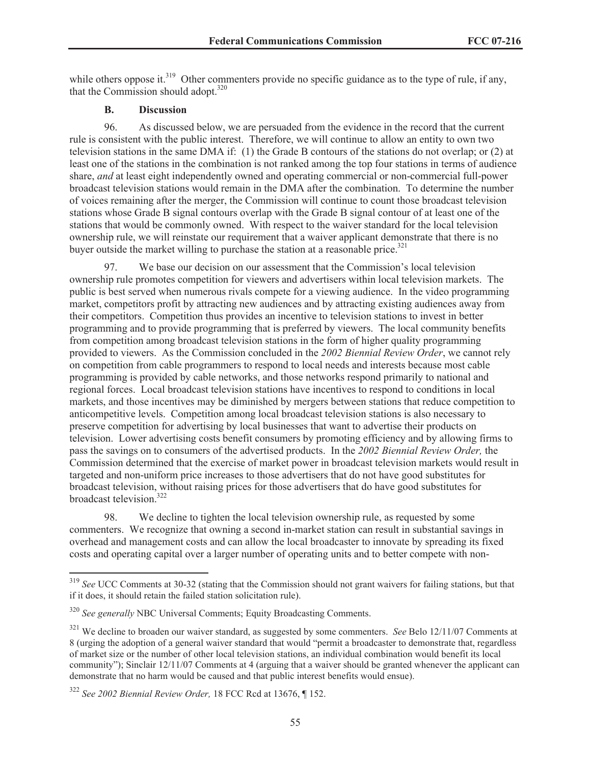while others oppose it.<sup>319</sup> Other commenters provide no specific guidance as to the type of rule, if any, that the Commission should adopt. $320$ 

#### **B. Discussion**

96. As discussed below, we are persuaded from the evidence in the record that the current rule is consistent with the public interest. Therefore, we will continue to allow an entity to own two television stations in the same DMA if: (1) the Grade B contours of the stations do not overlap; or (2) at least one of the stations in the combination is not ranked among the top four stations in terms of audience share, *and* at least eight independently owned and operating commercial or non-commercial full-power broadcast television stations would remain in the DMA after the combination. To determine the number of voices remaining after the merger, the Commission will continue to count those broadcast television stations whose Grade B signal contours overlap with the Grade B signal contour of at least one of the stations that would be commonly owned. With respect to the waiver standard for the local television ownership rule, we will reinstate our requirement that a waiver applicant demonstrate that there is no buyer outside the market willing to purchase the station at a reasonable price.<sup>321</sup>

97. We base our decision on our assessment that the Commission's local television ownership rule promotes competition for viewers and advertisers within local television markets. The public is best served when numerous rivals compete for a viewing audience. In the video programming market, competitors profit by attracting new audiences and by attracting existing audiences away from their competitors. Competition thus provides an incentive to television stations to invest in better programming and to provide programming that is preferred by viewers. The local community benefits from competition among broadcast television stations in the form of higher quality programming provided to viewers. As the Commission concluded in the *2002 Biennial Review Order*, we cannot rely on competition from cable programmers to respond to local needs and interests because most cable programming is provided by cable networks, and those networks respond primarily to national and regional forces. Local broadcast television stations have incentives to respond to conditions in local markets, and those incentives may be diminished by mergers between stations that reduce competition to anticompetitive levels. Competition among local broadcast television stations is also necessary to preserve competition for advertising by local businesses that want to advertise their products on television. Lower advertising costs benefit consumers by promoting efficiency and by allowing firms to pass the savings on to consumers of the advertised products. In the *2002 Biennial Review Order,* the Commission determined that the exercise of market power in broadcast television markets would result in targeted and non-uniform price increases to those advertisers that do not have good substitutes for broadcast television, without raising prices for those advertisers that do have good substitutes for broadcast television.<sup>322</sup>

98. We decline to tighten the local television ownership rule, as requested by some commenters. We recognize that owning a second in-market station can result in substantial savings in overhead and management costs and can allow the local broadcaster to innovate by spreading its fixed costs and operating capital over a larger number of operating units and to better compete with non-

<sup>319</sup> *See* UCC Comments at 30-32 (stating that the Commission should not grant waivers for failing stations, but that if it does, it should retain the failed station solicitation rule).

<sup>320</sup> *See generally* NBC Universal Comments; Equity Broadcasting Comments.

<sup>321</sup> We decline to broaden our waiver standard, as suggested by some commenters. *See* Belo 12/11/07 Comments at 8 (urging the adoption of a general waiver standard that would "permit a broadcaster to demonstrate that, regardless of market size or the number of other local television stations, an individual combination would benefit its local community"); Sinclair 12/11/07 Comments at 4 (arguing that a waiver should be granted whenever the applicant can demonstrate that no harm would be caused and that public interest benefits would ensue).

<sup>322</sup> *See 2002 Biennial Review Order,* 18 FCC Rcd at 13676, ¶ 152.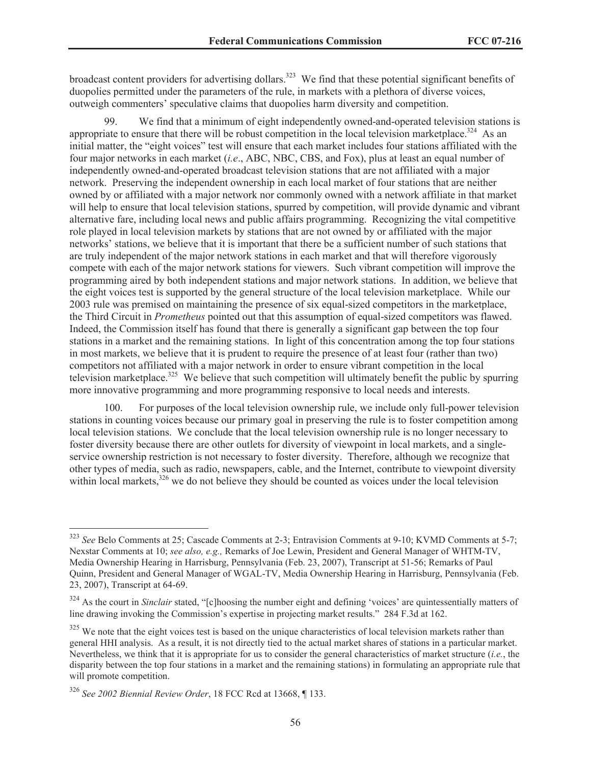broadcast content providers for advertising dollars.<sup>323</sup> We find that these potential significant benefits of duopolies permitted under the parameters of the rule, in markets with a plethora of diverse voices, outweigh commenters' speculative claims that duopolies harm diversity and competition.

We find that a minimum of eight independently owned-and-operated television stations is appropriate to ensure that there will be robust competition in the local television marketplace.<sup>324</sup> As an initial matter, the "eight voices" test will ensure that each market includes four stations affiliated with the four major networks in each market (*i.e*., ABC, NBC, CBS, and Fox), plus at least an equal number of independently owned-and-operated broadcast television stations that are not affiliated with a major network. Preserving the independent ownership in each local market of four stations that are neither owned by or affiliated with a major network nor commonly owned with a network affiliate in that market will help to ensure that local television stations, spurred by competition, will provide dynamic and vibrant alternative fare, including local news and public affairs programming. Recognizing the vital competitive role played in local television markets by stations that are not owned by or affiliated with the major networks' stations, we believe that it is important that there be a sufficient number of such stations that are truly independent of the major network stations in each market and that will therefore vigorously compete with each of the major network stations for viewers. Such vibrant competition will improve the programming aired by both independent stations and major network stations. In addition, we believe that the eight voices test is supported by the general structure of the local television marketplace. While our 2003 rule was premised on maintaining the presence of six equal-sized competitors in the marketplace, the Third Circuit in *Prometheus* pointed out that this assumption of equal-sized competitors was flawed. Indeed, the Commission itself has found that there is generally a significant gap between the top four stations in a market and the remaining stations. In light of this concentration among the top four stations in most markets, we believe that it is prudent to require the presence of at least four (rather than two) competitors not affiliated with a major network in order to ensure vibrant competition in the local television marketplace.<sup>325</sup> We believe that such competition will ultimately benefit the public by spurring more innovative programming and more programming responsive to local needs and interests.

100. For purposes of the local television ownership rule, we include only full-power television stations in counting voices because our primary goal in preserving the rule is to foster competition among local television stations. We conclude that the local television ownership rule is no longer necessary to foster diversity because there are other outlets for diversity of viewpoint in local markets, and a singleservice ownership restriction is not necessary to foster diversity. Therefore, although we recognize that other types of media, such as radio, newspapers, cable, and the Internet, contribute to viewpoint diversity within local markets,<sup>326</sup> we do not believe they should be counted as voices under the local television

<sup>323</sup> *See* Belo Comments at 25; Cascade Comments at 2-3; Entravision Comments at 9-10; KVMD Comments at 5-7; Nexstar Comments at 10; *see also, e.g.,* Remarks of Joe Lewin, President and General Manager of WHTM-TV, Media Ownership Hearing in Harrisburg, Pennsylvania (Feb. 23, 2007), Transcript at 51-56; Remarks of Paul Quinn, President and General Manager of WGAL-TV, Media Ownership Hearing in Harrisburg, Pennsylvania (Feb. 23, 2007), Transcript at 64-69.

<sup>&</sup>lt;sup>324</sup> As the court in *Sinclair* stated, "[c]hoosing the number eight and defining 'voices' are quintessentially matters of line drawing invoking the Commission's expertise in projecting market results." 284 F.3d at 162.

 $325$  We note that the eight voices test is based on the unique characteristics of local television markets rather than general HHI analysis. As a result, it is not directly tied to the actual market shares of stations in a particular market. Nevertheless, we think that it is appropriate for us to consider the general characteristics of market structure (*i.e.*, the disparity between the top four stations in a market and the remaining stations) in formulating an appropriate rule that will promote competition.

<sup>326</sup> *See 2002 Biennial Review Order*, 18 FCC Rcd at 13668, ¶ 133.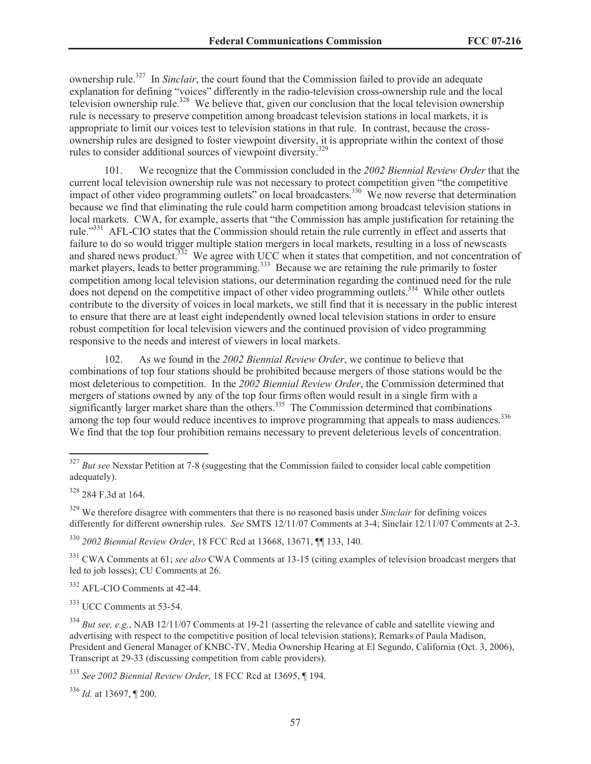ownership rule.<sup>327</sup> In *Sinclair*, the court found that the Commission failed to provide an adequate explanation for defining "voices" differently in the radio-television cross-ownership rule and the local television ownership rule.<sup>328</sup> We believe that, given our conclusion that the local television ownership rule is necessary to preserve competition among broadcast television stations in local markets, it is appropriate to limit our voices test to television stations in that rule. In contrast, because the crossownership rules are designed to foster viewpoint diversity, it is appropriate within the context of those rules to consider additional sources of viewpoint diversity.<sup>329</sup>

101. We recognize that the Commission concluded in the *2002 Biennial Review Order* that the current local television ownership rule was not necessary to protect competition given "the competitive impact of other video programming outlets" on local broadcasters.<sup>330</sup> We now reverse that determination because we find that eliminating the rule could harm competition among broadcast television stations in local markets. CWA, for example, asserts that "the Commission has ample justification for retaining the rule."<sup>331</sup> AFL-CIO states that the Commission should retain the rule currently in effect and asserts that failure to do so would trigger multiple station mergers in local markets, resulting in a loss of newscasts and shared news product.<sup>332</sup> We agree with UCC when it states that competition, and not concentration of market players, leads to better programming.<sup>333</sup> Because we are retaining the rule primarily to foster competition among local television stations, our determination regarding the continued need for the rule does not depend on the competitive impact of other video programming outlets.<sup>334</sup> While other outlets contribute to the diversity of voices in local markets, we still find that it is necessary in the public interest to ensure that there are at least eight independently owned local television stations in order to ensure robust competition for local television viewers and the continued provision of video programming responsive to the needs and interest of viewers in local markets.

102. As we found in the *2002 Biennial Review Order*, we continue to believe that combinations of top four stations should be prohibited because mergers of those stations would be the most deleterious to competition. In the *2002 Biennial Review Order*, the Commission determined that mergers of stations owned by any of the top four firms often would result in a single firm with a significantly larger market share than the others.<sup>335</sup> The Commission determined that combinations among the top four would reduce incentives to improve programming that appeals to mass audiences.<sup>336</sup> We find that the top four prohibition remains necessary to prevent deleterious levels of concentration.

<sup>330</sup> *2002 Biennial Review Order*, 18 FCC Rcd at 13668, 13671, ¶¶ 133, 140.

<sup>331</sup> CWA Comments at 61; *see also* CWA Comments at 13-15 (citing examples of television broadcast mergers that led to job losses); CU Comments at 26.

<sup>332</sup> AFL-CIO Comments at 42-44.

<sup>333</sup> UCC Comments at 53-54.

<sup>&</sup>lt;sup>327</sup> *But see* Nexstar Petition at 7-8 (suggesting that the Commission failed to consider local cable competition adequately).

<sup>328</sup> 284 F.3d at 164.

<sup>&</sup>lt;sup>329</sup> We therefore disagree with commenters that there is no reasoned basis under *Sinclair* for defining voices differently for different ownership rules. *See* SMTS 12/11/07 Comments at 3-4; Sinclair 12/11/07 Comments at 2-3.

<sup>334</sup> *But see, e.g.*, NAB 12/11/07 Comments at 19-21 (asserting the relevance of cable and satellite viewing and advertising with respect to the competitive position of local television stations); Remarks of Paula Madison, President and General Manager of KNBC-TV, Media Ownership Hearing at El Segundo, California (Oct. 3, 2006), Transcript at 29-33 (discussing competition from cable providers).

<sup>335</sup> *See 2002 Biennial Review Order*, 18 FCC Rcd at 13695, ¶ 194.

<sup>336</sup> *Id.* at 13697, ¶ 200.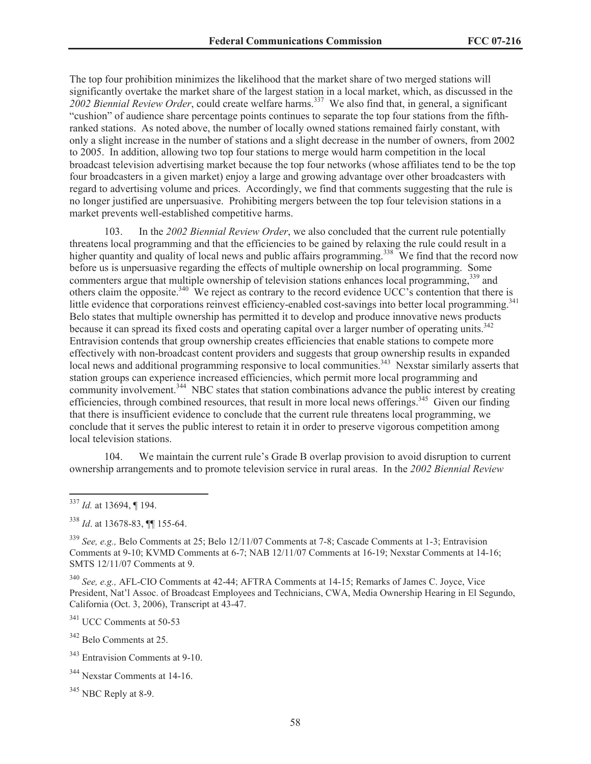The top four prohibition minimizes the likelihood that the market share of two merged stations will significantly overtake the market share of the largest station in a local market, which, as discussed in the *2002 Biennial Review Order*, could create welfare harms.<sup>337</sup> We also find that, in general, a significant "cushion" of audience share percentage points continues to separate the top four stations from the fifthranked stations. As noted above, the number of locally owned stations remained fairly constant, with only a slight increase in the number of stations and a slight decrease in the number of owners, from 2002 to 2005. In addition, allowing two top four stations to merge would harm competition in the local broadcast television advertising market because the top four networks (whose affiliates tend to be the top four broadcasters in a given market) enjoy a large and growing advantage over other broadcasters with regard to advertising volume and prices. Accordingly, we find that comments suggesting that the rule is no longer justified are unpersuasive. Prohibiting mergers between the top four television stations in a market prevents well-established competitive harms.

103. In the *2002 Biennial Review Order*, we also concluded that the current rule potentially threatens local programming and that the efficiencies to be gained by relaxing the rule could result in a higher quantity and quality of local news and public affairs programming.<sup>338</sup> We find that the record now before us is unpersuasive regarding the effects of multiple ownership on local programming. Some commenters argue that multiple ownership of television stations enhances local programming,<sup>339</sup> and others claim the opposite.<sup>340</sup> We reject as contrary to the record evidence UCC's contention that there is little evidence that corporations reinvest efficiency-enabled cost-savings into better local programming.<sup>341</sup> Belo states that multiple ownership has permitted it to develop and produce innovative news products because it can spread its fixed costs and operating capital over a larger number of operating units.<sup>342</sup> Entravision contends that group ownership creates efficiencies that enable stations to compete more effectively with non-broadcast content providers and suggests that group ownership results in expanded local news and additional programming responsive to local communities.<sup>343</sup> Nexstar similarly asserts that station groups can experience increased efficiencies, which permit more local programming and community involvement.<sup>344</sup> NBC states that station combinations advance the public interest by creating efficiencies, through combined resources, that result in more local news offerings.<sup>345</sup> Given our finding that there is insufficient evidence to conclude that the current rule threatens local programming, we conclude that it serves the public interest to retain it in order to preserve vigorous competition among local television stations.

104. We maintain the current rule's Grade B overlap provision to avoid disruption to current ownership arrangements and to promote television service in rural areas. In the *2002 Biennial Review* 

<sup>340</sup> *See, e.g.,* AFL-CIO Comments at 42-44; AFTRA Comments at 14-15; Remarks of James C. Joyce, Vice President, Nat'l Assoc. of Broadcast Employees and Technicians, CWA, Media Ownership Hearing in El Segundo, California (Oct. 3, 2006), Transcript at 43-47.

<sup>341</sup> UCC Comments at 50-53

<sup>342</sup> Belo Comments at 25.

<sup>337</sup> *Id.* at 13694, ¶ 194.

<sup>338</sup> *Id*. at 13678-83, ¶¶ 155-64.

<sup>339</sup> *See, e.g.,* Belo Comments at 25; Belo 12/11/07 Comments at 7-8; Cascade Comments at 1-3; Entravision Comments at 9-10; KVMD Comments at 6-7; NAB 12/11/07 Comments at 16-19; Nexstar Comments at 14-16; SMTS 12/11/07 Comments at 9.

<sup>&</sup>lt;sup>343</sup> Entravision Comments at 9-10.

<sup>344</sup> Nexstar Comments at 14-16.

 $345$  NBC Reply at 8-9.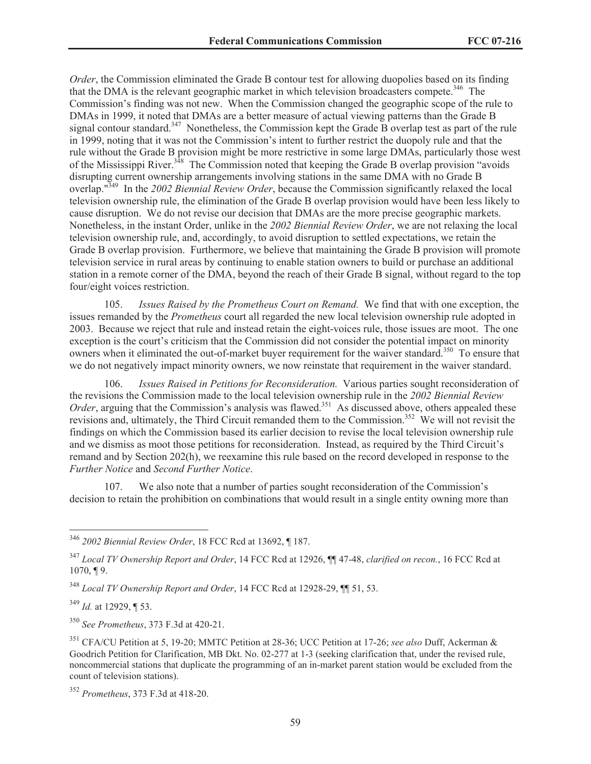*Order*, the Commission eliminated the Grade B contour test for allowing duopolies based on its finding that the DMA is the relevant geographic market in which television broadcasters compete.<sup>346</sup> The Commission's finding was not new. When the Commission changed the geographic scope of the rule to DMAs in 1999, it noted that DMAs are a better measure of actual viewing patterns than the Grade B signal contour standard.<sup>347</sup> Nonetheless, the Commission kept the Grade B overlap test as part of the rule in 1999, noting that it was not the Commission's intent to further restrict the duopoly rule and that the rule without the Grade B provision might be more restrictive in some large DMAs, particularly those west of the Mississippi River.<sup>348</sup> The Commission noted that keeping the Grade B overlap provision "avoids" disrupting current ownership arrangements involving stations in the same DMA with no Grade B overlap."<sup>349</sup> In the *2002 Biennial Review Order*, because the Commission significantly relaxed the local television ownership rule, the elimination of the Grade B overlap provision would have been less likely to cause disruption. We do not revise our decision that DMAs are the more precise geographic markets. Nonetheless, in the instant Order, unlike in the *2002 Biennial Review Order*, we are not relaxing the local television ownership rule, and, accordingly, to avoid disruption to settled expectations, we retain the Grade B overlap provision. Furthermore, we believe that maintaining the Grade B provision will promote television service in rural areas by continuing to enable station owners to build or purchase an additional station in a remote corner of the DMA, beyond the reach of their Grade B signal, without regard to the top four/eight voices restriction.

105. *Issues Raised by the Prometheus Court on Remand.* We find that with one exception, the issues remanded by the *Prometheus* court all regarded the new local television ownership rule adopted in 2003. Because we reject that rule and instead retain the eight-voices rule, those issues are moot. The one exception is the court's criticism that the Commission did not consider the potential impact on minority owners when it eliminated the out-of-market buyer requirement for the waiver standard.<sup>350</sup> To ensure that we do not negatively impact minority owners, we now reinstate that requirement in the waiver standard.

106. *Issues Raised in Petitions for Reconsideration.* Various parties sought reconsideration of the revisions the Commission made to the local television ownership rule in the *2002 Biennial Review Order*, arguing that the Commission's analysis was flawed.<sup>351</sup> As discussed above, others appealed these revisions and, ultimately, the Third Circuit remanded them to the Commission.<sup>352</sup> We will not revisit the findings on which the Commission based its earlier decision to revise the local television ownership rule and we dismiss as moot those petitions for reconsideration. Instead, as required by the Third Circuit's remand and by Section 202(h), we reexamine this rule based on the record developed in response to the *Further Notice* and *Second Further Notice*.

We also note that a number of parties sought reconsideration of the Commission's decision to retain the prohibition on combinations that would result in a single entity owning more than

<sup>349</sup> *Id.* at 12929, ¶ 53.

<sup>350</sup> *See Prometheus*, 373 F.3d at 420-21.

<sup>346</sup> *2002 Biennial Review Order*, 18 FCC Rcd at 13692, ¶ 187.

<sup>347</sup> *Local TV Ownership Report and Order*, 14 FCC Rcd at 12926, ¶¶ 47-48, *clarified on recon.*, 16 FCC Rcd at 1070, ¶ 9.

<sup>348</sup> *Local TV Ownership Report and Order*, 14 FCC Rcd at 12928-29, ¶¶ 51, 53.

<sup>351</sup> CFA/CU Petition at 5, 19-20; MMTC Petition at 28-36; UCC Petition at 17-26; *see also* Duff, Ackerman & Goodrich Petition for Clarification, MB Dkt. No. 02-277 at 1-3 (seeking clarification that, under the revised rule, noncommercial stations that duplicate the programming of an in-market parent station would be excluded from the count of television stations).

<sup>352</sup> *Prometheus*, 373 F.3d at 418-20.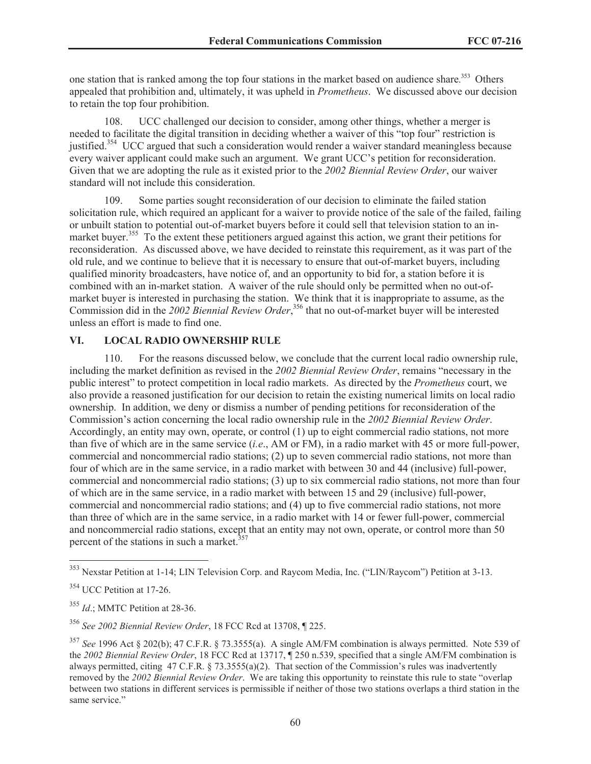one station that is ranked among the top four stations in the market based on audience share.<sup>353</sup> Others appealed that prohibition and, ultimately, it was upheld in *Prometheus*. We discussed above our decision to retain the top four prohibition.

108. UCC challenged our decision to consider, among other things, whether a merger is needed to facilitate the digital transition in deciding whether a waiver of this "top four" restriction is justified.<sup>354</sup> UCC argued that such a consideration would render a waiver standard meaningless because every waiver applicant could make such an argument. We grant UCC's petition for reconsideration. Given that we are adopting the rule as it existed prior to the *2002 Biennial Review Order*, our waiver standard will not include this consideration.

109. Some parties sought reconsideration of our decision to eliminate the failed station solicitation rule, which required an applicant for a waiver to provide notice of the sale of the failed, failing or unbuilt station to potential out-of-market buyers before it could sell that television station to an inmarket buyer.<sup>355</sup> To the extent these petitioners argued against this action, we grant their petitions for reconsideration. As discussed above, we have decided to reinstate this requirement, as it was part of the old rule, and we continue to believe that it is necessary to ensure that out-of-market buyers, including qualified minority broadcasters, have notice of, and an opportunity to bid for, a station before it is combined with an in-market station. A waiver of the rule should only be permitted when no out-ofmarket buyer is interested in purchasing the station. We think that it is inappropriate to assume, as the Commission did in the 2002 Biennial Review Order,<sup>356</sup> that no out-of-market buyer will be interested unless an effort is made to find one.

### **VI. LOCAL RADIO OWNERSHIP RULE**

110. For the reasons discussed below, we conclude that the current local radio ownership rule, including the market definition as revised in the *2002 Biennial Review Order*, remains "necessary in the public interest" to protect competition in local radio markets. As directed by the *Prometheus* court, we also provide a reasoned justification for our decision to retain the existing numerical limits on local radio ownership. In addition, we deny or dismiss a number of pending petitions for reconsideration of the Commission's action concerning the local radio ownership rule in the *2002 Biennial Review Order*. Accordingly, an entity may own, operate, or control (1) up to eight commercial radio stations, not more than five of which are in the same service (*i.e*., AM or FM), in a radio market with 45 or more full-power, commercial and noncommercial radio stations; (2) up to seven commercial radio stations, not more than four of which are in the same service, in a radio market with between 30 and 44 (inclusive) full-power, commercial and noncommercial radio stations; (3) up to six commercial radio stations, not more than four of which are in the same service, in a radio market with between 15 and 29 (inclusive) full-power, commercial and noncommercial radio stations; and (4) up to five commercial radio stations, not more than three of which are in the same service, in a radio market with 14 or fewer full-power, commercial and noncommercial radio stations, except that an entity may not own, operate, or control more than 50 percent of the stations in such a market. $357$ 

<sup>353</sup> Nexstar Petition at 1-14; LIN Television Corp. and Raycom Media, Inc. ("LIN/Raycom") Petition at 3-13.

<sup>354</sup> UCC Petition at 17-26.

<sup>355</sup> *Id*.; MMTC Petition at 28-36.

<sup>356</sup> *See 2002 Biennial Review Order*, 18 FCC Rcd at 13708, ¶ 225.

<sup>357</sup> *See* 1996 Act § 202(b); 47 C.F.R. § 73.3555(a). A single AM/FM combination is always permitted. Note 539 of the *2002 Biennial Review Order*, 18 FCC Rcd at 13717, ¶ 250 n.539, specified that a single AM/FM combination is always permitted, citing 47 C.F.R. § 73.3555(a)(2). That section of the Commission's rules was inadvertently removed by the *2002 Biennial Review Order*. We are taking this opportunity to reinstate this rule to state "overlap between two stations in different services is permissible if neither of those two stations overlaps a third station in the same service."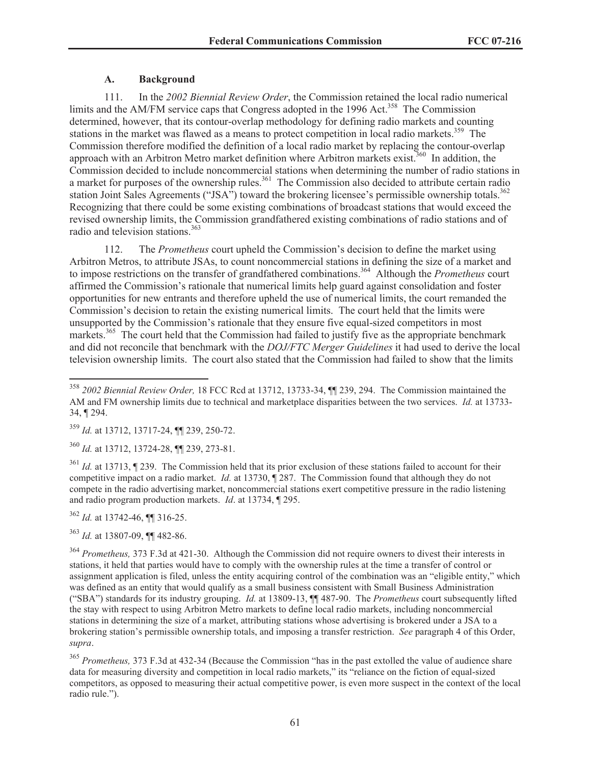# **A. Background**

111. In the *2002 Biennial Review Order*, the Commission retained the local radio numerical limits and the AM/FM service caps that Congress adopted in the 1996 Act.<sup>358</sup> The Commission determined, however, that its contour-overlap methodology for defining radio markets and counting stations in the market was flawed as a means to protect competition in local radio markets.<sup>359</sup> The Commission therefore modified the definition of a local radio market by replacing the contour-overlap approach with an Arbitron Metro market definition where Arbitron markets exist.<sup>360</sup> In addition, the Commission decided to include noncommercial stations when determining the number of radio stations in a market for purposes of the ownership rules.<sup>361</sup> The Commission also decided to attribute certain radio station Joint Sales Agreements ("JSA") toward the brokering licensee's permissible ownership totals.<sup>362</sup> Recognizing that there could be some existing combinations of broadcast stations that would exceed the revised ownership limits, the Commission grandfathered existing combinations of radio stations and of radio and television stations.<sup>363</sup>

112. The *Prometheus* court upheld the Commission's decision to define the market using Arbitron Metros, to attribute JSAs, to count noncommercial stations in defining the size of a market and to impose restrictions on the transfer of grandfathered combinations.<sup>364</sup> Although the *Prometheus* court affirmed the Commission's rationale that numerical limits help guard against consolidation and foster opportunities for new entrants and therefore upheld the use of numerical limits, the court remanded the Commission's decision to retain the existing numerical limits. The court held that the limits were unsupported by the Commission's rationale that they ensure five equal-sized competitors in most markets.<sup>365</sup> The court held that the Commission had failed to justify five as the appropriate benchmark and did not reconcile that benchmark with the *DOJ/FTC Merger Guidelines* it had used to derive the local television ownership limits. The court also stated that the Commission had failed to show that the limits

<sup>360</sup> *Id.* at 13712, 13724-28, ¶¶ 239, 273-81.

<sup>361</sup> *Id.* at 13713, ¶ 239. The Commission held that its prior exclusion of these stations failed to account for their competitive impact on a radio market. *Id.* at 13730, ¶ 287. The Commission found that although they do not compete in the radio advertising market, noncommercial stations exert competitive pressure in the radio listening and radio program production markets. *Id*. at 13734, ¶ 295.

<sup>362</sup> *Id.* at 13742-46, ¶¶ 316-25.

<sup>363</sup> *Id.* at 13807-09, ¶¶ 482-86.

<sup>364</sup> *Prometheus,* 373 F.3d at 421-30. Although the Commission did not require owners to divest their interests in stations, it held that parties would have to comply with the ownership rules at the time a transfer of control or assignment application is filed, unless the entity acquiring control of the combination was an "eligible entity," which was defined as an entity that would qualify as a small business consistent with Small Business Administration ("SBA") standards for its industry grouping. *Id.* at 13809-13, ¶¶ 487-90. The *Prometheus* court subsequently lifted the stay with respect to using Arbitron Metro markets to define local radio markets, including noncommercial stations in determining the size of a market, attributing stations whose advertising is brokered under a JSA to a brokering station's permissible ownership totals, and imposing a transfer restriction. *See* paragraph 4 of this Order, *supra*.

<sup>365</sup> *Prometheus,* 373 F.3d at 432-34 (Because the Commission "has in the past extolled the value of audience share data for measuring diversity and competition in local radio markets," its "reliance on the fiction of equal-sized competitors, as opposed to measuring their actual competitive power, is even more suspect in the context of the local radio rule.").

<sup>358</sup> *2002 Biennial Review Order,* 18 FCC Rcd at 13712, 13733-34, ¶¶ 239, 294. The Commission maintained the AM and FM ownership limits due to technical and marketplace disparities between the two services. *Id.* at 13733- 34, ¶ 294.

<sup>359</sup> *Id.* at 13712, 13717-24, ¶¶ 239, 250-72.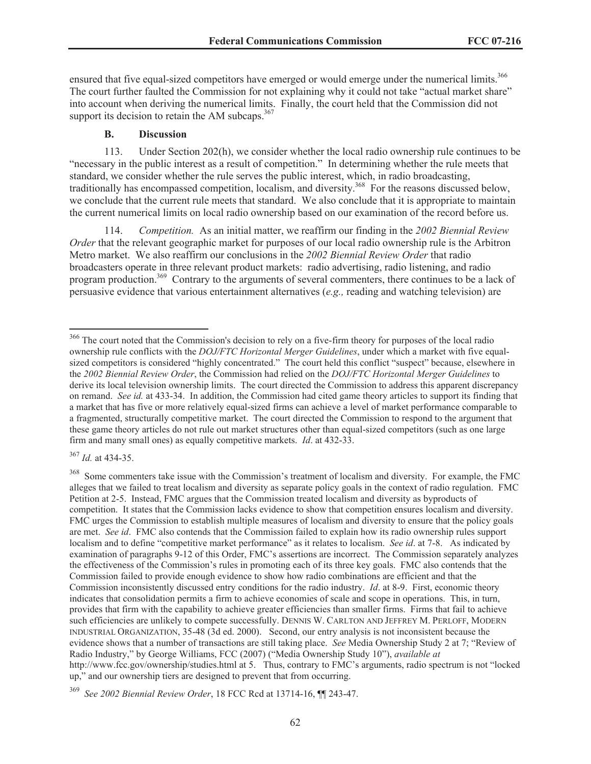ensured that five equal-sized competitors have emerged or would emerge under the numerical limits.<sup>366</sup> The court further faulted the Commission for not explaining why it could not take "actual market share" into account when deriving the numerical limits. Finally, the court held that the Commission did not support its decision to retain the AM subcaps. $367$ 

#### **B. Discussion**

113. Under Section 202(h), we consider whether the local radio ownership rule continues to be "necessary in the public interest as a result of competition." In determining whether the rule meets that standard, we consider whether the rule serves the public interest, which, in radio broadcasting, traditionally has encompassed competition, localism, and diversity.<sup>368</sup> For the reasons discussed below, we conclude that the current rule meets that standard. We also conclude that it is appropriate to maintain the current numerical limits on local radio ownership based on our examination of the record before us.

114. *Competition.* As an initial matter, we reaffirm our finding in the *2002 Biennial Review Order* that the relevant geographic market for purposes of our local radio ownership rule is the Arbitron Metro market. We also reaffirm our conclusions in the *2002 Biennial Review Order* that radio broadcasters operate in three relevant product markets: radio advertising, radio listening, and radio program production.<sup>369</sup> Contrary to the arguments of several commenters, there continues to be a lack of persuasive evidence that various entertainment alternatives (*e.g.,* reading and watching television) are

<sup>367</sup> *Id.* at 434-35.

<sup>&</sup>lt;sup>366</sup> The court noted that the Commission's decision to rely on a five-firm theory for purposes of the local radio ownership rule conflicts with the *DOJ/FTC Horizontal Merger Guidelines*, under which a market with five equalsized competitors is considered "highly concentrated." The court held this conflict "suspect" because, elsewhere in the *2002 Biennial Review Order*, the Commission had relied on the *DOJ/FTC Horizontal Merger Guidelines* to derive its local television ownership limits. The court directed the Commission to address this apparent discrepancy on remand. *See id.* at 433-34. In addition, the Commission had cited game theory articles to support its finding that a market that has five or more relatively equal-sized firms can achieve a level of market performance comparable to a fragmented, structurally competitive market. The court directed the Commission to respond to the argument that these game theory articles do not rule out market structures other than equal-sized competitors (such as one large firm and many small ones) as equally competitive markets. *Id*. at 432-33.

<sup>&</sup>lt;sup>368</sup> Some commenters take issue with the Commission's treatment of localism and diversity. For example, the FMC alleges that we failed to treat localism and diversity as separate policy goals in the context of radio regulation. FMC Petition at 2-5. Instead, FMC argues that the Commission treated localism and diversity as byproducts of competition. It states that the Commission lacks evidence to show that competition ensures localism and diversity. FMC urges the Commission to establish multiple measures of localism and diversity to ensure that the policy goals are met. *See id*. FMC also contends that the Commission failed to explain how its radio ownership rules support localism and to define "competitive market performance" as it relates to localism. *See id*. at 7-8. As indicated by examination of paragraphs 9-12 of this Order, FMC's assertions are incorrect. The Commission separately analyzes the effectiveness of the Commission's rules in promoting each of its three key goals. FMC also contends that the Commission failed to provide enough evidence to show how radio combinations are efficient and that the Commission inconsistently discussed entry conditions for the radio industry. *Id*. at 8-9. First, economic theory indicates that consolidation permits a firm to achieve economies of scale and scope in operations. This, in turn, provides that firm with the capability to achieve greater efficiencies than smaller firms. Firms that fail to achieve such efficiencies are unlikely to compete successfully. DENNIS W. CARLTON AND JEFFREY M. PERLOFF, MODERN INDUSTRIAL ORGANIZATION, 35-48 (3d ed. 2000). Second, our entry analysis is not inconsistent because the evidence shows that a number of transactions are still taking place. *See* Media Ownership Study 2 at 7; "Review of Radio Industry," by George Williams, FCC (2007) ("Media Ownership Study 10"), *available at* http://www.fcc.gov/ownership/studies.html at 5. Thus, contrary to FMC's arguments, radio spectrum is not "locked up," and our ownership tiers are designed to prevent that from occurring.

<sup>369</sup> *See 2002 Biennial Review Order*, 18 FCC Rcd at 13714-16, ¶¶ 243-47.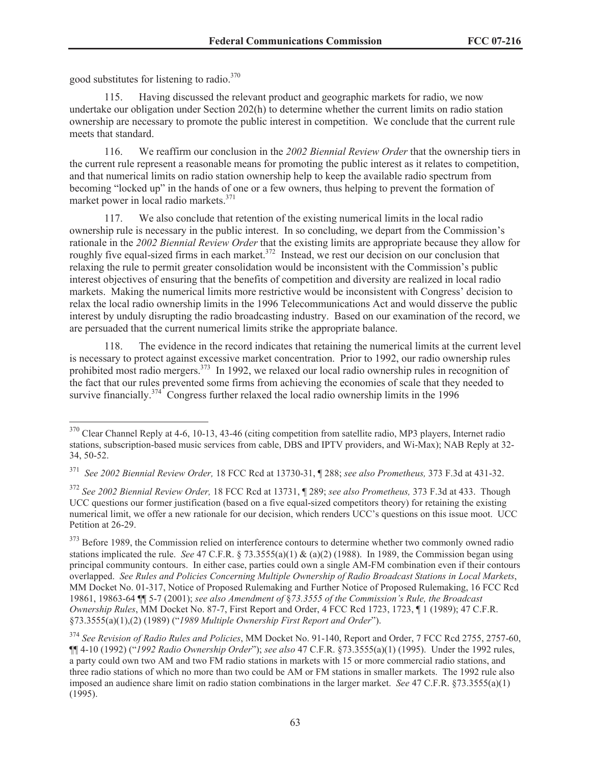good substitutes for listening to radio.<sup>370</sup>

115. Having discussed the relevant product and geographic markets for radio, we now undertake our obligation under Section 202(h) to determine whether the current limits on radio station ownership are necessary to promote the public interest in competition. We conclude that the current rule meets that standard.

116. We reaffirm our conclusion in the *2002 Biennial Review Order* that the ownership tiers in the current rule represent a reasonable means for promoting the public interest as it relates to competition, and that numerical limits on radio station ownership help to keep the available radio spectrum from becoming "locked up" in the hands of one or a few owners, thus helping to prevent the formation of market power in local radio markets.<sup>371</sup>

117. We also conclude that retention of the existing numerical limits in the local radio ownership rule is necessary in the public interest. In so concluding, we depart from the Commission's rationale in the *2002 Biennial Review Order* that the existing limits are appropriate because they allow for roughly five equal-sized firms in each market. $372$  Instead, we rest our decision on our conclusion that relaxing the rule to permit greater consolidation would be inconsistent with the Commission's public interest objectives of ensuring that the benefits of competition and diversity are realized in local radio markets. Making the numerical limits more restrictive would be inconsistent with Congress' decision to relax the local radio ownership limits in the 1996 Telecommunications Act and would disserve the public interest by unduly disrupting the radio broadcasting industry. Based on our examination of the record, we are persuaded that the current numerical limits strike the appropriate balance.

118. The evidence in the record indicates that retaining the numerical limits at the current level is necessary to protect against excessive market concentration. Prior to 1992, our radio ownership rules prohibited most radio mergers.<sup>373</sup> In 1992, we relaxed our local radio ownership rules in recognition of the fact that our rules prevented some firms from achieving the economies of scale that they needed to survive financially.<sup>374</sup> Congress further relaxed the local radio ownership limits in the 1996

<sup>&</sup>lt;sup>370</sup> Clear Channel Reply at 4-6, 10-13, 43-46 (citing competition from satellite radio, MP3 players, Internet radio stations, subscription-based music services from cable, DBS and IPTV providers, and Wi-Max); NAB Reply at 32- 34, 50-52.

<sup>371</sup> *See 2002 Biennial Review Order,* 18 FCC Rcd at 13730-31, ¶ 288; *see also Prometheus,* 373 F.3d at 431-32.

<sup>372</sup> *See 2002 Biennial Review Order,* 18 FCC Rcd at 13731, ¶ 289; *see also Prometheus,* 373 F.3d at 433. Though UCC questions our former justification (based on a five equal-sized competitors theory) for retaining the existing numerical limit, we offer a new rationale for our decision, which renders UCC's questions on this issue moot. UCC Petition at 26-29.

<sup>&</sup>lt;sup>373</sup> Before 1989, the Commission relied on interference contours to determine whether two commonly owned radio stations implicated the rule. *See* 47 C.F.R. § 73.3555(a)(1) & (a)(2) (1988). In 1989, the Commission began using principal community contours. In either case, parties could own a single AM-FM combination even if their contours overlapped. *See Rules and Policies Concerning Multiple Ownership of Radio Broadcast Stations in Local Markets*, MM Docket No. 01-317, Notice of Proposed Rulemaking and Further Notice of Proposed Rulemaking, 16 FCC Rcd 19861, 19863-64 ¶¶ 5-7 (2001); *see also Amendment of* §*73.3555 of the Commission's Rule, the Broadcast Ownership Rules*, MM Docket No. 87-7, First Report and Order, 4 FCC Rcd 1723, 1723, ¶ 1 (1989); 47 C.F.R. §73.3555(a)(1),(2) (1989) ("*1989 Multiple Ownership First Report and Order*").

<sup>374</sup> *See Revision of Radio Rules and Policies*, MM Docket No. 91-140, Report and Order, 7 FCC Rcd 2755, 2757-60, ¶¶ 4-10 (1992) ("*1992 Radio Ownership Order*"); *see also* 47 C.F.R. §73.3555(a)(1) (1995). Under the 1992 rules, a party could own two AM and two FM radio stations in markets with 15 or more commercial radio stations, and three radio stations of which no more than two could be AM or FM stations in smaller markets. The 1992 rule also imposed an audience share limit on radio station combinations in the larger market. *See* 47 C.F.R. §73.3555(a)(1) (1995).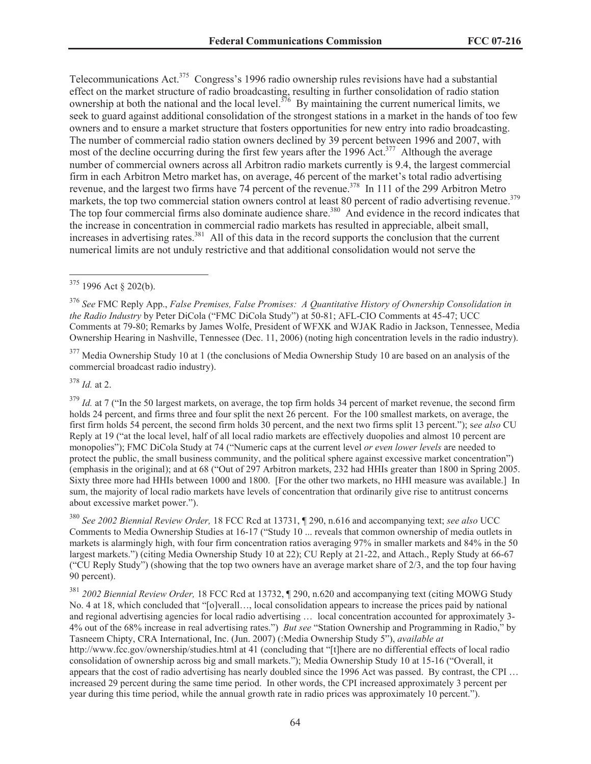Telecommunications Act.<sup>375</sup> Congress's 1996 radio ownership rules revisions have had a substantial effect on the market structure of radio broadcasting, resulting in further consolidation of radio station ownership at both the national and the local level.<sup>376</sup> By maintaining the current numerical limits, we seek to guard against additional consolidation of the strongest stations in a market in the hands of too few owners and to ensure a market structure that fosters opportunities for new entry into radio broadcasting. The number of commercial radio station owners declined by 39 percent between 1996 and 2007, with most of the decline occurring during the first few years after the 1996 Act.<sup>377</sup> Although the average number of commercial owners across all Arbitron radio markets currently is 9.4, the largest commercial firm in each Arbitron Metro market has, on average, 46 percent of the market's total radio advertising revenue, and the largest two firms have 74 percent of the revenue.<sup>378</sup> In 111 of the 299 Arbitron Metro markets, the top two commercial station owners control at least 80 percent of radio advertising revenue.<sup>379</sup> The top four commercial firms also dominate audience share.<sup>380</sup> And evidence in the record indicates that the increase in concentration in commercial radio markets has resulted in appreciable, albeit small, increases in advertising rates.<sup>381</sup> All of this data in the record supports the conclusion that the current numerical limits are not unduly restrictive and that additional consolidation would not serve the

<sup>377</sup> Media Ownership Study 10 at 1 (the conclusions of Media Ownership Study 10 are based on an analysis of the commercial broadcast radio industry).

<sup>378</sup> *Id.* at 2.

 $379$  *Id.* at 7 ("In the 50 largest markets, on average, the top firm holds 34 percent of market revenue, the second firm holds 24 percent, and firms three and four split the next 26 percent. For the 100 smallest markets, on average, the first firm holds 54 percent, the second firm holds 30 percent, and the next two firms split 13 percent."); s*ee also* CU Reply at 19 ("at the local level, half of all local radio markets are effectively duopolies and almost 10 percent are monopolies"); FMC DiCola Study at 74 ("Numeric caps at the current level *or even lower levels* are needed to protect the public, the small business community, and the political sphere against excessive market concentration") (emphasis in the original); and at 68 ("Out of 297 Arbitron markets, 232 had HHIs greater than 1800 in Spring 2005. Sixty three more had HHIs between 1000 and 1800. [For the other two markets, no HHI measure was available.] In sum, the majority of local radio markets have levels of concentration that ordinarily give rise to antitrust concerns about excessive market power.").

<sup>380</sup> *See 2002 Biennial Review Order,* 18 FCC Rcd at 13731, ¶ 290, n.616 and accompanying text; *see also* UCC Comments to Media Ownership Studies at 16-17 ("Study 10 ... reveals that common ownership of media outlets in markets is alarmingly high, with four firm concentration ratios averaging 97% in smaller markets and 84% in the 50 largest markets.") (citing Media Ownership Study 10 at 22); CU Reply at 21-22, and Attach., Reply Study at 66-67 ("CU Reply Study") (showing that the top two owners have an average market share of 2/3, and the top four having 90 percent).

<sup>381</sup> *2002 Biennial Review Order,* 18 FCC Rcd at 13732, ¶ 290, n.620 and accompanying text (citing MOWG Study No. 4 at 18, which concluded that "[o]verall…, local consolidation appears to increase the prices paid by national and regional advertising agencies for local radio advertising … local concentration accounted for approximately 3- 4% out of the 68% increase in real advertising rates.") *But see* "Station Ownership and Programming in Radio," by Tasneem Chipty, CRA International, Inc. (Jun. 2007) (:Media Ownership Study 5"), *available at* http://www.fcc.gov/ownership/studies.html at 41 (concluding that "[t]here are no differential effects of local radio consolidation of ownership across big and small markets."); Media Ownership Study 10 at 15-16 ("Overall, it appears that the cost of radio advertising has nearly doubled since the 1996 Act was passed. By contrast, the CPI … increased 29 percent during the same time period. In other words, the CPI increased approximately 3 percent per year during this time period, while the annual growth rate in radio prices was approximately 10 percent.").

<sup>375</sup> 1996 Act § 202(b).

<sup>376</sup> *See* FMC Reply App., *False Premises, False Promises: A Quantitative History of Ownership Consolidation in the Radio Industry* by Peter DiCola ("FMC DiCola Study") at 50-81; AFL-CIO Comments at 45-47; UCC Comments at 79-80; Remarks by James Wolfe, President of WFXK and WJAK Radio in Jackson, Tennessee, Media Ownership Hearing in Nashville, Tennessee (Dec. 11, 2006) (noting high concentration levels in the radio industry).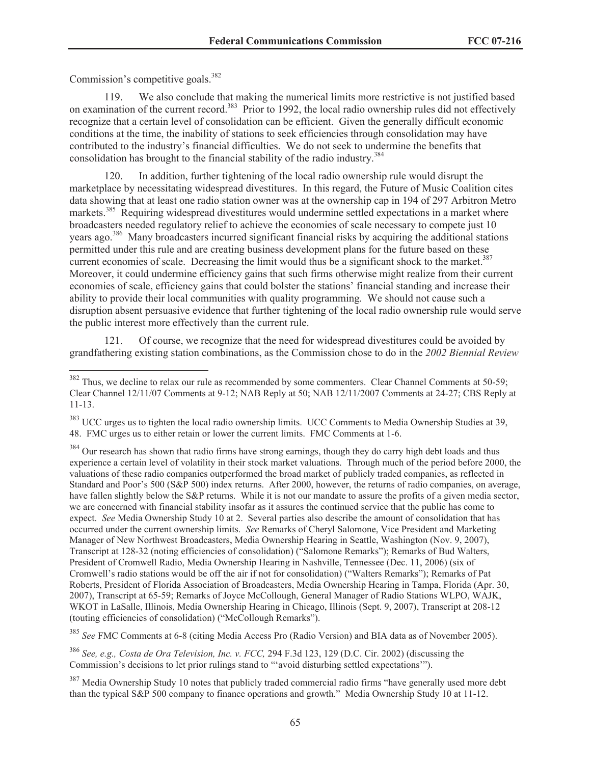Commission's competitive goals.<sup>382</sup>

119. We also conclude that making the numerical limits more restrictive is not justified based on examination of the current record.<sup>383</sup> Prior to 1992, the local radio ownership rules did not effectively recognize that a certain level of consolidation can be efficient. Given the generally difficult economic conditions at the time, the inability of stations to seek efficiencies through consolidation may have contributed to the industry's financial difficulties. We do not seek to undermine the benefits that consolidation has brought to the financial stability of the radio industry.<sup>384</sup>

120. In addition, further tightening of the local radio ownership rule would disrupt the marketplace by necessitating widespread divestitures. In this regard, the Future of Music Coalition cites data showing that at least one radio station owner was at the ownership cap in 194 of 297 Arbitron Metro markets.<sup>385</sup> Requiring widespread divestitures would undermine settled expectations in a market where broadcasters needed regulatory relief to achieve the economies of scale necessary to compete just 10 years ago.<sup>386</sup> Many broadcasters incurred significant financial risks by acquiring the additional stations permitted under this rule and are creating business development plans for the future based on these current economies of scale. Decreasing the limit would thus be a significant shock to the market.<sup>387</sup> Moreover, it could undermine efficiency gains that such firms otherwise might realize from their current economies of scale, efficiency gains that could bolster the stations' financial standing and increase their ability to provide their local communities with quality programming. We should not cause such a disruption absent persuasive evidence that further tightening of the local radio ownership rule would serve the public interest more effectively than the current rule.

121. Of course, we recognize that the need for widespread divestitures could be avoided by grandfathering existing station combinations, as the Commission chose to do in the *2002 Biennial Review* 

<sup>385</sup> *See* FMC Comments at 6-8 (citing Media Access Pro (Radio Version) and BIA data as of November 2005).

<sup>&</sup>lt;sup>382</sup> Thus, we decline to relax our rule as recommended by some commenters. Clear Channel Comments at 50-59; Clear Channel 12/11/07 Comments at 9-12; NAB Reply at 50; NAB 12/11/2007 Comments at 24-27; CBS Reply at 11-13.

<sup>&</sup>lt;sup>383</sup> UCC urges us to tighten the local radio ownership limits. UCC Comments to Media Ownership Studies at 39, 48. FMC urges us to either retain or lower the current limits. FMC Comments at 1-6.

<sup>&</sup>lt;sup>384</sup> Our research has shown that radio firms have strong earnings, though they do carry high debt loads and thus experience a certain level of volatility in their stock market valuations. Through much of the period before 2000, the valuations of these radio companies outperformed the broad market of publicly traded companies, as reflected in Standard and Poor's 500 (S&P 500) index returns. After 2000, however, the returns of radio companies, on average, have fallen slightly below the S&P returns. While it is not our mandate to assure the profits of a given media sector, we are concerned with financial stability insofar as it assures the continued service that the public has come to expect. *See* Media Ownership Study 10 at 2. Several parties also describe the amount of consolidation that has occurred under the current ownership limits. *See* Remarks of Cheryl Salomone, Vice President and Marketing Manager of New Northwest Broadcasters, Media Ownership Hearing in Seattle, Washington (Nov. 9, 2007), Transcript at 128-32 (noting efficiencies of consolidation) ("Salomone Remarks"); Remarks of Bud Walters, President of Cromwell Radio, Media Ownership Hearing in Nashville, Tennessee (Dec. 11, 2006) (six of Cromwell's radio stations would be off the air if not for consolidation) ("Walters Remarks"); Remarks of Pat Roberts, President of Florida Association of Broadcasters, Media Ownership Hearing in Tampa, Florida (Apr. 30, 2007), Transcript at 65-59; Remarks of Joyce McCollough, General Manager of Radio Stations WLPO, WAJK, WKOT in LaSalle, Illinois, Media Ownership Hearing in Chicago, Illinois (Sept. 9, 2007), Transcript at 208-12 (touting efficiencies of consolidation) ("McCollough Remarks").

<sup>386</sup> *See, e.g., Costa de Ora Television, Inc. v. FCC,* 294 F.3d 123, 129 (D.C. Cir. 2002) (discussing the Commission's decisions to let prior rulings stand to "'avoid disturbing settled expectations'").

<sup>&</sup>lt;sup>387</sup> Media Ownership Study 10 notes that publicly traded commercial radio firms "have generally used more debt than the typical S&P 500 company to finance operations and growth." Media Ownership Study 10 at 11-12.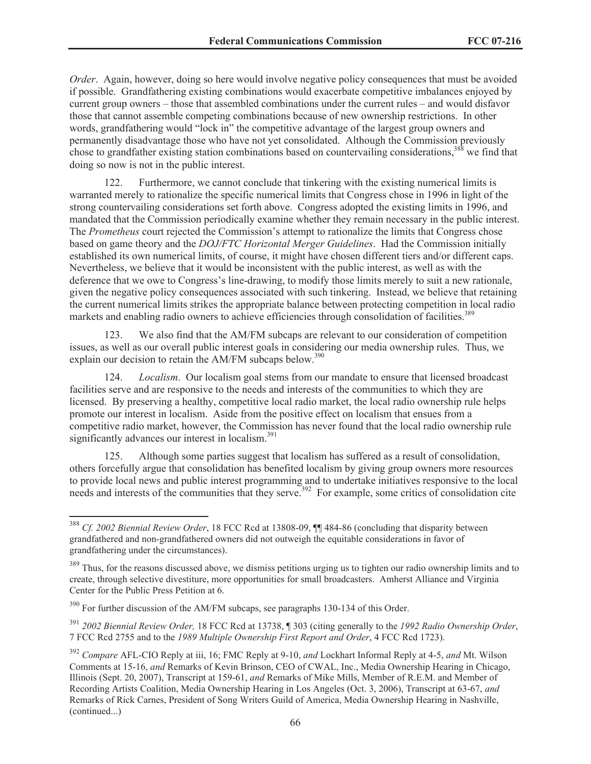*Order*. Again, however, doing so here would involve negative policy consequences that must be avoided if possible. Grandfathering existing combinations would exacerbate competitive imbalances enjoyed by current group owners – those that assembled combinations under the current rules – and would disfavor those that cannot assemble competing combinations because of new ownership restrictions. In other words, grandfathering would "lock in" the competitive advantage of the largest group owners and permanently disadvantage those who have not yet consolidated. Although the Commission previously chose to grandfather existing station combinations based on countervailing considerations,<sup>388</sup> we find that doing so now is not in the public interest.

122. Furthermore, we cannot conclude that tinkering with the existing numerical limits is warranted merely to rationalize the specific numerical limits that Congress chose in 1996 in light of the strong countervailing considerations set forth above. Congress adopted the existing limits in 1996, and mandated that the Commission periodically examine whether they remain necessary in the public interest. The *Prometheus* court rejected the Commission's attempt to rationalize the limits that Congress chose based on game theory and the *DOJ/FTC Horizontal Merger Guidelines*. Had the Commission initially established its own numerical limits, of course, it might have chosen different tiers and/or different caps. Nevertheless, we believe that it would be inconsistent with the public interest, as well as with the deference that we owe to Congress's line-drawing, to modify those limits merely to suit a new rationale, given the negative policy consequences associated with such tinkering. Instead, we believe that retaining the current numerical limits strikes the appropriate balance between protecting competition in local radio markets and enabling radio owners to achieve efficiencies through consolidation of facilities.<sup>389</sup>

123. We also find that the AM/FM subcaps are relevant to our consideration of competition issues, as well as our overall public interest goals in considering our media ownership rules. Thus, we explain our decision to retain the AM/FM subcaps below.<sup>390</sup>

124. *Localism*. Our localism goal stems from our mandate to ensure that licensed broadcast facilities serve and are responsive to the needs and interests of the communities to which they are licensed. By preserving a healthy, competitive local radio market, the local radio ownership rule helps promote our interest in localism. Aside from the positive effect on localism that ensues from a competitive radio market, however, the Commission has never found that the local radio ownership rule significantly advances our interest in localism.<sup>391</sup>

125. Although some parties suggest that localism has suffered as a result of consolidation, others forcefully argue that consolidation has benefited localism by giving group owners more resources to provide local news and public interest programming and to undertake initiatives responsive to the local needs and interests of the communities that they serve.<sup>392</sup> For example, some critics of consolidation cite

<sup>388</sup> *Cf. 2002 Biennial Review Order*, 18 FCC Rcd at 13808-09, ¶¶ 484-86 (concluding that disparity between grandfathered and non-grandfathered owners did not outweigh the equitable considerations in favor of grandfathering under the circumstances).

<sup>&</sup>lt;sup>389</sup> Thus, for the reasons discussed above, we dismiss petitions urging us to tighten our radio ownership limits and to create, through selective divestiture, more opportunities for small broadcasters. Amherst Alliance and Virginia Center for the Public Press Petition at 6.

 $390$  For further discussion of the AM/FM subcaps, see paragraphs 130-134 of this Order.

<sup>391</sup> *2002 Biennial Review Order,* 18 FCC Rcd at 13738, ¶ 303 (citing generally to the *1992 Radio Ownership Order*, 7 FCC Rcd 2755 and to the *1989 Multiple Ownership First Report and Order*, 4 FCC Rcd 1723).

<sup>392</sup> *Compare* AFL-CIO Reply at iii, 16; FMC Reply at 9-10, *and* Lockhart Informal Reply at 4-5, *and* Mt. Wilson Comments at 15-16, *and* Remarks of Kevin Brinson, CEO of CWAL, Inc., Media Ownership Hearing in Chicago, Illinois (Sept. 20, 2007), Transcript at 159-61, *and* Remarks of Mike Mills, Member of R.E.M. and Member of Recording Artists Coalition, Media Ownership Hearing in Los Angeles (Oct. 3, 2006), Transcript at 63-67, *and* Remarks of Rick Carnes, President of Song Writers Guild of America, Media Ownership Hearing in Nashville, (continued...)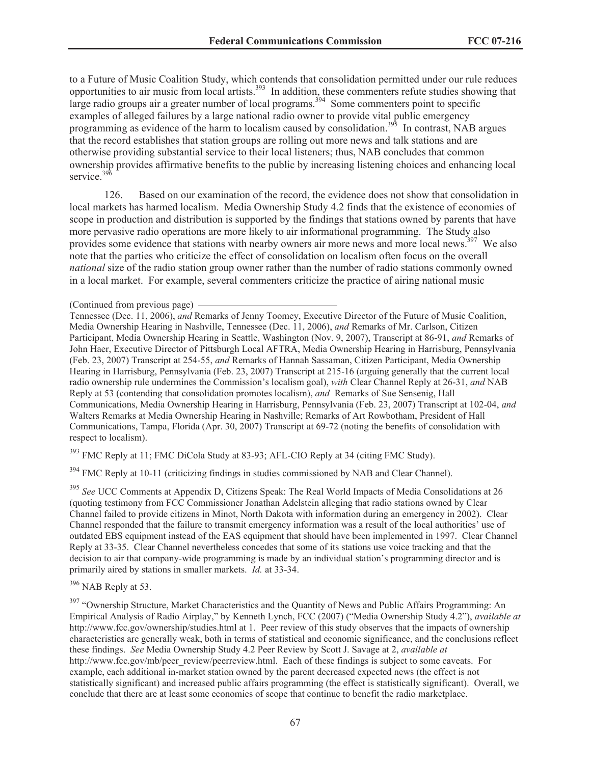to a Future of Music Coalition Study, which contends that consolidation permitted under our rule reduces opportunities to air music from local artists.<sup>393</sup> In addition, these commenters refute studies showing that large radio groups air a greater number of local programs.<sup>394</sup> Some commenters point to specific examples of alleged failures by a large national radio owner to provide vital public emergency programming as evidence of the harm to localism caused by consolidation.<sup>395</sup> In contrast, NAB argues that the record establishes that station groups are rolling out more news and talk stations and are otherwise providing substantial service to their local listeners; thus, NAB concludes that common ownership provides affirmative benefits to the public by increasing listening choices and enhancing local service. $396$ 

126. Based on our examination of the record, the evidence does not show that consolidation in local markets has harmed localism. Media Ownership Study 4.2 finds that the existence of economies of scope in production and distribution is supported by the findings that stations owned by parents that have more pervasive radio operations are more likely to air informational programming. The Study also provides some evidence that stations with nearby owners air more news and more local news.<sup>397</sup> We also note that the parties who criticize the effect of consolidation on localism often focus on the overall *national* size of the radio station group owner rather than the number of radio stations commonly owned in a local market. For example, several commenters criticize the practice of airing national music

Tennessee (Dec. 11, 2006), *and* Remarks of Jenny Toomey, Executive Director of the Future of Music Coalition, Media Ownership Hearing in Nashville, Tennessee (Dec. 11, 2006), *and* Remarks of Mr. Carlson, Citizen Participant, Media Ownership Hearing in Seattle, Washington (Nov. 9, 2007), Transcript at 86-91, *and* Remarks of John Haer, Executive Director of Pittsburgh Local AFTRA, Media Ownership Hearing in Harrisburg, Pennsylvania (Feb. 23, 2007) Transcript at 254-55, *and* Remarks of Hannah Sassaman, Citizen Participant, Media Ownership Hearing in Harrisburg, Pennsylvania (Feb. 23, 2007) Transcript at 215-16 (arguing generally that the current local radio ownership rule undermines the Commission's localism goal), *with* Clear Channel Reply at 26-31, *and* NAB Reply at 53 (contending that consolidation promotes localism), *and* Remarks of Sue Sensenig, Hall Communications, Media Ownership Hearing in Harrisburg, Pennsylvania (Feb. 23, 2007) Transcript at 102-04, *and* Walters Remarks at Media Ownership Hearing in Nashville; Remarks of Art Rowbotham, President of Hall Communications, Tampa, Florida (Apr. 30, 2007) Transcript at 69-72 (noting the benefits of consolidation with respect to localism).

<sup>393</sup> FMC Reply at 11; FMC DiCola Study at 83-93; AFL-CIO Reply at 34 (citing FMC Study).

 $394$  FMC Reply at 10-11 (criticizing findings in studies commissioned by NAB and Clear Channel).

<sup>395</sup> *See* UCC Comments at Appendix D, Citizens Speak: The Real World Impacts of Media Consolidations at 26 (quoting testimony from FCC Commissioner Jonathan Adelstein alleging that radio stations owned by Clear Channel failed to provide citizens in Minot, North Dakota with information during an emergency in 2002). Clear Channel responded that the failure to transmit emergency information was a result of the local authorities' use of outdated EBS equipment instead of the EAS equipment that should have been implemented in 1997. Clear Channel Reply at 33-35. Clear Channel nevertheless concedes that some of its stations use voice tracking and that the decision to air that company-wide programming is made by an individual station's programming director and is primarily aired by stations in smaller markets. *Id.* at 33-34.

<sup>396</sup> NAB Reply at 53.

<sup>397</sup> "Ownership Structure, Market Characteristics and the Quantity of News and Public Affairs Programming: An Empirical Analysis of Radio Airplay," by Kenneth Lynch, FCC (2007) ("Media Ownership Study 4.2"), *available at* http://www.fcc.gov/ownership/studies.html at 1. Peer review of this study observes that the impacts of ownership characteristics are generally weak, both in terms of statistical and economic significance, and the conclusions reflect these findings. *See* Media Ownership Study 4.2 Peer Review by Scott J. Savage at 2, *available at* http://www.fcc.gov/mb/peer\_review/peerreview.html. Each of these findings is subject to some caveats. For example, each additional in-market station owned by the parent decreased expected news (the effect is not statistically significant) and increased public affairs programming (the effect is statistically significant). Overall, we conclude that there are at least some economies of scope that continue to benefit the radio marketplace.

<sup>(</sup>Continued from previous page)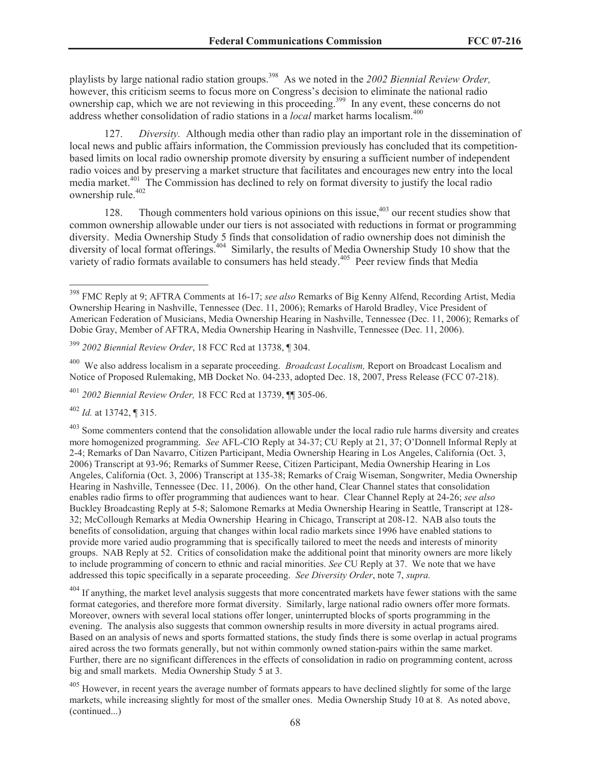playlists by large national radio station groups.<sup>398</sup> As we noted in the 2002 Biennial Review Order, however, this criticism seems to focus more on Congress's decision to eliminate the national radio ownership cap, which we are not reviewing in this proceeding.<sup>399</sup> In any event, these concerns do not address whether consolidation of radio stations in a *local* market harms localism.<sup>400</sup>

127. *Diversity.* Although media other than radio play an important role in the dissemination of local news and public affairs information, the Commission previously has concluded that its competitionbased limits on local radio ownership promote diversity by ensuring a sufficient number of independent radio voices and by preserving a market structure that facilitates and encourages new entry into the local media market.<sup>401</sup> The Commission has declined to rely on format diversity to justify the local radio ownership rule.<sup>402</sup>

128. Though commenters hold various opinions on this issue,  $403$  our recent studies show that common ownership allowable under our tiers is not associated with reductions in format or programming diversity. Media Ownership Study 5 finds that consolidation of radio ownership does not diminish the diversity of local format offerings.<sup>404</sup> Similarly, the results of Media Ownership Study 10 show that the variety of radio formats available to consumers has held steady.<sup>405</sup> Peer review finds that Media

<sup>400</sup> We also address localism in a separate proceeding. *Broadcast Localism,* Report on Broadcast Localism and Notice of Proposed Rulemaking, MB Docket No. 04-233, adopted Dec. 18, 2007, Press Release (FCC 07-218).

<sup>401</sup> *2002 Biennial Review Order,* 18 FCC Rcd at 13739, ¶¶ 305-06.

<sup>402</sup> *Id.* at 13742, ¶ 315.

 $403$  Some commenters contend that the consolidation allowable under the local radio rule harms diversity and creates more homogenized programming. *See* AFL-CIO Reply at 34-37; CU Reply at 21, 37; O'Donnell Informal Reply at 2-4; Remarks of Dan Navarro, Citizen Participant, Media Ownership Hearing in Los Angeles, California (Oct. 3, 2006) Transcript at 93-96; Remarks of Summer Reese, Citizen Participant, Media Ownership Hearing in Los Angeles, California (Oct. 3, 2006) Transcript at 135-38; Remarks of Craig Wiseman, Songwriter, Media Ownership Hearing in Nashville, Tennessee (Dec. 11, 2006). On the other hand, Clear Channel states that consolidation enables radio firms to offer programming that audiences want to hear. Clear Channel Reply at 24-26; *see also*  Buckley Broadcasting Reply at 5-8; Salomone Remarks at Media Ownership Hearing in Seattle, Transcript at 128- 32; McCollough Remarks at Media Ownership Hearing in Chicago, Transcript at 208-12. NAB also touts the benefits of consolidation, arguing that changes within local radio markets since 1996 have enabled stations to provide more varied audio programming that is specifically tailored to meet the needs and interests of minority groups. NAB Reply at 52. Critics of consolidation make the additional point that minority owners are more likely to include programming of concern to ethnic and racial minorities. *See* CU Reply at 37. We note that we have addressed this topic specifically in a separate proceeding. *See Diversity Order*, note 7, *supra.*

<sup>404</sup> If anything, the market level analysis suggests that more concentrated markets have fewer stations with the same format categories, and therefore more format diversity. Similarly, large national radio owners offer more formats. Moreover, owners with several local stations offer longer, uninterrupted blocks of sports programming in the evening. The analysis also suggests that common ownership results in more diversity in actual programs aired. Based on an analysis of news and sports formatted stations, the study finds there is some overlap in actual programs aired across the two formats generally, but not within commonly owned station-pairs within the same market. Further, there are no significant differences in the effects of consolidation in radio on programming content, across big and small markets. Media Ownership Study 5 at 3.

<sup>405</sup> However, in recent years the average number of formats appears to have declined slightly for some of the large markets, while increasing slightly for most of the smaller ones. Media Ownership Study 10 at 8. As noted above, (continued...)

<sup>398</sup> FMC Reply at 9; AFTRA Comments at 16-17; *see also* Remarks of Big Kenny Alfend, Recording Artist, Media Ownership Hearing in Nashville, Tennessee (Dec. 11, 2006); Remarks of Harold Bradley, Vice President of American Federation of Musicians, Media Ownership Hearing in Nashville, Tennessee (Dec. 11, 2006); Remarks of Dobie Gray, Member of AFTRA, Media Ownership Hearing in Nashville, Tennessee (Dec. 11, 2006).

<sup>399</sup> *2002 Biennial Review Order*, 18 FCC Rcd at 13738, ¶ 304.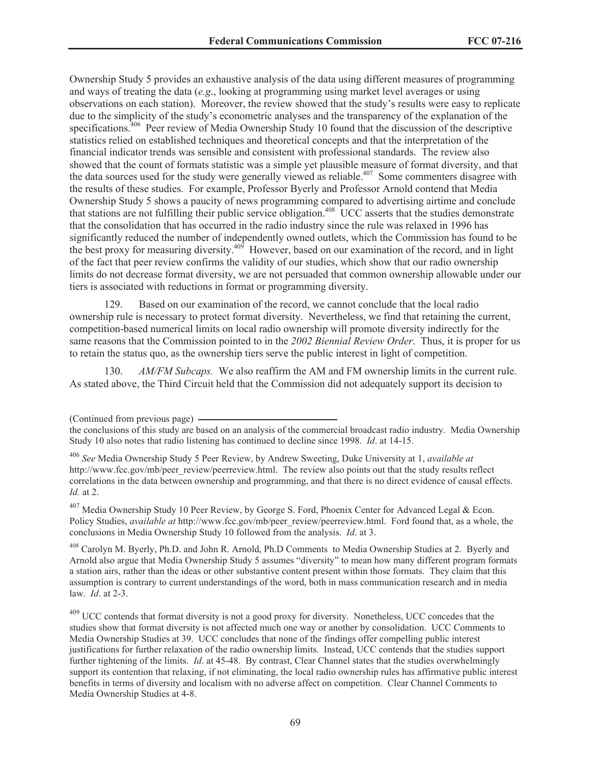Ownership Study 5 provides an exhaustive analysis of the data using different measures of programming and ways of treating the data (*e.g*., looking at programming using market level averages or using observations on each station). Moreover, the review showed that the study's results were easy to replicate due to the simplicity of the study's econometric analyses and the transparency of the explanation of the specifications.<sup>406</sup> Peer review of Media Ownership Study 10 found that the discussion of the descriptive statistics relied on established techniques and theoretical concepts and that the interpretation of the financial indicator trends was sensible and consistent with professional standards. The review also showed that the count of formats statistic was a simple yet plausible measure of format diversity, and that the data sources used for the study were generally viewed as reliable.<sup>407</sup> Some commenters disagree with the results of these studies. For example, Professor Byerly and Professor Arnold contend that Media Ownership Study 5 shows a paucity of news programming compared to advertising airtime and conclude that stations are not fulfilling their public service obligation.<sup>408</sup> UCC asserts that the studies demonstrate that the consolidation that has occurred in the radio industry since the rule was relaxed in 1996 has significantly reduced the number of independently owned outlets, which the Commission has found to be the best proxy for measuring diversity.<sup>409</sup> However, based on our examination of the record, and in light of the fact that peer review confirms the validity of our studies, which show that our radio ownership limits do not decrease format diversity, we are not persuaded that common ownership allowable under our tiers is associated with reductions in format or programming diversity.

129. Based on our examination of the record, we cannot conclude that the local radio ownership rule is necessary to protect format diversity. Nevertheless, we find that retaining the current, competition-based numerical limits on local radio ownership will promote diversity indirectly for the same reasons that the Commission pointed to in the *2002 Biennial Review Order*. Thus, it is proper for us to retain the status quo, as the ownership tiers serve the public interest in light of competition.

130. *AM/FM Subcaps.* We also reaffirm the AM and FM ownership limits in the current rule. As stated above, the Third Circuit held that the Commission did not adequately support its decision to

<sup>407</sup> Media Ownership Study 10 Peer Review, by George S. Ford, Phoenix Center for Advanced Legal & Econ. Policy Studies, *available at* http://www.fcc.gov/mb/peer\_review/peerreview.html. Ford found that, as a whole, the conclusions in Media Ownership Study 10 followed from the analysis. *Id*. at 3.

<sup>408</sup> Carolyn M. Byerly, Ph.D. and John R. Arnold, Ph.D Comments to Media Ownership Studies at 2. Byerly and Arnold also argue that Media Ownership Study 5 assumes "diversity" to mean how many different program formats a station airs, rather than the ideas or other substantive content present within those formats. They claim that this assumption is contrary to current understandings of the word, both in mass communication research and in media law. *Id*. at 2-3.

<sup>409</sup> UCC contends that format diversity is not a good proxy for diversity. Nonetheless, UCC concedes that the studies show that format diversity is not affected much one way or another by consolidation. UCC Comments to Media Ownership Studies at 39. UCC concludes that none of the findings offer compelling public interest justifications for further relaxation of the radio ownership limits. Instead, UCC contends that the studies support further tightening of the limits. *Id*. at 45-48. By contrast, Clear Channel states that the studies overwhelmingly support its contention that relaxing, if not eliminating, the local radio ownership rules has affirmative public interest benefits in terms of diversity and localism with no adverse affect on competition. Clear Channel Comments to Media Ownership Studies at 4-8.

<sup>(</sup>Continued from previous page)

the conclusions of this study are based on an analysis of the commercial broadcast radio industry. Media Ownership Study 10 also notes that radio listening has continued to decline since 1998. *Id*. at 14-15.

<sup>406</sup> *See* Media Ownership Study 5 Peer Review, by Andrew Sweeting, Duke University at 1, *available at* http://www.fcc.gov/mb/peer\_review/peerreview.html. The review also points out that the study results reflect correlations in the data between ownership and programming, and that there is no direct evidence of causal effects. *Id.* at 2.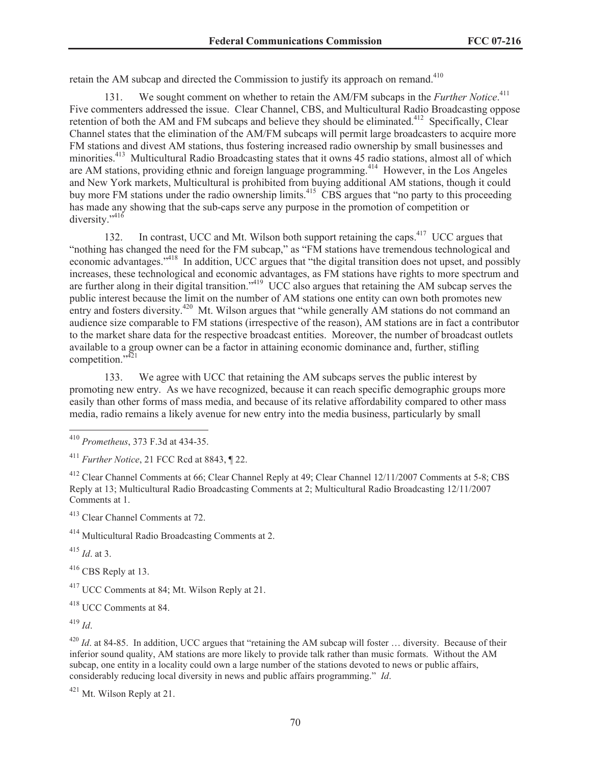retain the AM subcap and directed the Commission to justify its approach on remand.<sup>410</sup>

131. We sought comment on whether to retain the AM/FM subcaps in the *Further Notice*. 411 Five commenters addressed the issue. Clear Channel, CBS, and Multicultural Radio Broadcasting oppose retention of both the AM and FM subcaps and believe they should be eliminated.<sup>412</sup> Specifically, Clear Channel states that the elimination of the AM/FM subcaps will permit large broadcasters to acquire more FM stations and divest AM stations, thus fostering increased radio ownership by small businesses and minorities.<sup>413</sup> Multicultural Radio Broadcasting states that it owns 45 radio stations, almost all of which are AM stations, providing ethnic and foreign language programming.<sup>414</sup> However, in the Los Angeles and New York markets, Multicultural is prohibited from buying additional AM stations, though it could buy more FM stations under the radio ownership limits.<sup>415</sup> CBS argues that "no party to this proceeding has made any showing that the sub-caps serve any purpose in the promotion of competition or diversity."<sup>416</sup>

132. In contrast, UCC and Mt. Wilson both support retaining the caps.<sup>417</sup> UCC argues that "nothing has changed the need for the FM subcap," as "FM stations have tremendous technological and economic advantages."<sup>418</sup> In addition, UCC argues that "the digital transition does not upset, and possibly increases, these technological and economic advantages, as FM stations have rights to more spectrum and are further along in their digital transition."<sup>419</sup> UCC also argues that retaining the AM subcap serves the public interest because the limit on the number of AM stations one entity can own both promotes new entry and fosters diversity.<sup>420</sup> Mt. Wilson argues that "while generally AM stations do not command an audience size comparable to FM stations (irrespective of the reason), AM stations are in fact a contributor to the market share data for the respective broadcast entities. Moreover, the number of broadcast outlets available to a group owner can be a factor in attaining economic dominance and, further, stifling competition." $4^{21}$ 

133. We agree with UCC that retaining the AM subcaps serves the public interest by promoting new entry. As we have recognized, because it can reach specific demographic groups more easily than other forms of mass media, and because of its relative affordability compared to other mass media, radio remains a likely avenue for new entry into the media business, particularly by small

<sup>412</sup> Clear Channel Comments at 66; Clear Channel Reply at 49; Clear Channel 12/11/2007 Comments at 5-8; CBS Reply at 13; Multicultural Radio Broadcasting Comments at 2; Multicultural Radio Broadcasting 12/11/2007 Comments at 1.

<sup>413</sup> Clear Channel Comments at 72.

<sup>414</sup> Multicultural Radio Broadcasting Comments at 2.

<sup>415</sup> *Id*. at 3.

<sup>416</sup> CBS Reply at 13.

<sup>417</sup> UCC Comments at 84; Mt. Wilson Reply at 21.

<sup>418</sup> UCC Comments at 84.

<sup>419</sup> *Id*.

 $^{420}$  *Id.* at 84-85. In addition, UCC argues that "retaining the AM subcap will foster ... diversity. Because of their inferior sound quality, AM stations are more likely to provide talk rather than music formats. Without the AM subcap, one entity in a locality could own a large number of the stations devoted to news or public affairs, considerably reducing local diversity in news and public affairs programming." *Id*.

 $421$  Mt. Wilson Reply at 21.

<sup>410</sup> *Prometheus*, 373 F.3d at 434-35.

<sup>411</sup> *Further Notice*, 21 FCC Rcd at 8843, ¶ 22.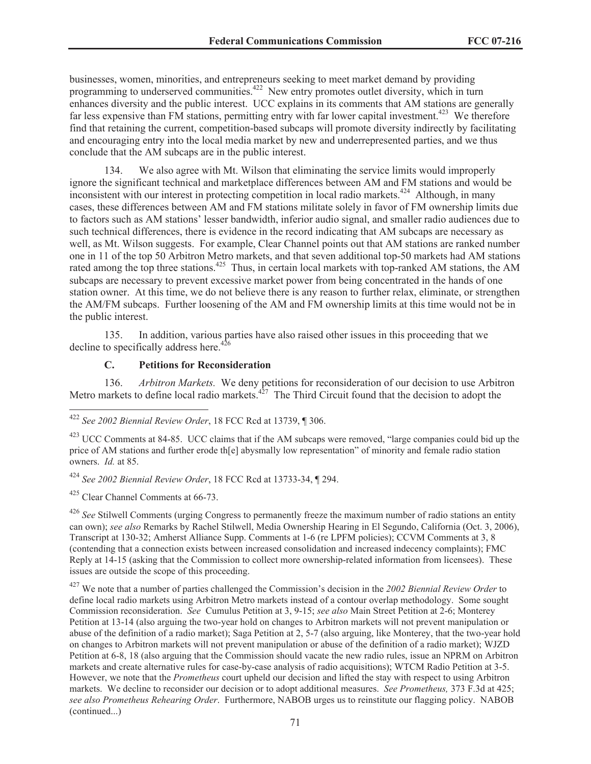businesses, women, minorities, and entrepreneurs seeking to meet market demand by providing programming to underserved communities.<sup>422</sup> New entry promotes outlet diversity, which in turn enhances diversity and the public interest. UCC explains in its comments that AM stations are generally far less expensive than FM stations, permitting entry with far lower capital investment.<sup>423</sup> We therefore find that retaining the current, competition-based subcaps will promote diversity indirectly by facilitating and encouraging entry into the local media market by new and underrepresented parties, and we thus conclude that the AM subcaps are in the public interest.

134. We also agree with Mt. Wilson that eliminating the service limits would improperly ignore the significant technical and marketplace differences between AM and FM stations and would be inconsistent with our interest in protecting competition in local radio markets.<sup>424</sup> Although, in many cases, these differences between AM and FM stations militate solely in favor of FM ownership limits due to factors such as AM stations' lesser bandwidth, inferior audio signal, and smaller radio audiences due to such technical differences, there is evidence in the record indicating that AM subcaps are necessary as well, as Mt. Wilson suggests. For example, Clear Channel points out that AM stations are ranked number one in 11 of the top 50 Arbitron Metro markets, and that seven additional top-50 markets had AM stations rated among the top three stations.<sup>425</sup> Thus, in certain local markets with top-ranked AM stations, the AM subcaps are necessary to prevent excessive market power from being concentrated in the hands of one station owner. At this time, we do not believe there is any reason to further relax, eliminate, or strengthen the AM/FM subcaps. Further loosening of the AM and FM ownership limits at this time would not be in the public interest.

135. In addition, various parties have also raised other issues in this proceeding that we decline to specifically address here.<sup>426</sup>

### **C. Petitions for Reconsideration**

136. *Arbitron Markets.* We deny petitions for reconsideration of our decision to use Arbitron Metro markets to define local radio markets. $4^{27}$  The Third Circuit found that the decision to adopt the

<sup>424</sup> *See 2002 Biennial Review Order*, 18 FCC Rcd at 13733-34, ¶ 294.

 $425$  Clear Channel Comments at 66-73.

<sup>426</sup> See Stilwell Comments (urging Congress to permanently freeze the maximum number of radio stations an entity can own); *see also* Remarks by Rachel Stilwell, Media Ownership Hearing in El Segundo, California (Oct. 3, 2006), Transcript at 130-32; Amherst Alliance Supp. Comments at 1-6 (re LPFM policies); CCVM Comments at 3, 8 (contending that a connection exists between increased consolidation and increased indecency complaints); FMC Reply at 14-15 (asking that the Commission to collect more ownership-related information from licensees). These issues are outside the scope of this proceeding.

<sup>427</sup> We note that a number of parties challenged the Commission's decision in the *2002 Biennial Review Order* to define local radio markets using Arbitron Metro markets instead of a contour overlap methodology. Some sought Commission reconsideration. *See* Cumulus Petition at 3, 9-15; *see also* Main Street Petition at 2-6; Monterey Petition at 13-14 (also arguing the two-year hold on changes to Arbitron markets will not prevent manipulation or abuse of the definition of a radio market); Saga Petition at 2, 5-7 (also arguing, like Monterey, that the two-year hold on changes to Arbitron markets will not prevent manipulation or abuse of the definition of a radio market); WJZD Petition at 6-8, 18 (also arguing that the Commission should vacate the new radio rules, issue an NPRM on Arbitron markets and create alternative rules for case-by-case analysis of radio acquisitions); WTCM Radio Petition at 3-5. However, we note that the *Prometheus* court upheld our decision and lifted the stay with respect to using Arbitron markets. We decline to reconsider our decision or to adopt additional measures. *See Prometheus,* 373 F.3d at 425; *see also Prometheus Rehearing Order*. Furthermore, NABOB urges us to reinstitute our flagging policy. NABOB (continued...)

<sup>422</sup> *See 2002 Biennial Review Order*, 18 FCC Rcd at 13739, ¶ 306.

<sup>&</sup>lt;sup>423</sup> UCC Comments at 84-85. UCC claims that if the AM subcaps were removed, "large companies could bid up the price of AM stations and further erode th[e] abysmally low representation" of minority and female radio station owners. *Id.* at 85.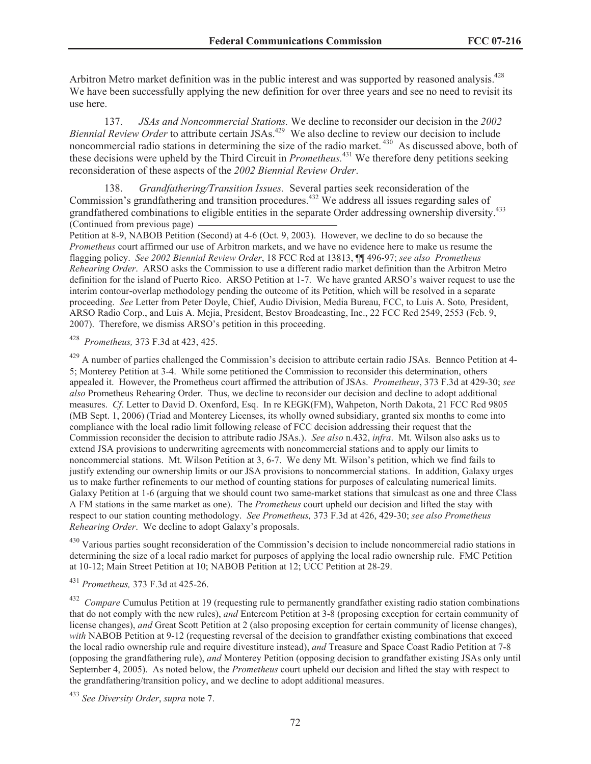Arbitron Metro market definition was in the public interest and was supported by reasoned analysis.<sup>428</sup> We have been successfully applying the new definition for over three years and see no need to revisit its use here.

137. *JSAs and Noncommercial Stations.* We decline to reconsider our decision in the *2002 Biennial Review Order* to attribute certain JSAs.<sup>429</sup> We also decline to review our decision to include noncommercial radio stations in determining the size of the radio market.<sup>430</sup> As discussed above, both of these decisions were upheld by the Third Circuit in *Prometheus.*<sup>431</sup> We therefore deny petitions seeking reconsideration of these aspects of the *2002 Biennial Review Order*.

138. *Grandfathering/Transition Issues.* Several parties seek reconsideration of the Commission's grandfathering and transition procedures.<sup>432</sup> We address all issues regarding sales of grandfathered combinations to eligible entities in the separate Order addressing ownership diversity.<sup>433</sup> (Continued from previous page)

Petition at 8-9, NABOB Petition (Second) at 4-6 (Oct. 9, 2003). However, we decline to do so because the *Prometheus* court affirmed our use of Arbitron markets, and we have no evidence here to make us resume the flagging policy. *See 2002 Biennial Review Order*, 18 FCC Rcd at 13813, ¶¶ 496-97; *see also Prometheus Rehearing Order*. ARSO asks the Commission to use a different radio market definition than the Arbitron Metro definition for the island of Puerto Rico. ARSO Petition at 1-7. We have granted ARSO's waiver request to use the interim contour-overlap methodology pending the outcome of its Petition, which will be resolved in a separate proceeding. *See* Letter from Peter Doyle, Chief, Audio Division, Media Bureau, FCC, to Luis A. Soto*,* President, ARSO Radio Corp., and Luis A. Mejia, President, Bestov Broadcasting, Inc., 22 FCC Rcd 2549, 2553 (Feb. 9, 2007). Therefore, we dismiss ARSO's petition in this proceeding.

<sup>428</sup> *Prometheus,* 373 F.3d at 423, 425.

<sup>429</sup> A number of parties challenged the Commission's decision to attribute certain radio JSAs. Bennco Petition at 4-5; Monterey Petition at 3-4. While some petitioned the Commission to reconsider this determination, others appealed it. However, the Prometheus court affirmed the attribution of JSAs. *Prometheus*, 373 F.3d at 429-30; *see also* Prometheus Rehearing Order. Thus, we decline to reconsider our decision and decline to adopt additional measures. *Cf*. Letter to David D. Oxenford, Esq. In re KEGK(FM), Wahpeton, North Dakota, 21 FCC Rcd 9805 (MB Sept. 1, 2006) (Triad and Monterey Licenses, its wholly owned subsidiary, granted six months to come into compliance with the local radio limit following release of FCC decision addressing their request that the Commission reconsider the decision to attribute radio JSAs.). *See also* n.432, *infra*. Mt. Wilson also asks us to extend JSA provisions to underwriting agreements with noncommercial stations and to apply our limits to noncommercial stations. Mt. Wilson Petition at 3, 6-7. We deny Mt. Wilson's petition, which we find fails to justify extending our ownership limits or our JSA provisions to noncommercial stations. In addition, Galaxy urges us to make further refinements to our method of counting stations for purposes of calculating numerical limits. Galaxy Petition at 1-6 (arguing that we should count two same-market stations that simulcast as one and three Class A FM stations in the same market as one). The *Prometheus* court upheld our decision and lifted the stay with respect to our station counting methodology. *See Prometheus,* 373 F.3d at 426, 429-30; *see also Prometheus Rehearing Order*. We decline to adopt Galaxy's proposals.

 $^{430}$  Various parties sought reconsideration of the Commission's decision to include noncommercial radio stations in determining the size of a local radio market for purposes of applying the local radio ownership rule. FMC Petition at 10-12; Main Street Petition at 10; NABOB Petition at 12; UCC Petition at 28-29.

<sup>431</sup> *Prometheus,* 373 F.3d at 425-26.

<sup>432</sup> *Compare* Cumulus Petition at 19 (requesting rule to permanently grandfather existing radio station combinations that do not comply with the new rules), *and* Entercom Petition at 3-8 (proposing exception for certain community of license changes), *and* Great Scott Petition at 2 (also proposing exception for certain community of license changes), *with* NABOB Petition at 9-12 (requesting reversal of the decision to grandfather existing combinations that exceed the local radio ownership rule and require divestiture instead), *and* Treasure and Space Coast Radio Petition at 7-8 (opposing the grandfathering rule), *and* Monterey Petition (opposing decision to grandfather existing JSAs only until September 4, 2005). As noted below, the *Prometheus* court upheld our decision and lifted the stay with respect to the grandfathering/transition policy, and we decline to adopt additional measures.

<sup>433</sup> *See Diversity Order*, *supra* note 7.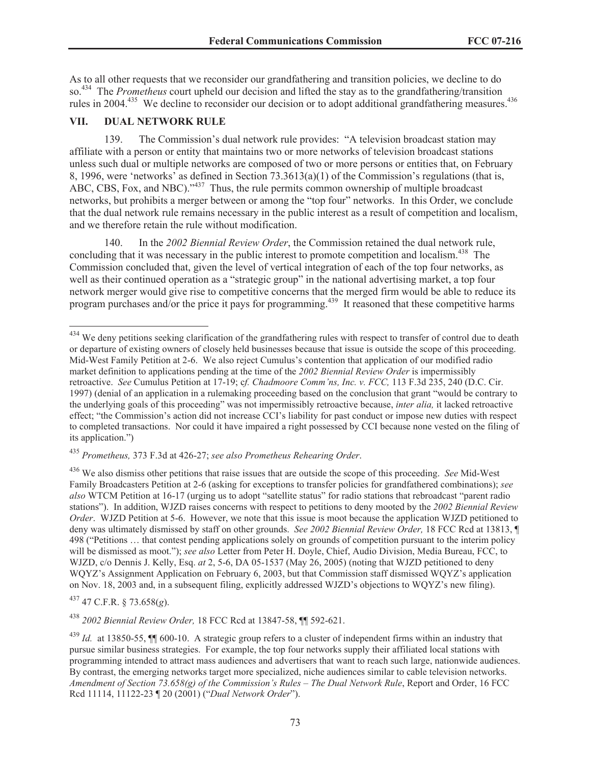As to all other requests that we reconsider our grandfathering and transition policies, we decline to do so.<sup>434</sup> The *Prometheus* court upheld our decision and lifted the stay as to the grandfathering/transition rules in 2004.<sup>435</sup> We decline to reconsider our decision or to adopt additional grandfathering measures.<sup>436</sup>

## **VII. DUAL NETWORK RULE**

139. The Commission's dual network rule provides: "A television broadcast station may affiliate with a person or entity that maintains two or more networks of television broadcast stations unless such dual or multiple networks are composed of two or more persons or entities that, on February 8, 1996, were 'networks' as defined in Section 73.3613(a)(1) of the Commission's regulations (that is, ABC, CBS, Fox, and NBC)."<sup>437</sup> Thus, the rule permits common ownership of multiple broadcast networks, but prohibits a merger between or among the "top four" networks. In this Order, we conclude that the dual network rule remains necessary in the public interest as a result of competition and localism, and we therefore retain the rule without modification.

140. In the *2002 Biennial Review Order*, the Commission retained the dual network rule, concluding that it was necessary in the public interest to promote competition and localism.<sup>438</sup> The Commission concluded that, given the level of vertical integration of each of the top four networks, as well as their continued operation as a "strategic group" in the national advertising market, a top four network merger would give rise to competitive concerns that the merged firm would be able to reduce its program purchases and/or the price it pays for programming.<sup>439</sup> It reasoned that these competitive harms

# <sup>435</sup> *Prometheus,* 373 F.3d at 426-27; *see also Prometheus Rehearing Order*.

<sup>436</sup> We also dismiss other petitions that raise issues that are outside the scope of this proceeding. *See* Mid-West Family Broadcasters Petition at 2-6 (asking for exceptions to transfer policies for grandfathered combinations); *see also* WTCM Petition at 16-17 (urging us to adopt "satellite status" for radio stations that rebroadcast "parent radio stations"). In addition, WJZD raises concerns with respect to petitions to deny mooted by the *2002 Biennial Review Order.* WJZD Petition at 5-6. However, we note that this issue is moot because the application WJZD petitioned to deny was ultimately dismissed by staff on other grounds. *See 2002 Biennial Review Order,* 18 FCC Rcd at 13813, ¶ 498 ("Petitions … that contest pending applications solely on grounds of competition pursuant to the interim policy will be dismissed as moot."); *see also* Letter from Peter H. Doyle, Chief, Audio Division, Media Bureau, FCC, to WJZD, c/o Dennis J. Kelly, Esq. *at* 2, 5-6, DA 05-1537 (May 26, 2005) (noting that WJZD petitioned to deny WQYZ's Assignment Application on February 6, 2003, but that Commission staff dismissed WQYZ's application on Nov. 18, 2003 and, in a subsequent filing, explicitly addressed WJZD's objections to WQYZ's new filing).

<sup>437</sup> 47 C.F.R. § 73.658(*g*).

<sup>438</sup> *2002 Biennial Review Order,* 18 FCC Rcd at 13847-58, ¶¶ 592-621.

<sup>&</sup>lt;sup>434</sup> We deny petitions seeking clarification of the grandfathering rules with respect to transfer of control due to death or departure of existing owners of closely held businesses because that issue is outside the scope of this proceeding. Mid-West Family Petition at 2-6. We also reject Cumulus's contention that application of our modified radio market definition to applications pending at the time of the *2002 Biennial Review Order* is impermissibly retroactive. *See* Cumulus Petition at 17-19; c*f. Chadmoore Comm'ns, Inc. v. FCC,* 113 F.3d 235, 240 (D.C. Cir. 1997) (denial of an application in a rulemaking proceeding based on the conclusion that grant "would be contrary to the underlying goals of this proceeding" was not impermissibly retroactive because, *inter alia,* it lacked retroactive effect; "the Commission's action did not increase CCI's liability for past conduct or impose new duties with respect to completed transactions. Nor could it have impaired a right possessed by CCI because none vested on the filing of its application.")

<sup>439</sup> *Id.* at 13850-55, ¶¶ 600-10. A strategic group refers to a cluster of independent firms within an industry that pursue similar business strategies. For example, the top four networks supply their affiliated local stations with programming intended to attract mass audiences and advertisers that want to reach such large, nationwide audiences. By contrast, the emerging networks target more specialized, niche audiences similar to cable television networks. *Amendment of Section 73.658(g) of the Commission's Rules – The Dual Network Rule*, Report and Order, 16 FCC Rcd 11114, 11122-23 ¶ 20 (2001) ("*Dual Network Order*").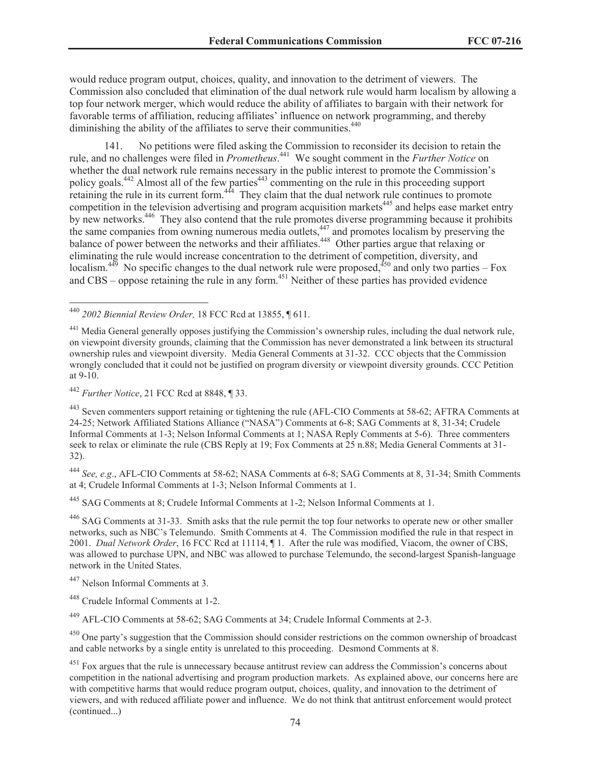would reduce program output, choices, quality, and innovation to the detriment of viewers. The Commission also concluded that elimination of the dual network rule would harm localism by allowing a top four network merger, which would reduce the ability of affiliates to bargain with their network for favorable terms of affiliation, reducing affiliates' influence on network programming, and thereby diminishing the ability of the affiliates to serve their communities.<sup>440</sup>

141. No petitions were filed asking the Commission to reconsider its decision to retain the rule, and no challenges were filed in *Prometheus*. <sup>441</sup> We sought comment in the *Further Notice* on whether the dual network rule remains necessary in the public interest to promote the Commission's policy goals.<sup>442</sup> Almost all of the few parties<sup>443</sup> commenting on the rule in this proceeding support retaining the rule in its current form.<sup>444</sup> They claim that the dual network rule continues to promote competition in the television advertising and program acquisition markets $445$  and helps ease market entry by new networks.<sup>446</sup> They also contend that the rule promotes diverse programming because it prohibits the same companies from owning numerous media outlets,<sup>447</sup> and promotes localism by preserving the balance of power between the networks and their affiliates.<sup>448</sup> Other parties argue that relaxing or eliminating the rule would increase concentration to the detriment of competition, diversity, and localism.<sup>449</sup> No specific changes to the dual network rule were proposed,<sup>450</sup> and only two parties – Fox and  $CBS -$  oppose retaining the rule in any form.<sup>451</sup> Neither of these parties has provided evidence

<sup>444</sup> *See, e.g*., AFL-CIO Comments at 58-62; NASA Comments at 6-8; SAG Comments at 8, 31-34; Smith Comments at 4; Crudele Informal Comments at 1-3; Nelson Informal Comments at 1.

<sup>445</sup> SAG Comments at 8; Crudele Informal Comments at 1-2; Nelson Informal Comments at 1.

<sup>446</sup> SAG Comments at 31-33. Smith asks that the rule permit the top four networks to operate new or other smaller networks, such as NBC's Telemundo. Smith Comments at 4. The Commission modified the rule in that respect in 2001. *Dual Network Order*, 16 FCC Rcd at 11114, ¶ 1. After the rule was modified, Viacom, the owner of CBS, was allowed to purchase UPN, and NBC was allowed to purchase Telemundo, the second-largest Spanish-language network in the United States.

<sup>449</sup> AFL-CIO Comments at 58-62; SAG Comments at 34; Crudele Informal Comments at 2-3.

<sup>440</sup> *2002 Biennial Review Order,* 18 FCC Rcd at 13855, ¶ 611.

<sup>&</sup>lt;sup>441</sup> Media General generally opposes justifying the Commission's ownership rules, including the dual network rule, on viewpoint diversity grounds, claiming that the Commission has never demonstrated a link between its structural ownership rules and viewpoint diversity. Media General Comments at 31-32. CCC objects that the Commission wrongly concluded that it could not be justified on program diversity or viewpoint diversity grounds. CCC Petition at 9-10.

<sup>442</sup> *Further Notice*, 21 FCC Rcd at 8848, ¶ 33.

<sup>443</sup> Seven commenters support retaining or tightening the rule (AFL-CIO Comments at 58-62; AFTRA Comments at 24-25; Network Affiliated Stations Alliance ("NASA") Comments at 6-8; SAG Comments at 8, 31-34; Crudele Informal Comments at 1-3; Nelson Informal Comments at 1; NASA Reply Comments at 5-6). Three commenters seek to relax or eliminate the rule (CBS Reply at 19; Fox Comments at 25 n.88; Media General Comments at 31- 32).

<sup>447</sup> Nelson Informal Comments at 3.

<sup>448</sup> Crudele Informal Comments at 1-2.

<sup>&</sup>lt;sup>450</sup> One party's suggestion that the Commission should consider restrictions on the common ownership of broadcast and cable networks by a single entity is unrelated to this proceeding. Desmond Comments at 8.

<sup>&</sup>lt;sup>451</sup> Fox argues that the rule is unnecessary because antitrust review can address the Commission's concerns about competition in the national advertising and program production markets. As explained above, our concerns here are with competitive harms that would reduce program output, choices, quality, and innovation to the detriment of viewers, and with reduced affiliate power and influence. We do not think that antitrust enforcement would protect (continued...)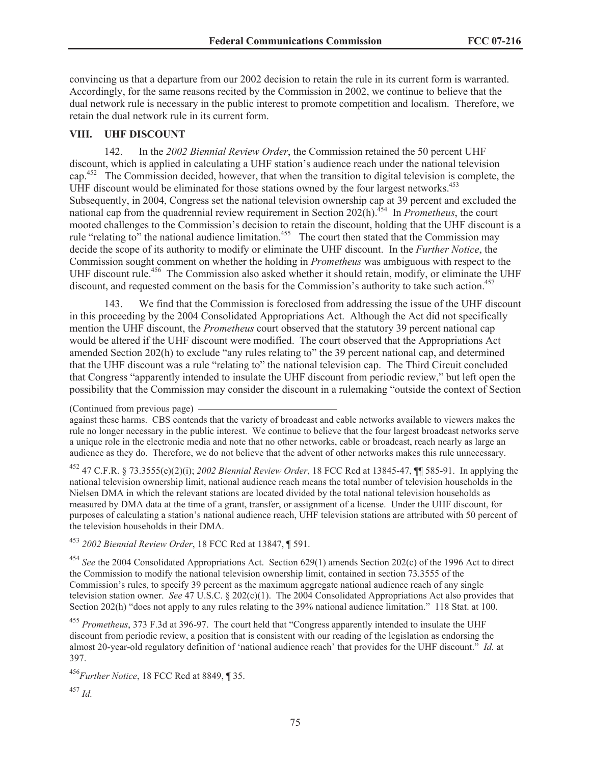convincing us that a departure from our 2002 decision to retain the rule in its current form is warranted. Accordingly, for the same reasons recited by the Commission in 2002, we continue to believe that the dual network rule is necessary in the public interest to promote competition and localism. Therefore, we retain the dual network rule in its current form.

#### **VIII. UHF DISCOUNT**

142. In the *2002 Biennial Review Order*, the Commission retained the 50 percent UHF discount, which is applied in calculating a UHF station's audience reach under the national television cap.<sup>452</sup> The Commission decided, however, that when the transition to digital television is complete, the UHF discount would be eliminated for those stations owned by the four largest networks.<sup>453</sup> Subsequently, in 2004, Congress set the national television ownership cap at 39 percent and excluded the national cap from the quadrennial review requirement in Section 202(h).<sup>454</sup> In *Prometheus*, the court mooted challenges to the Commission's decision to retain the discount, holding that the UHF discount is a rule "relating to" the national audience limitation.<sup>455</sup> The court then stated that the Commission may decide the scope of its authority to modify or eliminate the UHF discount. In the *Further Notice*, the Commission sought comment on whether the holding in *Prometheus* was ambiguous with respect to the UHF discount rule.<sup>456</sup> The Commission also asked whether it should retain, modify, or eliminate the UHF discount, and requested comment on the basis for the Commission's authority to take such action.<sup>457</sup>

143. We find that the Commission is foreclosed from addressing the issue of the UHF discount in this proceeding by the 2004 Consolidated Appropriations Act. Although the Act did not specifically mention the UHF discount, the *Prometheus* court observed that the statutory 39 percent national cap would be altered if the UHF discount were modified. The court observed that the Appropriations Act amended Section 202(h) to exclude "any rules relating to" the 39 percent national cap, and determined that the UHF discount was a rule "relating to" the national television cap. The Third Circuit concluded that Congress "apparently intended to insulate the UHF discount from periodic review," but left open the possibility that the Commission may consider the discount in a rulemaking "outside the context of Section

against these harms. CBS contends that the variety of broadcast and cable networks available to viewers makes the rule no longer necessary in the public interest. We continue to believe that the four largest broadcast networks serve a unique role in the electronic media and note that no other networks, cable or broadcast, reach nearly as large an audience as they do. Therefore, we do not believe that the advent of other networks makes this rule unnecessary.

<sup>452</sup> 47 C.F.R. § 73.3555(e)(2)(i); *2002 Biennial Review Order*, 18 FCC Rcd at 13845-47, ¶¶ 585-91. In applying the national television ownership limit, national audience reach means the total number of television households in the Nielsen DMA in which the relevant stations are located divided by the total national television households as measured by DMA data at the time of a grant, transfer, or assignment of a license. Under the UHF discount, for purposes of calculating a station's national audience reach, UHF television stations are attributed with 50 percent of the television households in their DMA.

<sup>453</sup> *2002 Biennial Review Order*, 18 FCC Rcd at 13847, ¶ 591.

<sup>454</sup> *See* the 2004 Consolidated Appropriations Act. Section 629(1) amends Section 202(c) of the 1996 Act to direct the Commission to modify the national television ownership limit, contained in section 73.3555 of the Commission's rules, to specify 39 percent as the maximum aggregate national audience reach of any single television station owner. *See* 47 U.S.C. § 202(c)(1). The 2004 Consolidated Appropriations Act also provides that Section 202(h) "does not apply to any rules relating to the 39% national audience limitation." 118 Stat. at 100.

<sup>455</sup> *Prometheus*, 373 F.3d at 396-97. The court held that "Congress apparently intended to insulate the UHF discount from periodic review, a position that is consistent with our reading of the legislation as endorsing the almost 20-year-old regulatory definition of 'national audience reach' that provides for the UHF discount." *Id.* at 397.

<sup>456</sup>*Further Notice*, 18 FCC Rcd at 8849, ¶ 35.

<sup>(</sup>Continued from previous page)

<sup>457</sup> *Id.*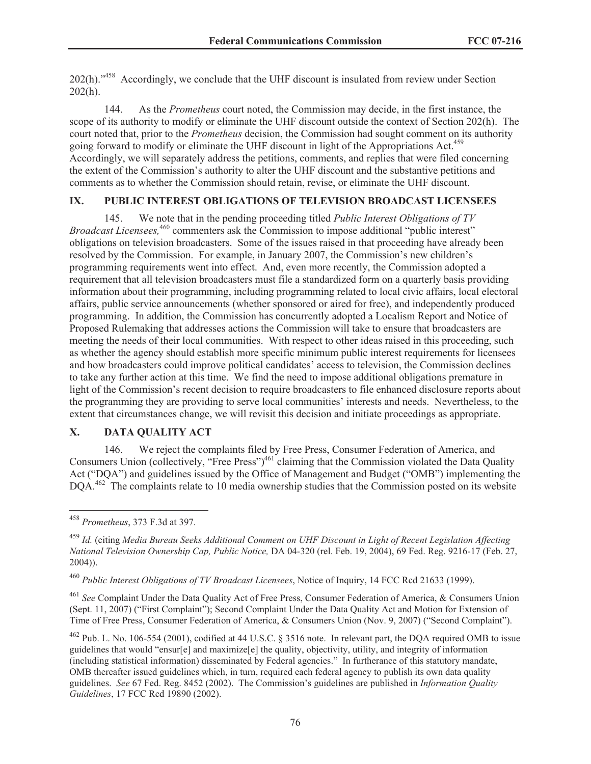202(h)."<sup>458</sup> Accordingly, we conclude that the UHF discount is insulated from review under Section  $202(h)$ .

144. As the *Prometheus* court noted, the Commission may decide, in the first instance, the scope of its authority to modify or eliminate the UHF discount outside the context of Section 202(h). The court noted that, prior to the *Prometheus* decision, the Commission had sought comment on its authority going forward to modify or eliminate the UHF discount in light of the Appropriations Act.<sup>459</sup> Accordingly, we will separately address the petitions, comments, and replies that were filed concerning the extent of the Commission's authority to alter the UHF discount and the substantive petitions and comments as to whether the Commission should retain, revise, or eliminate the UHF discount.

### **IX. PUBLIC INTEREST OBLIGATIONS OF TELEVISION BROADCAST LICENSEES**

145. We note that in the pending proceeding titled *Public Interest Obligations of TV Broadcast Licensees,*<sup>460</sup> commenters ask the Commission to impose additional "public interest" obligations on television broadcasters. Some of the issues raised in that proceeding have already been resolved by the Commission. For example, in January 2007, the Commission's new children's programming requirements went into effect. And, even more recently, the Commission adopted a requirement that all television broadcasters must file a standardized form on a quarterly basis providing information about their programming, including programming related to local civic affairs, local electoral affairs, public service announcements (whether sponsored or aired for free), and independently produced programming. In addition, the Commission has concurrently adopted a Localism Report and Notice of Proposed Rulemaking that addresses actions the Commission will take to ensure that broadcasters are meeting the needs of their local communities. With respect to other ideas raised in this proceeding, such as whether the agency should establish more specific minimum public interest requirements for licensees and how broadcasters could improve political candidates' access to television, the Commission declines to take any further action at this time. We find the need to impose additional obligations premature in light of the Commission's recent decision to require broadcasters to file enhanced disclosure reports about the programming they are providing to serve local communities' interests and needs. Nevertheless, to the extent that circumstances change, we will revisit this decision and initiate proceedings as appropriate.

## **X. DATA QUALITY ACT**

146. We reject the complaints filed by Free Press, Consumer Federation of America, and Consumers Union (collectively, "Free Press")<sup>461</sup> claiming that the Commission violated the Data Quality Act ("DQA") and guidelines issued by the Office of Management and Budget ("OMB") implementing the DOA.<sup>462</sup> The complaints relate to 10 media ownership studies that the Commission posted on its website

<sup>461</sup> *See* Complaint Under the Data Quality Act of Free Press, Consumer Federation of America, & Consumers Union (Sept. 11, 2007) ("First Complaint"); Second Complaint Under the Data Quality Act and Motion for Extension of Time of Free Press, Consumer Federation of America, & Consumers Union (Nov. 9, 2007) ("Second Complaint").

<sup>458</sup> *Prometheus*, 373 F.3d at 397.

<sup>459</sup> *Id.* (citing *Media Bureau Seeks Additional Comment on UHF Discount in Light of Recent Legislation Affecting National Television Ownership Cap, Public Notice,* DA 04-320 (rel. Feb. 19, 2004), 69 Fed. Reg. 9216-17 (Feb. 27, 2004)).

<sup>460</sup> *Public Interest Obligations of TV Broadcast Licensees*, Notice of Inquiry, 14 FCC Rcd 21633 (1999).

<sup>462</sup> Pub. L. No. 106-554 (2001), codified at 44 U.S.C. § 3516 note. In relevant part, the DQA required OMB to issue guidelines that would "ensur[e] and maximize[e] the quality, objectivity, utility, and integrity of information (including statistical information) disseminated by Federal agencies." In furtherance of this statutory mandate, OMB thereafter issued guidelines which, in turn, required each federal agency to publish its own data quality guidelines. *See* 67 Fed. Reg. 8452 (2002). The Commission's guidelines are published in *Information Quality Guidelines*, 17 FCC Rcd 19890 (2002).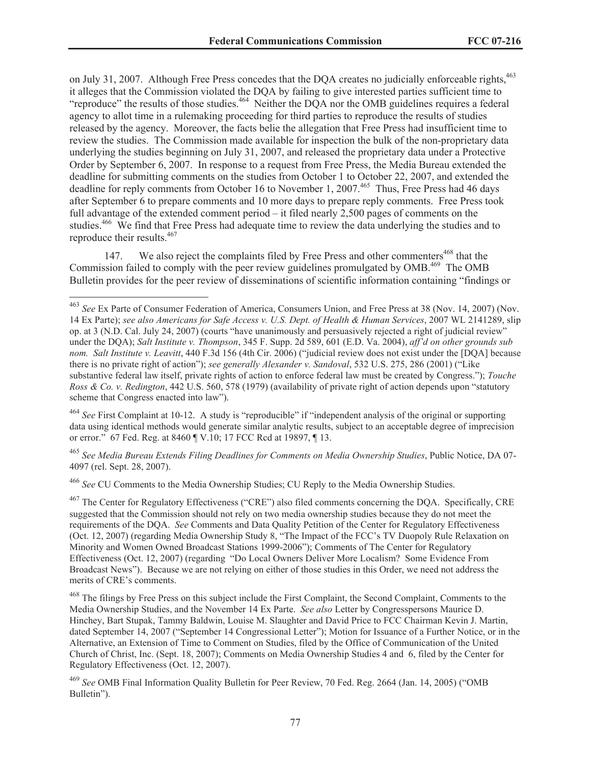on July 31, 2007. Although Free Press concedes that the DQA creates no judicially enforceable rights,<sup>463</sup> it alleges that the Commission violated the DQA by failing to give interested parties sufficient time to "reproduce" the results of those studies.<sup>464</sup> Neither the DQA nor the OMB guidelines requires a federal agency to allot time in a rulemaking proceeding for third parties to reproduce the results of studies released by the agency. Moreover, the facts belie the allegation that Free Press had insufficient time to review the studies. The Commission made available for inspection the bulk of the non-proprietary data underlying the studies beginning on July 31, 2007, and released the proprietary data under a Protective Order by September 6, 2007. In response to a request from Free Press, the Media Bureau extended the deadline for submitting comments on the studies from October 1 to October 22, 2007, and extended the deadline for reply comments from October 16 to November 1, 2007.<sup>465</sup> Thus, Free Press had 46 days after September 6 to prepare comments and 10 more days to prepare reply comments. Free Press took full advantage of the extended comment period – it filed nearly 2,500 pages of comments on the studies.<sup>466</sup> We find that Free Press had adequate time to review the data underlying the studies and to reproduce their results.<sup>467</sup>

147. We also reject the complaints filed by Free Press and other commenters<sup>468</sup> that the Commission failed to comply with the peer review guidelines promulgated by OMB.<sup>469</sup> The OMB Bulletin provides for the peer review of disseminations of scientific information containing "findings or

<sup>464</sup> *See* First Complaint at 10-12. A study is "reproducible" if "independent analysis of the original or supporting data using identical methods would generate similar analytic results, subject to an acceptable degree of imprecision or error." 67 Fed. Reg. at 8460 ¶ V.10; 17 FCC Rcd at 19897, ¶ 13.

<sup>465</sup> *See Media Bureau Extends Filing Deadlines for Comments on Media Ownership Studies*, Public Notice, DA 07- 4097 (rel. Sept. 28, 2007).

<sup>466</sup> *See* CU Comments to the Media Ownership Studies; CU Reply to the Media Ownership Studies.

<sup>467</sup> The Center for Regulatory Effectiveness ("CRE") also filed comments concerning the DQA. Specifically, CRE suggested that the Commission should not rely on two media ownership studies because they do not meet the requirements of the DQA. *See* Comments and Data Quality Petition of the Center for Regulatory Effectiveness (Oct. 12, 2007) (regarding Media Ownership Study 8, "The Impact of the FCC's TV Duopoly Rule Relaxation on Minority and Women Owned Broadcast Stations 1999-2006"); Comments of The Center for Regulatory Effectiveness (Oct. 12, 2007) (regarding "Do Local Owners Deliver More Localism? Some Evidence From Broadcast News"). Because we are not relying on either of those studies in this Order, we need not address the merits of CRE's comments.

<sup>468</sup> The filings by Free Press on this subject include the First Complaint, the Second Complaint, Comments to the Media Ownership Studies, and the November 14 Ex Parte. *See also* Letter by Congresspersons Maurice D. Hinchey, Bart Stupak, Tammy Baldwin, Louise M. Slaughter and David Price to FCC Chairman Kevin J. Martin, dated September 14, 2007 ("September 14 Congressional Letter"); Motion for Issuance of a Further Notice, or in the Alternative, an Extension of Time to Comment on Studies, filed by the Office of Communication of the United Church of Christ, Inc. (Sept. 18, 2007); Comments on Media Ownership Studies 4 and 6, filed by the Center for Regulatory Effectiveness (Oct. 12, 2007).

<sup>469</sup> *See* OMB Final Information Quality Bulletin for Peer Review, 70 Fed. Reg. 2664 (Jan. 14, 2005) ("OMB Bulletin").

<sup>463</sup> *See* Ex Parte of Consumer Federation of America, Consumers Union, and Free Press at 38 (Nov. 14, 2007) (Nov. 14 Ex Parte); *see also Americans for Safe Access v. U.S. Dept. of Health & Human Services*, 2007 WL 2141289, slip op. at 3 (N.D. Cal. July 24, 2007) (courts "have unanimously and persuasively rejected a right of judicial review" under the DQA); *Salt Institute v. Thompson*, 345 F. Supp. 2d 589, 601 (E.D. Va. 2004), *aff'd on other grounds sub nom. Salt Institute v. Leavitt*, 440 F.3d 156 (4th Cir. 2006) ("judicial review does not exist under the [DQA] because there is no private right of action"); *see generally Alexander v. Sandoval*, 532 U.S. 275, 286 (2001) ("Like substantive federal law itself, private rights of action to enforce federal law must be created by Congress."); *Touche Ross & Co. v. Redington*, 442 U.S. 560, 578 (1979) (availability of private right of action depends upon "statutory scheme that Congress enacted into law").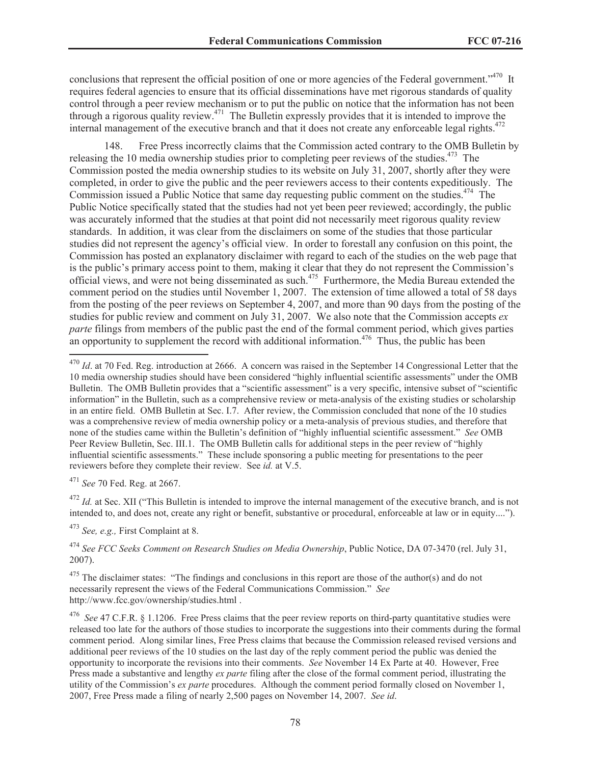conclusions that represent the official position of one or more agencies of the Federal government.<sup>3470</sup> It requires federal agencies to ensure that its official disseminations have met rigorous standards of quality control through a peer review mechanism or to put the public on notice that the information has not been through a rigorous quality review.<sup>471</sup> The Bulletin expressly provides that it is intended to improve the internal management of the executive branch and that it does not create any enforceable legal rights.<sup>472</sup>

148. Free Press incorrectly claims that the Commission acted contrary to the OMB Bulletin by releasing the 10 media ownership studies prior to completing peer reviews of the studies.<sup>473</sup> The Commission posted the media ownership studies to its website on July 31, 2007, shortly after they were completed, in order to give the public and the peer reviewers access to their contents expeditiously. The Commission issued a Public Notice that same day requesting public comment on the studies.<sup>474</sup> The Public Notice specifically stated that the studies had not yet been peer reviewed; accordingly, the public was accurately informed that the studies at that point did not necessarily meet rigorous quality review standards. In addition, it was clear from the disclaimers on some of the studies that those particular studies did not represent the agency's official view. In order to forestall any confusion on this point, the Commission has posted an explanatory disclaimer with regard to each of the studies on the web page that is the public's primary access point to them, making it clear that they do not represent the Commission's official views, and were not being disseminated as such.<sup>475</sup> Furthermore, the Media Bureau extended the comment period on the studies until November 1, 2007. The extension of time allowed a total of 58 days from the posting of the peer reviews on September 4, 2007, and more than 90 days from the posting of the studies for public review and comment on July 31, 2007. We also note that the Commission accepts *ex parte* filings from members of the public past the end of the formal comment period, which gives parties an opportunity to supplement the record with additional information.<sup>476</sup> Thus, the public has been

<sup>471</sup> *See* 70 Fed. Reg. at 2667.

<sup>472</sup> *Id.* at Sec. XII ("This Bulletin is intended to improve the internal management of the executive branch, and is not intended to, and does not, create any right or benefit, substantive or procedural, enforceable at law or in equity....").

<sup>473</sup> *See, e.g.,* First Complaint at 8.

<sup>474</sup> *See FCC Seeks Comment on Research Studies on Media Ownership*, Public Notice, DA 07-3470 (rel. July 31, 2007).

<sup>475</sup> The disclaimer states: "The findings and conclusions in this report are those of the author(s) and do not necessarily represent the views of the Federal Communications Commission." *See*  http://www.fcc.gov/ownership/studies.html .

<sup>476</sup> *See* 47 C.F.R. § 1.1206. Free Press claims that the peer review reports on third-party quantitative studies were released too late for the authors of those studies to incorporate the suggestions into their comments during the formal comment period. Along similar lines, Free Press claims that because the Commission released revised versions and additional peer reviews of the 10 studies on the last day of the reply comment period the public was denied the opportunity to incorporate the revisions into their comments. *See* November 14 Ex Parte at 40. However, Free Press made a substantive and lengthy *ex parte* filing after the close of the formal comment period, illustrating the utility of the Commission's *ex parte* procedures. Although the comment period formally closed on November 1, 2007, Free Press made a filing of nearly 2,500 pages on November 14, 2007. *See id*.

<sup>&</sup>lt;sup>470</sup> *Id.* at 70 Fed. Reg. introduction at 2666. A concern was raised in the September 14 Congressional Letter that the 10 media ownership studies should have been considered "highly influential scientific assessments" under the OMB Bulletin. The OMB Bulletin provides that a "scientific assessment" is a very specific, intensive subset of "scientific information" in the Bulletin, such as a comprehensive review or meta-analysis of the existing studies or scholarship in an entire field. OMB Bulletin at Sec. I.7. After review, the Commission concluded that none of the 10 studies was a comprehensive review of media ownership policy or a meta-analysis of previous studies, and therefore that none of the studies came within the Bulletin's definition of "highly influential scientific assessment." *See* OMB Peer Review Bulletin, Sec. III.1. The OMB Bulletin calls for additional steps in the peer review of "highly influential scientific assessments." These include sponsoring a public meeting for presentations to the peer reviewers before they complete their review. See *id.* at V.5.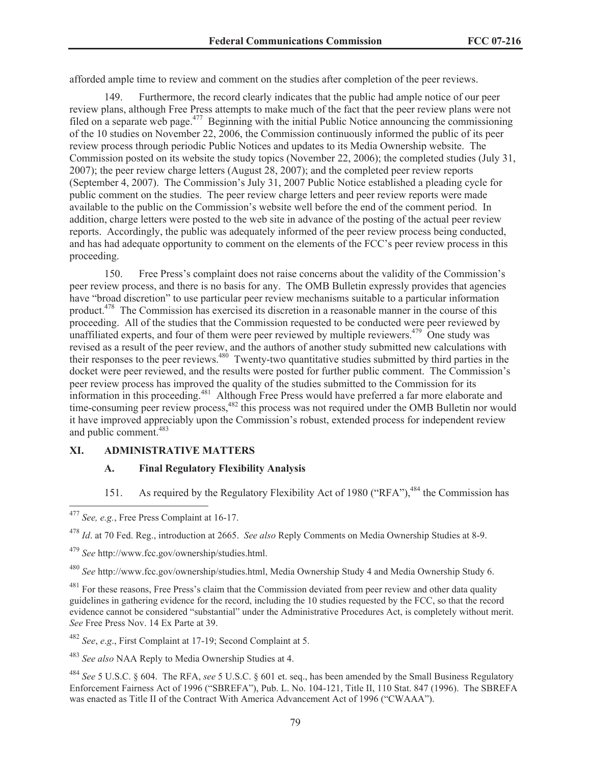afforded ample time to review and comment on the studies after completion of the peer reviews.

Furthermore, the record clearly indicates that the public had ample notice of our peer review plans, although Free Press attempts to make much of the fact that the peer review plans were not filed on a separate web page.<sup>477</sup> Beginning with the initial Public Notice announcing the commissioning of the 10 studies on November 22, 2006, the Commission continuously informed the public of its peer review process through periodic Public Notices and updates to its Media Ownership website. The Commission posted on its website the study topics (November 22, 2006); the completed studies (July 31, 2007); the peer review charge letters (August 28, 2007); and the completed peer review reports (September 4, 2007). The Commission's July 31, 2007 Public Notice established a pleading cycle for public comment on the studies. The peer review charge letters and peer review reports were made available to the public on the Commission's website well before the end of the comment period. In addition, charge letters were posted to the web site in advance of the posting of the actual peer review reports. Accordingly, the public was adequately informed of the peer review process being conducted, and has had adequate opportunity to comment on the elements of the FCC's peer review process in this proceeding.

150. Free Press's complaint does not raise concerns about the validity of the Commission's peer review process, and there is no basis for any. The OMB Bulletin expressly provides that agencies have "broad discretion" to use particular peer review mechanisms suitable to a particular information product.<sup>478</sup> The Commission has exercised its discretion in a reasonable manner in the course of this proceeding. All of the studies that the Commission requested to be conducted were peer reviewed by unaffiliated experts, and four of them were peer reviewed by multiple reviewers.<sup>479</sup> One study was revised as a result of the peer review, and the authors of another study submitted new calculations with their responses to the peer reviews.<sup>480</sup> Twenty-two quantitative studies submitted by third parties in the docket were peer reviewed, and the results were posted for further public comment. The Commission's peer review process has improved the quality of the studies submitted to the Commission for its information in this proceeding.<sup>481</sup> Although Free Press would have preferred a far more elaborate and time-consuming peer review process,<sup>482</sup> this process was not required under the OMB Bulletin nor would it have improved appreciably upon the Commission's robust, extended process for independent review and public comment.<sup>483</sup>

### **XI. ADMINISTRATIVE MATTERS**

### **A. Final Regulatory Flexibility Analysis**

151. As required by the Regulatory Flexibility Act of 1980 ("RFA"), <sup>484</sup> the Commission has

<sup>479</sup> *See* http://www.fcc.gov/ownership/studies.html.

<sup>480</sup> *See* http://www.fcc.gov/ownership/studies.html, Media Ownership Study 4 and Media Ownership Study 6.

<sup>481</sup> For these reasons, Free Press's claim that the Commission deviated from peer review and other data quality guidelines in gathering evidence for the record, including the 10 studies requested by the FCC, so that the record evidence cannot be considered "substantial" under the Administrative Procedures Act, is completely without merit. *See* Free Press Nov. 14 Ex Parte at 39.

<sup>482</sup> *See*, *e*.*g*., First Complaint at 17-19; Second Complaint at 5.

<sup>483</sup> *See also* NAA Reply to Media Ownership Studies at 4.

<sup>484</sup> *See* 5 U.S.C. § 604. The RFA, *see* 5 U.S.C. § 601 et. seq., has been amended by the Small Business Regulatory Enforcement Fairness Act of 1996 ("SBREFA"), Pub. L. No. 104-121, Title II, 110 Stat. 847 (1996). The SBREFA was enacted as Title II of the Contract With America Advancement Act of 1996 ("CWAAA").

<sup>477</sup> *See, e.g.*, Free Press Complaint at 16-17.

<sup>478</sup> *Id*. at 70 Fed. Reg., introduction at 2665. *See also* Reply Comments on Media Ownership Studies at 8-9.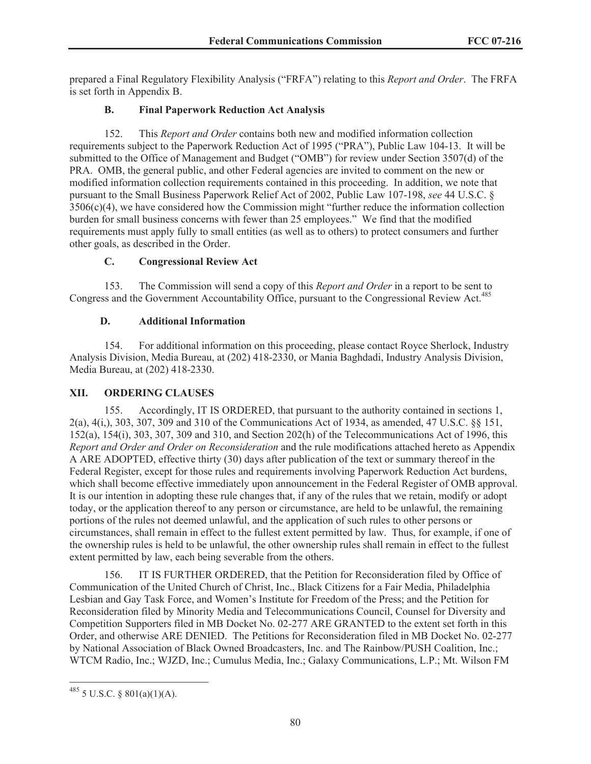prepared a Final Regulatory Flexibility Analysis ("FRFA") relating to this *Report and Order*. The FRFA is set forth in Appendix B.

## **B. Final Paperwork Reduction Act Analysis**

152. This *Report and Order* contains both new and modified information collection requirements subject to the Paperwork Reduction Act of 1995 ("PRA"), Public Law 104-13. It will be submitted to the Office of Management and Budget ("OMB") for review under Section 3507(d) of the PRA. OMB, the general public, and other Federal agencies are invited to comment on the new or modified information collection requirements contained in this proceeding. In addition, we note that pursuant to the Small Business Paperwork Relief Act of 2002, Public Law 107-198, *see* 44 U.S.C. § 3506(c)(4), we have considered how the Commission might "further reduce the information collection burden for small business concerns with fewer than 25 employees." We find that the modified requirements must apply fully to small entities (as well as to others) to protect consumers and further other goals, as described in the Order.

## **C. Congressional Review Act**

153. The Commission will send a copy of this *Report and Order* in a report to be sent to Congress and the Government Accountability Office, pursuant to the Congressional Review Act.<sup>485</sup>

## **D. Additional Information**

154. For additional information on this proceeding, please contact Royce Sherlock, Industry Analysis Division, Media Bureau, at (202) 418-2330, or Mania Baghdadi, Industry Analysis Division, Media Bureau, at (202) 418-2330.

# **XII. ORDERING CLAUSES**

155. Accordingly, IT IS ORDERED, that pursuant to the authority contained in sections 1, 2(a), 4(i,), 303, 307, 309 and 310 of the Communications Act of 1934, as amended, 47 U.S.C. §§ 151, 152(a), 154(i), 303, 307, 309 and 310, and Section 202(h) of the Telecommunications Act of 1996, this *Report and Order and Order on Reconsideration* and the rule modifications attached hereto as Appendix A ARE ADOPTED, effective thirty (30) days after publication of the text or summary thereof in the Federal Register, except for those rules and requirements involving Paperwork Reduction Act burdens, which shall become effective immediately upon announcement in the Federal Register of OMB approval. It is our intention in adopting these rule changes that, if any of the rules that we retain, modify or adopt today, or the application thereof to any person or circumstance, are held to be unlawful, the remaining portions of the rules not deemed unlawful, and the application of such rules to other persons or circumstances, shall remain in effect to the fullest extent permitted by law. Thus, for example, if one of the ownership rules is held to be unlawful, the other ownership rules shall remain in effect to the fullest extent permitted by law, each being severable from the others.

156. IT IS FURTHER ORDERED, that the Petition for Reconsideration filed by Office of Communication of the United Church of Christ, Inc., Black Citizens for a Fair Media, Philadelphia Lesbian and Gay Task Force, and Women's Institute for Freedom of the Press; and the Petition for Reconsideration filed by Minority Media and Telecommunications Council, Counsel for Diversity and Competition Supporters filed in MB Docket No. 02-277 ARE GRANTED to the extent set forth in this Order, and otherwise ARE DENIED. The Petitions for Reconsideration filed in MB Docket No. 02-277 by National Association of Black Owned Broadcasters, Inc. and The Rainbow/PUSH Coalition, Inc.; WTCM Radio, Inc.; WJZD, Inc.; Cumulus Media, Inc.; Galaxy Communications, L.P.; Mt. Wilson FM

 $^{485}$  5 U.S.C. § 801(a)(1)(A).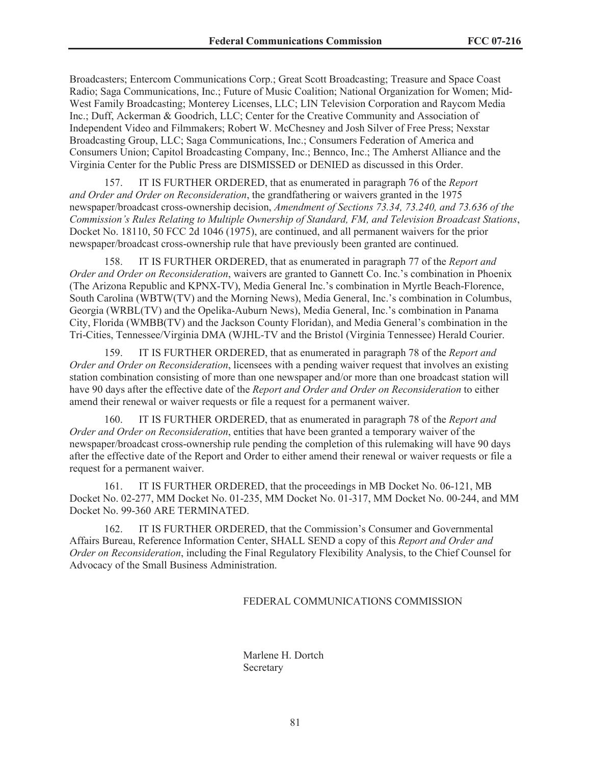Broadcasters; Entercom Communications Corp.; Great Scott Broadcasting; Treasure and Space Coast Radio; Saga Communications, Inc.; Future of Music Coalition; National Organization for Women; Mid-West Family Broadcasting; Monterey Licenses, LLC; LIN Television Corporation and Raycom Media Inc.; Duff, Ackerman & Goodrich, LLC; Center for the Creative Community and Association of Independent Video and Filmmakers; Robert W. McChesney and Josh Silver of Free Press; Nexstar Broadcasting Group, LLC; Saga Communications, Inc.; Consumers Federation of America and Consumers Union; Capitol Broadcasting Company, Inc.; Bennco, Inc.; The Amherst Alliance and the Virginia Center for the Public Press are DISMISSED or DENIED as discussed in this Order.

157. IT IS FURTHER ORDERED, that as enumerated in paragraph 76 of the *Report and Order and Order on Reconsideration*, the grandfathering or waivers granted in the 1975 newspaper/broadcast cross-ownership decision, *Amendment of Sections 73.34, 73.240, and 73.636 of the Commission's Rules Relating to Multiple Ownership of Standard, FM, and Television Broadcast Stations*, Docket No. 18110, 50 FCC 2d 1046 (1975), are continued, and all permanent waivers for the prior newspaper/broadcast cross-ownership rule that have previously been granted are continued.

158. IT IS FURTHER ORDERED, that as enumerated in paragraph 77 of the *Report and Order and Order on Reconsideration*, waivers are granted to Gannett Co. Inc.'s combination in Phoenix (The Arizona Republic and KPNX-TV), Media General Inc.'s combination in Myrtle Beach-Florence, South Carolina (WBTW(TV) and the Morning News), Media General, Inc.'s combination in Columbus, Georgia (WRBL(TV) and the Opelika-Auburn News), Media General, Inc.'s combination in Panama City, Florida (WMBB(TV) and the Jackson County Floridan), and Media General's combination in the Tri-Cities, Tennessee/Virginia DMA (WJHL-TV and the Bristol (Virginia Tennessee) Herald Courier.

159. IT IS FURTHER ORDERED, that as enumerated in paragraph 78 of the *Report and Order and Order on Reconsideration*, licensees with a pending waiver request that involves an existing station combination consisting of more than one newspaper and/or more than one broadcast station will have 90 days after the effective date of the *Report and Order and Order on Reconsideration* to either amend their renewal or waiver requests or file a request for a permanent waiver.

160. IT IS FURTHER ORDERED, that as enumerated in paragraph 78 of the *Report and Order and Order on Reconsideration*, entities that have been granted a temporary waiver of the newspaper/broadcast cross-ownership rule pending the completion of this rulemaking will have 90 days after the effective date of the Report and Order to either amend their renewal or waiver requests or file a request for a permanent waiver.

161. IT IS FURTHER ORDERED, that the proceedings in MB Docket No. 06-121, MB Docket No. 02-277, MM Docket No. 01-235, MM Docket No. 01-317, MM Docket No. 00-244, and MM Docket No. 99-360 ARE TERMINATED.

162. IT IS FURTHER ORDERED, that the Commission's Consumer and Governmental Affairs Bureau, Reference Information Center, SHALL SEND a copy of this *Report and Order and Order on Reconsideration*, including the Final Regulatory Flexibility Analysis, to the Chief Counsel for Advocacy of the Small Business Administration.

#### FEDERAL COMMUNICATIONS COMMISSION

Marlene H. Dortch **Secretary**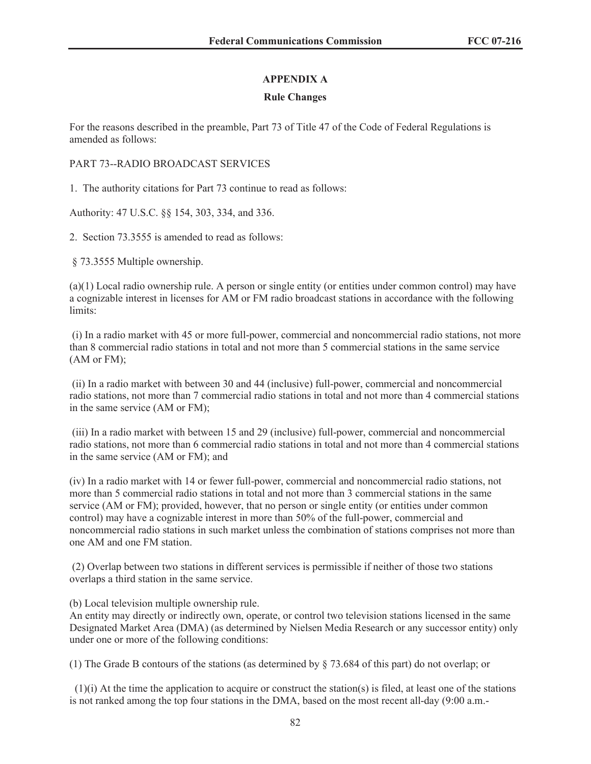## **APPENDIX A**

## **Rule Changes**

For the reasons described in the preamble, Part 73 of Title 47 of the Code of Federal Regulations is amended as follows:

### PART 73--RADIO BROADCAST SERVICES

1. The authority citations for Part 73 continue to read as follows:

Authority: 47 U.S.C. §§ 154, 303, 334, and 336.

2. Section 73.3555 is amended to read as follows:

§ 73.3555 Multiple ownership.

(a)(1) Local radio ownership rule. A person or single entity (or entities under common control) may have a cognizable interest in licenses for AM or FM radio broadcast stations in accordance with the following limits:

(i) In a radio market with 45 or more full-power, commercial and noncommercial radio stations, not more than 8 commercial radio stations in total and not more than 5 commercial stations in the same service (AM or FM);

(ii) In a radio market with between 30 and 44 (inclusive) full-power, commercial and noncommercial radio stations, not more than 7 commercial radio stations in total and not more than 4 commercial stations in the same service (AM or FM);

(iii) In a radio market with between 15 and 29 (inclusive) full-power, commercial and noncommercial radio stations, not more than 6 commercial radio stations in total and not more than 4 commercial stations in the same service (AM or FM); and

(iv) In a radio market with 14 or fewer full-power, commercial and noncommercial radio stations, not more than 5 commercial radio stations in total and not more than 3 commercial stations in the same service (AM or FM); provided, however, that no person or single entity (or entities under common control) may have a cognizable interest in more than 50% of the full-power, commercial and noncommercial radio stations in such market unless the combination of stations comprises not more than one AM and one FM station.

(2) Overlap between two stations in different services is permissible if neither of those two stations overlaps a third station in the same service.

(b) Local television multiple ownership rule.

An entity may directly or indirectly own, operate, or control two television stations licensed in the same Designated Market Area (DMA) (as determined by Nielsen Media Research or any successor entity) only under one or more of the following conditions:

(1) The Grade B contours of the stations (as determined by § 73.684 of this part) do not overlap; or

 $(1)(i)$  At the time the application to acquire or construct the station(s) is filed, at least one of the stations is not ranked among the top four stations in the DMA, based on the most recent all-day (9:00 a.m.-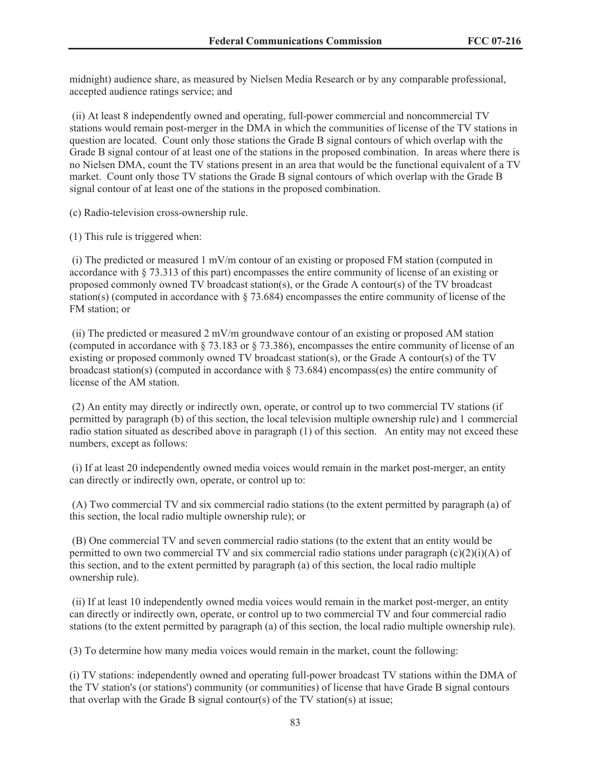midnight) audience share, as measured by Nielsen Media Research or by any comparable professional, accepted audience ratings service; and

(ii) At least 8 independently owned and operating, full-power commercial and noncommercial TV stations would remain post-merger in the DMA in which the communities of license of the TV stations in question are located. Count only those stations the Grade B signal contours of which overlap with the Grade B signal contour of at least one of the stations in the proposed combination. In areas where there is no Nielsen DMA, count the TV stations present in an area that would be the functional equivalent of a TV market. Count only those TV stations the Grade B signal contours of which overlap with the Grade B signal contour of at least one of the stations in the proposed combination.

(c) Radio-television cross-ownership rule.

(1) This rule is triggered when:

(i) The predicted or measured 1 mV/m contour of an existing or proposed FM station (computed in accordance with § 73.313 of this part) encompasses the entire community of license of an existing or proposed commonly owned TV broadcast station(s), or the Grade A contour(s) of the TV broadcast station(s) (computed in accordance with § 73.684) encompasses the entire community of license of the FM station; or

(ii) The predicted or measured 2 mV/m groundwave contour of an existing or proposed AM station (computed in accordance with § 73.183 or § 73.386), encompasses the entire community of license of an existing or proposed commonly owned TV broadcast station(s), or the Grade A contour(s) of the TV broadcast station(s) (computed in accordance with  $\S$  73.684) encompass(es) the entire community of license of the AM station.

(2) An entity may directly or indirectly own, operate, or control up to two commercial TV stations (if permitted by paragraph (b) of this section, the local television multiple ownership rule) and 1 commercial radio station situated as described above in paragraph (1) of this section. An entity may not exceed these numbers, except as follows:

(i) If at least 20 independently owned media voices would remain in the market post-merger, an entity can directly or indirectly own, operate, or control up to:

(A) Two commercial TV and six commercial radio stations (to the extent permitted by paragraph (a) of this section, the local radio multiple ownership rule); or

(B) One commercial TV and seven commercial radio stations (to the extent that an entity would be permitted to own two commercial TV and six commercial radio stations under paragraph  $(c)(2)(i)(A)$  of this section, and to the extent permitted by paragraph (a) of this section, the local radio multiple ownership rule).

(ii) If at least 10 independently owned media voices would remain in the market post-merger, an entity can directly or indirectly own, operate, or control up to two commercial TV and four commercial radio stations (to the extent permitted by paragraph (a) of this section, the local radio multiple ownership rule).

(3) To determine how many media voices would remain in the market, count the following:

(i) TV stations: independently owned and operating full-power broadcast TV stations within the DMA of the TV station's (or stations') community (or communities) of license that have Grade B signal contours that overlap with the Grade B signal contour(s) of the TV station(s) at issue;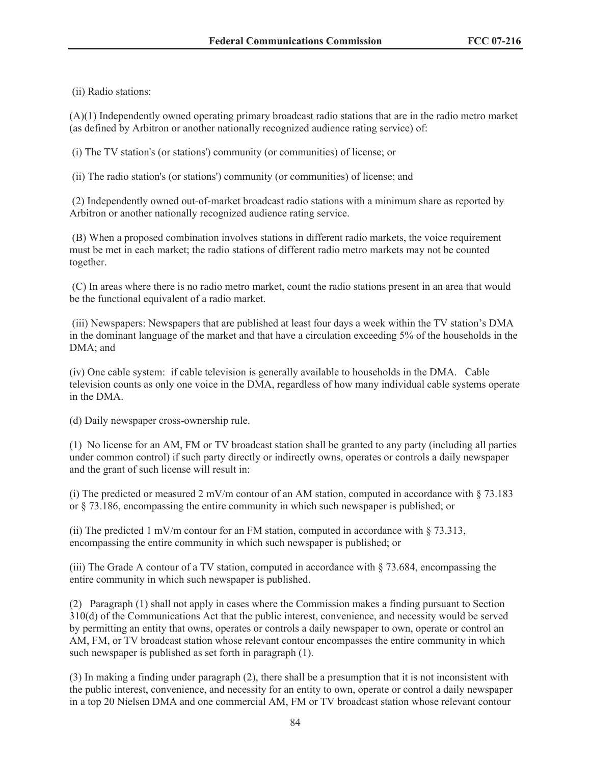(ii) Radio stations:

(A)(1) Independently owned operating primary broadcast radio stations that are in the radio metro market (as defined by Arbitron or another nationally recognized audience rating service) of:

(i) The TV station's (or stations') community (or communities) of license; or

(ii) The radio station's (or stations') community (or communities) of license; and

(2) Independently owned out-of-market broadcast radio stations with a minimum share as reported by Arbitron or another nationally recognized audience rating service.

(B) When a proposed combination involves stations in different radio markets, the voice requirement must be met in each market; the radio stations of different radio metro markets may not be counted together.

(C) In areas where there is no radio metro market, count the radio stations present in an area that would be the functional equivalent of a radio market.

(iii) Newspapers: Newspapers that are published at least four days a week within the TV station's DMA in the dominant language of the market and that have a circulation exceeding 5% of the households in the DMA; and

(iv) One cable system: if cable television is generally available to households in the DMA. Cable television counts as only one voice in the DMA, regardless of how many individual cable systems operate in the DMA.

(d) Daily newspaper cross-ownership rule.

(1) No license for an AM, FM or TV broadcast station shall be granted to any party (including all parties under common control) if such party directly or indirectly owns, operates or controls a daily newspaper and the grant of such license will result in:

(i) The predicted or measured 2 mV/m contour of an AM station, computed in accordance with  $\S$  73.183 or § 73.186, encompassing the entire community in which such newspaper is published; or

(ii) The predicted 1 mV/m contour for an FM station, computed in accordance with  $\S$  73.313, encompassing the entire community in which such newspaper is published; or

(iii) The Grade A contour of a TV station, computed in accordance with § 73.684, encompassing the entire community in which such newspaper is published.

(2) Paragraph (1) shall not apply in cases where the Commission makes a finding pursuant to Section 310(d) of the Communications Act that the public interest, convenience, and necessity would be served by permitting an entity that owns, operates or controls a daily newspaper to own, operate or control an AM, FM, or TV broadcast station whose relevant contour encompasses the entire community in which such newspaper is published as set forth in paragraph (1).

(3) In making a finding under paragraph (2), there shall be a presumption that it is not inconsistent with the public interest, convenience, and necessity for an entity to own, operate or control a daily newspaper in a top 20 Nielsen DMA and one commercial AM, FM or TV broadcast station whose relevant contour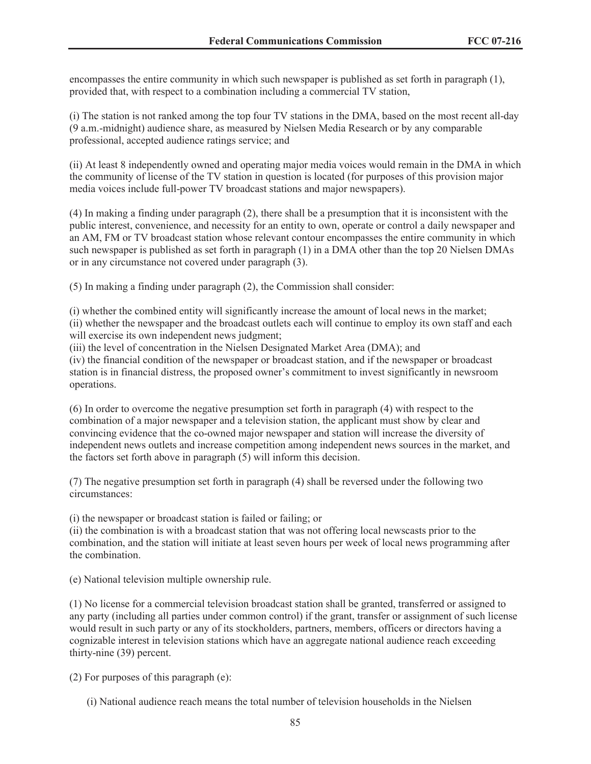encompasses the entire community in which such newspaper is published as set forth in paragraph (1), provided that, with respect to a combination including a commercial TV station,

(i) The station is not ranked among the top four TV stations in the DMA, based on the most recent all-day (9 a.m.-midnight) audience share, as measured by Nielsen Media Research or by any comparable professional, accepted audience ratings service; and

(ii) At least 8 independently owned and operating major media voices would remain in the DMA in which the community of license of the TV station in question is located (for purposes of this provision major media voices include full-power TV broadcast stations and major newspapers).

(4) In making a finding under paragraph (2), there shall be a presumption that it is inconsistent with the public interest, convenience, and necessity for an entity to own, operate or control a daily newspaper and an AM, FM or TV broadcast station whose relevant contour encompasses the entire community in which such newspaper is published as set forth in paragraph (1) in a DMA other than the top 20 Nielsen DMAs or in any circumstance not covered under paragraph (3).

(5) In making a finding under paragraph (2), the Commission shall consider:

(i) whether the combined entity will significantly increase the amount of local news in the market; (ii) whether the newspaper and the broadcast outlets each will continue to employ its own staff and each will exercise its own independent news judgment;

(iii) the level of concentration in the Nielsen Designated Market Area (DMA); and

(iv) the financial condition of the newspaper or broadcast station, and if the newspaper or broadcast station is in financial distress, the proposed owner's commitment to invest significantly in newsroom operations.

(6) In order to overcome the negative presumption set forth in paragraph (4) with respect to the combination of a major newspaper and a television station, the applicant must show by clear and convincing evidence that the co-owned major newspaper and station will increase the diversity of independent news outlets and increase competition among independent news sources in the market, and the factors set forth above in paragraph (5) will inform this decision.

(7) The negative presumption set forth in paragraph (4) shall be reversed under the following two circumstances:

(i) the newspaper or broadcast station is failed or failing; or

(ii) the combination is with a broadcast station that was not offering local newscasts prior to the combination, and the station will initiate at least seven hours per week of local news programming after the combination.

(e) National television multiple ownership rule.

(1) No license for a commercial television broadcast station shall be granted, transferred or assigned to any party (including all parties under common control) if the grant, transfer or assignment of such license would result in such party or any of its stockholders, partners, members, officers or directors having a cognizable interest in television stations which have an aggregate national audience reach exceeding thirty-nine (39) percent.

(2) For purposes of this paragraph (e):

(i) National audience reach means the total number of television households in the Nielsen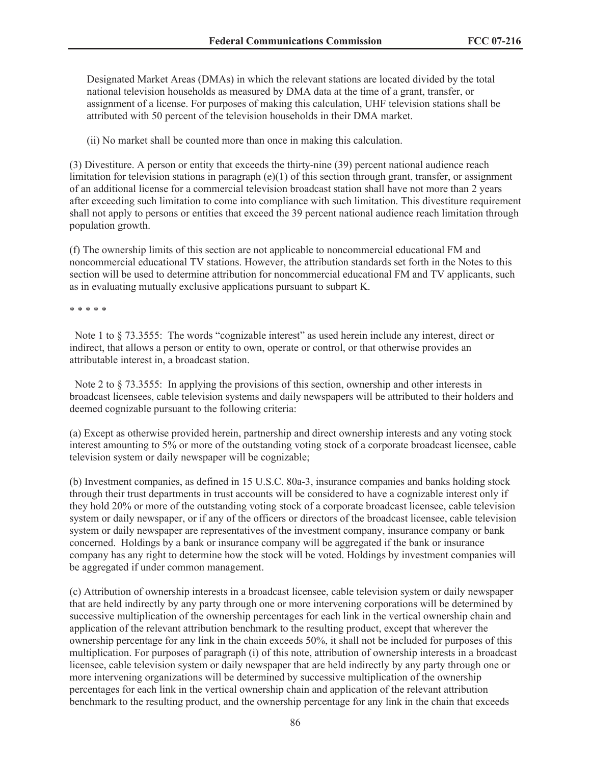Designated Market Areas (DMAs) in which the relevant stations are located divided by the total national television households as measured by DMA data at the time of a grant, transfer, or assignment of a license. For purposes of making this calculation, UHF television stations shall be attributed with 50 percent of the television households in their DMA market.

(ii) No market shall be counted more than once in making this calculation.

(3) Divestiture. A person or entity that exceeds the thirty-nine (39) percent national audience reach limitation for television stations in paragraph  $(e)(1)$  of this section through grant, transfer, or assignment of an additional license for a commercial television broadcast station shall have not more than 2 years after exceeding such limitation to come into compliance with such limitation. This divestiture requirement shall not apply to persons or entities that exceed the 39 percent national audience reach limitation through population growth.

(f) The ownership limits of this section are not applicable to noncommercial educational FM and noncommercial educational TV stations. However, the attribution standards set forth in the Notes to this section will be used to determine attribution for noncommercial educational FM and TV applicants, such as in evaluating mutually exclusive applications pursuant to subpart K.

\* \* \* \* \*

Note 1 to § 73.3555: The words "cognizable interest" as used herein include any interest, direct or indirect, that allows a person or entity to own, operate or control, or that otherwise provides an attributable interest in, a broadcast station.

Note 2 to  $\S$  73.3555: In applying the provisions of this section, ownership and other interests in broadcast licensees, cable television systems and daily newspapers will be attributed to their holders and deemed cognizable pursuant to the following criteria:

(a) Except as otherwise provided herein, partnership and direct ownership interests and any voting stock interest amounting to 5% or more of the outstanding voting stock of a corporate broadcast licensee, cable television system or daily newspaper will be cognizable;

(b) Investment companies, as defined in 15 U.S.C. 80a-3, insurance companies and banks holding stock through their trust departments in trust accounts will be considered to have a cognizable interest only if they hold 20% or more of the outstanding voting stock of a corporate broadcast licensee, cable television system or daily newspaper, or if any of the officers or directors of the broadcast licensee, cable television system or daily newspaper are representatives of the investment company, insurance company or bank concerned. Holdings by a bank or insurance company will be aggregated if the bank or insurance company has any right to determine how the stock will be voted. Holdings by investment companies will be aggregated if under common management.

(c) Attribution of ownership interests in a broadcast licensee, cable television system or daily newspaper that are held indirectly by any party through one or more intervening corporations will be determined by successive multiplication of the ownership percentages for each link in the vertical ownership chain and application of the relevant attribution benchmark to the resulting product, except that wherever the ownership percentage for any link in the chain exceeds 50%, it shall not be included for purposes of this multiplication. For purposes of paragraph (i) of this note, attribution of ownership interests in a broadcast licensee, cable television system or daily newspaper that are held indirectly by any party through one or more intervening organizations will be determined by successive multiplication of the ownership percentages for each link in the vertical ownership chain and application of the relevant attribution benchmark to the resulting product, and the ownership percentage for any link in the chain that exceeds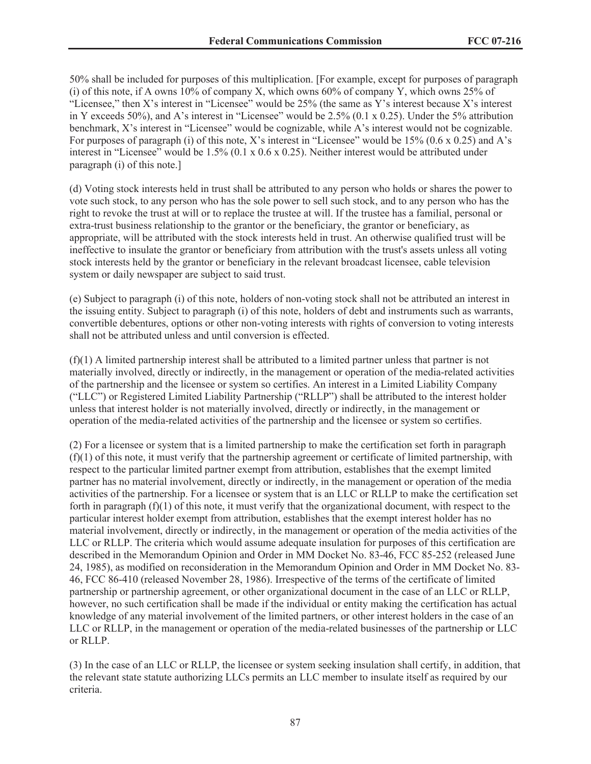50% shall be included for purposes of this multiplication. [For example, except for purposes of paragraph (i) of this note, if A owns  $10\%$  of company X, which owns  $60\%$  of company Y, which owns  $25\%$  of "Licensee," then X's interest in "Licensee" would be 25% (the same as Y's interest because X's interest in Y exceeds 50%), and A's interest in "Licensee" would be 2.5% (0.1 x 0.25). Under the 5% attribution benchmark, X's interest in "Licensee" would be cognizable, while A's interest would not be cognizable. For purposes of paragraph (i) of this note, X's interest in "Licensee" would be 15% (0.6 x 0.25) and A's interest in "Licensee" would be 1.5% (0.1 x 0.6 x 0.25). Neither interest would be attributed under paragraph (i) of this note.]

(d) Voting stock interests held in trust shall be attributed to any person who holds or shares the power to vote such stock, to any person who has the sole power to sell such stock, and to any person who has the right to revoke the trust at will or to replace the trustee at will. If the trustee has a familial, personal or extra-trust business relationship to the grantor or the beneficiary, the grantor or beneficiary, as appropriate, will be attributed with the stock interests held in trust. An otherwise qualified trust will be ineffective to insulate the grantor or beneficiary from attribution with the trust's assets unless all voting stock interests held by the grantor or beneficiary in the relevant broadcast licensee, cable television system or daily newspaper are subject to said trust.

(e) Subject to paragraph (i) of this note, holders of non-voting stock shall not be attributed an interest in the issuing entity. Subject to paragraph (i) of this note, holders of debt and instruments such as warrants, convertible debentures, options or other non-voting interests with rights of conversion to voting interests shall not be attributed unless and until conversion is effected.

 $(f)(1)$  A limited partnership interest shall be attributed to a limited partner unless that partner is not materially involved, directly or indirectly, in the management or operation of the media-related activities of the partnership and the licensee or system so certifies. An interest in a Limited Liability Company ("LLC") or Registered Limited Liability Partnership ("RLLP") shall be attributed to the interest holder unless that interest holder is not materially involved, directly or indirectly, in the management or operation of the media-related activities of the partnership and the licensee or system so certifies.

(2) For a licensee or system that is a limited partnership to make the certification set forth in paragraph  $(f)(1)$  of this note, it must verify that the partnership agreement or certificate of limited partnership, with respect to the particular limited partner exempt from attribution, establishes that the exempt limited partner has no material involvement, directly or indirectly, in the management or operation of the media activities of the partnership. For a licensee or system that is an LLC or RLLP to make the certification set forth in paragraph  $(f)(1)$  of this note, it must verify that the organizational document, with respect to the particular interest holder exempt from attribution, establishes that the exempt interest holder has no material involvement, directly or indirectly, in the management or operation of the media activities of the LLC or RLLP. The criteria which would assume adequate insulation for purposes of this certification are described in the Memorandum Opinion and Order in MM Docket No. 83-46, FCC 85-252 (released June 24, 1985), as modified on reconsideration in the Memorandum Opinion and Order in MM Docket No. 83- 46, FCC 86-410 (released November 28, 1986). Irrespective of the terms of the certificate of limited partnership or partnership agreement, or other organizational document in the case of an LLC or RLLP, however, no such certification shall be made if the individual or entity making the certification has actual knowledge of any material involvement of the limited partners, or other interest holders in the case of an LLC or RLLP, in the management or operation of the media-related businesses of the partnership or LLC or RLLP.

(3) In the case of an LLC or RLLP, the licensee or system seeking insulation shall certify, in addition, that the relevant state statute authorizing LLCs permits an LLC member to insulate itself as required by our criteria.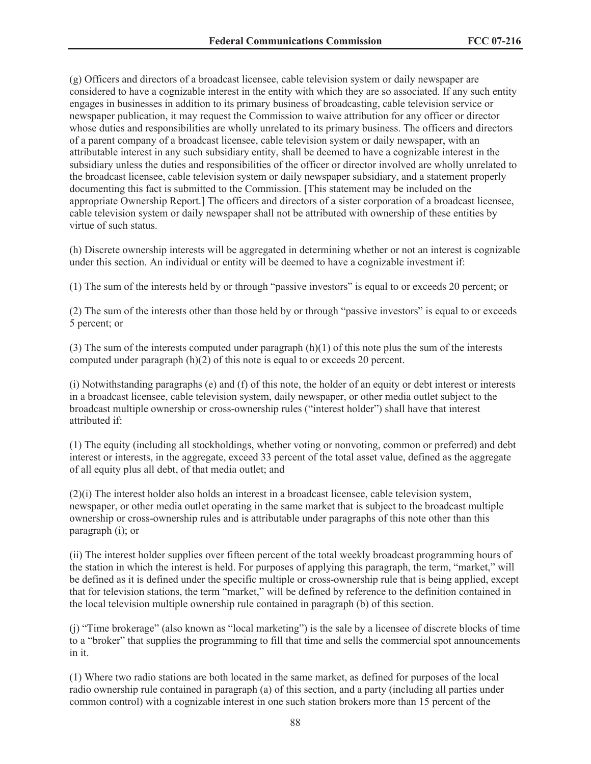(g) Officers and directors of a broadcast licensee, cable television system or daily newspaper are considered to have a cognizable interest in the entity with which they are so associated. If any such entity engages in businesses in addition to its primary business of broadcasting, cable television service or newspaper publication, it may request the Commission to waive attribution for any officer or director whose duties and responsibilities are wholly unrelated to its primary business. The officers and directors of a parent company of a broadcast licensee, cable television system or daily newspaper, with an attributable interest in any such subsidiary entity, shall be deemed to have a cognizable interest in the subsidiary unless the duties and responsibilities of the officer or director involved are wholly unrelated to the broadcast licensee, cable television system or daily newspaper subsidiary, and a statement properly documenting this fact is submitted to the Commission. [This statement may be included on the appropriate Ownership Report.] The officers and directors of a sister corporation of a broadcast licensee, cable television system or daily newspaper shall not be attributed with ownership of these entities by virtue of such status.

(h) Discrete ownership interests will be aggregated in determining whether or not an interest is cognizable under this section. An individual or entity will be deemed to have a cognizable investment if:

(1) The sum of the interests held by or through "passive investors" is equal to or exceeds 20 percent; or

(2) The sum of the interests other than those held by or through "passive investors" is equal to or exceeds 5 percent; or

(3) The sum of the interests computed under paragraph  $(h)(1)$  of this note plus the sum of the interests computed under paragraph (h)(2) of this note is equal to or exceeds 20 percent.

(i) Notwithstanding paragraphs (e) and (f) of this note, the holder of an equity or debt interest or interests in a broadcast licensee, cable television system, daily newspaper, or other media outlet subject to the broadcast multiple ownership or cross-ownership rules ("interest holder") shall have that interest attributed if:

(1) The equity (including all stockholdings, whether voting or nonvoting, common or preferred) and debt interest or interests, in the aggregate, exceed 33 percent of the total asset value, defined as the aggregate of all equity plus all debt, of that media outlet; and

 $(2)(i)$  The interest holder also holds an interest in a broadcast licensee, cable television system, newspaper, or other media outlet operating in the same market that is subject to the broadcast multiple ownership or cross-ownership rules and is attributable under paragraphs of this note other than this paragraph (i); or

(ii) The interest holder supplies over fifteen percent of the total weekly broadcast programming hours of the station in which the interest is held. For purposes of applying this paragraph, the term, "market," will be defined as it is defined under the specific multiple or cross-ownership rule that is being applied, except that for television stations, the term "market," will be defined by reference to the definition contained in the local television multiple ownership rule contained in paragraph (b) of this section.

(j) "Time brokerage" (also known as "local marketing") is the sale by a licensee of discrete blocks of time to a "broker" that supplies the programming to fill that time and sells the commercial spot announcements in it.

(1) Where two radio stations are both located in the same market, as defined for purposes of the local radio ownership rule contained in paragraph (a) of this section, and a party (including all parties under common control) with a cognizable interest in one such station brokers more than 15 percent of the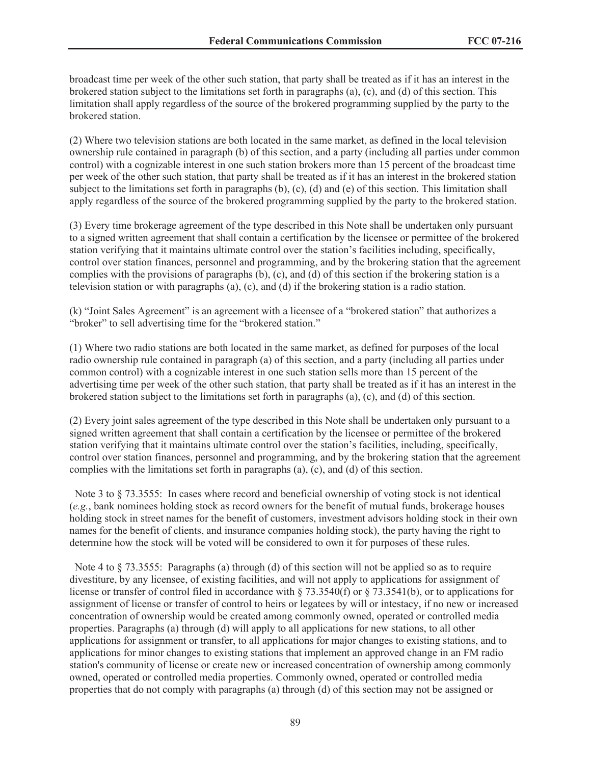broadcast time per week of the other such station, that party shall be treated as if it has an interest in the brokered station subject to the limitations set forth in paragraphs (a), (c), and (d) of this section. This limitation shall apply regardless of the source of the brokered programming supplied by the party to the brokered station.

(2) Where two television stations are both located in the same market, as defined in the local television ownership rule contained in paragraph (b) of this section, and a party (including all parties under common control) with a cognizable interest in one such station brokers more than 15 percent of the broadcast time per week of the other such station, that party shall be treated as if it has an interest in the brokered station subject to the limitations set forth in paragraphs (b), (c), (d) and (e) of this section. This limitation shall apply regardless of the source of the brokered programming supplied by the party to the brokered station.

(3) Every time brokerage agreement of the type described in this Note shall be undertaken only pursuant to a signed written agreement that shall contain a certification by the licensee or permittee of the brokered station verifying that it maintains ultimate control over the station's facilities including, specifically, control over station finances, personnel and programming, and by the brokering station that the agreement complies with the provisions of paragraphs  $(b)$ ,  $(c)$ , and  $(d)$  of this section if the brokering station is a television station or with paragraphs (a), (c), and (d) if the brokering station is a radio station.

(k) "Joint Sales Agreement" is an agreement with a licensee of a "brokered station" that authorizes a "broker" to sell advertising time for the "brokered station."

(1) Where two radio stations are both located in the same market, as defined for purposes of the local radio ownership rule contained in paragraph (a) of this section, and a party (including all parties under common control) with a cognizable interest in one such station sells more than 15 percent of the advertising time per week of the other such station, that party shall be treated as if it has an interest in the brokered station subject to the limitations set forth in paragraphs (a), (c), and (d) of this section.

(2) Every joint sales agreement of the type described in this Note shall be undertaken only pursuant to a signed written agreement that shall contain a certification by the licensee or permittee of the brokered station verifying that it maintains ultimate control over the station's facilities, including, specifically, control over station finances, personnel and programming, and by the brokering station that the agreement complies with the limitations set forth in paragraphs (a), (c), and (d) of this section.

Note 3 to § 73.3555: In cases where record and beneficial ownership of voting stock is not identical (*e.g.*, bank nominees holding stock as record owners for the benefit of mutual funds, brokerage houses holding stock in street names for the benefit of customers, investment advisors holding stock in their own names for the benefit of clients, and insurance companies holding stock), the party having the right to determine how the stock will be voted will be considered to own it for purposes of these rules.

Note 4 to  $\S$  73.3555: Paragraphs (a) through (d) of this section will not be applied so as to require divestiture, by any licensee, of existing facilities, and will not apply to applications for assignment of license or transfer of control filed in accordance with § 73.3540(f) or § 73.3541(b), or to applications for assignment of license or transfer of control to heirs or legatees by will or intestacy, if no new or increased concentration of ownership would be created among commonly owned, operated or controlled media properties. Paragraphs (a) through (d) will apply to all applications for new stations, to all other applications for assignment or transfer, to all applications for major changes to existing stations, and to applications for minor changes to existing stations that implement an approved change in an FM radio station's community of license or create new or increased concentration of ownership among commonly owned, operated or controlled media properties. Commonly owned, operated or controlled media properties that do not comply with paragraphs (a) through (d) of this section may not be assigned or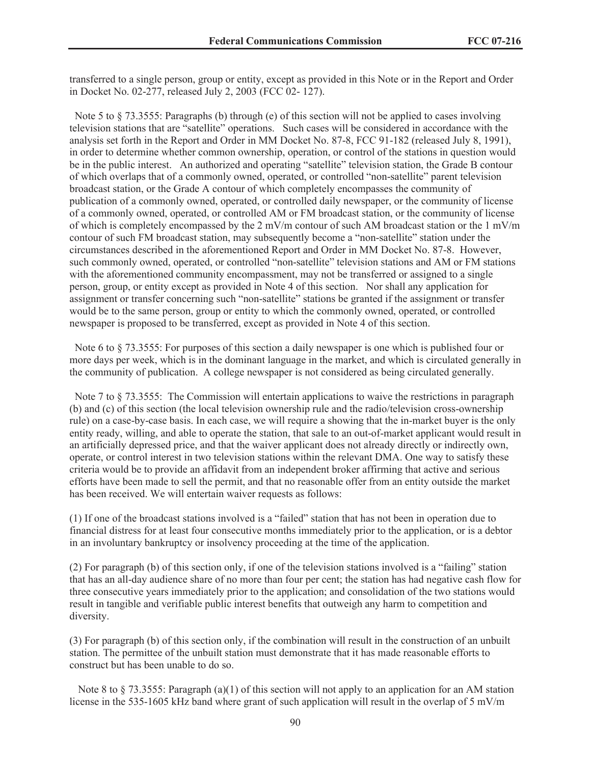transferred to a single person, group or entity, except as provided in this Note or in the Report and Order in Docket No. 02-277, released July 2, 2003 (FCC 02- 127).

Note 5 to  $\S$  73.3555: Paragraphs (b) through (e) of this section will not be applied to cases involving television stations that are "satellite" operations. Such cases will be considered in accordance with the analysis set forth in the Report and Order in MM Docket No. 87-8, FCC 91-182 (released July 8, 1991), in order to determine whether common ownership, operation, or control of the stations in question would be in the public interest. An authorized and operating "satellite" television station, the Grade B contour of which overlaps that of a commonly owned, operated, or controlled "non-satellite" parent television broadcast station, or the Grade A contour of which completely encompasses the community of publication of a commonly owned, operated, or controlled daily newspaper, or the community of license of a commonly owned, operated, or controlled AM or FM broadcast station, or the community of license of which is completely encompassed by the 2 mV/m contour of such AM broadcast station or the 1 mV/m contour of such FM broadcast station, may subsequently become a "non-satellite" station under the circumstances described in the aforementioned Report and Order in MM Docket No. 87-8. However, such commonly owned, operated, or controlled "non-satellite" television stations and AM or FM stations with the aforementioned community encompassment, may not be transferred or assigned to a single person, group, or entity except as provided in Note 4 of this section. Nor shall any application for assignment or transfer concerning such "non-satellite" stations be granted if the assignment or transfer would be to the same person, group or entity to which the commonly owned, operated, or controlled newspaper is proposed to be transferred, except as provided in Note 4 of this section.

Note 6 to § 73.3555: For purposes of this section a daily newspaper is one which is published four or more days per week, which is in the dominant language in the market, and which is circulated generally in the community of publication. A college newspaper is not considered as being circulated generally.

Note 7 to  $\S$  73.3555: The Commission will entertain applications to waive the restrictions in paragraph (b) and (c) of this section (the local television ownership rule and the radio/television cross-ownership rule) on a case-by-case basis. In each case, we will require a showing that the in-market buyer is the only entity ready, willing, and able to operate the station, that sale to an out-of-market applicant would result in an artificially depressed price, and that the waiver applicant does not already directly or indirectly own, operate, or control interest in two television stations within the relevant DMA. One way to satisfy these criteria would be to provide an affidavit from an independent broker affirming that active and serious efforts have been made to sell the permit, and that no reasonable offer from an entity outside the market has been received. We will entertain waiver requests as follows:

(1) If one of the broadcast stations involved is a "failed" station that has not been in operation due to financial distress for at least four consecutive months immediately prior to the application, or is a debtor in an involuntary bankruptcy or insolvency proceeding at the time of the application.

(2) For paragraph (b) of this section only, if one of the television stations involved is a "failing" station that has an all-day audience share of no more than four per cent; the station has had negative cash flow for three consecutive years immediately prior to the application; and consolidation of the two stations would result in tangible and verifiable public interest benefits that outweigh any harm to competition and diversity.

(3) For paragraph (b) of this section only, if the combination will result in the construction of an unbuilt station. The permittee of the unbuilt station must demonstrate that it has made reasonable efforts to construct but has been unable to do so.

Note 8 to  $\S$  73.3555: Paragraph (a)(1) of this section will not apply to an application for an AM station license in the 535-1605 kHz band where grant of such application will result in the overlap of 5 mV/m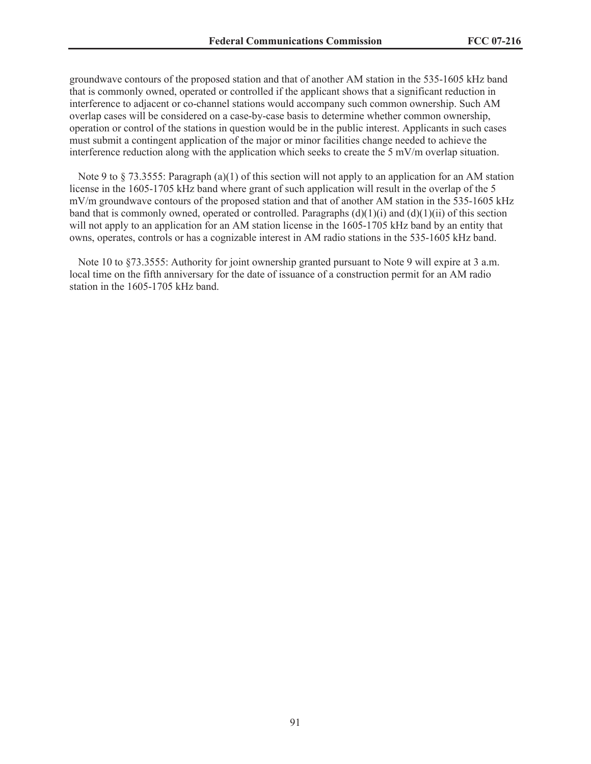groundwave contours of the proposed station and that of another AM station in the 535-1605 kHz band that is commonly owned, operated or controlled if the applicant shows that a significant reduction in interference to adjacent or co-channel stations would accompany such common ownership. Such AM overlap cases will be considered on a case-by-case basis to determine whether common ownership, operation or control of the stations in question would be in the public interest. Applicants in such cases must submit a contingent application of the major or minor facilities change needed to achieve the interference reduction along with the application which seeks to create the  $5 \text{ mV/m}$  overlap situation.

Note 9 to  $\S$  73.3555: Paragraph (a)(1) of this section will not apply to an application for an AM station license in the 1605-1705 kHz band where grant of such application will result in the overlap of the 5 mV/m groundwave contours of the proposed station and that of another AM station in the 535-1605 kHz band that is commonly owned, operated or controlled. Paragraphs  $(d)(1)(i)$  and  $(d)(1)(ii)$  of this section will not apply to an application for an AM station license in the 1605-1705 kHz band by an entity that owns, operates, controls or has a cognizable interest in AM radio stations in the 535-1605 kHz band.

Note 10 to  $\S 73.3555$ : Authority for joint ownership granted pursuant to Note 9 will expire at 3 a.m. local time on the fifth anniversary for the date of issuance of a construction permit for an AM radio station in the 1605-1705 kHz band.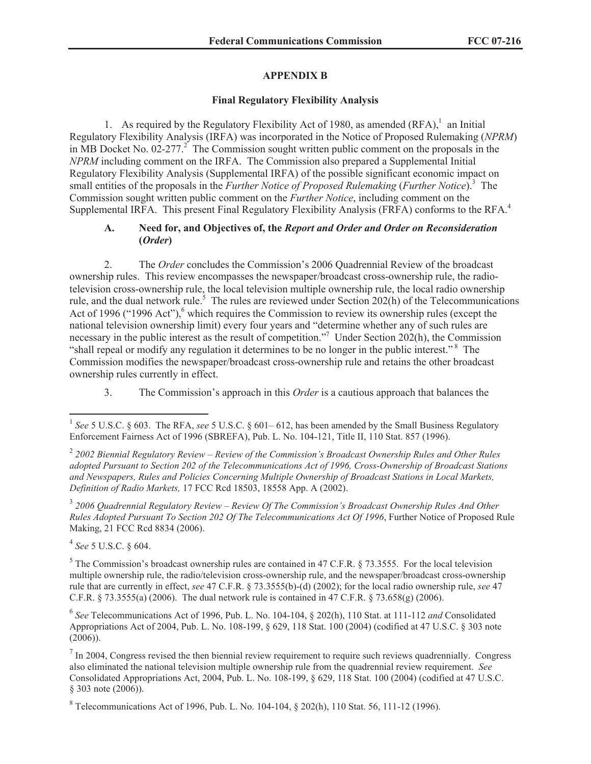## **APPENDIX B**

## **Final Regulatory Flexibility Analysis**

1. As required by the Regulatory Flexibility Act of 1980, as amended  $(RFA)$ ,<sup>1</sup> an Initial Regulatory Flexibility Analysis (IRFA) was incorporated in the Notice of Proposed Rulemaking (*NPRM*) in MB Docket No.  $02-277$ <sup>2</sup>. The Commission sought written public comment on the proposals in the *NPRM* including comment on the IRFA. The Commission also prepared a Supplemental Initial Regulatory Flexibility Analysis (Supplemental IRFA) of the possible significant economic impact on small entities of the proposals in the *Further Notice of Proposed Rulemaking* (*Further Notice*).<sup>3</sup> The Commission sought written public comment on the *Further Notice*, including comment on the Supplemental IRFA. This present Final Regulatory Flexibility Analysis (FRFA) conforms to the RFA.<sup>4</sup>

## **A. Need for, and Objectives of, the** *Report and Order and Order on Reconsideration*  **(***Order***)**

2. The *Order* concludes the Commission's 2006 Quadrennial Review of the broadcast ownership rules. This review encompasses the newspaper/broadcast cross-ownership rule, the radiotelevision cross-ownership rule, the local television multiple ownership rule, the local radio ownership rule, and the dual network rule.<sup>5</sup> The rules are reviewed under Section 202(h) of the Telecommunications Act of 1996 ("1996 Act"), $6$  which requires the Commission to review its ownership rules (except the national television ownership limit) every four years and "determine whether any of such rules are necessary in the public interest as the result of competition."<sup>7</sup> Under Section 202(h), the Commission "shall repeal or modify any regulation it determines to be no longer in the public interest." <sup>8</sup> The Commission modifies the newspaper/broadcast cross-ownership rule and retains the other broadcast ownership rules currently in effect.

3. The Commission's approach in this *Order* is a cautious approach that balances the

3 *2006 Quadrennial Regulatory Review – Review Of The Commission's Broadcast Ownership Rules And Other Rules Adopted Pursuant To Section 202 Of The Telecommunications Act Of 1996*, Further Notice of Proposed Rule Making, 21 FCC Rcd 8834 (2006).

4 *See* 5 U.S.C. § 604.

<sup>5</sup> The Commission's broadcast ownership rules are contained in 47 C.F.R. § 73.3555. For the local television multiple ownership rule, the radio/television cross-ownership rule, and the newspaper/broadcast cross-ownership rule that are currently in effect, *see* 47 C.F.R. § 73.3555(b)-(d) (2002); for the local radio ownership rule, *see* 47 C.F.R. § 73.3555(a) (2006). The dual network rule is contained in 47 C.F.R. § 73.658(g) (2006).

6 *See* Telecommunications Act of 1996, Pub. L. No. 104-104, § 202(h), 110 Stat. at 111-112 *and* Consolidated Appropriations Act of 2004, Pub. L. No. 108-199, § 629, 118 Stat. 100 (2004) (codified at 47 U.S.C. § 303 note (2006)).

 $<sup>7</sup>$  In 2004, Congress revised the then biennial review requirement to require such reviews quadrennially. Congress</sup> also eliminated the national television multiple ownership rule from the quadrennial review requirement. *See* Consolidated Appropriations Act, 2004, Pub. L. No. 108-199, § 629, 118 Stat. 100 (2004) (codified at 47 U.S.C. § 303 note (2006)).

<sup>8</sup> Telecommunications Act of 1996, Pub. L. No. 104-104,  $\S$  202(h), 110 Stat. 56, 111-12 (1996).

<sup>&</sup>lt;sup>1</sup> See 5 U.S.C. § 603. The RFA, see 5 U.S.C. § 601–612, has been amended by the Small Business Regulatory Enforcement Fairness Act of 1996 (SBREFA), Pub. L. No. 104-121, Title II, 110 Stat. 857 (1996).

<sup>2</sup> *2002 Biennial Regulatory Review – Review of the Commission's Broadcast Ownership Rules and Other Rules adopted Pursuant to Section 202 of the Telecommunications Act of 1996, Cross-Ownership of Broadcast Stations and Newspapers, Rules and Policies Concerning Multiple Ownership of Broadcast Stations in Local Markets, Definition of Radio Markets,* 17 FCC Rcd 18503, 18558 App. A (2002).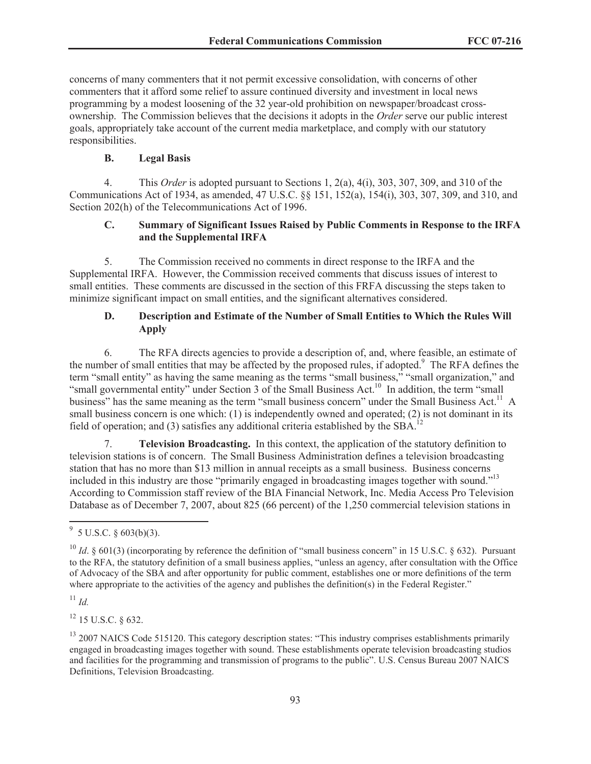concerns of many commenters that it not permit excessive consolidation, with concerns of other commenters that it afford some relief to assure continued diversity and investment in local news programming by a modest loosening of the 32 year-old prohibition on newspaper/broadcast crossownership. The Commission believes that the decisions it adopts in the *Order* serve our public interest goals, appropriately take account of the current media marketplace, and comply with our statutory responsibilities.

### **B. Legal Basis**

4. This *Order* is adopted pursuant to Sections 1, 2(a), 4(i), 303, 307, 309, and 310 of the Communications Act of 1934, as amended, 47 U.S.C. §§ 151, 152(a), 154(i), 303, 307, 309, and 310, and Section 202(h) of the Telecommunications Act of 1996.

## **C. Summary of Significant Issues Raised by Public Comments in Response to the IRFA and the Supplemental IRFA**

5. The Commission received no comments in direct response to the IRFA and the Supplemental IRFA. However, the Commission received comments that discuss issues of interest to small entities. These comments are discussed in the section of this FRFA discussing the steps taken to minimize significant impact on small entities, and the significant alternatives considered.

## **D. Description and Estimate of the Number of Small Entities to Which the Rules Will Apply**

6. The RFA directs agencies to provide a description of, and, where feasible, an estimate of the number of small entities that may be affected by the proposed rules, if adopted.<sup>9</sup> The RFA defines the term "small entity" as having the same meaning as the terms "small business," "small organization," and "small governmental entity" under Section 3 of the Small Business Act.<sup>10</sup> In addition, the term "small" business" has the same meaning as the term "small business concern" under the Small Business Act.<sup>11</sup> A small business concern is one which: (1) is independently owned and operated; (2) is not dominant in its field of operation; and (3) satisfies any additional criteria established by the SBA.<sup>12</sup>

7. **Television Broadcasting.** In this context, the application of the statutory definition to television stations is of concern. The Small Business Administration defines a television broadcasting station that has no more than \$13 million in annual receipts as a small business. Business concerns included in this industry are those "primarily engaged in broadcasting images together with sound."<sup>13</sup> According to Commission staff review of the BIA Financial Network, Inc. Media Access Pro Television Database as of December 7, 2007, about 825 (66 percent) of the 1,250 commercial television stations in

<sup>11</sup> *Id.*

<sup>12</sup> 15 U.S.C. § 632.

 $9^9$  5 U.S.C. § 603(b)(3).

<sup>&</sup>lt;sup>10</sup> *Id.*  $\&$  601(3) (incorporating by reference the definition of "small business concern" in 15 U.S.C.  $\&$  632). Pursuant to the RFA, the statutory definition of a small business applies, "unless an agency, after consultation with the Office of Advocacy of the SBA and after opportunity for public comment, establishes one or more definitions of the term where appropriate to the activities of the agency and publishes the definition(s) in the Federal Register."

<sup>&</sup>lt;sup>13</sup> 2007 NAICS Code 515120. This category description states: "This industry comprises establishments primarily engaged in broadcasting images together with sound. These establishments operate television broadcasting studios and facilities for the programming and transmission of programs to the public". U.S. Census Bureau 2007 NAICS Definitions, Television Broadcasting.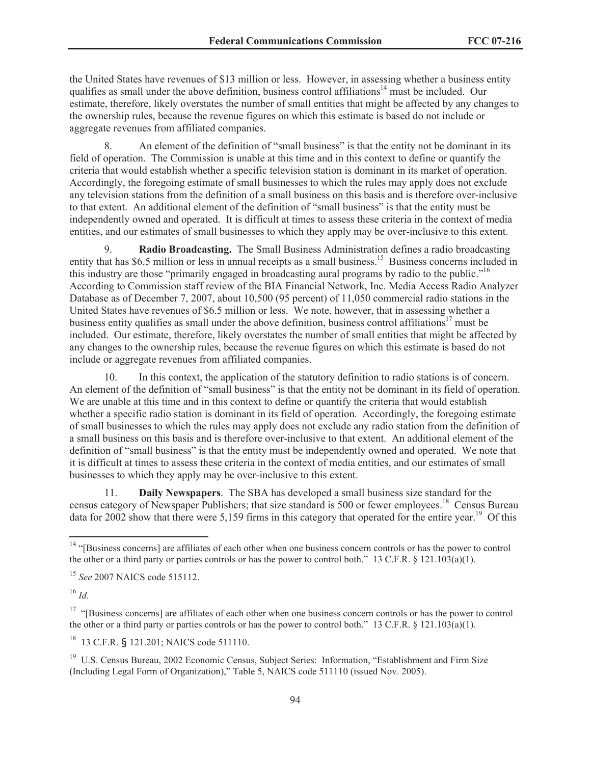the United States have revenues of \$13 million or less. However, in assessing whether a business entity qualifies as small under the above definition, business control affiliations<sup>14</sup> must be included. Our estimate, therefore, likely overstates the number of small entities that might be affected by any changes to the ownership rules, because the revenue figures on which this estimate is based do not include or aggregate revenues from affiliated companies.

8. An element of the definition of "small business" is that the entity not be dominant in its field of operation. The Commission is unable at this time and in this context to define or quantify the criteria that would establish whether a specific television station is dominant in its market of operation. Accordingly, the foregoing estimate of small businesses to which the rules may apply does not exclude any television stations from the definition of a small business on this basis and is therefore over-inclusive to that extent. An additional element of the definition of "small business" is that the entity must be independently owned and operated. It is difficult at times to assess these criteria in the context of media entities, and our estimates of small businesses to which they apply may be over-inclusive to this extent.

9. **Radio Broadcasting.** The Small Business Administration defines a radio broadcasting entity that has \$6.5 million or less in annual receipts as a small business.<sup>15</sup> Business concerns included in this industry are those "primarily engaged in broadcasting aural programs by radio to the public."<sup>16</sup> According to Commission staff review of the BIA Financial Network, Inc. Media Access Radio Analyzer Database as of December 7, 2007, about 10,500 (95 percent) of 11,050 commercial radio stations in the United States have revenues of \$6.5 million or less. We note, however, that in assessing whether a business entity qualifies as small under the above definition, business control affiliations<sup>17</sup> must be included. Our estimate, therefore, likely overstates the number of small entities that might be affected by any changes to the ownership rules, because the revenue figures on which this estimate is based do not include or aggregate revenues from affiliated companies.

10. In this context, the application of the statutory definition to radio stations is of concern. An element of the definition of "small business" is that the entity not be dominant in its field of operation. We are unable at this time and in this context to define or quantify the criteria that would establish whether a specific radio station is dominant in its field of operation. Accordingly, the foregoing estimate of small businesses to which the rules may apply does not exclude any radio station from the definition of a small business on this basis and is therefore over-inclusive to that extent. An additional element of the definition of "small business" is that the entity must be independently owned and operated. We note that it is difficult at times to assess these criteria in the context of media entities, and our estimates of small businesses to which they apply may be over-inclusive to this extent.

11. **Daily Newspapers**. The SBA has developed a small business size standard for the census category of Newspaper Publishers; that size standard is 500 or fewer employees.<sup>18</sup> Census Bureau data for 2002 show that there were 5,159 firms in this category that operated for the entire year.<sup>19</sup> Of this

<sup>17</sup> "[Business concerns] are affiliates of each other when one business concern controls or has the power to control the other or a third party or parties controls or has the power to control both." 13 C.F.R. § 121.103(a)(1).

<sup>18</sup> 13 C.F.R. § 121.201; NAICS code 511110.

<sup>19</sup> U.S. Census Bureau, 2002 Economic Census, Subject Series: Information, "Establishment and Firm Size (Including Legal Form of Organization)," Table 5, NAICS code 511110 (issued Nov. 2005).

<sup>&</sup>lt;sup>14</sup> "[Business concerns] are affiliates of each other when one business concern controls or has the power to control the other or a third party or parties controls or has the power to control both." 13 C.F.R. § 121.103(a)(1).

<sup>15</sup> *See* 2007 NAICS code 515112.

<sup>16</sup> *Id.*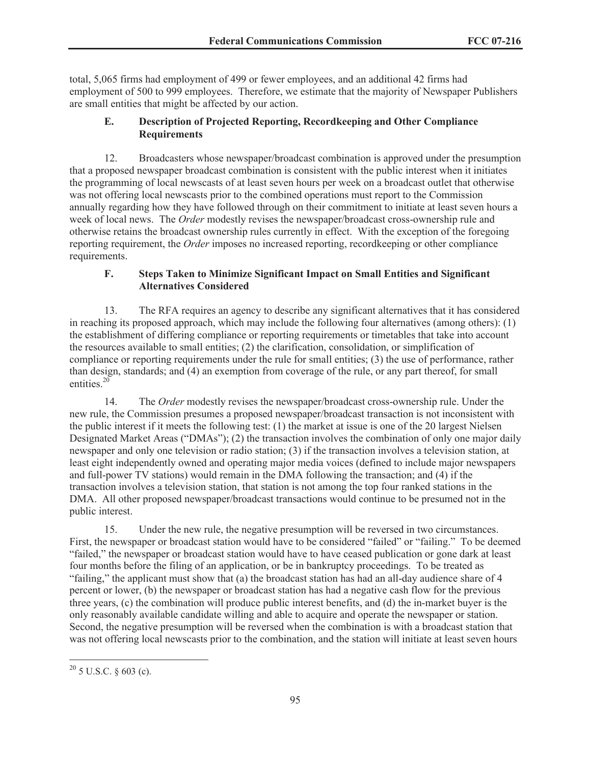total, 5,065 firms had employment of 499 or fewer employees, and an additional 42 firms had employment of 500 to 999 employees. Therefore, we estimate that the majority of Newspaper Publishers are small entities that might be affected by our action.

## **E. Description of Projected Reporting, Recordkeeping and Other Compliance Requirements**

12. Broadcasters whose newspaper/broadcast combination is approved under the presumption that a proposed newspaper broadcast combination is consistent with the public interest when it initiates the programming of local newscasts of at least seven hours per week on a broadcast outlet that otherwise was not offering local newscasts prior to the combined operations must report to the Commission annually regarding how they have followed through on their commitment to initiate at least seven hours a week of local news. The *Order* modestly revises the newspaper/broadcast cross-ownership rule and otherwise retains the broadcast ownership rules currently in effect. With the exception of the foregoing reporting requirement, the *Order* imposes no increased reporting, recordkeeping or other compliance requirements.

## **F. Steps Taken to Minimize Significant Impact on Small Entities and Significant Alternatives Considered**

13. The RFA requires an agency to describe any significant alternatives that it has considered in reaching its proposed approach, which may include the following four alternatives (among others): (1) the establishment of differing compliance or reporting requirements or timetables that take into account the resources available to small entities; (2) the clarification, consolidation, or simplification of compliance or reporting requirements under the rule for small entities; (3) the use of performance, rather than design, standards; and (4) an exemption from coverage of the rule, or any part thereof, for small entities. 20

14. The *Order* modestly revises the newspaper/broadcast cross-ownership rule. Under the new rule, the Commission presumes a proposed newspaper/broadcast transaction is not inconsistent with the public interest if it meets the following test: (1) the market at issue is one of the 20 largest Nielsen Designated Market Areas ("DMAs"); (2) the transaction involves the combination of only one major daily newspaper and only one television or radio station; (3) if the transaction involves a television station, at least eight independently owned and operating major media voices (defined to include major newspapers and full-power TV stations) would remain in the DMA following the transaction; and (4) if the transaction involves a television station, that station is not among the top four ranked stations in the DMA. All other proposed newspaper/broadcast transactions would continue to be presumed not in the public interest.

15. Under the new rule, the negative presumption will be reversed in two circumstances. First, the newspaper or broadcast station would have to be considered "failed" or "failing." To be deemed "failed," the newspaper or broadcast station would have to have ceased publication or gone dark at least four months before the filing of an application, or be in bankruptcy proceedings. To be treated as "failing," the applicant must show that (a) the broadcast station has had an all-day audience share of 4 percent or lower, (b) the newspaper or broadcast station has had a negative cash flow for the previous three years, (c) the combination will produce public interest benefits, and (d) the in-market buyer is the only reasonably available candidate willing and able to acquire and operate the newspaper or station. Second, the negative presumption will be reversed when the combination is with a broadcast station that was not offering local newscasts prior to the combination, and the station will initiate at least seven hours

 $^{20}$  5 U.S.C.  $\delta$  603 (c).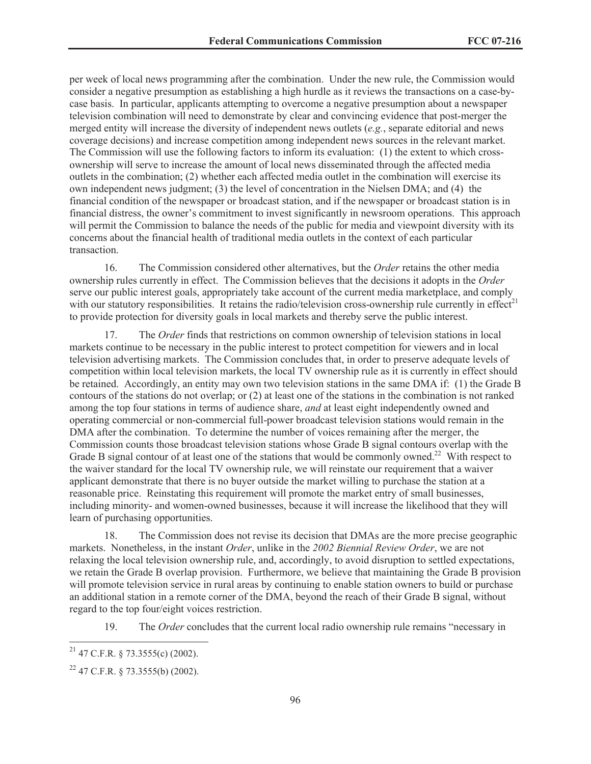per week of local news programming after the combination. Under the new rule, the Commission would consider a negative presumption as establishing a high hurdle as it reviews the transactions on a case-bycase basis. In particular, applicants attempting to overcome a negative presumption about a newspaper television combination will need to demonstrate by clear and convincing evidence that post-merger the merged entity will increase the diversity of independent news outlets (*e.g.*, separate editorial and news coverage decisions) and increase competition among independent news sources in the relevant market. The Commission will use the following factors to inform its evaluation: (1) the extent to which crossownership will serve to increase the amount of local news disseminated through the affected media outlets in the combination; (2) whether each affected media outlet in the combination will exercise its own independent news judgment; (3) the level of concentration in the Nielsen DMA; and (4) the financial condition of the newspaper or broadcast station, and if the newspaper or broadcast station is in financial distress, the owner's commitment to invest significantly in newsroom operations. This approach will permit the Commission to balance the needs of the public for media and viewpoint diversity with its concerns about the financial health of traditional media outlets in the context of each particular transaction.

16. The Commission considered other alternatives, but the *Order* retains the other media ownership rules currently in effect. The Commission believes that the decisions it adopts in the *Order* serve our public interest goals, appropriately take account of the current media marketplace, and comply with our statutory responsibilities. It retains the radio/television cross-ownership rule currently in effect<sup>21</sup> to provide protection for diversity goals in local markets and thereby serve the public interest.

17. The *Order* finds that restrictions on common ownership of television stations in local markets continue to be necessary in the public interest to protect competition for viewers and in local television advertising markets. The Commission concludes that, in order to preserve adequate levels of competition within local television markets, the local TV ownership rule as it is currently in effect should be retained. Accordingly, an entity may own two television stations in the same DMA if: (1) the Grade B contours of the stations do not overlap; or (2) at least one of the stations in the combination is not ranked among the top four stations in terms of audience share, *and* at least eight independently owned and operating commercial or non-commercial full-power broadcast television stations would remain in the DMA after the combination. To determine the number of voices remaining after the merger, the Commission counts those broadcast television stations whose Grade B signal contours overlap with the Grade B signal contour of at least one of the stations that would be commonly owned.<sup>22</sup> With respect to the waiver standard for the local TV ownership rule, we will reinstate our requirement that a waiver applicant demonstrate that there is no buyer outside the market willing to purchase the station at a reasonable price. Reinstating this requirement will promote the market entry of small businesses, including minority- and women-owned businesses, because it will increase the likelihood that they will learn of purchasing opportunities.

18. The Commission does not revise its decision that DMAs are the more precise geographic markets. Nonetheless, in the instant *Order*, unlike in the *2002 Biennial Review Order*, we are not relaxing the local television ownership rule, and, accordingly, to avoid disruption to settled expectations, we retain the Grade B overlap provision. Furthermore, we believe that maintaining the Grade B provision will promote television service in rural areas by continuing to enable station owners to build or purchase an additional station in a remote corner of the DMA, beyond the reach of their Grade B signal, without regard to the top four/eight voices restriction.

19. The *Order* concludes that the current local radio ownership rule remains "necessary in

 $21$  47 C.F.R. § 73.3555(c) (2002).

 $22$  47 C.F.R. § 73.3555(b) (2002).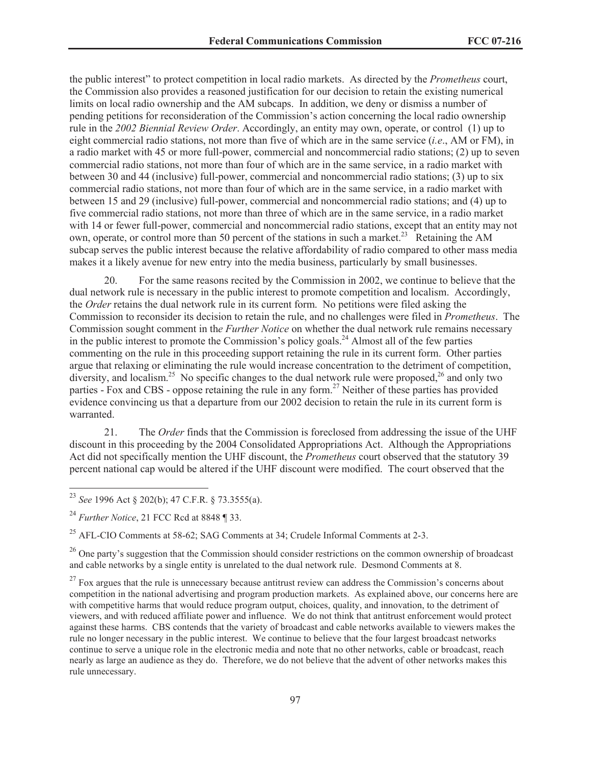the public interest" to protect competition in local radio markets. As directed by the *Prometheus* court, the Commission also provides a reasoned justification for our decision to retain the existing numerical limits on local radio ownership and the AM subcaps. In addition, we deny or dismiss a number of pending petitions for reconsideration of the Commission's action concerning the local radio ownership rule in the *2002 Biennial Review Order*. Accordingly, an entity may own, operate, or control (1) up to eight commercial radio stations, not more than five of which are in the same service (*i.e*., AM or FM), in a radio market with 45 or more full-power, commercial and noncommercial radio stations; (2) up to seven commercial radio stations, not more than four of which are in the same service, in a radio market with between 30 and 44 (inclusive) full-power, commercial and noncommercial radio stations; (3) up to six commercial radio stations, not more than four of which are in the same service, in a radio market with between 15 and 29 (inclusive) full-power, commercial and noncommercial radio stations; and (4) up to five commercial radio stations, not more than three of which are in the same service, in a radio market with 14 or fewer full-power, commercial and noncommercial radio stations, except that an entity may not own, operate, or control more than 50 percent of the stations in such a market.<sup>23</sup> Retaining the AM subcap serves the public interest because the relative affordability of radio compared to other mass media makes it a likely avenue for new entry into the media business, particularly by small businesses.

20. For the same reasons recited by the Commission in 2002, we continue to believe that the dual network rule is necessary in the public interest to promote competition and localism. Accordingly, the *Order* retains the dual network rule in its current form. No petitions were filed asking the Commission to reconsider its decision to retain the rule, and no challenges were filed in *Prometheus*. The Commission sought comment in th*e Further Notice* on whether the dual network rule remains necessary in the public interest to promote the Commission's policy goals.<sup>24</sup> Almost all of the few parties commenting on the rule in this proceeding support retaining the rule in its current form. Other parties argue that relaxing or eliminating the rule would increase concentration to the detriment of competition, diversity, and localism.<sup>25</sup> No specific changes to the dual network rule were proposed,<sup>26</sup> and only two parties - Fox and CBS - oppose retaining the rule in any form.<sup>27</sup> Neither of these parties has provided evidence convincing us that a departure from our 2002 decision to retain the rule in its current form is warranted.

21. The *Order* finds that the Commission is foreclosed from addressing the issue of the UHF discount in this proceeding by the 2004 Consolidated Appropriations Act. Although the Appropriations Act did not specifically mention the UHF discount, the *Prometheus* court observed that the statutory 39 percent national cap would be altered if the UHF discount were modified. The court observed that the

<sup>25</sup> AFL-CIO Comments at 58-62; SAG Comments at 34; Crudele Informal Comments at 2-3.

 $^{26}$  One party's suggestion that the Commission should consider restrictions on the common ownership of broadcast and cable networks by a single entity is unrelated to the dual network rule. Desmond Comments at 8.

 $27$  Fox argues that the rule is unnecessary because antitrust review can address the Commission's concerns about competition in the national advertising and program production markets. As explained above, our concerns here are with competitive harms that would reduce program output, choices, quality, and innovation, to the detriment of viewers, and with reduced affiliate power and influence. We do not think that antitrust enforcement would protect against these harms. CBS contends that the variety of broadcast and cable networks available to viewers makes the rule no longer necessary in the public interest. We continue to believe that the four largest broadcast networks continue to serve a unique role in the electronic media and note that no other networks, cable or broadcast, reach nearly as large an audience as they do. Therefore, we do not believe that the advent of other networks makes this rule unnecessary.

<sup>23</sup> *See* 1996 Act § 202(b); 47 C.F.R. § 73.3555(a).

<sup>24</sup> *Further Notice*, 21 FCC Rcd at 8848 ¶ 33.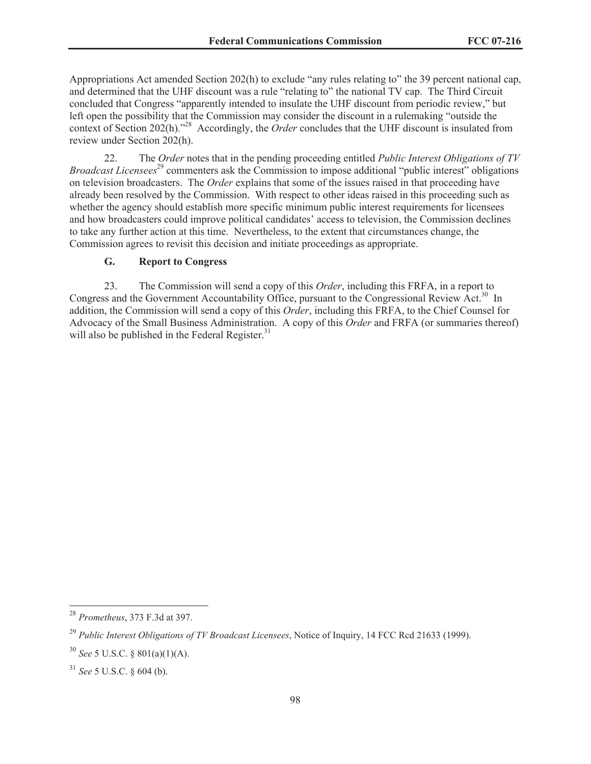Appropriations Act amended Section 202(h) to exclude "any rules relating to" the 39 percent national cap, and determined that the UHF discount was a rule "relating to" the national TV cap. The Third Circuit concluded that Congress "apparently intended to insulate the UHF discount from periodic review," but left open the possibility that the Commission may consider the discount in a rulemaking "outside the context of Section 202(h).<sup>28</sup> Accordingly, the *Order* concludes that the UHF discount is insulated from review under Section 202(h).

22. The *Order* notes that in the pending proceeding entitled *Public Interest Obligations of TV Broadcast Licensees*<sup>29</sup> commenters ask the Commission to impose additional "public interest" obligations on television broadcasters. The *Order* explains that some of the issues raised in that proceeding have already been resolved by the Commission. With respect to other ideas raised in this proceeding such as whether the agency should establish more specific minimum public interest requirements for licensees and how broadcasters could improve political candidates' access to television, the Commission declines to take any further action at this time. Nevertheless, to the extent that circumstances change, the Commission agrees to revisit this decision and initiate proceedings as appropriate.

### **G. Report to Congress**

23. The Commission will send a copy of this *Order*, including this FRFA, in a report to Congress and the Government Accountability Office, pursuant to the Congressional Review Act.<sup>30</sup> In addition, the Commission will send a copy of this *Order*, including this FRFA, to the Chief Counsel for Advocacy of the Small Business Administration. A copy of this *Order* and FRFA (or summaries thereof) will also be published in the Federal Register.<sup>31</sup>

<sup>28</sup> *Prometheus*, 373 F.3d at 397.

<sup>29</sup> *Public Interest Obligations of TV Broadcast Licensees*, Notice of Inquiry, 14 FCC Rcd 21633 (1999).

<sup>30</sup> *See* 5 U.S.C. § 801(a)(1)(A).

<sup>31</sup> *See* 5 U.S.C. § 604 (b).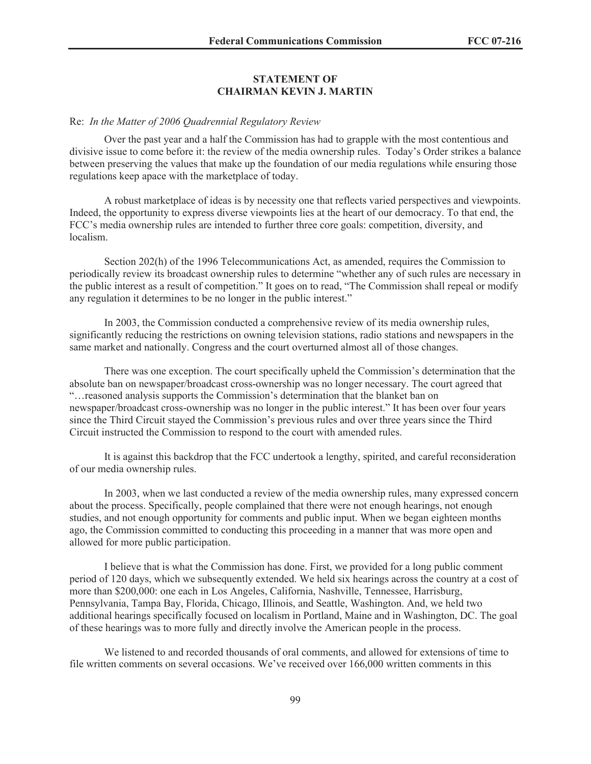#### **STATEMENT OF CHAIRMAN KEVIN J. MARTIN**

#### Re: *In the Matter of 2006 Quadrennial Regulatory Review*

Over the past year and a half the Commission has had to grapple with the most contentious and divisive issue to come before it: the review of the media ownership rules. Today's Order strikes a balance between preserving the values that make up the foundation of our media regulations while ensuring those regulations keep apace with the marketplace of today.

A robust marketplace of ideas is by necessity one that reflects varied perspectives and viewpoints. Indeed, the opportunity to express diverse viewpoints lies at the heart of our democracy. To that end, the FCC's media ownership rules are intended to further three core goals: competition, diversity, and localism.

Section 202(h) of the 1996 Telecommunications Act, as amended, requires the Commission to periodically review its broadcast ownership rules to determine "whether any of such rules are necessary in the public interest as a result of competition." It goes on to read, "The Commission shall repeal or modify any regulation it determines to be no longer in the public interest."

In 2003, the Commission conducted a comprehensive review of its media ownership rules, significantly reducing the restrictions on owning television stations, radio stations and newspapers in the same market and nationally. Congress and the court overturned almost all of those changes.

There was one exception. The court specifically upheld the Commission's determination that the absolute ban on newspaper/broadcast cross-ownership was no longer necessary. The court agreed that "…reasoned analysis supports the Commission's determination that the blanket ban on newspaper/broadcast cross-ownership was no longer in the public interest." It has been over four years since the Third Circuit stayed the Commission's previous rules and over three years since the Third Circuit instructed the Commission to respond to the court with amended rules.

It is against this backdrop that the FCC undertook a lengthy, spirited, and careful reconsideration of our media ownership rules.

In 2003, when we last conducted a review of the media ownership rules, many expressed concern about the process. Specifically, people complained that there were not enough hearings, not enough studies, and not enough opportunity for comments and public input. When we began eighteen months ago, the Commission committed to conducting this proceeding in a manner that was more open and allowed for more public participation.

I believe that is what the Commission has done. First, we provided for a long public comment period of 120 days, which we subsequently extended. We held six hearings across the country at a cost of more than \$200,000: one each in Los Angeles, California, Nashville, Tennessee, Harrisburg, Pennsylvania, Tampa Bay, Florida, Chicago, Illinois, and Seattle, Washington. And, we held two additional hearings specifically focused on localism in Portland, Maine and in Washington, DC. The goal of these hearings was to more fully and directly involve the American people in the process.

We listened to and recorded thousands of oral comments, and allowed for extensions of time to file written comments on several occasions. We've received over 166,000 written comments in this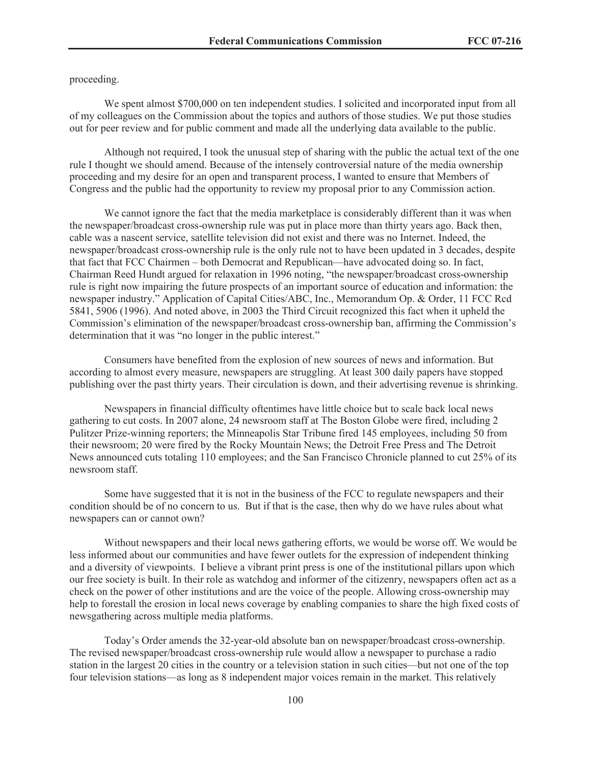proceeding.

We spent almost \$700,000 on ten independent studies. I solicited and incorporated input from all of my colleagues on the Commission about the topics and authors of those studies. We put those studies out for peer review and for public comment and made all the underlying data available to the public.

Although not required, I took the unusual step of sharing with the public the actual text of the one rule I thought we should amend. Because of the intensely controversial nature of the media ownership proceeding and my desire for an open and transparent process, I wanted to ensure that Members of Congress and the public had the opportunity to review my proposal prior to any Commission action.

We cannot ignore the fact that the media marketplace is considerably different than it was when the newspaper/broadcast cross-ownership rule was put in place more than thirty years ago. Back then, cable was a nascent service, satellite television did not exist and there was no Internet. Indeed, the newspaper/broadcast cross-ownership rule is the only rule not to have been updated in 3 decades, despite that fact that FCC Chairmen – both Democrat and Republican—have advocated doing so. In fact, Chairman Reed Hundt argued for relaxation in 1996 noting, "the newspaper/broadcast cross-ownership rule is right now impairing the future prospects of an important source of education and information: the newspaper industry." Application of Capital Cities/ABC, Inc., Memorandum Op. & Order, 11 FCC Rcd 5841, 5906 (1996). And noted above, in 2003 the Third Circuit recognized this fact when it upheld the Commission's elimination of the newspaper/broadcast cross-ownership ban, affirming the Commission's determination that it was "no longer in the public interest."

Consumers have benefited from the explosion of new sources of news and information. But according to almost every measure, newspapers are struggling. At least 300 daily papers have stopped publishing over the past thirty years. Their circulation is down, and their advertising revenue is shrinking.

Newspapers in financial difficulty oftentimes have little choice but to scale back local news gathering to cut costs. In 2007 alone, 24 newsroom staff at The Boston Globe were fired, including 2 Pulitzer Prize-winning reporters; the Minneapolis Star Tribune fired 145 employees, including 50 from their newsroom; 20 were fired by the Rocky Mountain News; the Detroit Free Press and The Detroit News announced cuts totaling 110 employees; and the San Francisco Chronicle planned to cut 25% of its newsroom staff.

Some have suggested that it is not in the business of the FCC to regulate newspapers and their condition should be of no concern to us. But if that is the case, then why do we have rules about what newspapers can or cannot own?

Without newspapers and their local news gathering efforts, we would be worse off. We would be less informed about our communities and have fewer outlets for the expression of independent thinking and a diversity of viewpoints. I believe a vibrant print press is one of the institutional pillars upon which our free society is built. In their role as watchdog and informer of the citizenry, newspapers often act as a check on the power of other institutions and are the voice of the people. Allowing cross-ownership may help to forestall the erosion in local news coverage by enabling companies to share the high fixed costs of newsgathering across multiple media platforms.

Today's Order amends the 32-year-old absolute ban on newspaper/broadcast cross-ownership. The revised newspaper/broadcast cross-ownership rule would allow a newspaper to purchase a radio station in the largest 20 cities in the country or a television station in such cities—but not one of the top four television stations—as long as 8 independent major voices remain in the market. This relatively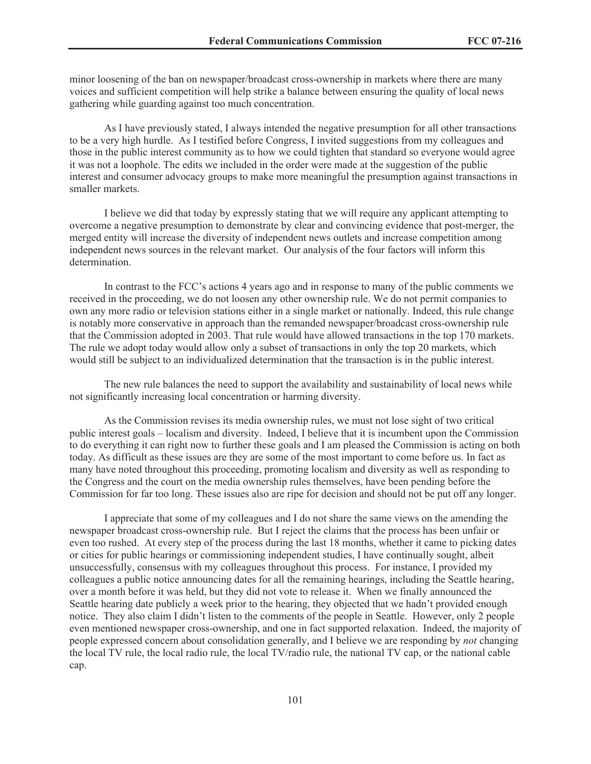minor loosening of the ban on newspaper/broadcast cross-ownership in markets where there are many voices and sufficient competition will help strike a balance between ensuring the quality of local news gathering while guarding against too much concentration.

As I have previously stated, I always intended the negative presumption for all other transactions to be a very high hurdle. As I testified before Congress, I invited suggestions from my colleagues and those in the public interest community as to how we could tighten that standard so everyone would agree it was not a loophole. The edits we included in the order were made at the suggestion of the public interest and consumer advocacy groups to make more meaningful the presumption against transactions in smaller markets.

I believe we did that today by expressly stating that we will require any applicant attempting to overcome a negative presumption to demonstrate by clear and convincing evidence that post-merger, the merged entity will increase the diversity of independent news outlets and increase competition among independent news sources in the relevant market. Our analysis of the four factors will inform this determination.

In contrast to the FCC's actions 4 years ago and in response to many of the public comments we received in the proceeding, we do not loosen any other ownership rule. We do not permit companies to own any more radio or television stations either in a single market or nationally. Indeed, this rule change is notably more conservative in approach than the remanded newspaper/broadcast cross-ownership rule that the Commission adopted in 2003. That rule would have allowed transactions in the top 170 markets. The rule we adopt today would allow only a subset of transactions in only the top 20 markets, which would still be subject to an individualized determination that the transaction is in the public interest.

The new rule balances the need to support the availability and sustainability of local news while not significantly increasing local concentration or harming diversity.

As the Commission revises its media ownership rules, we must not lose sight of two critical public interest goals – localism and diversity. Indeed, I believe that it is incumbent upon the Commission to do everything it can right now to further these goals and I am pleased the Commission is acting on both today. As difficult as these issues are they are some of the most important to come before us. In fact as many have noted throughout this proceeding, promoting localism and diversity as well as responding to the Congress and the court on the media ownership rules themselves, have been pending before the Commission for far too long. These issues also are ripe for decision and should not be put off any longer.

I appreciate that some of my colleagues and I do not share the same views on the amending the newspaper broadcast cross-ownership rule. But I reject the claims that the process has been unfair or even too rushed. At every step of the process during the last 18 months, whether it came to picking dates or cities for public hearings or commissioning independent studies, I have continually sought, albeit unsuccessfully, consensus with my colleagues throughout this process. For instance, I provided my colleagues a public notice announcing dates for all the remaining hearings, including the Seattle hearing, over a month before it was held, but they did not vote to release it. When we finally announced the Seattle hearing date publicly a week prior to the hearing, they objected that we hadn't provided enough notice. They also claim I didn't listen to the comments of the people in Seattle. However, only 2 people even mentioned newspaper cross-ownership, and one in fact supported relaxation. Indeed, the majority of people expressed concern about consolidation generally, and I believe we are responding by *not* changing the local TV rule, the local radio rule, the local TV/radio rule, the national TV cap, or the national cable cap.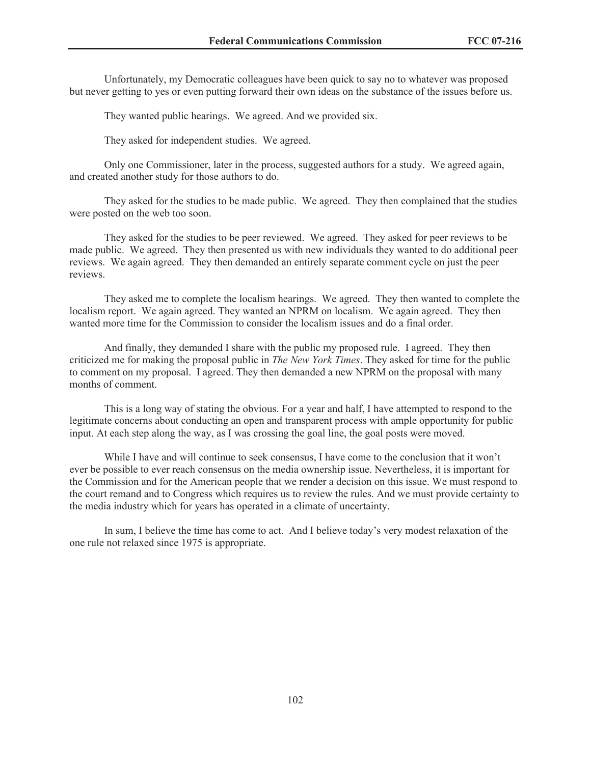Unfortunately, my Democratic colleagues have been quick to say no to whatever was proposed but never getting to yes or even putting forward their own ideas on the substance of the issues before us.

They wanted public hearings. We agreed. And we provided six.

They asked for independent studies. We agreed.

Only one Commissioner, later in the process, suggested authors for a study. We agreed again, and created another study for those authors to do.

They asked for the studies to be made public. We agreed. They then complained that the studies were posted on the web too soon.

They asked for the studies to be peer reviewed. We agreed. They asked for peer reviews to be made public. We agreed. They then presented us with new individuals they wanted to do additional peer reviews. We again agreed. They then demanded an entirely separate comment cycle on just the peer reviews.

They asked me to complete the localism hearings. We agreed. They then wanted to complete the localism report. We again agreed. They wanted an NPRM on localism. We again agreed. They then wanted more time for the Commission to consider the localism issues and do a final order.

And finally, they demanded I share with the public my proposed rule. I agreed. They then criticized me for making the proposal public in *The New York Times*. They asked for time for the public to comment on my proposal. I agreed. They then demanded a new NPRM on the proposal with many months of comment.

This is a long way of stating the obvious. For a year and half, I have attempted to respond to the legitimate concerns about conducting an open and transparent process with ample opportunity for public input. At each step along the way, as I was crossing the goal line, the goal posts were moved.

While I have and will continue to seek consensus, I have come to the conclusion that it won't ever be possible to ever reach consensus on the media ownership issue. Nevertheless, it is important for the Commission and for the American people that we render a decision on this issue. We must respond to the court remand and to Congress which requires us to review the rules. And we must provide certainty to the media industry which for years has operated in a climate of uncertainty.

In sum, I believe the time has come to act. And I believe today's very modest relaxation of the one rule not relaxed since 1975 is appropriate.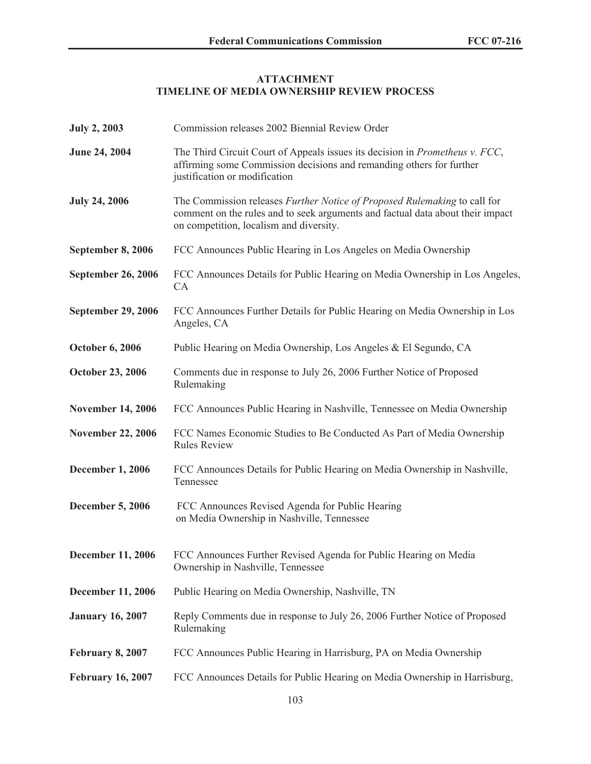### **ATTACHMENT TIMELINE OF MEDIA OWNERSHIP REVIEW PROCESS**

| <b>July 2, 2003</b>       | Commission releases 2002 Biennial Review Order                                                                                                                                                         |
|---------------------------|--------------------------------------------------------------------------------------------------------------------------------------------------------------------------------------------------------|
| <b>June 24, 2004</b>      | The Third Circuit Court of Appeals issues its decision in <i>Prometheus v. FCC</i> ,<br>affirming some Commission decisions and remanding others for further<br>justification or modification          |
| <b>July 24, 2006</b>      | The Commission releases Further Notice of Proposed Rulemaking to call for<br>comment on the rules and to seek arguments and factual data about their impact<br>on competition, localism and diversity. |
| September 8, 2006         | FCC Announces Public Hearing in Los Angeles on Media Ownership                                                                                                                                         |
| <b>September 26, 2006</b> | FCC Announces Details for Public Hearing on Media Ownership in Los Angeles,<br>CA                                                                                                                      |
| <b>September 29, 2006</b> | FCC Announces Further Details for Public Hearing on Media Ownership in Los<br>Angeles, CA                                                                                                              |
| <b>October 6, 2006</b>    | Public Hearing on Media Ownership, Los Angeles & El Segundo, CA                                                                                                                                        |
| <b>October 23, 2006</b>   | Comments due in response to July 26, 2006 Further Notice of Proposed<br>Rulemaking                                                                                                                     |
| <b>November 14, 2006</b>  | FCC Announces Public Hearing in Nashville, Tennessee on Media Ownership                                                                                                                                |
| <b>November 22, 2006</b>  | FCC Names Economic Studies to Be Conducted As Part of Media Ownership<br><b>Rules Review</b>                                                                                                           |
| <b>December 1, 2006</b>   | FCC Announces Details for Public Hearing on Media Ownership in Nashville,<br>Tennessee                                                                                                                 |
| <b>December 5, 2006</b>   | FCC Announces Revised Agenda for Public Hearing<br>on Media Ownership in Nashville, Tennessee                                                                                                          |
| <b>December 11, 2006</b>  | FCC Announces Further Revised Agenda for Public Hearing on Media<br>Ownership in Nashville, Tennessee                                                                                                  |
| <b>December 11, 2006</b>  | Public Hearing on Media Ownership, Nashville, TN                                                                                                                                                       |
| <b>January 16, 2007</b>   | Reply Comments due in response to July 26, 2006 Further Notice of Proposed<br>Rulemaking                                                                                                               |
| <b>February 8, 2007</b>   | FCC Announces Public Hearing in Harrisburg, PA on Media Ownership                                                                                                                                      |
| <b>February 16, 2007</b>  | FCC Announces Details for Public Hearing on Media Ownership in Harrisburg,                                                                                                                             |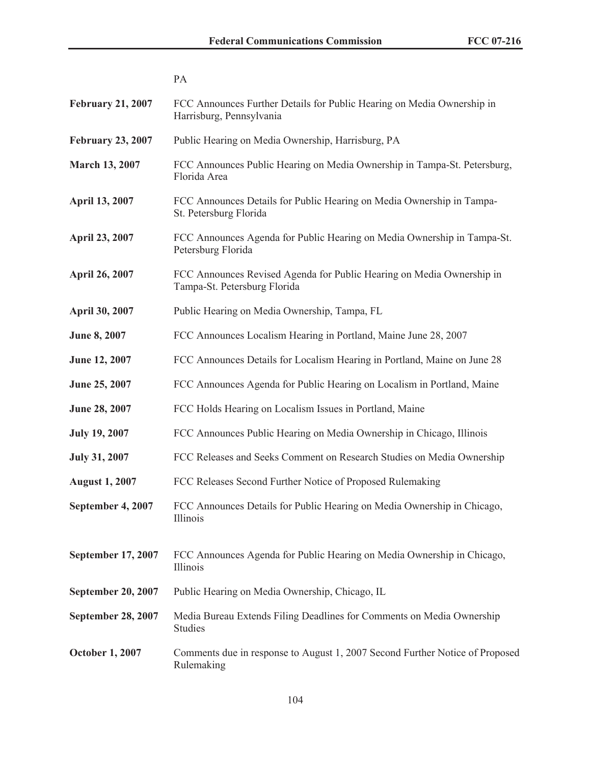| <b>February 21, 2007</b>  | FCC Announces Further Details for Public Hearing on Media Ownership in<br>Harrisburg, Pennsylvania    |
|---------------------------|-------------------------------------------------------------------------------------------------------|
| <b>February 23, 2007</b>  | Public Hearing on Media Ownership, Harrisburg, PA                                                     |
| <b>March 13, 2007</b>     | FCC Announces Public Hearing on Media Ownership in Tampa-St. Petersburg,<br>Florida Area              |
| April 13, 2007            | FCC Announces Details for Public Hearing on Media Ownership in Tampa-<br>St. Petersburg Florida       |
| <b>April 23, 2007</b>     | FCC Announces Agenda for Public Hearing on Media Ownership in Tampa-St.<br>Petersburg Florida         |
| <b>April 26, 2007</b>     | FCC Announces Revised Agenda for Public Hearing on Media Ownership in<br>Tampa-St. Petersburg Florida |
| April 30, 2007            | Public Hearing on Media Ownership, Tampa, FL                                                          |
| <b>June 8, 2007</b>       | FCC Announces Localism Hearing in Portland, Maine June 28, 2007                                       |
| June 12, 2007             | FCC Announces Details for Localism Hearing in Portland, Maine on June 28                              |
| June 25, 2007             | FCC Announces Agenda for Public Hearing on Localism in Portland, Maine                                |
| June 28, 2007             | FCC Holds Hearing on Localism Issues in Portland, Maine                                               |
| <b>July 19, 2007</b>      | FCC Announces Public Hearing on Media Ownership in Chicago, Illinois                                  |
| <b>July 31, 2007</b>      | FCC Releases and Seeks Comment on Research Studies on Media Ownership                                 |
| <b>August 1, 2007</b>     | FCC Releases Second Further Notice of Proposed Rulemaking                                             |
| September 4, 2007         | FCC Announces Details for Public Hearing on Media Ownership in Chicago,<br>Illinois                   |
| September 17, 2007        | FCC Announces Agenda for Public Hearing on Media Ownership in Chicago,<br>Illinois                    |
| <b>September 20, 2007</b> | Public Hearing on Media Ownership, Chicago, IL                                                        |
| <b>September 28, 2007</b> | Media Bureau Extends Filing Deadlines for Comments on Media Ownership<br><b>Studies</b>               |
| <b>October 1, 2007</b>    | Comments due in response to August 1, 2007 Second Further Notice of Proposed<br>Rulemaking            |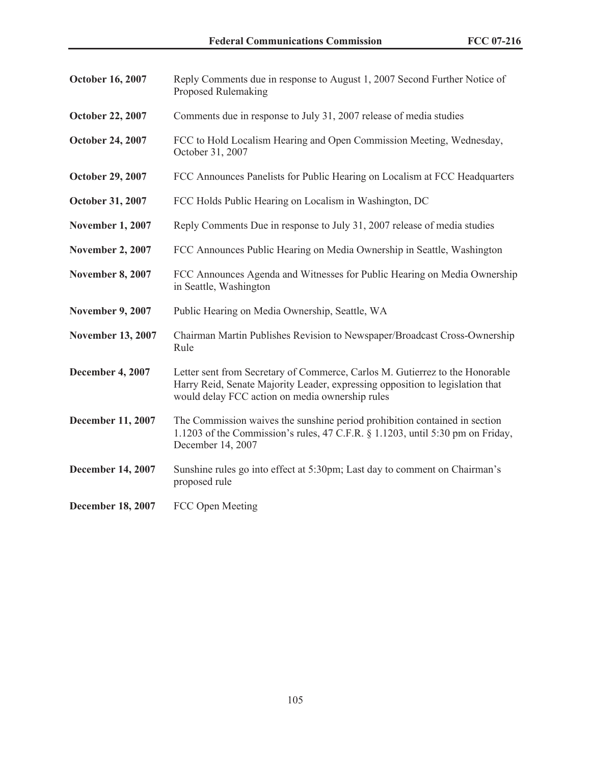| <b>October 16, 2007</b>  | Reply Comments due in response to August 1, 2007 Second Further Notice of<br><b>Proposed Rulemaking</b>                                                                                                          |
|--------------------------|------------------------------------------------------------------------------------------------------------------------------------------------------------------------------------------------------------------|
| <b>October 22, 2007</b>  | Comments due in response to July 31, 2007 release of media studies                                                                                                                                               |
| <b>October 24, 2007</b>  | FCC to Hold Localism Hearing and Open Commission Meeting, Wednesday,<br>October 31, 2007                                                                                                                         |
| <b>October 29, 2007</b>  | FCC Announces Panelists for Public Hearing on Localism at FCC Headquarters                                                                                                                                       |
| October 31, 2007         | FCC Holds Public Hearing on Localism in Washington, DC                                                                                                                                                           |
| <b>November 1, 2007</b>  | Reply Comments Due in response to July 31, 2007 release of media studies                                                                                                                                         |
| <b>November 2, 2007</b>  | FCC Announces Public Hearing on Media Ownership in Seattle, Washington                                                                                                                                           |
| <b>November 8, 2007</b>  | FCC Announces Agenda and Witnesses for Public Hearing on Media Ownership<br>in Seattle, Washington                                                                                                               |
| <b>November 9, 2007</b>  | Public Hearing on Media Ownership, Seattle, WA                                                                                                                                                                   |
| <b>November 13, 2007</b> | Chairman Martin Publishes Revision to Newspaper/Broadcast Cross-Ownership<br>Rule                                                                                                                                |
| <b>December 4, 2007</b>  | Letter sent from Secretary of Commerce, Carlos M. Gutierrez to the Honorable<br>Harry Reid, Senate Majority Leader, expressing opposition to legislation that<br>would delay FCC action on media ownership rules |
| December 11, 2007        | The Commission waives the sunshine period prohibition contained in section<br>1.1203 of the Commission's rules, 47 C.F.R. $\S$ 1.1203, until 5:30 pm on Friday,<br>December 14, 2007                             |
| <b>December 14, 2007</b> | Sunshine rules go into effect at 5:30pm; Last day to comment on Chairman's<br>proposed rule                                                                                                                      |
| <b>December 18, 2007</b> | FCC Open Meeting                                                                                                                                                                                                 |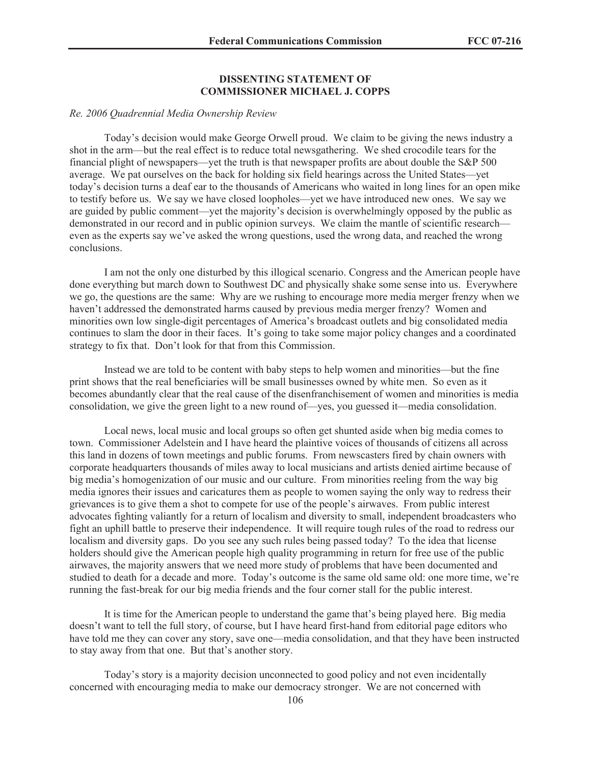#### **DISSENTING STATEMENT OF COMMISSIONER MICHAEL J. COPPS**

#### *Re. 2006 Quadrennial Media Ownership Review*

Today's decision would make George Orwell proud. We claim to be giving the news industry a shot in the arm—but the real effect is to reduce total newsgathering. We shed crocodile tears for the financial plight of newspapers—yet the truth is that newspaper profits are about double the S&P 500 average. We pat ourselves on the back for holding six field hearings across the United States—yet today's decision turns a deaf ear to the thousands of Americans who waited in long lines for an open mike to testify before us. We say we have closed loopholes—yet we have introduced new ones. We say we are guided by public comment—yet the majority's decision is overwhelmingly opposed by the public as demonstrated in our record and in public opinion surveys. We claim the mantle of scientific research even as the experts say we've asked the wrong questions, used the wrong data, and reached the wrong conclusions.

I am not the only one disturbed by this illogical scenario. Congress and the American people have done everything but march down to Southwest DC and physically shake some sense into us. Everywhere we go, the questions are the same: Why are we rushing to encourage more media merger frenzy when we haven't addressed the demonstrated harms caused by previous media merger frenzy? Women and minorities own low single-digit percentages of America's broadcast outlets and big consolidated media continues to slam the door in their faces. It's going to take some major policy changes and a coordinated strategy to fix that. Don't look for that from this Commission.

Instead we are told to be content with baby steps to help women and minorities—but the fine print shows that the real beneficiaries will be small businesses owned by white men. So even as it becomes abundantly clear that the real cause of the disenfranchisement of women and minorities is media consolidation, we give the green light to a new round of—yes, you guessed it—media consolidation.

Local news, local music and local groups so often get shunted aside when big media comes to town. Commissioner Adelstein and I have heard the plaintive voices of thousands of citizens all across this land in dozens of town meetings and public forums. From newscasters fired by chain owners with corporate headquarters thousands of miles away to local musicians and artists denied airtime because of big media's homogenization of our music and our culture. From minorities reeling from the way big media ignores their issues and caricatures them as people to women saying the only way to redress their grievances is to give them a shot to compete for use of the people's airwaves. From public interest advocates fighting valiantly for a return of localism and diversity to small, independent broadcasters who fight an uphill battle to preserve their independence. It will require tough rules of the road to redress our localism and diversity gaps. Do you see any such rules being passed today? To the idea that license holders should give the American people high quality programming in return for free use of the public airwaves, the majority answers that we need more study of problems that have been documented and studied to death for a decade and more. Today's outcome is the same old same old: one more time, we're running the fast-break for our big media friends and the four corner stall for the public interest.

It is time for the American people to understand the game that's being played here. Big media doesn't want to tell the full story, of course, but I have heard first-hand from editorial page editors who have told me they can cover any story, save one—media consolidation, and that they have been instructed to stay away from that one. But that's another story.

Today's story is a majority decision unconnected to good policy and not even incidentally concerned with encouraging media to make our democracy stronger. We are not concerned with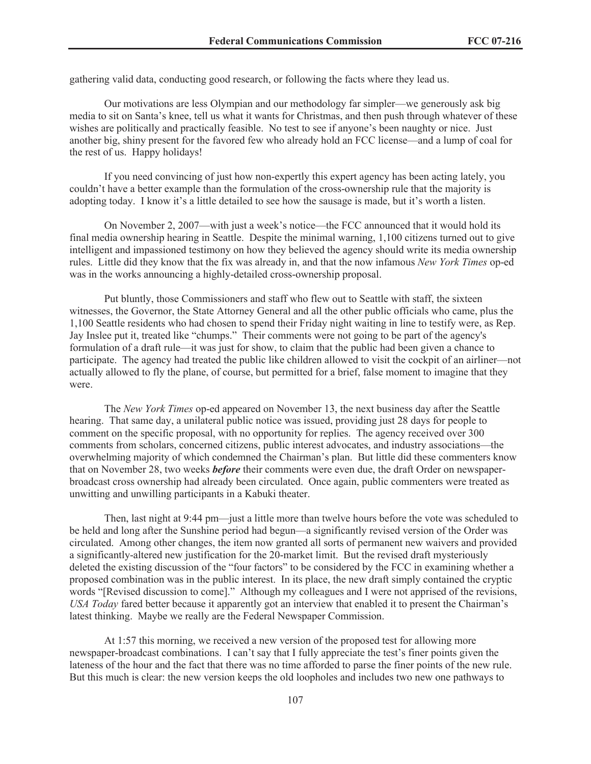gathering valid data, conducting good research, or following the facts where they lead us.

Our motivations are less Olympian and our methodology far simpler—we generously ask big media to sit on Santa's knee, tell us what it wants for Christmas, and then push through whatever of these wishes are politically and practically feasible. No test to see if anyone's been naughty or nice. Just another big, shiny present for the favored few who already hold an FCC license—and a lump of coal for the rest of us. Happy holidays!

If you need convincing of just how non-expertly this expert agency has been acting lately, you couldn't have a better example than the formulation of the cross-ownership rule that the majority is adopting today. I know it's a little detailed to see how the sausage is made, but it's worth a listen.

On November 2, 2007—with just a week's notice—the FCC announced that it would hold its final media ownership hearing in Seattle. Despite the minimal warning, 1,100 citizens turned out to give intelligent and impassioned testimony on how they believed the agency should write its media ownership rules. Little did they know that the fix was already in, and that the now infamous *New York Times* op-ed was in the works announcing a highly-detailed cross-ownership proposal.

Put bluntly, those Commissioners and staff who flew out to Seattle with staff, the sixteen witnesses, the Governor, the State Attorney General and all the other public officials who came, plus the 1,100 Seattle residents who had chosen to spend their Friday night waiting in line to testify were, as Rep. Jay Inslee put it, treated like "chumps." Their comments were not going to be part of the agency's formulation of a draft rule—it was just for show, to claim that the public had been given a chance to participate. The agency had treated the public like children allowed to visit the cockpit of an airliner—not actually allowed to fly the plane, of course, but permitted for a brief, false moment to imagine that they were.

The *New York Times* op-ed appeared on November 13, the next business day after the Seattle hearing. That same day, a unilateral public notice was issued, providing just 28 days for people to comment on the specific proposal, with no opportunity for replies. The agency received over 300 comments from scholars, concerned citizens, public interest advocates, and industry associations—the overwhelming majority of which condemned the Chairman's plan. But little did these commenters know that on November 28, two weeks *before* their comments were even due, the draft Order on newspaperbroadcast cross ownership had already been circulated. Once again, public commenters were treated as unwitting and unwilling participants in a Kabuki theater.

Then, last night at 9:44 pm—just a little more than twelve hours before the vote was scheduled to be held and long after the Sunshine period had begun—a significantly revised version of the Order was circulated. Among other changes, the item now granted all sorts of permanent new waivers and provided a significantly-altered new justification for the 20-market limit. But the revised draft mysteriously deleted the existing discussion of the "four factors" to be considered by the FCC in examining whether a proposed combination was in the public interest. In its place, the new draft simply contained the cryptic words "[Revised discussion to come]." Although my colleagues and I were not apprised of the revisions, *USA Today* fared better because it apparently got an interview that enabled it to present the Chairman's latest thinking. Maybe we really are the Federal Newspaper Commission.

At 1:57 this morning, we received a new version of the proposed test for allowing more newspaper-broadcast combinations. I can't say that I fully appreciate the test's finer points given the lateness of the hour and the fact that there was no time afforded to parse the finer points of the new rule. But this much is clear: the new version keeps the old loopholes and includes two new one pathways to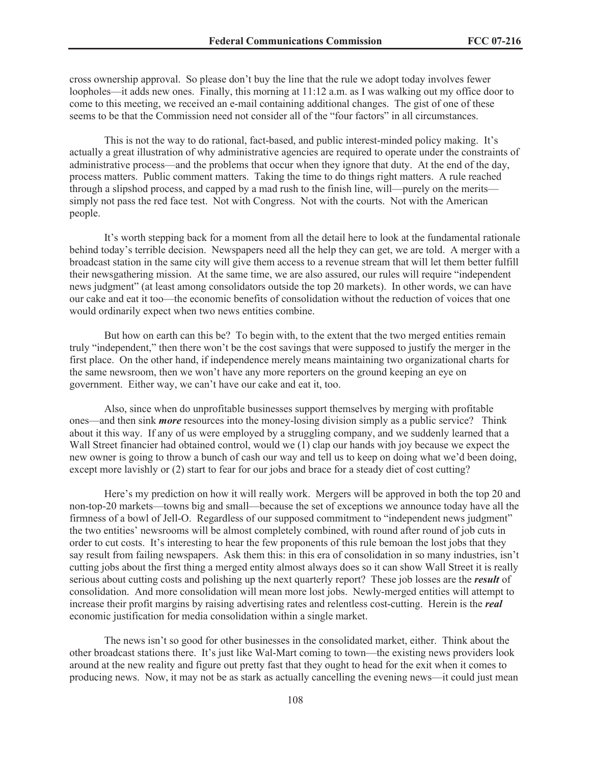cross ownership approval. So please don't buy the line that the rule we adopt today involves fewer loopholes—it adds new ones. Finally, this morning at 11:12 a.m. as I was walking out my office door to come to this meeting, we received an e-mail containing additional changes. The gist of one of these seems to be that the Commission need not consider all of the "four factors" in all circumstances.

This is not the way to do rational, fact-based, and public interest-minded policy making. It's actually a great illustration of why administrative agencies are required to operate under the constraints of administrative process—and the problems that occur when they ignore that duty. At the end of the day, process matters. Public comment matters. Taking the time to do things right matters. A rule reached through a slipshod process, and capped by a mad rush to the finish line, will—purely on the merits simply not pass the red face test. Not with Congress. Not with the courts. Not with the American people.

It's worth stepping back for a moment from all the detail here to look at the fundamental rationale behind today's terrible decision. Newspapers need all the help they can get, we are told. A merger with a broadcast station in the same city will give them access to a revenue stream that will let them better fulfill their newsgathering mission. At the same time, we are also assured, our rules will require "independent news judgment" (at least among consolidators outside the top 20 markets). In other words, we can have our cake and eat it too—the economic benefits of consolidation without the reduction of voices that one would ordinarily expect when two news entities combine.

But how on earth can this be? To begin with, to the extent that the two merged entities remain truly "independent," then there won't be the cost savings that were supposed to justify the merger in the first place. On the other hand, if independence merely means maintaining two organizational charts for the same newsroom, then we won't have any more reporters on the ground keeping an eye on government. Either way, we can't have our cake and eat it, too.

Also, since when do unprofitable businesses support themselves by merging with profitable ones—and then sink *more* resources into the money-losing division simply as a public service? Think about it this way. If any of us were employed by a struggling company, and we suddenly learned that a Wall Street financier had obtained control, would we (1) clap our hands with joy because we expect the new owner is going to throw a bunch of cash our way and tell us to keep on doing what we'd been doing, except more lavishly or (2) start to fear for our jobs and brace for a steady diet of cost cutting?

Here's my prediction on how it will really work. Mergers will be approved in both the top 20 and non-top-20 markets—towns big and small—because the set of exceptions we announce today have all the firmness of a bowl of Jell-O. Regardless of our supposed commitment to "independent news judgment" the two entities' newsrooms will be almost completely combined, with round after round of job cuts in order to cut costs. It's interesting to hear the few proponents of this rule bemoan the lost jobs that they say result from failing newspapers. Ask them this: in this era of consolidation in so many industries, isn't cutting jobs about the first thing a merged entity almost always does so it can show Wall Street it is really serious about cutting costs and polishing up the next quarterly report? These job losses are the *result* of consolidation. And more consolidation will mean more lost jobs. Newly-merged entities will attempt to increase their profit margins by raising advertising rates and relentless cost-cutting. Herein is the *real* economic justification for media consolidation within a single market.

The news isn't so good for other businesses in the consolidated market, either. Think about the other broadcast stations there. It's just like Wal-Mart coming to town—the existing news providers look around at the new reality and figure out pretty fast that they ought to head for the exit when it comes to producing news. Now, it may not be as stark as actually cancelling the evening news—it could just mean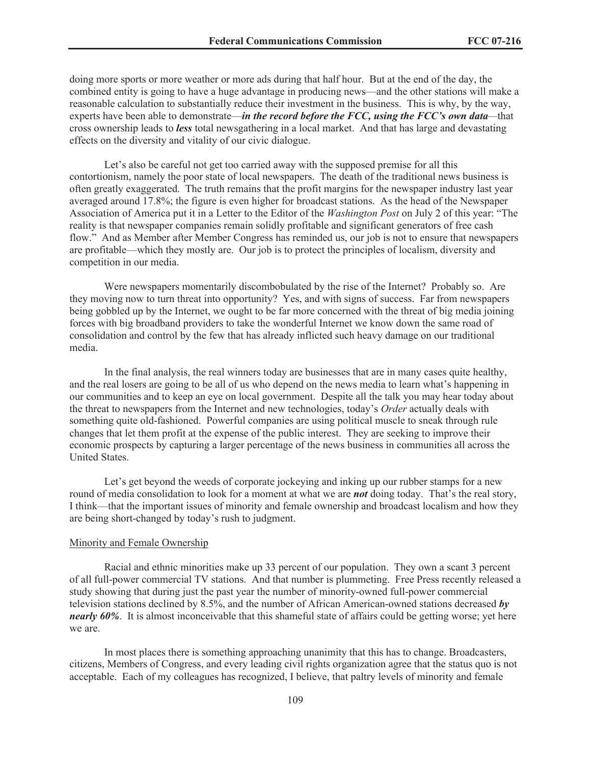doing more sports or more weather or more ads during that half hour. But at the end of the day, the combined entity is going to have a huge advantage in producing news—and the other stations will make a reasonable calculation to substantially reduce their investment in the business. This is why, by the way, experts have been able to demonstrate—*in the record before the FCC, using the FCC's own data—*that cross ownership leads to *less* total newsgathering in a local market. And that has large and devastating effects on the diversity and vitality of our civic dialogue.

Let's also be careful not get too carried away with the supposed premise for all this contortionism, namely the poor state of local newspapers. The death of the traditional news business is often greatly exaggerated. The truth remains that the profit margins for the newspaper industry last year averaged around 17.8%; the figure is even higher for broadcast stations. As the head of the Newspaper Association of America put it in a Letter to the Editor of the *Washington Post* on July 2 of this year: "The reality is that newspaper companies remain solidly profitable and significant generators of free cash flow." And as Member after Member Congress has reminded us, our job is not to ensure that newspapers are profitable—which they mostly are. Our job is to protect the principles of localism, diversity and competition in our media.

Were newspapers momentarily discombobulated by the rise of the Internet? Probably so. Are they moving now to turn threat into opportunity? Yes, and with signs of success. Far from newspapers being gobbled up by the Internet, we ought to be far more concerned with the threat of big media joining forces with big broadband providers to take the wonderful Internet we know down the same road of consolidation and control by the few that has already inflicted such heavy damage on our traditional media.

In the final analysis, the real winners today are businesses that are in many cases quite healthy, and the real losers are going to be all of us who depend on the news media to learn what's happening in our communities and to keep an eye on local government. Despite all the talk you may hear today about the threat to newspapers from the Internet and new technologies, today's *Order* actually deals with something quite old-fashioned. Powerful companies are using political muscle to sneak through rule changes that let them profit at the expense of the public interest. They are seeking to improve their economic prospects by capturing a larger percentage of the news business in communities all across the United States.

Let's get beyond the weeds of corporate jockeying and inking up our rubber stamps for a new round of media consolidation to look for a moment at what we are *not* doing today. That's the real story, I think—that the important issues of minority and female ownership and broadcast localism and how they are being short-changed by today's rush to judgment.

#### Minority and Female Ownership

Racial and ethnic minorities make up 33 percent of our population. They own a scant 3 percent of all full-power commercial TV stations. And that number is plummeting. Free Press recently released a study showing that during just the past year the number of minority-owned full-power commercial television stations declined by 8.5%, and the number of African American-owned stations decreased *by nearly 60%*. It is almost inconceivable that this shameful state of affairs could be getting worse; yet here we are.

In most places there is something approaching unanimity that this has to change. Broadcasters, citizens, Members of Congress, and every leading civil rights organization agree that the status quo is not acceptable. Each of my colleagues has recognized, I believe, that paltry levels of minority and female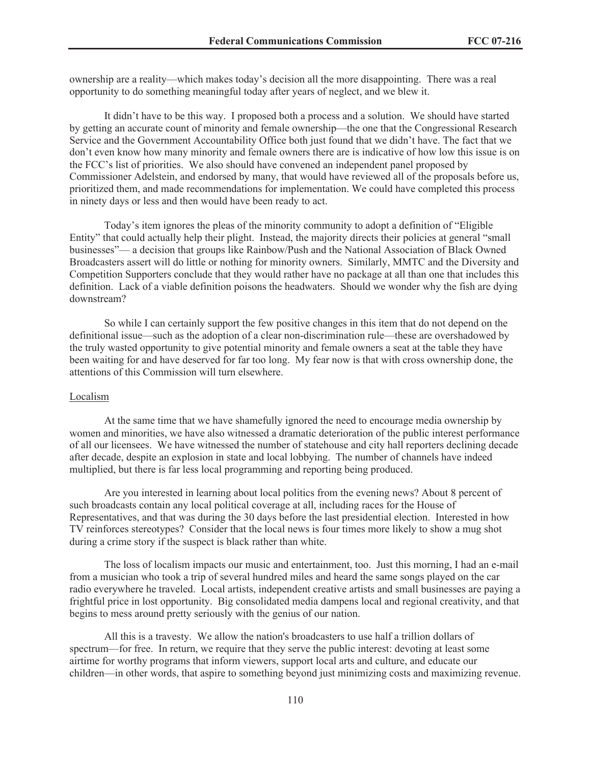ownership are a reality—which makes today's decision all the more disappointing. There was a real opportunity to do something meaningful today after years of neglect, and we blew it.

It didn't have to be this way. I proposed both a process and a solution. We should have started by getting an accurate count of minority and female ownership—the one that the Congressional Research Service and the Government Accountability Office both just found that we didn't have. The fact that we don't even know how many minority and female owners there are is indicative of how low this issue is on the FCC's list of priorities. We also should have convened an independent panel proposed by Commissioner Adelstein, and endorsed by many, that would have reviewed all of the proposals before us, prioritized them, and made recommendations for implementation. We could have completed this process in ninety days or less and then would have been ready to act.

Today's item ignores the pleas of the minority community to adopt a definition of "Eligible Entity" that could actually help their plight. Instead, the majority directs their policies at general "small businesses"— a decision that groups like Rainbow/Push and the National Association of Black Owned Broadcasters assert will do little or nothing for minority owners. Similarly, MMTC and the Diversity and Competition Supporters conclude that they would rather have no package at all than one that includes this definition. Lack of a viable definition poisons the headwaters. Should we wonder why the fish are dying downstream?

So while I can certainly support the few positive changes in this item that do not depend on the definitional issue—such as the adoption of a clear non-discrimination rule—these are overshadowed by the truly wasted opportunity to give potential minority and female owners a seat at the table they have been waiting for and have deserved for far too long. My fear now is that with cross ownership done, the attentions of this Commission will turn elsewhere.

#### Localism

At the same time that we have shamefully ignored the need to encourage media ownership by women and minorities, we have also witnessed a dramatic deterioration of the public interest performance of all our licensees. We have witnessed the number of statehouse and city hall reporters declining decade after decade, despite an explosion in state and local lobbying. The number of channels have indeed multiplied, but there is far less local programming and reporting being produced.

Are you interested in learning about local politics from the evening news? About 8 percent of such broadcasts contain any local political coverage at all, including races for the House of Representatives, and that was during the 30 days before the last presidential election. Interested in how TV reinforces stereotypes? Consider that the local news is four times more likely to show a mug shot during a crime story if the suspect is black rather than white.

The loss of localism impacts our music and entertainment, too. Just this morning, I had an e-mail from a musician who took a trip of several hundred miles and heard the same songs played on the car radio everywhere he traveled. Local artists, independent creative artists and small businesses are paying a frightful price in lost opportunity. Big consolidated media dampens local and regional creativity, and that begins to mess around pretty seriously with the genius of our nation.

All this is a travesty. We allow the nation's broadcasters to use half a trillion dollars of spectrum—for free. In return, we require that they serve the public interest: devoting at least some airtime for worthy programs that inform viewers, support local arts and culture, and educate our children—in other words, that aspire to something beyond just minimizing costs and maximizing revenue.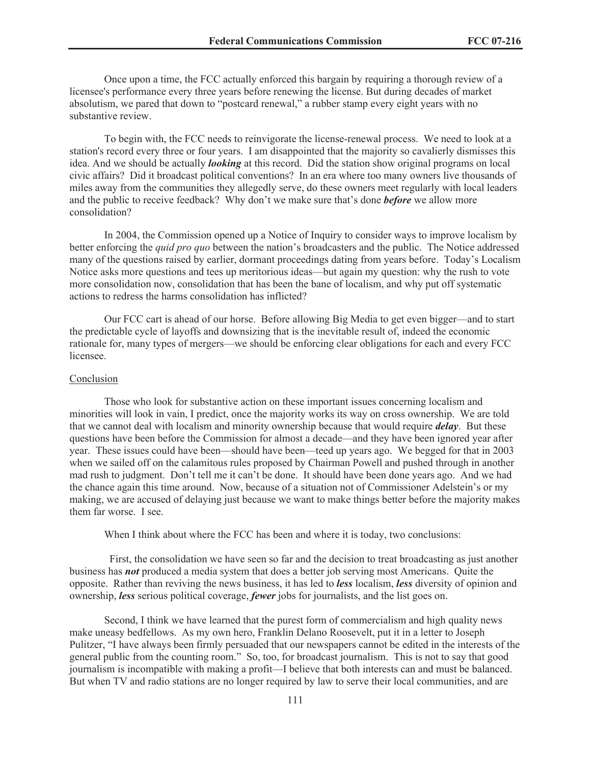Once upon a time, the FCC actually enforced this bargain by requiring a thorough review of a licensee's performance every three years before renewing the license. But during decades of market absolutism, we pared that down to "postcard renewal," a rubber stamp every eight years with no substantive review.

To begin with, the FCC needs to reinvigorate the license-renewal process. We need to look at a station's record every three or four years. I am disappointed that the majority so cavalierly dismisses this idea. And we should be actually *looking* at this record. Did the station show original programs on local civic affairs? Did it broadcast political conventions? In an era where too many owners live thousands of miles away from the communities they allegedly serve, do these owners meet regularly with local leaders and the public to receive feedback? Why don't we make sure that's done *before* we allow more consolidation?

In 2004, the Commission opened up a Notice of Inquiry to consider ways to improve localism by better enforcing the *quid pro quo* between the nation's broadcasters and the public. The Notice addressed many of the questions raised by earlier, dormant proceedings dating from years before. Today's Localism Notice asks more questions and tees up meritorious ideas—but again my question: why the rush to vote more consolidation now, consolidation that has been the bane of localism, and why put off systematic actions to redress the harms consolidation has inflicted?

Our FCC cart is ahead of our horse. Before allowing Big Media to get even bigger—and to start the predictable cycle of layoffs and downsizing that is the inevitable result of, indeed the economic rationale for, many types of mergers—we should be enforcing clear obligations for each and every FCC licensee.

#### Conclusion

Those who look for substantive action on these important issues concerning localism and minorities will look in vain, I predict, once the majority works its way on cross ownership. We are told that we cannot deal with localism and minority ownership because that would require *delay*. But these questions have been before the Commission for almost a decade—and they have been ignored year after year. These issues could have been—should have been—teed up years ago. We begged for that in 2003 when we sailed off on the calamitous rules proposed by Chairman Powell and pushed through in another mad rush to judgment. Don't tell me it can't be done. It should have been done years ago. And we had the chance again this time around. Now, because of a situation not of Commissioner Adelstein's or my making, we are accused of delaying just because we want to make things better before the majority makes them far worse. I see.

When I think about where the FCC has been and where it is today, two conclusions:

First, the consolidation we have seen so far and the decision to treat broadcasting as just another business has *not* produced a media system that does a better job serving most Americans. Quite the opposite. Rather than reviving the news business, it has led to *less* localism, *less* diversity of opinion and ownership, *less* serious political coverage, *fewer* jobs for journalists, and the list goes on.

Second, I think we have learned that the purest form of commercialism and high quality news make uneasy bedfellows. As my own hero, Franklin Delano Roosevelt, put it in a letter to Joseph Pulitzer, "I have always been firmly persuaded that our newspapers cannot be edited in the interests of the general public from the counting room." So, too, for broadcast journalism. This is not to say that good journalism is incompatible with making a profit—I believe that both interests can and must be balanced. But when TV and radio stations are no longer required by law to serve their local communities, and are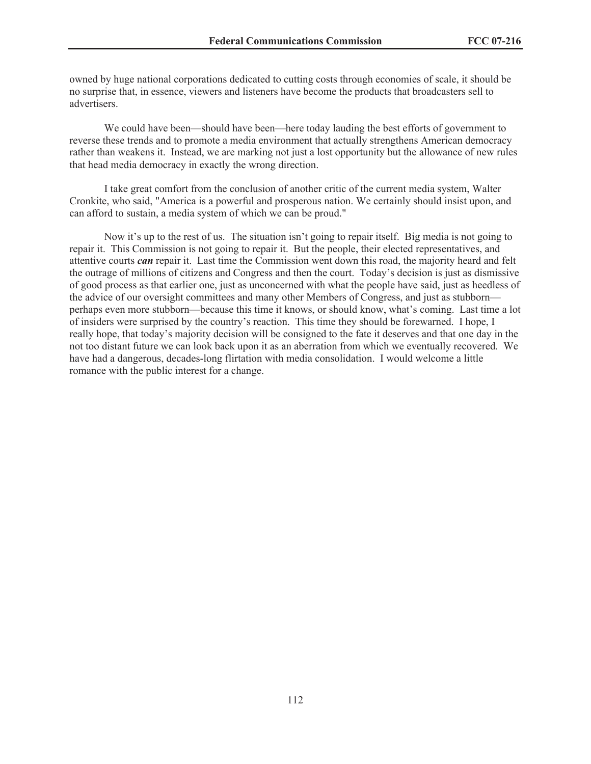owned by huge national corporations dedicated to cutting costs through economies of scale, it should be no surprise that, in essence, viewers and listeners have become the products that broadcasters sell to advertisers.

We could have been—should have been—here today lauding the best efforts of government to reverse these trends and to promote a media environment that actually strengthens American democracy rather than weakens it. Instead, we are marking not just a lost opportunity but the allowance of new rules that head media democracy in exactly the wrong direction.

I take great comfort from the conclusion of another critic of the current media system, Walter Cronkite, who said, "America is a powerful and prosperous nation. We certainly should insist upon, and can afford to sustain, a media system of which we can be proud."

Now it's up to the rest of us. The situation isn't going to repair itself. Big media is not going to repair it. This Commission is not going to repair it. But the people, their elected representatives, and attentive courts *can* repair it. Last time the Commission went down this road, the majority heard and felt the outrage of millions of citizens and Congress and then the court. Today's decision is just as dismissive of good process as that earlier one, just as unconcerned with what the people have said, just as heedless of the advice of our oversight committees and many other Members of Congress, and just as stubborn perhaps even more stubborn—because this time it knows, or should know, what's coming. Last time a lot of insiders were surprised by the country's reaction. This time they should be forewarned. I hope, I really hope, that today's majority decision will be consigned to the fate it deserves and that one day in the not too distant future we can look back upon it as an aberration from which we eventually recovered. We have had a dangerous, decades-long flirtation with media consolidation. I would welcome a little romance with the public interest for a change.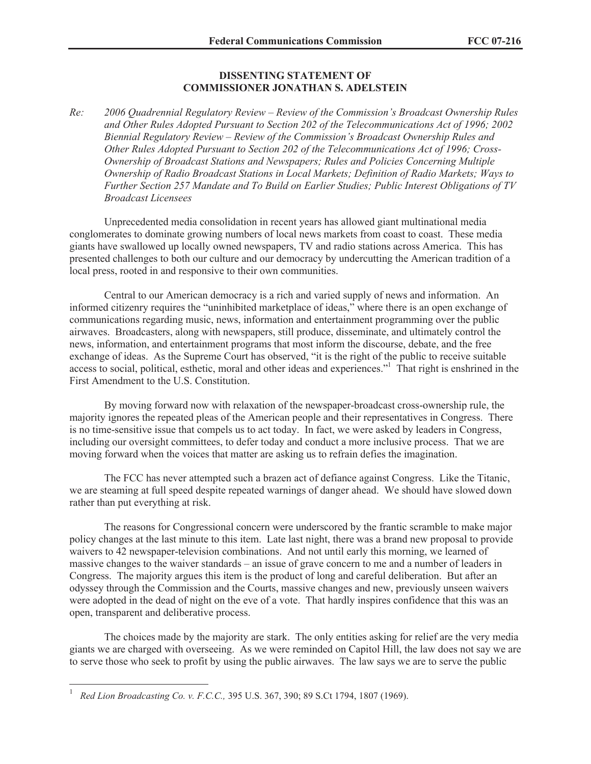# **DISSENTING STATEMENT OF COMMISSIONER JONATHAN S. ADELSTEIN**

*Re: 2006 Quadrennial Regulatory Review – Review of the Commission's Broadcast Ownership Rules and Other Rules Adopted Pursuant to Section 202 of the Telecommunications Act of 1996; 2002 Biennial Regulatory Review – Review of the Commission's Broadcast Ownership Rules and Other Rules Adopted Pursuant to Section 202 of the Telecommunications Act of 1996; Cross-Ownership of Broadcast Stations and Newspapers; Rules and Policies Concerning Multiple Ownership of Radio Broadcast Stations in Local Markets; Definition of Radio Markets; Ways to Further Section 257 Mandate and To Build on Earlier Studies; Public Interest Obligations of TV Broadcast Licensees*

Unprecedented media consolidation in recent years has allowed giant multinational media conglomerates to dominate growing numbers of local news markets from coast to coast. These media giants have swallowed up locally owned newspapers, TV and radio stations across America. This has presented challenges to both our culture and our democracy by undercutting the American tradition of a local press, rooted in and responsive to their own communities.

Central to our American democracy is a rich and varied supply of news and information. An informed citizenry requires the "uninhibited marketplace of ideas," where there is an open exchange of communications regarding music, news, information and entertainment programming over the public airwaves. Broadcasters, along with newspapers, still produce, disseminate, and ultimately control the news, information, and entertainment programs that most inform the discourse, debate, and the free exchange of ideas. As the Supreme Court has observed, "it is the right of the public to receive suitable access to social, political, esthetic, moral and other ideas and experiences."<sup>1</sup> That right is enshrined in the First Amendment to the U.S. Constitution.

By moving forward now with relaxation of the newspaper-broadcast cross-ownership rule, the majority ignores the repeated pleas of the American people and their representatives in Congress. There is no time-sensitive issue that compels us to act today. In fact, we were asked by leaders in Congress, including our oversight committees, to defer today and conduct a more inclusive process. That we are moving forward when the voices that matter are asking us to refrain defies the imagination.

The FCC has never attempted such a brazen act of defiance against Congress. Like the Titanic, we are steaming at full speed despite repeated warnings of danger ahead. We should have slowed down rather than put everything at risk.

The reasons for Congressional concern were underscored by the frantic scramble to make major policy changes at the last minute to this item. Late last night, there was a brand new proposal to provide waivers to 42 newspaper-television combinations. And not until early this morning, we learned of massive changes to the waiver standards – an issue of grave concern to me and a number of leaders in Congress. The majority argues this item is the product of long and careful deliberation. But after an odyssey through the Commission and the Courts, massive changes and new, previously unseen waivers were adopted in the dead of night on the eve of a vote. That hardly inspires confidence that this was an open, transparent and deliberative process.

The choices made by the majority are stark. The only entities asking for relief are the very media giants we are charged with overseeing. As we were reminded on Capitol Hill, the law does not say we are to serve those who seek to profit by using the public airwaves. The law says we are to serve the public

<sup>1</sup> *Red Lion Broadcasting Co. v. F.C.C.,* 395 U.S. 367, 390; 89 S.Ct 1794, 1807 (1969).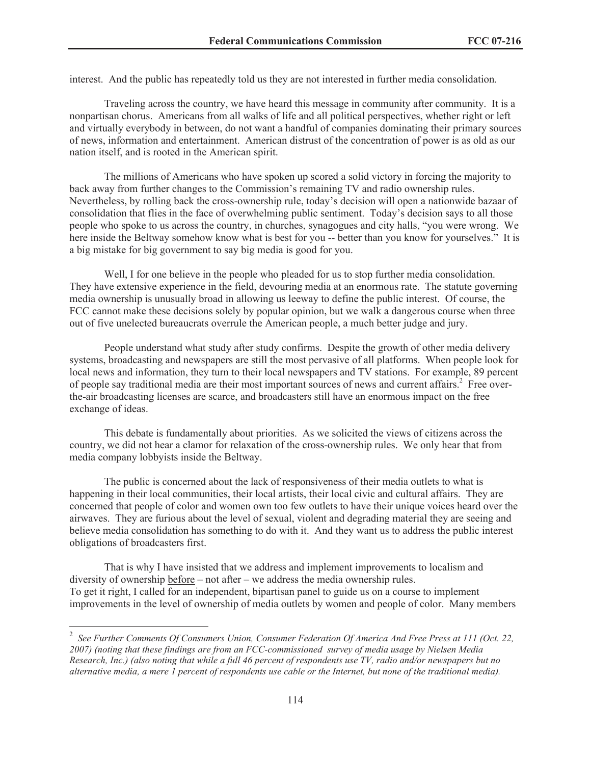interest. And the public has repeatedly told us they are not interested in further media consolidation.

Traveling across the country, we have heard this message in community after community. It is a nonpartisan chorus. Americans from all walks of life and all political perspectives, whether right or left and virtually everybody in between, do not want a handful of companies dominating their primary sources of news, information and entertainment. American distrust of the concentration of power is as old as our nation itself, and is rooted in the American spirit.

The millions of Americans who have spoken up scored a solid victory in forcing the majority to back away from further changes to the Commission's remaining TV and radio ownership rules. Nevertheless, by rolling back the cross-ownership rule, today's decision will open a nationwide bazaar of consolidation that flies in the face of overwhelming public sentiment. Today's decision says to all those people who spoke to us across the country, in churches, synagogues and city halls, "you were wrong. We here inside the Beltway somehow know what is best for you -- better than you know for yourselves." It is a big mistake for big government to say big media is good for you.

Well, I for one believe in the people who pleaded for us to stop further media consolidation. They have extensive experience in the field, devouring media at an enormous rate. The statute governing media ownership is unusually broad in allowing us leeway to define the public interest. Of course, the FCC cannot make these decisions solely by popular opinion, but we walk a dangerous course when three out of five unelected bureaucrats overrule the American people, a much better judge and jury.

People understand what study after study confirms. Despite the growth of other media delivery systems, broadcasting and newspapers are still the most pervasive of all platforms. When people look for local news and information, they turn to their local newspapers and TV stations. For example, 89 percent of people say traditional media are their most important sources of news and current affairs.<sup>2</sup> Free overthe-air broadcasting licenses are scarce, and broadcasters still have an enormous impact on the free exchange of ideas.

This debate is fundamentally about priorities. As we solicited the views of citizens across the country, we did not hear a clamor for relaxation of the cross-ownership rules. We only hear that from media company lobbyists inside the Beltway.

The public is concerned about the lack of responsiveness of their media outlets to what is happening in their local communities, their local artists, their local civic and cultural affairs. They are concerned that people of color and women own too few outlets to have their unique voices heard over the airwaves. They are furious about the level of sexual, violent and degrading material they are seeing and believe media consolidation has something to do with it. And they want us to address the public interest obligations of broadcasters first.

That is why I have insisted that we address and implement improvements to localism and diversity of ownership before – not after – we address the media ownership rules. To get it right, I called for an independent, bipartisan panel to guide us on a course to implement improvements in the level of ownership of media outlets by women and people of color. Many members

<sup>2</sup> *See Further Comments Of Consumers Union, Consumer Federation Of America And Free Press at 111 (Oct. 22, 2007) (noting that these findings are from an FCC-commissioned survey of media usage by Nielsen Media Research, Inc.) (also noting that while a full 46 percent of respondents use TV, radio and/or newspapers but no alternative media, a mere 1 percent of respondents use cable or the Internet, but none of the traditional media).*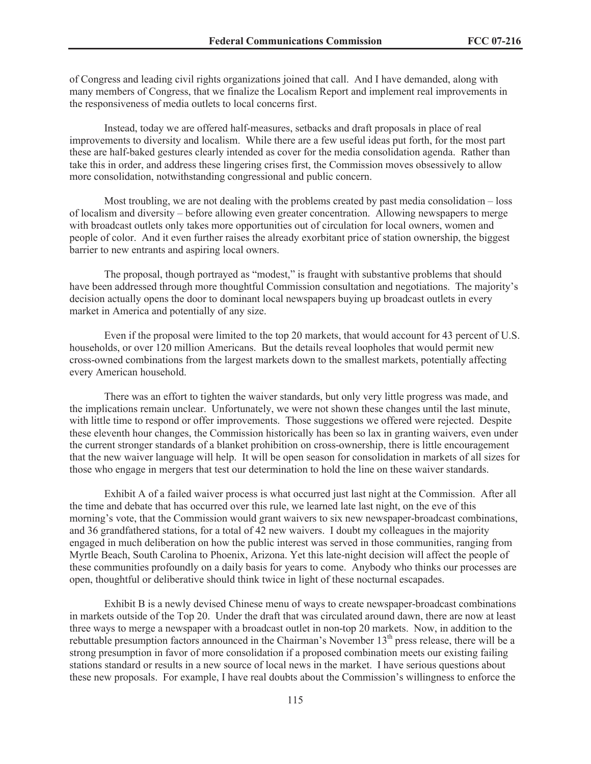of Congress and leading civil rights organizations joined that call. And I have demanded, along with many members of Congress, that we finalize the Localism Report and implement real improvements in the responsiveness of media outlets to local concerns first.

Instead, today we are offered half-measures, setbacks and draft proposals in place of real improvements to diversity and localism. While there are a few useful ideas put forth, for the most part these are half-baked gestures clearly intended as cover for the media consolidation agenda. Rather than take this in order, and address these lingering crises first, the Commission moves obsessively to allow more consolidation, notwithstanding congressional and public concern.

Most troubling, we are not dealing with the problems created by past media consolidation – loss of localism and diversity – before allowing even greater concentration. Allowing newspapers to merge with broadcast outlets only takes more opportunities out of circulation for local owners, women and people of color. And it even further raises the already exorbitant price of station ownership, the biggest barrier to new entrants and aspiring local owners.

The proposal, though portrayed as "modest," is fraught with substantive problems that should have been addressed through more thoughtful Commission consultation and negotiations. The majority's decision actually opens the door to dominant local newspapers buying up broadcast outlets in every market in America and potentially of any size.

Even if the proposal were limited to the top 20 markets, that would account for 43 percent of U.S. households, or over 120 million Americans. But the details reveal loopholes that would permit new cross-owned combinations from the largest markets down to the smallest markets, potentially affecting every American household.

There was an effort to tighten the waiver standards, but only very little progress was made, and the implications remain unclear. Unfortunately, we were not shown these changes until the last minute, with little time to respond or offer improvements. Those suggestions we offered were rejected. Despite these eleventh hour changes, the Commission historically has been so lax in granting waivers, even under the current stronger standards of a blanket prohibition on cross-ownership, there is little encouragement that the new waiver language will help. It will be open season for consolidation in markets of all sizes for those who engage in mergers that test our determination to hold the line on these waiver standards.

Exhibit A of a failed waiver process is what occurred just last night at the Commission. After all the time and debate that has occurred over this rule, we learned late last night, on the eve of this morning's vote, that the Commission would grant waivers to six new newspaper-broadcast combinations, and 36 grandfathered stations, for a total of 42 new waivers. I doubt my colleagues in the majority engaged in much deliberation on how the public interest was served in those communities, ranging from Myrtle Beach, South Carolina to Phoenix, Arizona. Yet this late-night decision will affect the people of these communities profoundly on a daily basis for years to come. Anybody who thinks our processes are open, thoughtful or deliberative should think twice in light of these nocturnal escapades.

Exhibit B is a newly devised Chinese menu of ways to create newspaper-broadcast combinations in markets outside of the Top 20. Under the draft that was circulated around dawn, there are now at least three ways to merge a newspaper with a broadcast outlet in non-top 20 markets. Now, in addition to the rebuttable presumption factors announced in the Chairman's November 13<sup>th</sup> press release, there will be a strong presumption in favor of more consolidation if a proposed combination meets our existing failing stations standard or results in a new source of local news in the market. I have serious questions about these new proposals. For example, I have real doubts about the Commission's willingness to enforce the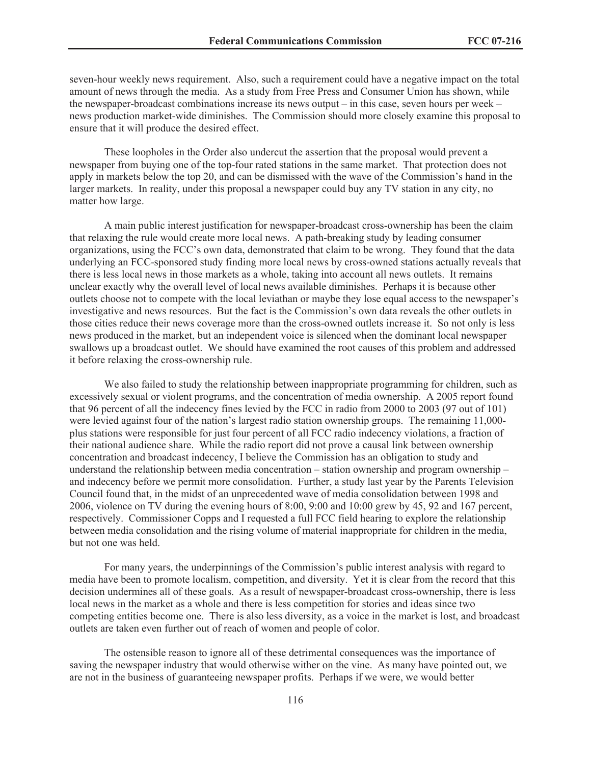seven-hour weekly news requirement. Also, such a requirement could have a negative impact on the total amount of news through the media. As a study from Free Press and Consumer Union has shown, while the newspaper-broadcast combinations increase its news output – in this case, seven hours per week – news production market-wide diminishes. The Commission should more closely examine this proposal to ensure that it will produce the desired effect.

These loopholes in the Order also undercut the assertion that the proposal would prevent a newspaper from buying one of the top-four rated stations in the same market. That protection does not apply in markets below the top 20, and can be dismissed with the wave of the Commission's hand in the larger markets. In reality, under this proposal a newspaper could buy any TV station in any city, no matter how large.

A main public interest justification for newspaper-broadcast cross-ownership has been the claim that relaxing the rule would create more local news. A path-breaking study by leading consumer organizations, using the FCC's own data, demonstrated that claim to be wrong. They found that the data underlying an FCC-sponsored study finding more local news by cross-owned stations actually reveals that there is less local news in those markets as a whole, taking into account all news outlets. It remains unclear exactly why the overall level of local news available diminishes. Perhaps it is because other outlets choose not to compete with the local leviathan or maybe they lose equal access to the newspaper's investigative and news resources. But the fact is the Commission's own data reveals the other outlets in those cities reduce their news coverage more than the cross-owned outlets increase it. So not only is less news produced in the market, but an independent voice is silenced when the dominant local newspaper swallows up a broadcast outlet. We should have examined the root causes of this problem and addressed it before relaxing the cross-ownership rule.

We also failed to study the relationship between inappropriate programming for children, such as excessively sexual or violent programs, and the concentration of media ownership. A 2005 report found that 96 percent of all the indecency fines levied by the FCC in radio from 2000 to 2003 (97 out of 101) were levied against four of the nation's largest radio station ownership groups. The remaining 11,000 plus stations were responsible for just four percent of all FCC radio indecency violations, a fraction of their national audience share. While the radio report did not prove a causal link between ownership concentration and broadcast indecency, I believe the Commission has an obligation to study and understand the relationship between media concentration – station ownership and program ownership – and indecency before we permit more consolidation. Further, a study last year by the Parents Television Council found that, in the midst of an unprecedented wave of media consolidation between 1998 and 2006, violence on TV during the evening hours of 8:00, 9:00 and 10:00 grew by 45, 92 and 167 percent, respectively. Commissioner Copps and I requested a full FCC field hearing to explore the relationship between media consolidation and the rising volume of material inappropriate for children in the media, but not one was held.

For many years, the underpinnings of the Commission's public interest analysis with regard to media have been to promote localism, competition, and diversity. Yet it is clear from the record that this decision undermines all of these goals. As a result of newspaper-broadcast cross-ownership, there is less local news in the market as a whole and there is less competition for stories and ideas since two competing entities become one. There is also less diversity, as a voice in the market is lost, and broadcast outlets are taken even further out of reach of women and people of color.

The ostensible reason to ignore all of these detrimental consequences was the importance of saving the newspaper industry that would otherwise wither on the vine. As many have pointed out, we are not in the business of guaranteeing newspaper profits. Perhaps if we were, we would better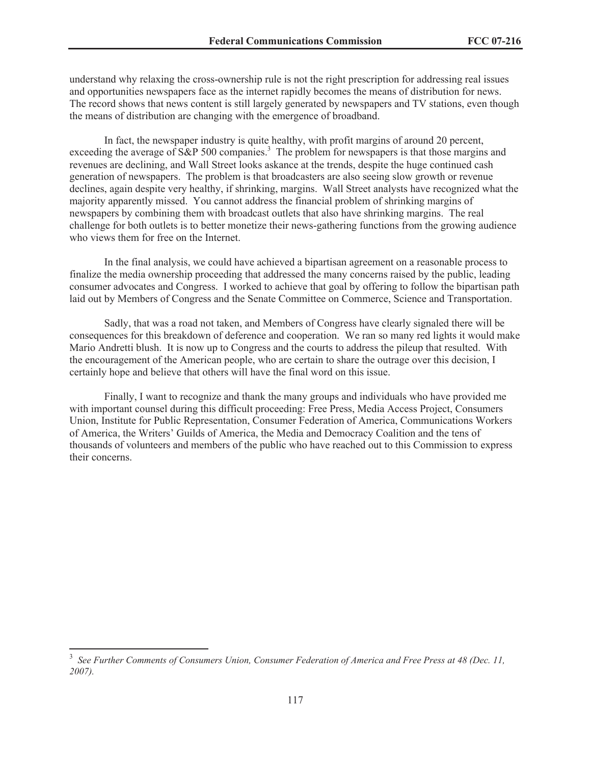understand why relaxing the cross-ownership rule is not the right prescription for addressing real issues and opportunities newspapers face as the internet rapidly becomes the means of distribution for news. The record shows that news content is still largely generated by newspapers and TV stations, even though the means of distribution are changing with the emergence of broadband.

In fact, the newspaper industry is quite healthy, with profit margins of around 20 percent, exceeding the average of S&P 500 companies.<sup>3</sup> The problem for newspapers is that those margins and revenues are declining, and Wall Street looks askance at the trends, despite the huge continued cash generation of newspapers. The problem is that broadcasters are also seeing slow growth or revenue declines, again despite very healthy, if shrinking, margins. Wall Street analysts have recognized what the majority apparently missed. You cannot address the financial problem of shrinking margins of newspapers by combining them with broadcast outlets that also have shrinking margins. The real challenge for both outlets is to better monetize their news-gathering functions from the growing audience who views them for free on the Internet.

In the final analysis, we could have achieved a bipartisan agreement on a reasonable process to finalize the media ownership proceeding that addressed the many concerns raised by the public, leading consumer advocates and Congress. I worked to achieve that goal by offering to follow the bipartisan path laid out by Members of Congress and the Senate Committee on Commerce, Science and Transportation.

Sadly, that was a road not taken, and Members of Congress have clearly signaled there will be consequences for this breakdown of deference and cooperation. We ran so many red lights it would make Mario Andretti blush. It is now up to Congress and the courts to address the pileup that resulted. With the encouragement of the American people, who are certain to share the outrage over this decision, I certainly hope and believe that others will have the final word on this issue.

Finally, I want to recognize and thank the many groups and individuals who have provided me with important counsel during this difficult proceeding: Free Press, Media Access Project, Consumers Union, Institute for Public Representation, Consumer Federation of America, Communications Workers of America, the Writers' Guilds of America, the Media and Democracy Coalition and the tens of thousands of volunteers and members of the public who have reached out to this Commission to express their concerns.

<sup>&</sup>lt;sup>3</sup> See Further Comments of Consumers Union, Consumer Federation of America and Free Press at 48 (Dec. 11, *2007).*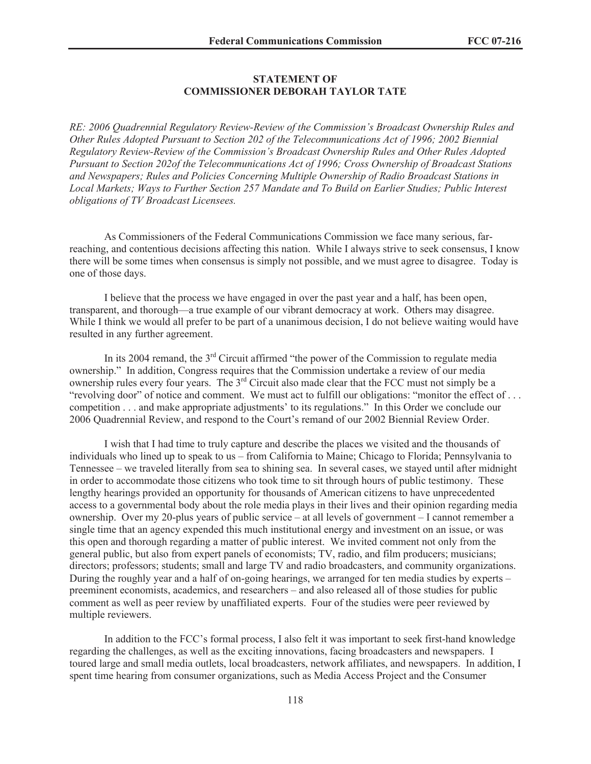# **STATEMENT OF COMMISSIONER DEBORAH TAYLOR TATE**

*RE: 2006 Quadrennial Regulatory Review-Review of the Commission's Broadcast Ownership Rules and Other Rules Adopted Pursuant to Section 202 of the Telecommunications Act of 1996; 2002 Biennial Regulatory Review-Review of the Commission's Broadcast Ownership Rules and Other Rules Adopted Pursuant to Section 202of the Telecommunications Act of 1996; Cross Ownership of Broadcast Stations and Newspapers; Rules and Policies Concerning Multiple Ownership of Radio Broadcast Stations in Local Markets; Ways to Further Section 257 Mandate and To Build on Earlier Studies; Public Interest obligations of TV Broadcast Licensees.* 

As Commissioners of the Federal Communications Commission we face many serious, farreaching, and contentious decisions affecting this nation. While I always strive to seek consensus, I know there will be some times when consensus is simply not possible, and we must agree to disagree. Today is one of those days.

I believe that the process we have engaged in over the past year and a half, has been open, transparent, and thorough—a true example of our vibrant democracy at work. Others may disagree. While I think we would all prefer to be part of a unanimous decision, I do not believe waiting would have resulted in any further agreement.

In its 2004 remand, the 3<sup>rd</sup> Circuit affirmed "the power of the Commission to regulate media ownership." In addition, Congress requires that the Commission undertake a review of our media ownership rules every four years. The 3rd Circuit also made clear that the FCC must not simply be a "revolving door" of notice and comment. We must act to fulfill our obligations: "monitor the effect of . . . competition . . . and make appropriate adjustments' to its regulations." In this Order we conclude our 2006 Quadrennial Review, and respond to the Court's remand of our 2002 Biennial Review Order.

I wish that I had time to truly capture and describe the places we visited and the thousands of individuals who lined up to speak to us – from California to Maine; Chicago to Florida; Pennsylvania to Tennessee – we traveled literally from sea to shining sea. In several cases, we stayed until after midnight in order to accommodate those citizens who took time to sit through hours of public testimony. These lengthy hearings provided an opportunity for thousands of American citizens to have unprecedented access to a governmental body about the role media plays in their lives and their opinion regarding media ownership. Over my 20-plus years of public service – at all levels of government – I cannot remember a single time that an agency expended this much institutional energy and investment on an issue, or was this open and thorough regarding a matter of public interest. We invited comment not only from the general public, but also from expert panels of economists; TV, radio, and film producers; musicians; directors; professors; students; small and large TV and radio broadcasters, and community organizations. During the roughly year and a half of on-going hearings, we arranged for ten media studies by experts – preeminent economists, academics, and researchers – and also released all of those studies for public comment as well as peer review by unaffiliated experts. Four of the studies were peer reviewed by multiple reviewers.

In addition to the FCC's formal process, I also felt it was important to seek first-hand knowledge regarding the challenges, as well as the exciting innovations, facing broadcasters and newspapers. I toured large and small media outlets, local broadcasters, network affiliates, and newspapers. In addition, I spent time hearing from consumer organizations, such as Media Access Project and the Consumer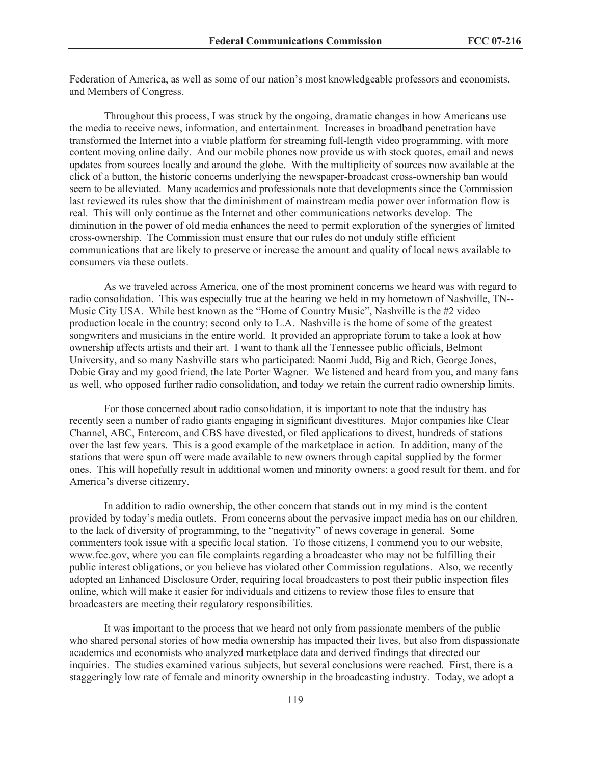Federation of America, as well as some of our nation's most knowledgeable professors and economists, and Members of Congress.

Throughout this process, I was struck by the ongoing, dramatic changes in how Americans use the media to receive news, information, and entertainment. Increases in broadband penetration have transformed the Internet into a viable platform for streaming full-length video programming, with more content moving online daily. And our mobile phones now provide us with stock quotes, email and news updates from sources locally and around the globe. With the multiplicity of sources now available at the click of a button, the historic concerns underlying the newspaper-broadcast cross-ownership ban would seem to be alleviated. Many academics and professionals note that developments since the Commission last reviewed its rules show that the diminishment of mainstream media power over information flow is real. This will only continue as the Internet and other communications networks develop. The diminution in the power of old media enhances the need to permit exploration of the synergies of limited cross-ownership. The Commission must ensure that our rules do not unduly stifle efficient communications that are likely to preserve or increase the amount and quality of local news available to consumers via these outlets.

As we traveled across America, one of the most prominent concerns we heard was with regard to radio consolidation. This was especially true at the hearing we held in my hometown of Nashville, TN-- Music City USA. While best known as the "Home of Country Music", Nashville is the #2 video production locale in the country; second only to L.A. Nashville is the home of some of the greatest songwriters and musicians in the entire world. It provided an appropriate forum to take a look at how ownership affects artists and their art. I want to thank all the Tennessee public officials, Belmont University, and so many Nashville stars who participated: Naomi Judd, Big and Rich, George Jones, Dobie Gray and my good friend, the late Porter Wagner. We listened and heard from you, and many fans as well, who opposed further radio consolidation, and today we retain the current radio ownership limits.

For those concerned about radio consolidation, it is important to note that the industry has recently seen a number of radio giants engaging in significant divestitures. Major companies like Clear Channel, ABC, Entercom, and CBS have divested, or filed applications to divest, hundreds of stations over the last few years. This is a good example of the marketplace in action. In addition, many of the stations that were spun off were made available to new owners through capital supplied by the former ones. This will hopefully result in additional women and minority owners; a good result for them, and for America's diverse citizenry.

In addition to radio ownership, the other concern that stands out in my mind is the content provided by today's media outlets. From concerns about the pervasive impact media has on our children, to the lack of diversity of programming, to the "negativity" of news coverage in general. Some commenters took issue with a specific local station. To those citizens, I commend you to our website, www.fcc.gov, where you can file complaints regarding a broadcaster who may not be fulfilling their public interest obligations, or you believe has violated other Commission regulations. Also, we recently adopted an Enhanced Disclosure Order, requiring local broadcasters to post their public inspection files online, which will make it easier for individuals and citizens to review those files to ensure that broadcasters are meeting their regulatory responsibilities.

It was important to the process that we heard not only from passionate members of the public who shared personal stories of how media ownership has impacted their lives, but also from dispassionate academics and economists who analyzed marketplace data and derived findings that directed our inquiries. The studies examined various subjects, but several conclusions were reached. First, there is a staggeringly low rate of female and minority ownership in the broadcasting industry. Today, we adopt a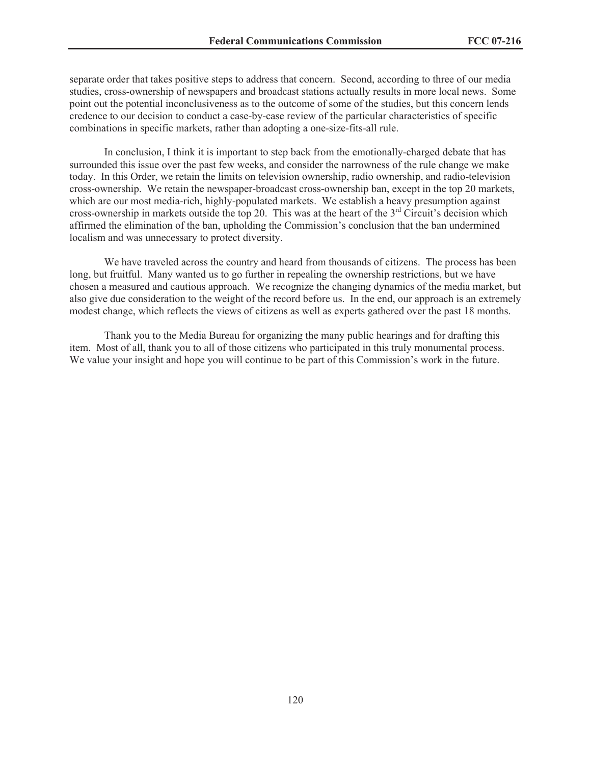separate order that takes positive steps to address that concern. Second, according to three of our media studies, cross-ownership of newspapers and broadcast stations actually results in more local news. Some point out the potential inconclusiveness as to the outcome of some of the studies, but this concern lends credence to our decision to conduct a case-by-case review of the particular characteristics of specific combinations in specific markets, rather than adopting a one-size-fits-all rule.

In conclusion, I think it is important to step back from the emotionally-charged debate that has surrounded this issue over the past few weeks, and consider the narrowness of the rule change we make today. In this Order, we retain the limits on television ownership, radio ownership, and radio-television cross-ownership. We retain the newspaper-broadcast cross-ownership ban, except in the top 20 markets, which are our most media-rich, highly-populated markets. We establish a heavy presumption against cross-ownership in markets outside the top 20. This was at the heart of the 3rd Circuit's decision which affirmed the elimination of the ban, upholding the Commission's conclusion that the ban undermined localism and was unnecessary to protect diversity.

We have traveled across the country and heard from thousands of citizens. The process has been long, but fruitful. Many wanted us to go further in repealing the ownership restrictions, but we have chosen a measured and cautious approach. We recognize the changing dynamics of the media market, but also give due consideration to the weight of the record before us. In the end, our approach is an extremely modest change, which reflects the views of citizens as well as experts gathered over the past 18 months.

Thank you to the Media Bureau for organizing the many public hearings and for drafting this item. Most of all, thank you to all of those citizens who participated in this truly monumental process. We value your insight and hope you will continue to be part of this Commission's work in the future.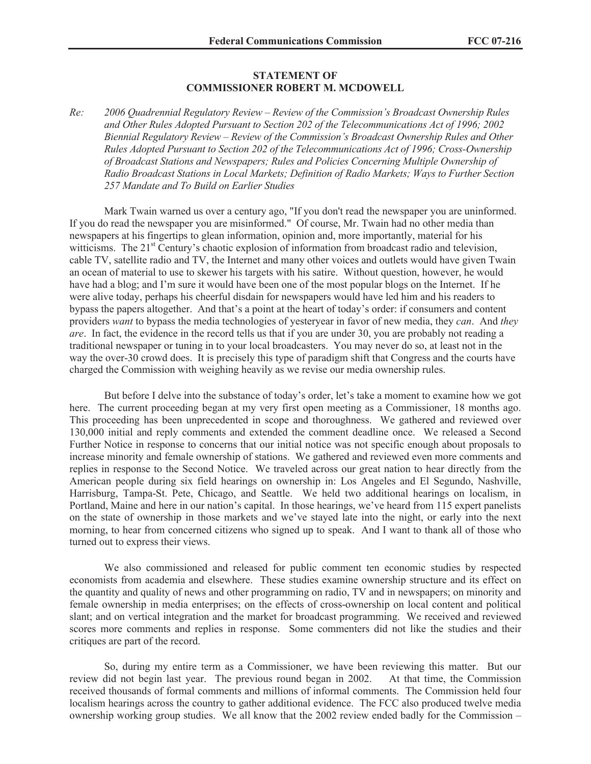## **STATEMENT OF COMMISSIONER ROBERT M. MCDOWELL**

*Re: 2006 Quadrennial Regulatory Review – Review of the Commission's Broadcast Ownership Rules and Other Rules Adopted Pursuant to Section 202 of the Telecommunications Act of 1996; 2002 Biennial Regulatory Review – Review of the Commission's Broadcast Ownership Rules and Other Rules Adopted Pursuant to Section 202 of the Telecommunications Act of 1996; Cross-Ownership of Broadcast Stations and Newspapers; Rules and Policies Concerning Multiple Ownership of Radio Broadcast Stations in Local Markets; Definition of Radio Markets; Ways to Further Section 257 Mandate and To Build on Earlier Studies*

Mark Twain warned us over a century ago, "If you don't read the newspaper you are uninformed. If you do read the newspaper you are misinformed." Of course, Mr. Twain had no other media than newspapers at his fingertips to glean information, opinion and, more importantly, material for his witticisms. The  $21<sup>st</sup>$  Century's chaotic explosion of information from broadcast radio and television, cable TV, satellite radio and TV, the Internet and many other voices and outlets would have given Twain an ocean of material to use to skewer his targets with his satire. Without question, however, he would have had a blog; and I'm sure it would have been one of the most popular blogs on the Internet. If he were alive today, perhaps his cheerful disdain for newspapers would have led him and his readers to bypass the papers altogether. And that's a point at the heart of today's order: if consumers and content providers *want* to bypass the media technologies of yesteryear in favor of new media, they *can*. And *they are*. In fact, the evidence in the record tells us that if you are under 30, you are probably not reading a traditional newspaper or tuning in to your local broadcasters. You may never do so, at least not in the way the over-30 crowd does. It is precisely this type of paradigm shift that Congress and the courts have charged the Commission with weighing heavily as we revise our media ownership rules.

But before I delve into the substance of today's order, let's take a moment to examine how we got here. The current proceeding began at my very first open meeting as a Commissioner, 18 months ago. This proceeding has been unprecedented in scope and thoroughness. We gathered and reviewed over 130,000 initial and reply comments and extended the comment deadline once. We released a Second Further Notice in response to concerns that our initial notice was not specific enough about proposals to increase minority and female ownership of stations. We gathered and reviewed even more comments and replies in response to the Second Notice. We traveled across our great nation to hear directly from the American people during six field hearings on ownership in: Los Angeles and El Segundo, Nashville, Harrisburg, Tampa-St. Pete, Chicago, and Seattle. We held two additional hearings on localism, in Portland, Maine and here in our nation's capital. In those hearings, we've heard from 115 expert panelists on the state of ownership in those markets and we've stayed late into the night, or early into the next morning, to hear from concerned citizens who signed up to speak. And I want to thank all of those who turned out to express their views.

We also commissioned and released for public comment ten economic studies by respected economists from academia and elsewhere. These studies examine ownership structure and its effect on the quantity and quality of news and other programming on radio, TV and in newspapers; on minority and female ownership in media enterprises; on the effects of cross-ownership on local content and political slant; and on vertical integration and the market for broadcast programming. We received and reviewed scores more comments and replies in response. Some commenters did not like the studies and their critiques are part of the record.

So, during my entire term as a Commissioner, we have been reviewing this matter. But our review did not begin last year. The previous round began in 2002. At that time, the Commission received thousands of formal comments and millions of informal comments. The Commission held four localism hearings across the country to gather additional evidence. The FCC also produced twelve media ownership working group studies. We all know that the 2002 review ended badly for the Commission –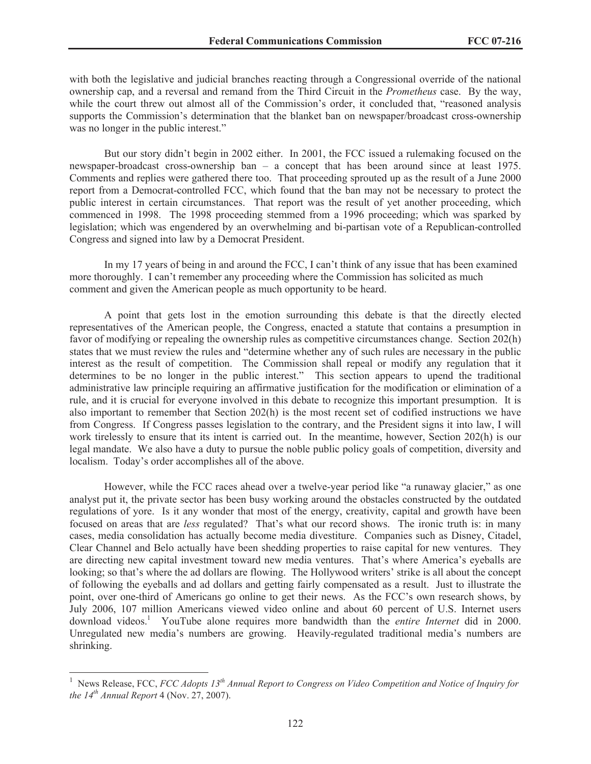with both the legislative and judicial branches reacting through a Congressional override of the national ownership cap, and a reversal and remand from the Third Circuit in the *Prometheus* case. By the way, while the court threw out almost all of the Commission's order, it concluded that, "reasoned analysis supports the Commission's determination that the blanket ban on newspaper/broadcast cross-ownership was no longer in the public interest."

But our story didn't begin in 2002 either. In 2001, the FCC issued a rulemaking focused on the newspaper-broadcast cross-ownership ban – a concept that has been around since at least 1975. Comments and replies were gathered there too. That proceeding sprouted up as the result of a June 2000 report from a Democrat-controlled FCC, which found that the ban may not be necessary to protect the public interest in certain circumstances. That report was the result of yet another proceeding, which commenced in 1998. The 1998 proceeding stemmed from a 1996 proceeding; which was sparked by legislation; which was engendered by an overwhelming and bi-partisan vote of a Republican-controlled Congress and signed into law by a Democrat President.

In my 17 years of being in and around the FCC, I can't think of any issue that has been examined more thoroughly. I can't remember any proceeding where the Commission has solicited as much comment and given the American people as much opportunity to be heard.

A point that gets lost in the emotion surrounding this debate is that the directly elected representatives of the American people, the Congress, enacted a statute that contains a presumption in favor of modifying or repealing the ownership rules as competitive circumstances change. Section 202(h) states that we must review the rules and "determine whether any of such rules are necessary in the public interest as the result of competition. The Commission shall repeal or modify any regulation that it determines to be no longer in the public interest." This section appears to upend the traditional administrative law principle requiring an affirmative justification for the modification or elimination of a rule, and it is crucial for everyone involved in this debate to recognize this important presumption. It is also important to remember that Section 202(h) is the most recent set of codified instructions we have from Congress. If Congress passes legislation to the contrary, and the President signs it into law, I will work tirelessly to ensure that its intent is carried out. In the meantime, however, Section 202(h) is our legal mandate. We also have a duty to pursue the noble public policy goals of competition, diversity and localism. Today's order accomplishes all of the above.

However, while the FCC races ahead over a twelve-year period like "a runaway glacier," as one analyst put it, the private sector has been busy working around the obstacles constructed by the outdated regulations of yore. Is it any wonder that most of the energy, creativity, capital and growth have been focused on areas that are *less* regulated? That's what our record shows. The ironic truth is: in many cases, media consolidation has actually become media divestiture. Companies such as Disney, Citadel, Clear Channel and Belo actually have been shedding properties to raise capital for new ventures. They are directing new capital investment toward new media ventures. That's where America's eyeballs are looking; so that's where the ad dollars are flowing. The Hollywood writers' strike is all about the concept of following the eyeballs and ad dollars and getting fairly compensated as a result. Just to illustrate the point, over one-third of Americans go online to get their news. As the FCC's own research shows, by July 2006, 107 million Americans viewed video online and about 60 percent of U.S. Internet users download videos.<sup>1</sup> YouTube alone requires more bandwidth than the *entire Internet* did in 2000. Unregulated new media's numbers are growing. Heavily-regulated traditional media's numbers are shrinking.

<sup>1</sup> News Release, FCC, *FCC Adopts 13th Annual Report to Congress on Video Competition and Notice of Inquiry for the 14th Annual Report* 4 (Nov. 27, 2007).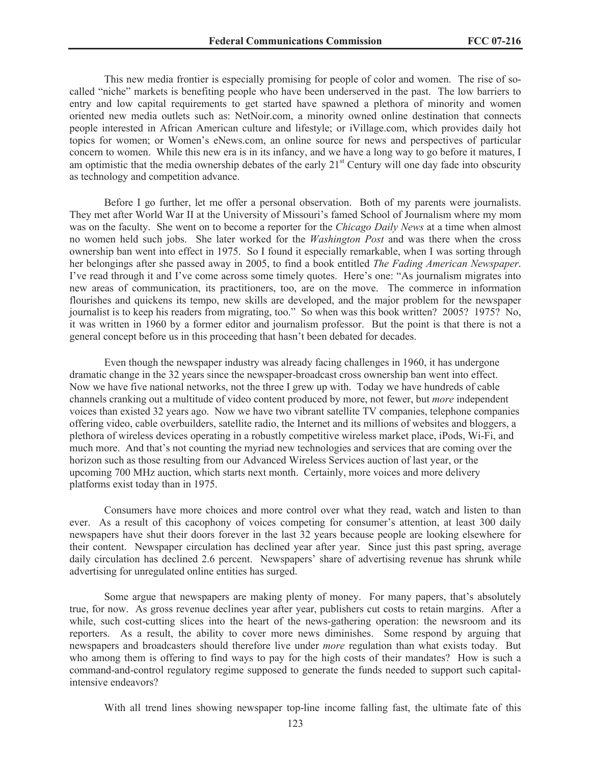This new media frontier is especially promising for people of color and women. The rise of socalled "niche" markets is benefiting people who have been underserved in the past. The low barriers to entry and low capital requirements to get started have spawned a plethora of minority and women oriented new media outlets such as: NetNoir.com, a minority owned online destination that connects people interested in African American culture and lifestyle; or iVillage.com, which provides daily hot topics for women; or Women's eNews.com, an online source for news and perspectives of particular concern to women. While this new era is in its infancy, and we have a long way to go before it matures, I am optimistic that the media ownership debates of the early  $21<sup>st</sup>$  Century will one day fade into obscurity as technology and competition advance.

Before I go further, let me offer a personal observation. Both of my parents were journalists. They met after World War II at the University of Missouri's famed School of Journalism where my mom was on the faculty. She went on to become a reporter for the *Chicago Daily News* at a time when almost no women held such jobs. She later worked for the *Washington Post* and was there when the cross ownership ban went into effect in 1975. So I found it especially remarkable, when I was sorting through her belongings after she passed away in 2005, to find a book entitled *The Fading American Newspaper*. I've read through it and I've come across some timely quotes. Here's one: "As journalism migrates into new areas of communication, its practitioners, too, are on the move. The commerce in information flourishes and quickens its tempo, new skills are developed, and the major problem for the newspaper journalist is to keep his readers from migrating, too." So when was this book written? 2005? 1975? No, it was written in 1960 by a former editor and journalism professor. But the point is that there is not a general concept before us in this proceeding that hasn't been debated for decades.

Even though the newspaper industry was already facing challenges in 1960, it has undergone dramatic change in the 32 years since the newspaper-broadcast cross ownership ban went into effect. Now we have five national networks, not the three I grew up with. Today we have hundreds of cable channels cranking out a multitude of video content produced by more, not fewer, but *more* independent voices than existed 32 years ago. Now we have two vibrant satellite TV companies, telephone companies offering video, cable overbuilders, satellite radio, the Internet and its millions of websites and bloggers, a plethora of wireless devices operating in a robustly competitive wireless market place, iPods, Wi-Fi, and much more. And that's not counting the myriad new technologies and services that are coming over the horizon such as those resulting from our Advanced Wireless Services auction of last year, or the upcoming 700 MHz auction, which starts next month. Certainly, more voices and more delivery platforms exist today than in 1975.

Consumers have more choices and more control over what they read, watch and listen to than ever. As a result of this cacophony of voices competing for consumer's attention, at least 300 daily newspapers have shut their doors forever in the last 32 years because people are looking elsewhere for their content. Newspaper circulation has declined year after year. Since just this past spring, average daily circulation has declined 2.6 percent. Newspapers' share of advertising revenue has shrunk while advertising for unregulated online entities has surged.

Some argue that newspapers are making plenty of money. For many papers, that's absolutely true, for now. As gross revenue declines year after year, publishers cut costs to retain margins. After a while, such cost-cutting slices into the heart of the news-gathering operation: the newsroom and its reporters. As a result, the ability to cover more news diminishes. Some respond by arguing that newspapers and broadcasters should therefore live under *more* regulation than what exists today. But who among them is offering to find ways to pay for the high costs of their mandates? How is such a command-and-control regulatory regime supposed to generate the funds needed to support such capitalintensive endeavors?

With all trend lines showing newspaper top-line income falling fast, the ultimate fate of this